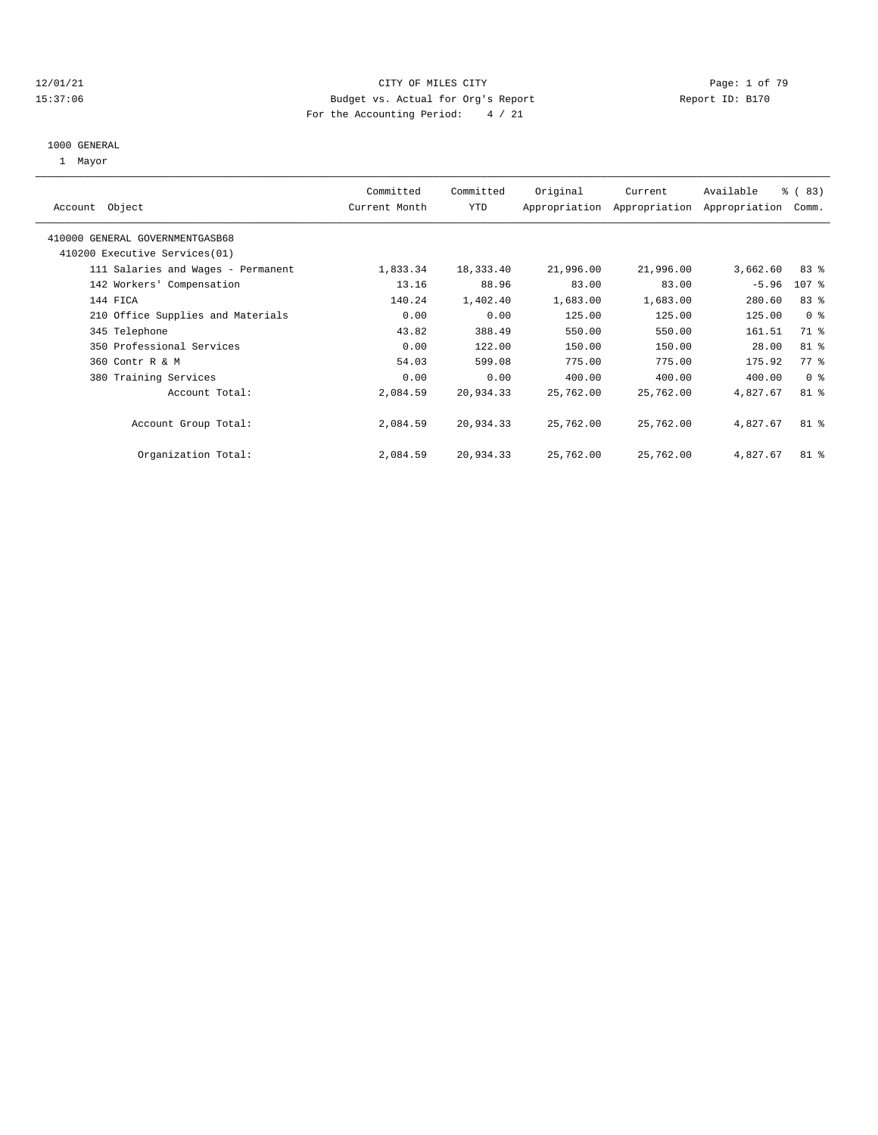### 12/01/21 CITY OF MILES CITY Page: 1 of 79 15:37:06 Budget vs. Actual for Org's Report Report ID: B170 For the Accounting Period: 4 / 21

### 1000 GENERAL

1 Mayor

| Object<br>Account                  | Committed<br>Current Month | Committed<br><b>YTD</b> | Original  | Current<br>Appropriation Appropriation | Available<br>Appropriation | % (83)<br>Comm. |  |
|------------------------------------|----------------------------|-------------------------|-----------|----------------------------------------|----------------------------|-----------------|--|
| 410000 GENERAL GOVERNMENTGASB68    |                            |                         |           |                                        |                            |                 |  |
| 410200 Executive Services(01)      |                            |                         |           |                                        |                            |                 |  |
| 111 Salaries and Wages - Permanent | 1,833.34                   | 18,333.40               | 21,996.00 | 21,996.00                              | 3,662.60                   | 83%             |  |
| 142 Workers' Compensation          | 13.16                      | 88.96                   | 83.00     | 83.00                                  | $-5.96$                    | 107 %           |  |
| 144 FICA                           | 140.24                     | 1,402.40                | 1,683.00  | 1,683.00                               | 280.60                     | 83 %            |  |
| 210 Office Supplies and Materials  | 0.00                       | 0.00                    | 125.00    | 125.00                                 | 125.00                     | 0 <sup>8</sup>  |  |
| 345 Telephone                      | 43.82                      | 388.49                  | 550.00    | 550.00                                 | 161.51                     | 71 %            |  |
| 350 Professional Services          | 0.00                       | 122.00                  | 150.00    | 150.00                                 | 28.00                      | 81 %            |  |
| 360 Contr R & M                    | 54.03                      | 599.08                  | 775.00    | 775.00                                 | 175.92                     | 77.8            |  |
| 380 Training Services              | 0.00                       | 0.00                    | 400.00    | 400.00                                 | 400.00                     | 0 <sup>8</sup>  |  |
| Account Total:                     | 2,084.59                   | 20,934.33               | 25,762.00 | 25,762.00                              | 4,827.67                   | $81$ %          |  |
| Account Group Total:               | 2,084.59                   | 20,934.33               | 25,762.00 | 25,762.00                              | 4,827.67                   | $81$ %          |  |
| Organization Total:                | 2,084.59                   | 20,934.33               | 25,762.00 | 25,762.00                              | 4,827.67                   | 81 %            |  |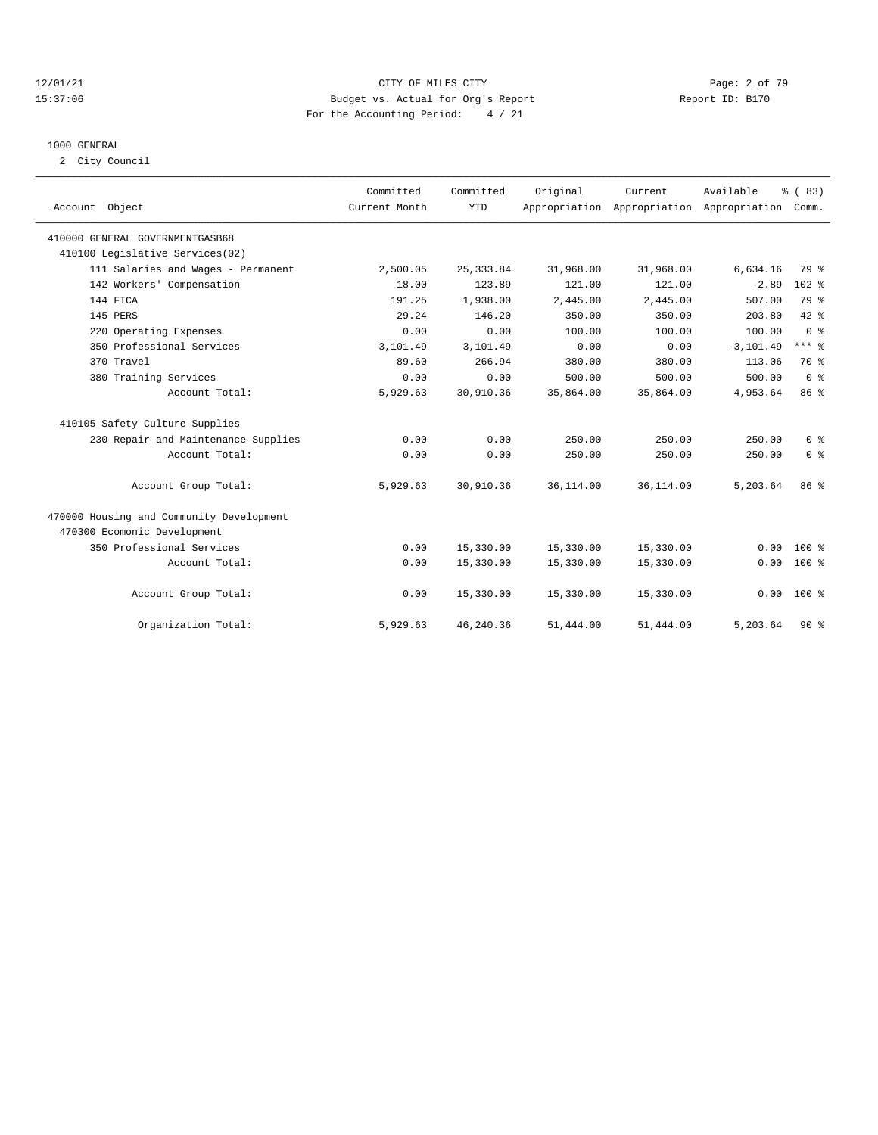### 12/01/21 CITY OF MILES CITY Page: 2 of 79 15:37:06 Budget vs. Actual for Org's Report Report ID: B170 For the Accounting Period: 4 / 21

# 1000 GENERAL

2 City Council

| Account Object                           | Committed<br>Current Month | Committed<br><b>YTD</b> | Original   | Current   | Available<br>Appropriation Appropriation Appropriation Comm. | % (83)                             |  |
|------------------------------------------|----------------------------|-------------------------|------------|-----------|--------------------------------------------------------------|------------------------------------|--|
| 410000 GENERAL GOVERNMENTGASB68          |                            |                         |            |           |                                                              |                                    |  |
| 410100 Legislative Services(02)          |                            |                         |            |           |                                                              |                                    |  |
| 111 Salaries and Wages - Permanent       | 2,500.05                   | 25, 333.84              | 31,968.00  | 31,968.00 | 6,634.16                                                     | 79 %                               |  |
| 142 Workers' Compensation                | 18.00                      | 123.89                  | 121.00     | 121.00    | $-2.89$                                                      | 102 %                              |  |
| 144 FICA                                 | 191.25                     | 1,938.00                | 2,445.00   | 2,445.00  | 507.00                                                       | 79 %                               |  |
| 145 PERS                                 | 29.24                      | 146.20                  | 350.00     | 350.00    | 203.80                                                       | $42$ %                             |  |
| 220 Operating Expenses                   | 0.00                       | 0.00                    | 100.00     | 100.00    | 100.00                                                       | 0 <sup>8</sup>                     |  |
| 350 Professional Services                | 3,101.49                   | 3,101.49                | 0.00       | 0.00      | $-3, 101.49$                                                 | $***$ 8                            |  |
| 370 Travel                               | 89.60                      | 266.94                  | 380.00     | 380.00    | 113.06                                                       | 70 %                               |  |
| 380 Training Services                    | 0.00                       | 0.00                    | 500.00     | 500.00    | 500.00                                                       | $0 \text{ }$ $\text{ }$ $\text{ }$ |  |
| Account Total:                           | 5,929.63                   | 30,910.36               | 35,864.00  | 35,864.00 | 4,953.64                                                     | 86 %                               |  |
| 410105 Safety Culture-Supplies           |                            |                         |            |           |                                                              |                                    |  |
| 230 Repair and Maintenance Supplies      | 0.00                       | 0.00                    | 250.00     | 250.00    | 250.00                                                       | 0 <sup>8</sup>                     |  |
| Account Total:                           | 0.00                       | 0.00                    | 250.00     | 250.00    | 250.00                                                       | 0 <sup>8</sup>                     |  |
| Account Group Total:                     | 5,929.63                   | 30,910.36               | 36, 114.00 | 36,114.00 | 5,203.64                                                     | 86 %                               |  |
| 470000 Housing and Community Development |                            |                         |            |           |                                                              |                                    |  |
| 470300 Ecomonic Development              |                            |                         |            |           |                                                              |                                    |  |
| 350 Professional Services                | 0.00                       | 15,330.00               | 15,330.00  | 15,330.00 | 0.00                                                         | $100*$                             |  |
| Account Total:                           | 0.00                       | 15,330.00               | 15,330.00  | 15,330.00 | 0.00                                                         | $100$ %                            |  |
| Account Group Total:                     | 0.00                       | 15,330.00               | 15,330.00  | 15,330.00 |                                                              | $0.00 100$ %                       |  |
| Organization Total:                      | 5,929.63                   | 46,240.36               | 51,444.00  | 51,444.00 | 5,203.64                                                     | $90*$                              |  |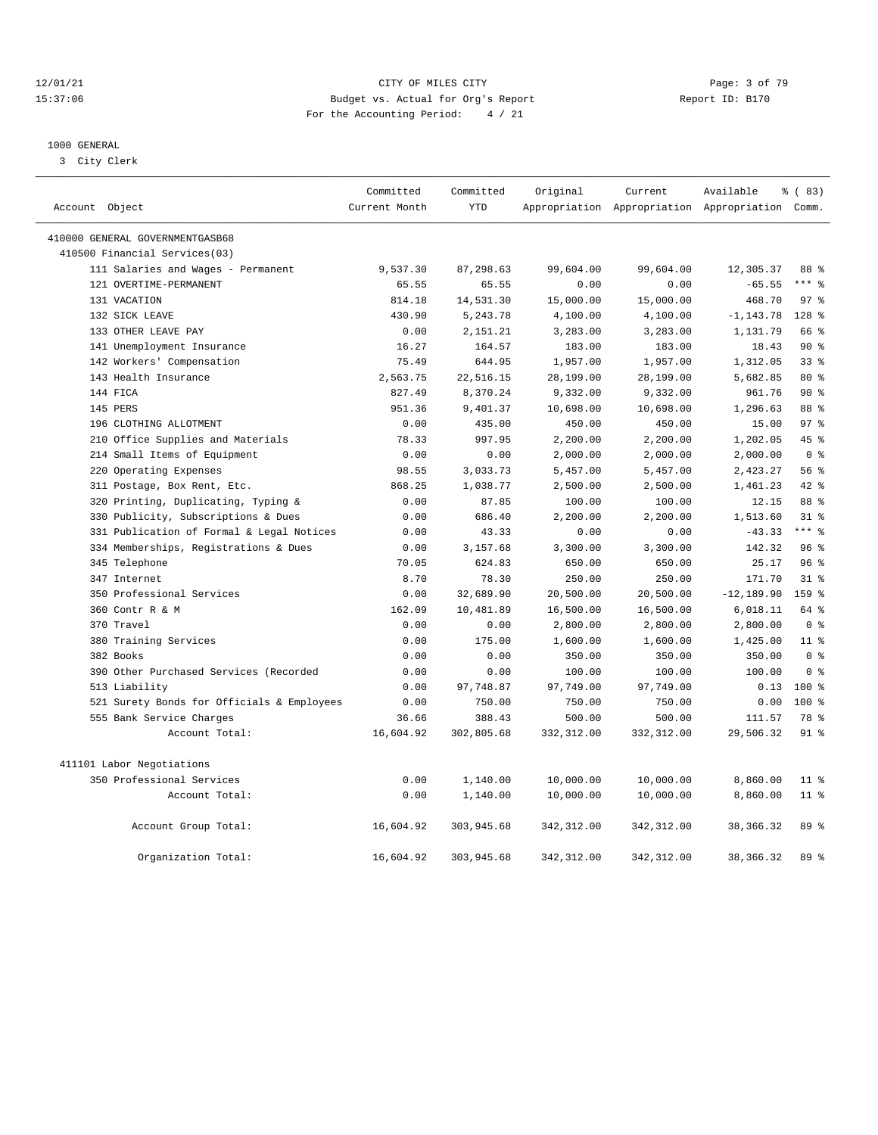### 12/01/21 CITY OF MILES CITY Page: 3 of 79 15:37:06 Budget vs. Actual for Org's Report Report ID: B170 For the Accounting Period: 4 / 21

————————————————————————————————————————————————————————————————————————————————————————————————————————————————————————————————————

### 1000 GENERAL

3 City Clerk

| Account Object                             | Committed<br>Current Month | Committed<br><b>YTD</b> | Original    | Current     | Available<br>Appropriation Appropriation Appropriation Comm. | % (83)          |
|--------------------------------------------|----------------------------|-------------------------|-------------|-------------|--------------------------------------------------------------|-----------------|
|                                            |                            |                         |             |             |                                                              |                 |
| 410000 GENERAL GOVERNMENTGASB68            |                            |                         |             |             |                                                              |                 |
| 410500 Financial Services(03)              |                            |                         |             |             |                                                              |                 |
| 111 Salaries and Wages - Permanent         | 9,537.30                   | 87,298.63               | 99,604.00   | 99,604.00   | 12,305.37                                                    | 88 %            |
| 121 OVERTIME-PERMANENT                     | 65.55                      | 65.55                   | 0.00        | 0.00        | $-65.55$                                                     | $***$ $-$       |
| 131 VACATION                               | 814.18                     | 14,531.30               | 15,000.00   | 15,000.00   | 468.70                                                       | 97 <sub>8</sub> |
| 132 SICK LEAVE                             | 430.90                     | 5,243.78                | 4,100.00    | 4,100.00    | $-1, 143.78$                                                 | 128 %           |
| 133 OTHER LEAVE PAY                        | 0.00                       | 2,151.21                | 3,283.00    | 3,283.00    | 1,131.79                                                     | 66 %            |
| 141 Unemployment Insurance                 | 16.27                      | 164.57                  | 183.00      | 183.00      | 18.43                                                        | 90%             |
| 142 Workers' Compensation                  | 75.49                      | 644.95                  | 1,957.00    | 1,957.00    | 1,312.05                                                     | 33 <sup>8</sup> |
| 143 Health Insurance                       | 2,563.75                   | 22,516.15               | 28,199.00   | 28,199.00   | 5,682.85                                                     | 80 %            |
| 144 FICA                                   | 827.49                     | 8,370.24                | 9,332.00    | 9,332.00    | 961.76                                                       | 90%             |
| 145 PERS                                   | 951.36                     | 9,401.37                | 10,698.00   | 10,698.00   | 1,296.63                                                     | 88 %            |
| 196 CLOTHING ALLOTMENT                     | 0.00                       | 435.00                  | 450.00      | 450.00      | 15.00                                                        | 97 <sub>8</sub> |
| 210 Office Supplies and Materials          | 78.33                      | 997.95                  | 2,200.00    | 2,200.00    | 1,202.05                                                     | 45 %            |
| 214 Small Items of Equipment               | 0.00                       | 0.00                    | 2,000.00    | 2,000.00    | 2,000.00                                                     | 0 <sup>8</sup>  |
| 220 Operating Expenses                     | 98.55                      | 3,033.73                | 5,457.00    | 5,457.00    | 2,423.27                                                     | 56 %            |
| 311 Postage, Box Rent, Etc.                | 868.25                     | 1,038.77                | 2,500.00    | 2,500.00    | 1,461.23                                                     | 42 %            |
| 320 Printing, Duplicating, Typing &        | 0.00                       | 87.85                   | 100.00      | 100.00      | 12.15                                                        | 88 %            |
| 330 Publicity, Subscriptions & Dues        | 0.00                       | 686.40                  | 2,200.00    | 2,200.00    | 1,513.60                                                     | $31*$           |
| 331 Publication of Formal & Legal Notices  | 0.00                       | 43.33                   | 0.00        | 0.00        | $-43.33$                                                     | *** 8           |
| 334 Memberships, Registrations & Dues      | 0.00                       | 3,157.68                | 3,300.00    | 3,300.00    | 142.32                                                       | 96%             |
| 345 Telephone                              | 70.05                      | 624.83                  | 650.00      | 650.00      | 25.17                                                        | 96%             |
| 347 Internet                               | 8.70                       | 78.30                   | 250.00      | 250.00      | 171.70                                                       | $31*$           |
| 350 Professional Services                  | 0.00                       | 32,689.90               | 20,500.00   | 20,500.00   | $-12, 189.90$                                                | 159 %           |
| 360 Contr R & M                            | 162.09                     | 10,481.89               | 16,500.00   | 16,500.00   | 6,018.11                                                     | 64 %            |
| 370 Travel                                 | 0.00                       | 0.00                    | 2,800.00    | 2,800.00    | 2,800.00                                                     | 0 <sup>8</sup>  |
| 380 Training Services                      | 0.00                       | 175.00                  | 1,600.00    | 1,600.00    | 1,425.00                                                     | 11 <sup>8</sup> |
| 382 Books                                  | 0.00                       | 0.00                    | 350.00      | 350.00      | 350.00                                                       | 0 <sup>8</sup>  |
| 390 Other Purchased Services (Recorded     | 0.00                       | 0.00                    | 100.00      | 100.00      | 100.00                                                       | 0 <sup>8</sup>  |
| 513 Liability                              | 0.00                       | 97,748.87               | 97,749.00   | 97,749.00   | 0.13                                                         | $100$ %         |
| 521 Surety Bonds for Officials & Employees | 0.00                       | 750.00                  | 750.00      | 750.00      | 0.00                                                         | $100*$          |
| 555 Bank Service Charges                   | 36.66                      | 388.43                  | 500.00      | 500.00      | 111.57                                                       | 78 %            |
| Account Total:                             | 16,604.92                  | 302,805.68              | 332, 312.00 | 332, 312.00 | 29,506.32                                                    | $91$ %          |
| 411101 Labor Negotiations                  |                            |                         |             |             |                                                              |                 |
| 350 Professional Services                  | 0.00                       | 1,140.00                | 10,000.00   | 10,000.00   | 8,860.00                                                     | $11$ %          |
| Account Total:                             | 0.00                       | 1,140.00                | 10,000.00   | 10,000.00   | 8,860.00                                                     | $11$ %          |
| Account Group Total:                       | 16,604.92                  | 303,945.68              | 342, 312.00 | 342, 312.00 | 38,366.32                                                    | 89 %            |
| Organization Total:                        | 16,604.92                  | 303,945.68              | 342, 312.00 | 342, 312.00 | 38, 366. 32                                                  | 89 %            |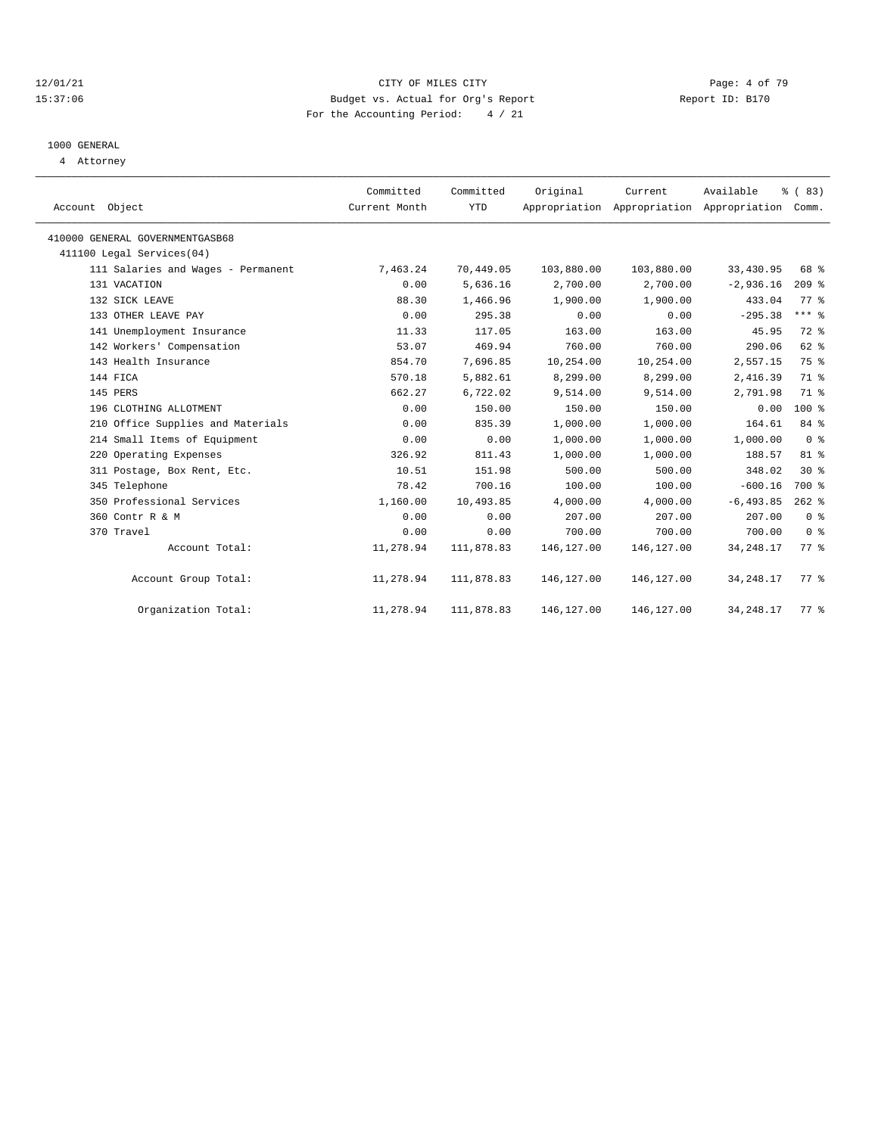### 12/01/21 CITY OF MILES CITY Page: 4 of 79 15:37:06 Budget vs. Actual for Org's Report Report ID: B170 For the Accounting Period: 4 / 21

# 1000 GENERAL

4 Attorney

| Account Object                     | Committed<br>Current Month | Committed<br><b>YTD</b> | Original    | Current<br>Appropriation Appropriation Appropriation Comm. | Available    | % (83)         |
|------------------------------------|----------------------------|-------------------------|-------------|------------------------------------------------------------|--------------|----------------|
| 410000 GENERAL GOVERNMENTGASB68    |                            |                         |             |                                                            |              |                |
| 411100 Legal Services(04)          |                            |                         |             |                                                            |              |                |
| 111 Salaries and Wages - Permanent | 7,463.24                   | 70,449.05               | 103,880.00  | 103,880.00                                                 | 33,430.95    | 68 %           |
| 131 VACATION                       | 0.00                       | 5,636.16                | 2,700.00    | 2,700.00                                                   | $-2,936.16$  | $209$ %        |
| 132 SICK LEAVE                     | 88.30                      | 1,466.96                | 1,900.00    | 1,900.00                                                   | 433.04       | 77.8           |
| 133 OTHER LEAVE PAY                | 0.00                       | 295.38                  | 0.00        | 0.00                                                       | $-295.38$    | $***$ 8        |
| 141 Unemployment Insurance         | 11.33                      | 117.05                  | 163.00      | 163.00                                                     | 45.95        | 72 %           |
| 142 Workers' Compensation          | 53.07                      | 469.94                  | 760.00      | 760.00                                                     | 290.06       | 62 %           |
| 143 Health Insurance               | 854.70                     | 7,696.85                | 10,254.00   | 10,254.00                                                  | 2,557.15     | 75 %           |
| 144 FICA                           | 570.18                     | 5,882.61                | 8,299.00    | 8,299.00                                                   | 2,416.39     | 71 %           |
| 145 PERS                           | 662.27                     | 6,722.02                | 9,514.00    | 9,514.00                                                   | 2,791.98     | 71 %           |
| 196 CLOTHING ALLOTMENT             | 0.00                       | 150.00                  | 150.00      | 150.00                                                     | 0.00         | $100*$         |
| 210 Office Supplies and Materials  | 0.00                       | 835.39                  | 1,000.00    | 1,000.00                                                   | 164.61       | 84 %           |
| 214 Small Items of Equipment       | 0.00                       | 0.00                    | 1,000.00    | 1,000.00                                                   | 1,000.00     | 0 <sup>8</sup> |
| 220 Operating Expenses             | 326.92                     | 811.43                  | 1,000.00    | 1,000.00                                                   | 188.57       | 81 %           |
| 311 Postage, Box Rent, Etc.        | 10.51                      | 151.98                  | 500.00      | 500.00                                                     | 348.02       | $30*$          |
| 345 Telephone                      | 78.42                      | 700.16                  | 100.00      | 100.00                                                     | $-600.16$    | 700 %          |
| 350 Professional Services          | 1,160.00                   | 10,493.85               | 4,000.00    | 4,000.00                                                   | $-6, 493.85$ | $262$ %        |
| 360 Contr R & M                    | 0.00                       | 0.00                    | 207.00      | 207.00                                                     | 207.00       | 0 <sup>8</sup> |
| 370 Travel                         | 0.00                       | 0.00                    | 700.00      | 700.00                                                     | 700.00       | 0 <sup>8</sup> |
| Account Total:                     | 11,278.94                  | 111,878.83              | 146, 127.00 | 146, 127.00                                                | 34, 248.17   | 77.8           |
| Account Group Total:               | 11,278.94                  | 111,878.83              | 146,127.00  | 146,127.00                                                 | 34, 248. 17  | 77.8           |
| Organization Total:                | 11,278.94                  | 111,878.83              | 146,127.00  | 146,127.00                                                 | 34, 248.17   | 77.8           |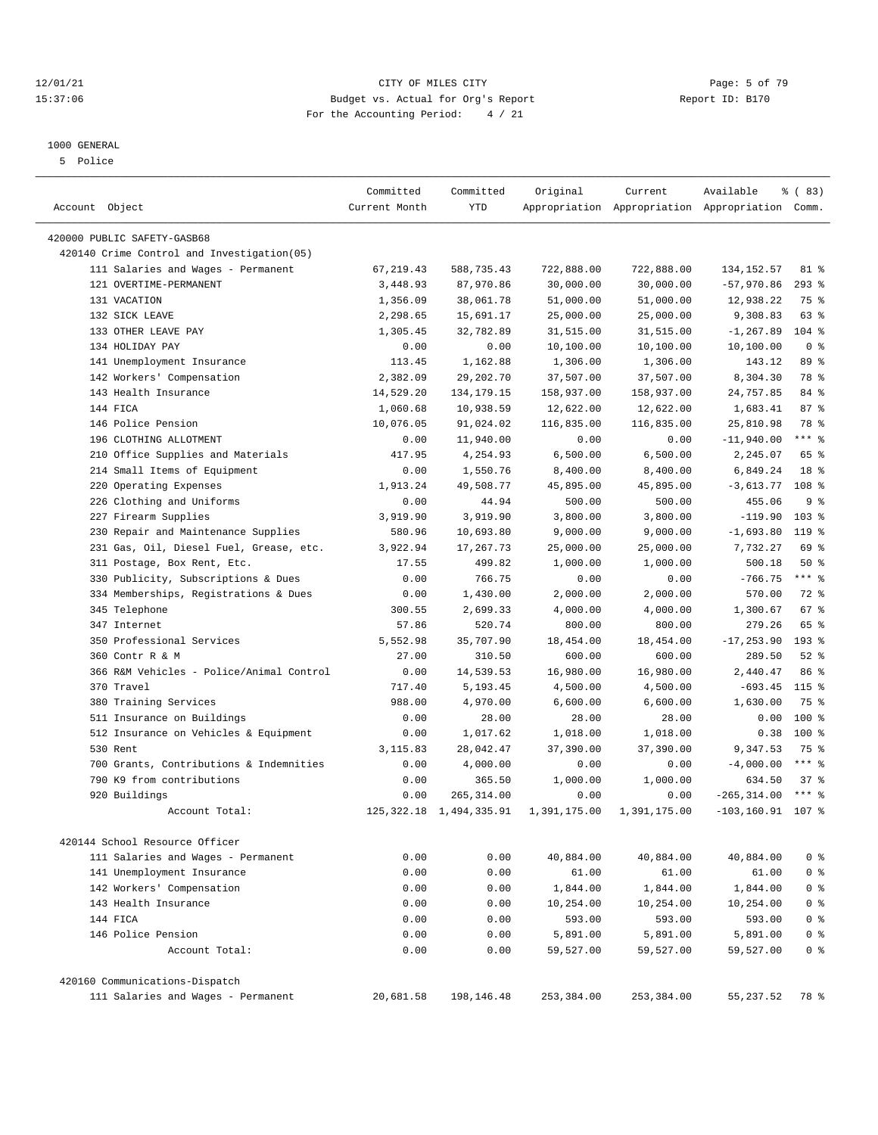### 12/01/21 Page: 5 of 79<br>15:37:06 Budget vs. Actual for Org's Report Page: 5 of 79<br>15:37:06 Budget vs. Actual for Org's Report Physics Report ID: B170 15:37:06 Budget vs. Actual for Org's Report For the Accounting Period: 4 / 21

————————————————————————————————————————————————————————————————————————————————————————————————————————————————————————————————————

# 1000 GENERAL

5 Police

|                                                                              | Committed     | Committed                  | Original     | Current      | Available                                       | % (83)          |
|------------------------------------------------------------------------------|---------------|----------------------------|--------------|--------------|-------------------------------------------------|-----------------|
| Account Object                                                               | Current Month | YTD                        |              |              | Appropriation Appropriation Appropriation Comm. |                 |
| 420000 PUBLIC SAFETY-GASB68                                                  |               |                            |              |              |                                                 |                 |
| 420140 Crime Control and Investigation(05)                                   |               |                            |              |              |                                                 |                 |
| 111 Salaries and Wages - Permanent                                           | 67, 219.43    | 588,735.43                 | 722,888.00   | 722,888.00   | 134, 152.57                                     | 81 %            |
| 121 OVERTIME-PERMANENT                                                       | 3,448.93      | 87,970.86                  | 30,000.00    | 30,000.00    | $-57,970.86$                                    | $293$ $%$       |
| 131 VACATION                                                                 | 1,356.09      | 38,061.78                  | 51,000.00    | 51,000.00    | 12,938.22                                       | 75 %            |
| 132 SICK LEAVE                                                               | 2,298.65      | 15,691.17                  | 25,000.00    | 25,000.00    | 9,308.83                                        | 63 %            |
| 133 OTHER LEAVE PAY                                                          | 1,305.45      | 32,782.89                  | 31,515.00    | 31,515.00    | $-1, 267.89$                                    | $104$ %         |
| 134 HOLIDAY PAY                                                              | 0.00          | 0.00                       | 10,100.00    | 10,100.00    | 10,100.00                                       | 0 <sup>8</sup>  |
| 141 Unemployment Insurance                                                   | 113.45        | 1,162.88                   | 1,306.00     | 1,306.00     | 143.12                                          | 89 %            |
| 142 Workers' Compensation                                                    | 2,382.09      | 29, 202. 70                | 37,507.00    | 37,507.00    | 8,304.30                                        | 78 %            |
| 143 Health Insurance                                                         | 14,529.20     | 134, 179. 15               | 158,937.00   | 158,937.00   | 24,757.85                                       | 84 %            |
| 144 FICA                                                                     | 1,060.68      | 10,938.59                  | 12,622.00    | 12,622.00    | 1,683.41                                        | 87%             |
| 146 Police Pension                                                           | 10,076.05     | 91,024.02                  | 116,835.00   | 116,835.00   | 25,810.98                                       | 78 %            |
| 196 CLOTHING ALLOTMENT                                                       | 0.00          | 11,940.00                  | 0.00         | 0.00         | $-11,940.00$                                    | $***$ $%$       |
| 210 Office Supplies and Materials                                            | 417.95        | 4,254.93                   | 6,500.00     | 6,500.00     | 2,245.07                                        | 65 %            |
| 214 Small Items of Equipment                                                 | 0.00          | 1,550.76                   | 8,400.00     | 8,400.00     | 6,849.24                                        | 18 <sup>8</sup> |
| 220 Operating Expenses                                                       | 1,913.24      | 49,508.77                  | 45,895.00    | 45,895.00    | $-3,613.77$                                     | 108 %           |
| 226 Clothing and Uniforms                                                    | 0.00          | 44.94                      | 500.00       | 500.00       | 455.06                                          | 9 <sub>8</sub>  |
| 227 Firearm Supplies                                                         | 3,919.90      | 3,919.90                   | 3,800.00     | 3,800.00     | $-119.90$                                       | 103%            |
| 230 Repair and Maintenance Supplies                                          | 580.96        | 10,693.80                  | 9,000.00     | 9,000.00     | $-1,693.80$                                     | 119 %           |
|                                                                              | 3,922.94      | 17, 267. 73                | 25,000.00    | 25,000.00    | 7,732.27                                        | 69 %            |
| 231 Gas, Oil, Diesel Fuel, Grease, etc.                                      | 17.55         | 499.82                     | 1,000.00     | 1,000.00     | 500.18                                          | 50%             |
| 311 Postage, Box Rent, Etc.                                                  |               |                            |              |              |                                                 | $***$ $_{8}$    |
| 330 Publicity, Subscriptions & Dues<br>334 Memberships, Registrations & Dues | 0.00          | 766.75                     | 0.00         | 0.00         | $-766.75$<br>570.00                             | 72 %            |
|                                                                              | 0.00          | 1,430.00                   | 2,000.00     | 2,000.00     |                                                 | 67 %            |
| 345 Telephone                                                                | 300.55        | 2,699.33                   | 4,000.00     | 4,000.00     | 1,300.67                                        |                 |
| 347 Internet                                                                 | 57.86         | 520.74                     | 800.00       | 800.00       | 279.26                                          | 65 %            |
| 350 Professional Services                                                    | 5,552.98      | 35,707.90                  | 18,454.00    | 18,454.00    | $-17, 253.90$                                   | 193 %           |
| 360 Contr R & M                                                              | 27.00         | 310.50                     | 600.00       | 600.00       | 289.50                                          | $52$ $%$        |
| 366 R&M Vehicles - Police/Animal Control                                     | 0.00          | 14,539.53                  | 16,980.00    | 16,980.00    | 2,440.47                                        | 86 %            |
| 370 Travel                                                                   | 717.40        | 5,193.45                   | 4,500.00     | 4,500.00     | $-693.45$                                       | 115 %           |
| 380 Training Services                                                        | 988.00        | 4,970.00                   | 6,600.00     | 6,600.00     | 1,630.00                                        | 75 %            |
| 511 Insurance on Buildings                                                   | 0.00          | 28.00                      | 28.00        | 28.00        | 0.00                                            | 100 %           |
| 512 Insurance on Vehicles & Equipment                                        | 0.00          | 1,017.62                   | 1,018.00     | 1,018.00     | 0.38                                            | 100 %           |
| 530 Rent                                                                     | 3,115.83      | 28,042.47                  | 37,390.00    | 37,390.00    | 9,347.53                                        | 75 %            |
| 700 Grants, Contributions & Indemnities                                      | 0.00          | 4,000.00                   | 0.00         | 0.00         | $-4,000.00$                                     | $***$ $8$       |
| 790 K9 from contributions                                                    | 0.00          | 365.50                     | 1,000.00     | 1,000.00     | 634.50                                          | 37%             |
| 920 Buildings                                                                | 0.00          | 265, 314.00                | 0.00         | 0.00         | $-265, 314.00$                                  | $***$ $%$       |
| Account Total:                                                               |               | 125, 322.18 1, 494, 335.91 | 1,391,175.00 | 1,391,175.00 | $-103, 160.91$ 107 %                            |                 |
| 420144 School Resource Officer                                               |               |                            |              |              |                                                 |                 |
| 111 Salaries and Wages - Permanent                                           | 0.00          | 0.00                       | 40,884.00    | 40,884.00    | 40,884.00                                       | 0 <sup>8</sup>  |
| 141 Unemployment Insurance                                                   | 0.00          | 0.00                       | 61.00        | 61.00        | 61.00                                           | 0 <sup>8</sup>  |
| 142 Workers' Compensation                                                    | 0.00          | 0.00                       | 1,844.00     | 1,844.00     | 1,844.00                                        | 0 <sup>8</sup>  |
| 143 Health Insurance                                                         | 0.00          | 0.00                       | 10,254.00    | 10,254.00    | 10,254.00                                       | 0 <sup>8</sup>  |
| 144 FICA                                                                     | 0.00          | 0.00                       | 593.00       | 593.00       | 593.00                                          | 0 <sup>8</sup>  |
| 146 Police Pension                                                           | 0.00          | 0.00                       | 5,891.00     | 5,891.00     | 5,891.00                                        | 0 <sup>8</sup>  |
| Account Total:                                                               | 0.00          | 0.00                       | 59,527.00    | 59,527.00    | 59,527.00                                       | 0 <sup>8</sup>  |
|                                                                              |               |                            |              |              |                                                 |                 |
| 420160 Communications-Dispatch                                               |               |                            |              |              |                                                 |                 |
| 111 Salaries and Wages - Permanent                                           | 20,681.58     | 198,146.48                 | 253,384.00   | 253,384.00   | 55, 237.52                                      | 78 %            |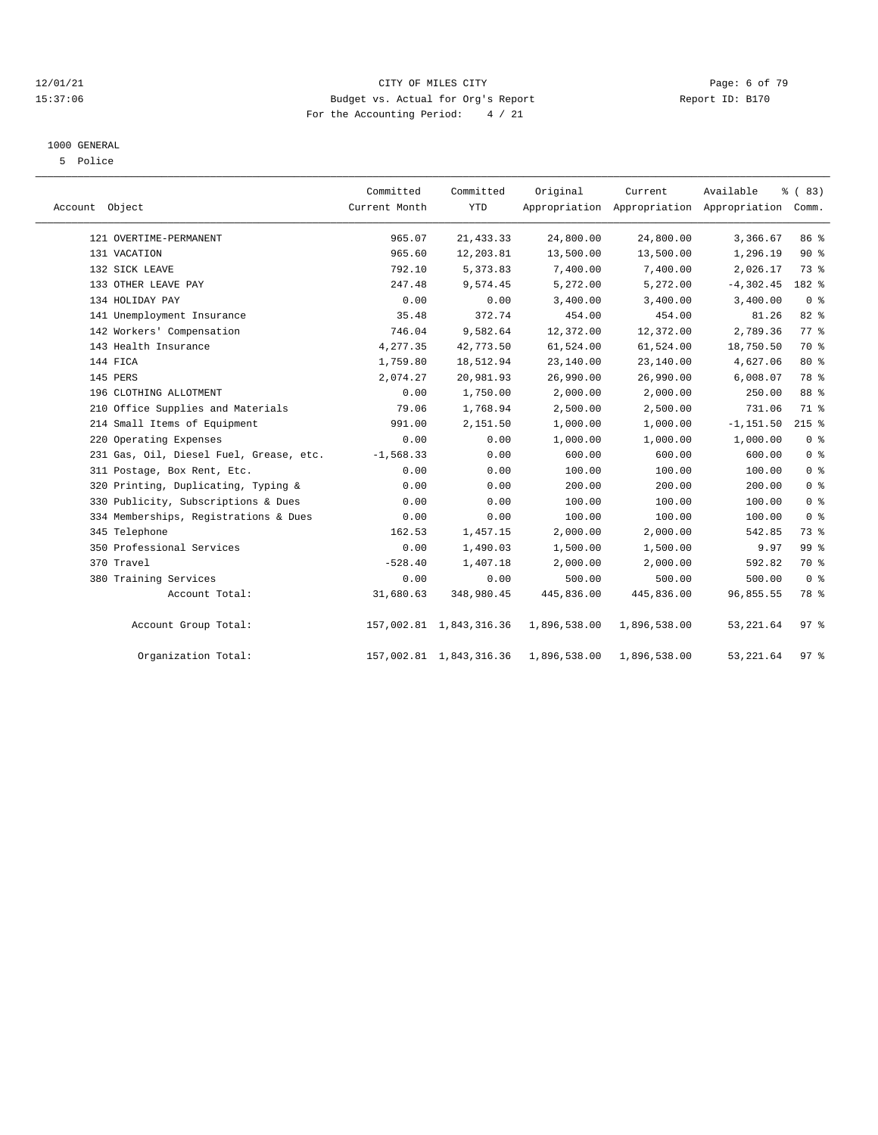### 12/01/21 CITY OF MILES CITY Page: 6 of 79 15:37:06 Budget vs. Actual for Org's Report Report ID: B170 For the Accounting Period: 4 / 21

### 1000 GENERAL

5 Police

| Account Object        |                                         | Committed<br>Current Month | Committed<br><b>YTD</b> | Original     | Current      | Available<br>Appropriation Appropriation Appropriation Comm. | % (83)          |  |
|-----------------------|-----------------------------------------|----------------------------|-------------------------|--------------|--------------|--------------------------------------------------------------|-----------------|--|
|                       |                                         |                            |                         |              |              |                                                              |                 |  |
|                       | 121 OVERTIME-PERMANENT                  | 965.07                     | 21, 433.33              | 24,800.00    | 24,800.00    | 3,366.67                                                     | 86 %            |  |
| 131 VACATION          |                                         | 965.60                     | 12,203.81               | 13,500.00    | 13,500.00    | 1,296.19                                                     | 90%             |  |
| 132 SICK LEAVE        |                                         | 792.10                     | 5,373.83                | 7,400.00     | 7,400.00     | 2,026.17                                                     | 73.8            |  |
| 133 OTHER LEAVE PAY   |                                         | 247.48                     | 9,574.45                | 5,272.00     | 5,272.00     | $-4, 302.45$                                                 | 182 %           |  |
| 134 HOLIDAY PAY       |                                         | 0.00                       | 0.00                    | 3,400.00     | 3,400.00     | 3,400.00                                                     | 0 <sup>8</sup>  |  |
|                       | 141 Unemployment Insurance              | 35.48                      | 372.74                  | 454.00       | 454.00       | 81.26                                                        | 82 %            |  |
|                       | 142 Workers' Compensation               | 746.04                     | 9,582.64                | 12,372.00    | 12,372.00    | 2,789.36                                                     | 77.8            |  |
| 143 Health Insurance  |                                         | 4,277.35                   | 42,773.50               | 61,524.00    | 61,524.00    | 18,750.50                                                    | 70 %            |  |
| 144 FICA              |                                         | 1,759.80                   | 18,512.94               | 23,140.00    | 23,140.00    | 4,627.06                                                     | $80*$           |  |
| 145 PERS              |                                         | 2,074.27                   | 20,981.93               | 26,990.00    | 26,990.00    | 6,008.07                                                     | 78 %            |  |
|                       | 196 CLOTHING ALLOTMENT                  | 0.00                       | 1,750.00                | 2,000.00     | 2,000.00     | 250.00                                                       | 88 %            |  |
|                       | 210 Office Supplies and Materials       | 79.06                      | 1,768.94                | 2,500.00     | 2,500.00     | 731.06                                                       | 71 %            |  |
|                       | 214 Small Items of Equipment            | 991.00                     | 2,151.50                | 1,000.00     | 1,000.00     | $-1, 151.50$                                                 | $215$ %         |  |
|                       | 220 Operating Expenses                  | 0.00                       | 0.00                    | 1,000.00     | 1,000.00     | 1,000.00                                                     | 0 <sup>8</sup>  |  |
|                       | 231 Gas, Oil, Diesel Fuel, Grease, etc. | $-1,568.33$                | 0.00                    | 600.00       | 600.00       | 600.00                                                       | 0 <sup>8</sup>  |  |
|                       | 311 Postage, Box Rent, Etc.             | 0.00                       | 0.00                    | 100.00       | 100.00       | 100.00                                                       | 0 <sup>8</sup>  |  |
|                       | 320 Printing, Duplicating, Typing &     | 0.00                       | 0.00                    | 200.00       | 200.00       | 200.00                                                       | 0 <sup>8</sup>  |  |
|                       | 330 Publicity, Subscriptions & Dues     | 0.00                       | 0.00                    | 100.00       | 100.00       | 100.00                                                       | 0 <sup>8</sup>  |  |
|                       | 334 Memberships, Registrations & Dues   | 0.00                       | 0.00                    | 100.00       | 100.00       | 100.00                                                       | 0 <sup>8</sup>  |  |
| 345 Telephone         |                                         | 162.53                     | 1,457.15                | 2,000.00     | 2,000.00     | 542.85                                                       | 73%             |  |
|                       | 350 Professional Services               | 0.00                       | 1,490.03                | 1,500.00     | 1,500.00     | 9.97                                                         | 99 %            |  |
| 370 Travel            |                                         | $-528.40$                  | 1,407.18                | 2,000.00     | 2,000.00     | 592.82                                                       | 70 %            |  |
| 380 Training Services |                                         | 0.00                       | 0.00                    | 500.00       | 500.00       | 500.00                                                       | 0 <sup>8</sup>  |  |
|                       | Account Total:                          | 31,680.63                  | 348,980.45              | 445,836.00   | 445,836.00   | 96,855.55                                                    | 78 %            |  |
|                       | Account Group Total:                    |                            | 157,002.81 1,843,316.36 | 1,896,538.00 | 1,896,538.00 | 53, 221.64                                                   | 97e             |  |
|                       | Organization Total:                     |                            | 157,002.81 1,843,316.36 | 1,896,538.00 | 1,896,538.00 | 53, 221.64                                                   | 97 <sub>8</sub> |  |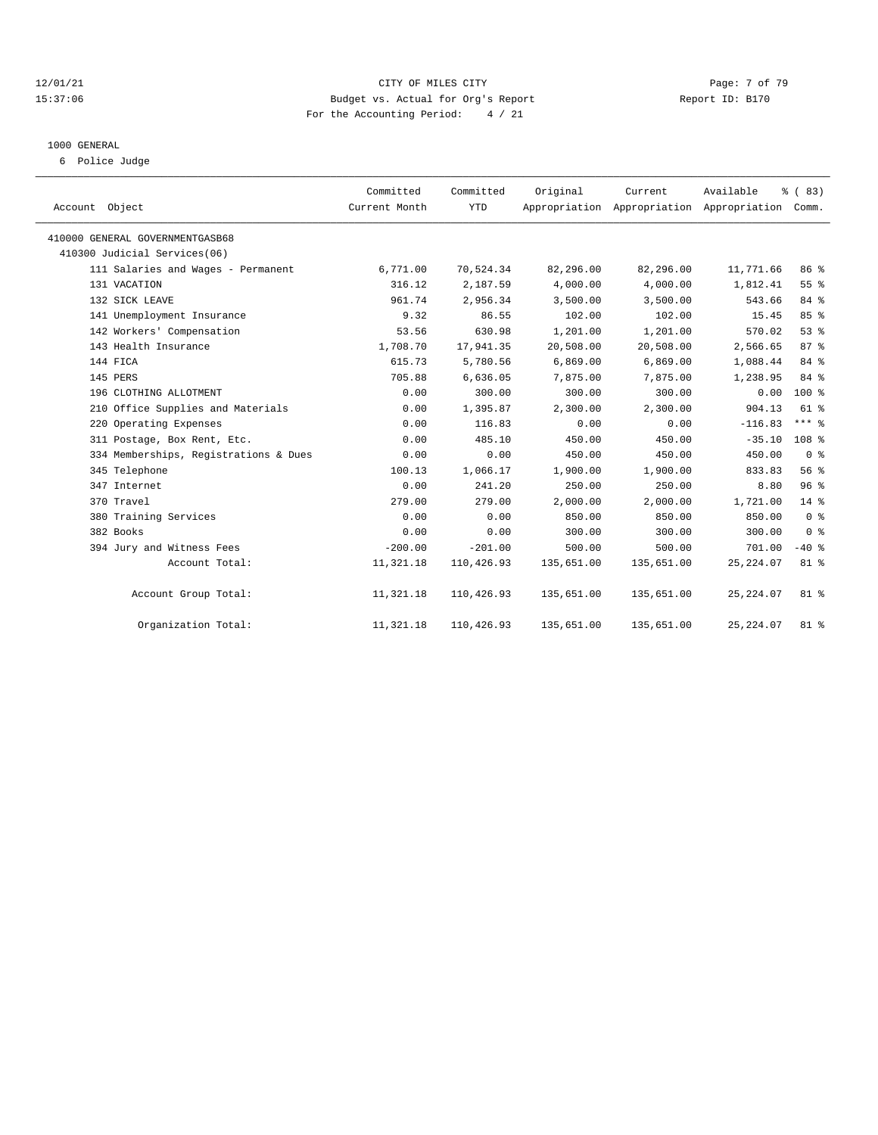### 12/01/21 CITY OF MILES CITY Page: 7 of 79 15:37:06 Budget vs. Actual for Org's Report Report ID: B170 For the Accounting Period: 4 / 21

### 1000 GENERAL

6 Police Judge

| Account Object                        | Committed<br>Current Month | Committed<br><b>YTD</b> | Original   | Current    | Available<br>Appropriation Appropriation Appropriation Comm. | % (83)           |
|---------------------------------------|----------------------------|-------------------------|------------|------------|--------------------------------------------------------------|------------------|
| 410000 GENERAL GOVERNMENTGASB68       |                            |                         |            |            |                                                              |                  |
| 410300 Judicial Services(06)          |                            |                         |            |            |                                                              |                  |
| 111 Salaries and Wages - Permanent    | 6,771.00                   | 70,524.34               | 82,296.00  | 82,296.00  | 11,771.66                                                    | 86 <sup>8</sup>  |
| 131 VACATION                          | 316.12                     | 2,187.59                | 4,000.00   | 4,000.00   | 1,812.41                                                     | 55%              |
| 132 SICK LEAVE                        | 961.74                     | 2,956.34                | 3,500.00   | 3,500.00   | 543.66                                                       | 84 %             |
| 141 Unemployment Insurance            | 9.32                       | 86.55                   | 102.00     | 102.00     | 15.45                                                        | 85%              |
| 142 Workers' Compensation             | 53.56                      | 630.98                  | 1,201.00   | 1,201.00   | 570.02                                                       | 53%              |
| 143 Health Insurance                  | 1,708.70                   | 17,941.35               | 20,508.00  | 20,508.00  | 2,566.65                                                     | 87%              |
| 144 FICA                              | 615.73                     | 5,780.56                | 6,869.00   | 6,869.00   | 1,088.44                                                     | 84 %             |
| 145 PERS                              | 705.88                     | 6,636.05                | 7,875.00   | 7,875.00   | 1,238.95                                                     | 84 %             |
| 196 CLOTHING ALLOTMENT                | 0.00                       | 300.00                  | 300.00     | 300.00     | 0.00                                                         | 100 %            |
| 210 Office Supplies and Materials     | 0.00                       | 1,395.87                | 2,300.00   | 2,300.00   | 904.13                                                       | 61 %             |
| 220 Operating Expenses                | 0.00                       | 116.83                  | 0.00       | 0.00       | $-116.83$                                                    | $***$ $%$        |
| 311 Postage, Box Rent, Etc.           | 0.00                       | 485.10                  | 450.00     | 450.00     | $-35.10$                                                     | 108 <sup>8</sup> |
| 334 Memberships, Registrations & Dues | 0.00                       | 0.00                    | 450.00     | 450.00     | 450.00                                                       | 0 <sup>8</sup>   |
| 345 Telephone                         | 100.13                     | 1,066.17                | 1,900.00   | 1,900.00   | 833.83                                                       | 56 %             |
| 347 Internet                          | 0.00                       | 241.20                  | 250.00     | 250.00     | 8.80                                                         | 96%              |
| 370 Travel                            | 279.00                     | 279.00                  | 2,000.00   | 2,000.00   | 1,721.00                                                     | $14*$            |
| 380 Training Services                 | 0.00                       | 0.00                    | 850.00     | 850.00     | 850.00                                                       | 0 <sup>8</sup>   |
| 382 Books                             | 0.00                       | 0.00                    | 300.00     | 300.00     | 300.00                                                       | 0 <sup>8</sup>   |
| 394 Jury and Witness Fees             | $-200.00$                  | $-201.00$               | 500.00     | 500.00     | 701.00                                                       | $-40$ %          |
| Account Total:                        | 11,321.18                  | 110,426.93              | 135,651.00 | 135,651.00 | 25, 224.07                                                   | $81$ %           |
| Account Group Total:                  | 11,321.18                  | 110,426.93              | 135,651.00 | 135,651.00 | 25, 224.07                                                   | $81$ %           |
| Organization Total:                   | 11,321.18                  | 110,426.93              | 135,651.00 | 135,651.00 | 25, 224.07                                                   | 81 %             |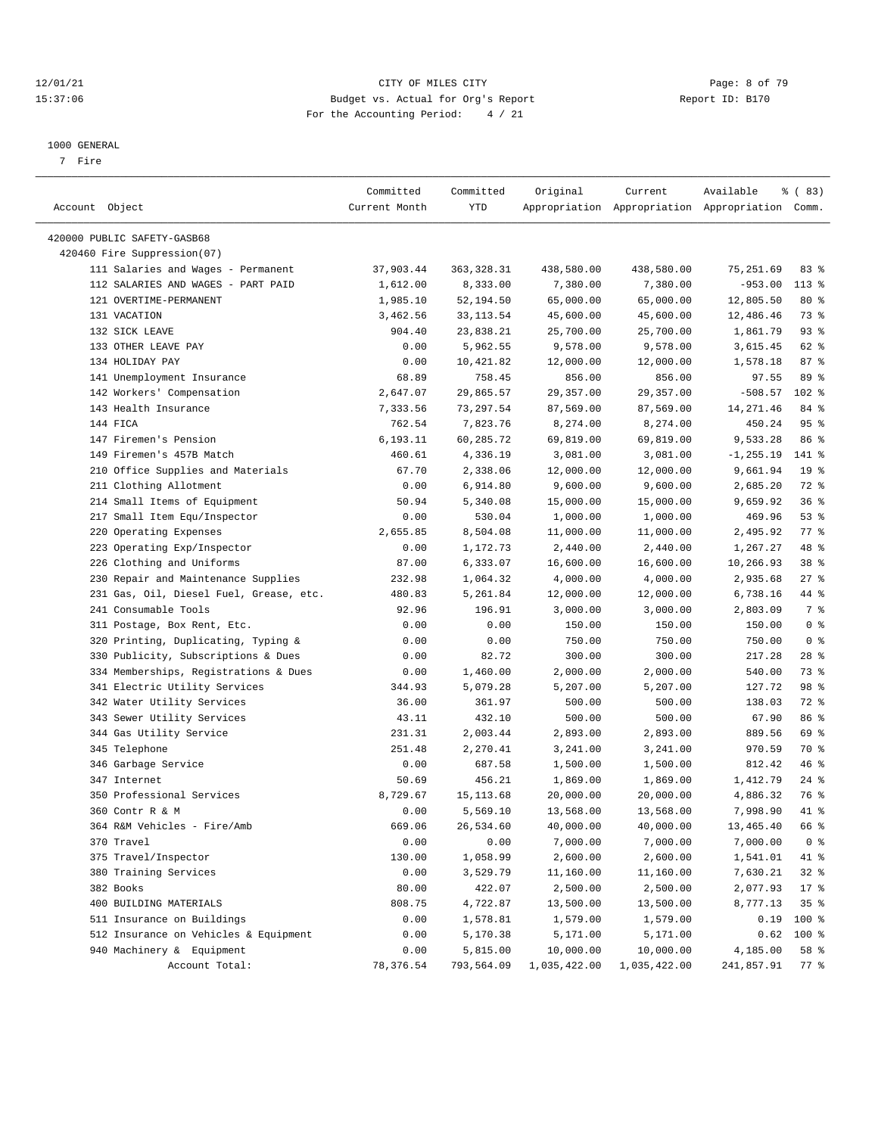### 12/01/21 CITY OF MILES CITY Page: 8 of 79 15:37:06 Budget vs. Actual for Org's Report Report ID: B170 For the Accounting Period: 4 / 21

————————————————————————————————————————————————————————————————————————————————————————————————————————————————————————————————————

#### 1000 GENERAL

7 Fire

|                                         | Committed     | Committed   | Original     | Current      | Available                                       | <sub>है</sub> (83) |
|-----------------------------------------|---------------|-------------|--------------|--------------|-------------------------------------------------|--------------------|
| Account Object                          | Current Month | YTD         |              |              | Appropriation Appropriation Appropriation Comm. |                    |
|                                         |               |             |              |              |                                                 |                    |
| 420000 PUBLIC SAFETY-GASB68             |               |             |              |              |                                                 |                    |
| 420460 Fire Suppression(07)             |               |             |              |              |                                                 |                    |
| 111 Salaries and Wages - Permanent      | 37,903.44     | 363, 328.31 | 438,580.00   | 438,580.00   | 75,251.69                                       | 83%                |
| 112 SALARIES AND WAGES - PART PAID      | 1,612.00      | 8,333.00    | 7,380.00     | 7,380.00     | $-953.00$                                       | $113*$             |
| 121 OVERTIME-PERMANENT                  | 1,985.10      | 52,194.50   | 65,000.00    | 65,000.00    | 12,805.50                                       | $80*$              |
| 131 VACATION                            | 3,462.56      | 33, 113.54  | 45,600.00    | 45,600.00    | 12,486.46                                       | 73 %               |
| 132 SICK LEAVE                          | 904.40        | 23,838.21   | 25,700.00    | 25,700.00    | 1,861.79                                        | 93%                |
| 133 OTHER LEAVE PAY                     | 0.00          | 5,962.55    | 9,578.00     | 9,578.00     | 3,615.45                                        | 62 %               |
| 134 HOLIDAY PAY                         | 0.00          | 10,421.82   | 12,000.00    | 12,000.00    | 1,578.18                                        | 87%                |
| 141 Unemployment Insurance              | 68.89         | 758.45      | 856.00       | 856.00       | 97.55                                           | 89 %               |
| 142 Workers' Compensation               | 2,647.07      | 29,865.57   | 29,357.00    | 29,357.00    | $-508.57$                                       | $102$ %            |
| 143 Health Insurance                    | 7,333.56      | 73,297.54   | 87,569.00    | 87,569.00    | 14,271.46                                       | 84 %               |
| 144 FICA                                | 762.54        | 7,823.76    | 8,274.00     | 8,274.00     | 450.24                                          | 95%                |
| 147 Firemen's Pension                   | 6,193.11      | 60,285.72   | 69,819.00    | 69,819.00    | 9,533.28                                        | 86 %               |
| 149 Firemen's 457B Match                | 460.61        | 4,336.19    | 3,081.00     | 3,081.00     | $-1, 255.19$                                    | 141 %              |
| 210 Office Supplies and Materials       | 67.70         | 2,338.06    | 12,000.00    | 12,000.00    | 9,661.94                                        | 19 <sup>8</sup>    |
| 211 Clothing Allotment                  | 0.00          | 6,914.80    | 9,600.00     | 9,600.00     | 2,685.20                                        | 72 %               |
| 214 Small Items of Equipment            | 50.94         | 5,340.08    | 15,000.00    | 15,000.00    | 9,659.92                                        | 36%                |
| 217 Small Item Equ/Inspector            | 0.00          | 530.04      | 1,000.00     | 1,000.00     | 469.96                                          | 53%                |
| 220 Operating Expenses                  | 2,655.85      | 8,504.08    | 11,000.00    | 11,000.00    | 2,495.92                                        | $77$ $%$           |
| 223 Operating Exp/Inspector             | 0.00          | 1,172.73    | 2,440.00     | 2,440.00     | 1,267.27                                        | 48 %               |
| 226 Clothing and Uniforms               | 87.00         | 6,333.07    | 16,600.00    | 16,600.00    | 10,266.93                                       | 38 <sup>8</sup>    |
| 230 Repair and Maintenance Supplies     | 232.98        | 1,064.32    | 4,000.00     | 4,000.00     | 2,935.68                                        | $27$ %             |
| 231 Gas, Oil, Diesel Fuel, Grease, etc. | 480.83        | 5,261.84    | 12,000.00    | 12,000.00    | 6,738.16                                        | 44 %               |
| 241 Consumable Tools                    | 92.96         | 196.91      | 3,000.00     | 3,000.00     | 2,803.09                                        | 7 %                |
| 311 Postage, Box Rent, Etc.             | 0.00          | 0.00        | 150.00       | 150.00       | 150.00                                          | 0 <sup>8</sup>     |
| 320 Printing, Duplicating, Typing &     | 0.00          | 0.00        | 750.00       | 750.00       | 750.00                                          | 0 <sup>8</sup>     |
| 330 Publicity, Subscriptions & Dues     | 0.00          | 82.72       | 300.00       | 300.00       | 217.28                                          | $28$ %             |
| 334 Memberships, Registrations & Dues   | 0.00          | 1,460.00    | 2,000.00     | 2,000.00     | 540.00                                          | 73 %               |
| 341 Electric Utility Services           | 344.93        | 5,079.28    | 5,207.00     | 5,207.00     | 127.72                                          | 98 %               |
| 342 Water Utility Services              | 36.00         | 361.97      | 500.00       | 500.00       | 138.03                                          | 72 %               |
| 343 Sewer Utility Services              | 43.11         | 432.10      | 500.00       | 500.00       | 67.90                                           | 86 %               |
| 344 Gas Utility Service                 | 231.31        | 2,003.44    | 2,893.00     | 2,893.00     | 889.56                                          | 69 %               |
| 345 Telephone                           | 251.48        | 2,270.41    | 3,241.00     | 3,241.00     | 970.59                                          | 70 %               |
| 346 Garbage Service                     | 0.00          | 687.58      | 1,500.00     | 1,500.00     | 812.42                                          | 46%                |
| 347 Internet                            | 50.69         | 456.21      | 1,869.00     | 1,869.00     | 1,412.79                                        | $24$ %             |
| 350 Professional Services               | 8,729.67      | 15, 113.68  | 20,000.00    | 20,000.00    | 4,886.32                                        | 76 %               |
| 360 Contr R & M                         | 0.00          | 5,569.10    | 13,568.00    | 13,568.00    | 7,998.90                                        | 41 %               |
| 364 R&M Vehicles - Fire/Amb             | 669.06        | 26,534.60   | 40,000.00    | 40,000.00    | 13,465.40                                       | 66 %               |
| 370 Travel                              | 0.00          | 0.00        | 7,000.00     | 7,000.00     | 7,000.00                                        | 0 <sup>8</sup>     |
| 375 Travel/Inspector                    | 130.00        | 1,058.99    | 2,600.00     | 2,600.00     | 1,541.01                                        | 41 %               |
| 380 Training Services                   | 0.00          | 3,529.79    | 11,160.00    | 11,160.00    | 7,630.21                                        | $32*$              |
| 382 Books                               | 80.00         | 422.07      | 2,500.00     | 2,500.00     | 2,077.93                                        | $17*$              |
| 400 BUILDING MATERIALS                  | 808.75        | 4,722.87    | 13,500.00    | 13,500.00    | 8,777.13                                        | 35%                |
| 511 Insurance on Buildings              | 0.00          | 1,578.81    | 1,579.00     | 1,579.00     | 0.19                                            | 100 %              |
| 512 Insurance on Vehicles & Equipment   | 0.00          | 5,170.38    | 5,171.00     | 5,171.00     | 0.62                                            | 100 %              |
| 940 Machinery & Equipment               | 0.00          | 5,815.00    | 10,000.00    | 10,000.00    | 4,185.00                                        | 58 %               |
| Account Total:                          | 78, 376.54    | 793,564.09  | 1,035,422.00 | 1,035,422.00 | 241,857.91                                      | $77$ $%$           |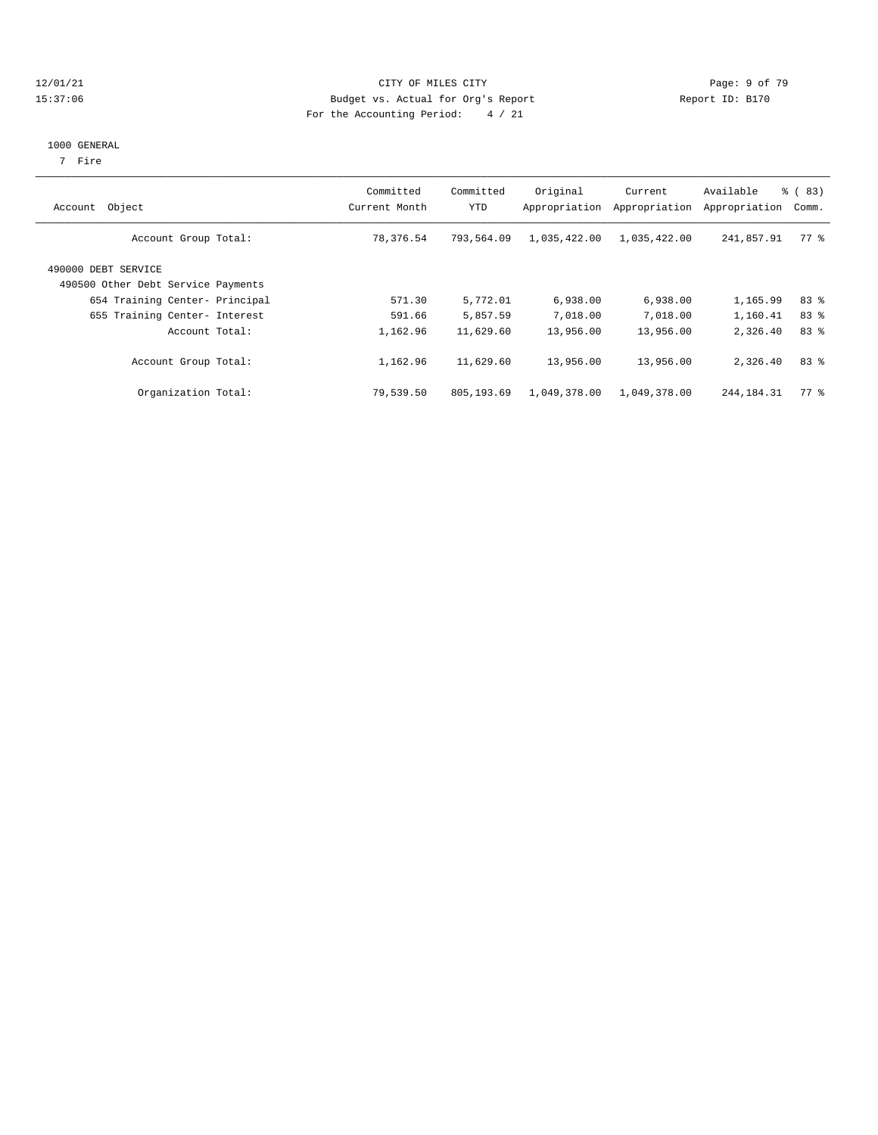### 12/01/21 CITY OF MILES CITY Page: 9 of 79 15:37:06 Budget vs. Actual for Org's Report Report ID: B170 For the Accounting Period: 4 / 21

#### 1000 GENERAL

7 Fire

| Object<br>Account                                         | Committed<br>Current Month | Committed<br>YTD | Original<br>Appropriation | Current<br>Appropriation | Available<br>Appropriation | <sub>8</sub> ( 83 )<br>Comm. |
|-----------------------------------------------------------|----------------------------|------------------|---------------------------|--------------------------|----------------------------|------------------------------|
| Account Group Total:                                      | 78,376.54                  | 793,564.09       | 1,035,422.00              | 1,035,422.00             | 241,857.91                 | $77*$                        |
| 490000 DEBT SERVICE<br>490500 Other Debt Service Payments |                            |                  |                           |                          |                            |                              |
| 654 Training Center- Principal                            | 571.30                     | 5,772.01         | 6,938.00                  | 6,938.00                 | 1,165.99                   | 83 %                         |
| 655 Training Center- Interest                             | 591.66                     | 5,857.59         | 7,018.00                  | 7,018.00                 | 1,160.41                   | 83 %                         |
| Account Total:                                            | 1,162.96                   | 11,629.60        | 13,956.00                 | 13,956.00                | 2,326.40                   | 83%                          |
| Account Group Total:                                      | 1,162.96                   | 11,629.60        | 13,956.00                 | 13,956.00                | 2,326.40                   | 83%                          |
| Organization Total:                                       | 79,539.50                  | 805,193.69       | 1,049,378.00              | 1,049,378.00             | 244, 184. 31               | 77.8                         |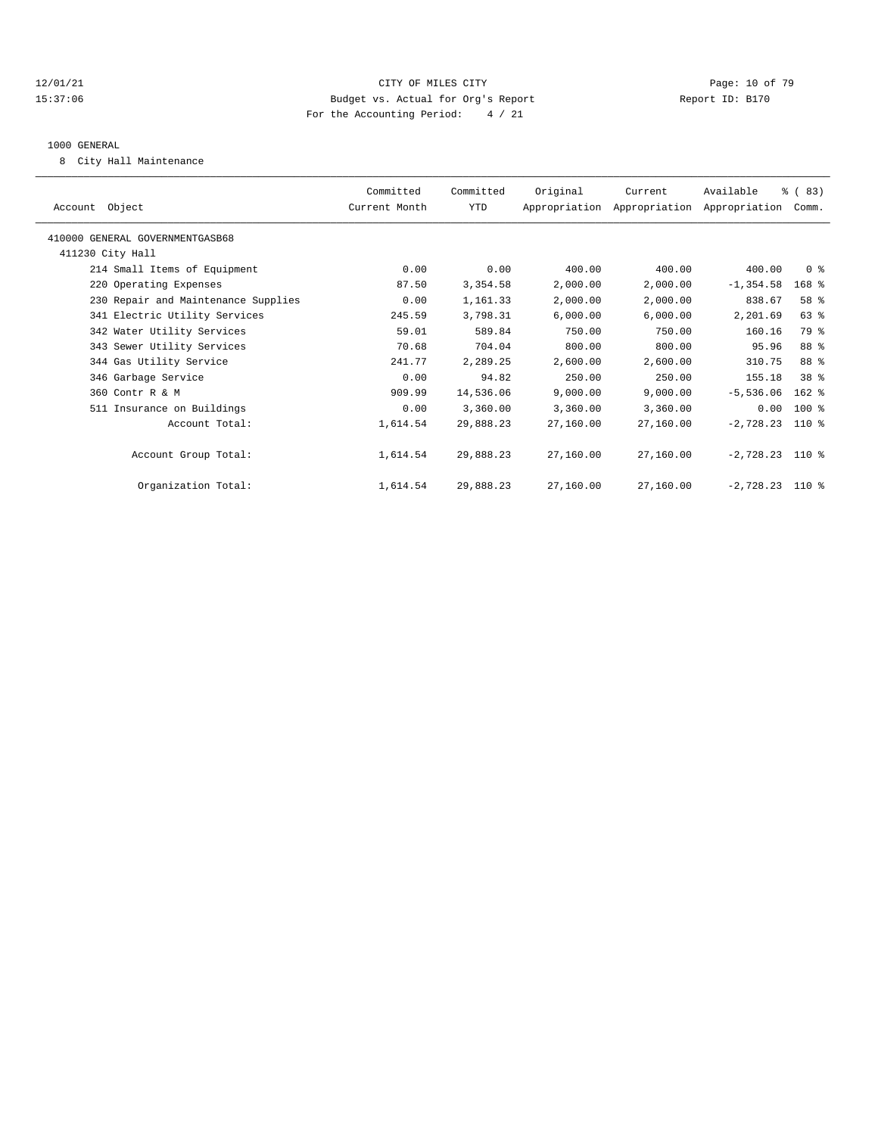### 12/01/21 **Page: 10 of 79** CITY OF MILES CITY **CITY** Page: 10 of 79 15:37:06 Budget vs. Actual for Org's Report Report ID: B170 For the Accounting Period: 4 / 21

#### 1000 GENERAL

8 City Hall Maintenance

| Account Object                      | Committed<br>Current Month | Committed<br><b>YTD</b> | Original  | Current<br>Appropriation Appropriation Appropriation | Available         | % (83)<br>Comm. |  |
|-------------------------------------|----------------------------|-------------------------|-----------|------------------------------------------------------|-------------------|-----------------|--|
| 410000 GENERAL GOVERNMENTGASB68     |                            |                         |           |                                                      |                   |                 |  |
| 411230 City Hall                    |                            |                         |           |                                                      |                   |                 |  |
| 214 Small Items of Equipment        | 0.00                       | 0.00                    | 400.00    | 400.00                                               | 400.00            | 0 <sup>8</sup>  |  |
| 220 Operating Expenses              | 87.50                      | 3,354.58                | 2,000.00  | 2,000.00                                             | $-1, 354.58$      | $168$ %         |  |
| 230 Repair and Maintenance Supplies | 0.00                       | 1,161.33                | 2,000.00  | 2,000.00                                             | 838.67            | 58 %            |  |
| 341 Electric Utility Services       | 245.59                     | 3,798.31                | 6,000.00  | 6,000.00                                             | 2,201.69          | 63 %            |  |
| 342 Water Utility Services          | 59.01                      | 589.84                  | 750.00    | 750.00                                               | 160.16            | 79 %            |  |
| 343 Sewer Utility Services          | 70.68                      | 704.04                  | 800.00    | 800.00                                               | 95.96             | 88 %            |  |
| 344 Gas Utility Service             | 241.77                     | 2,289.25                | 2,600.00  | 2,600.00                                             | 310.75            | 88 %            |  |
| 346 Garbage Service                 | 0.00                       | 94.82                   | 250.00    | 250.00                                               | 155.18            | 38 %            |  |
| 360 Contr R & M                     | 909.99                     | 14,536.06               | 9,000.00  | 9,000.00                                             | $-5,536.06$       | $162$ %         |  |
| 511 Insurance on Buildings          | 0.00                       | 3,360.00                | 3,360.00  | 3,360.00                                             | 0.00              | 100 %           |  |
| Account Total:                      | 1,614.54                   | 29,888.23               | 27,160.00 | 27,160.00                                            | $-2,728.23$       | $110*$          |  |
| Account Group Total:                | 1,614.54                   | 29,888.23               | 27,160.00 | 27,160.00                                            | $-2,728.23$ 110 % |                 |  |
| Organization Total:                 | 1,614.54                   | 29,888.23               | 27,160.00 | 27,160.00                                            | $-2,728.23$ 110 % |                 |  |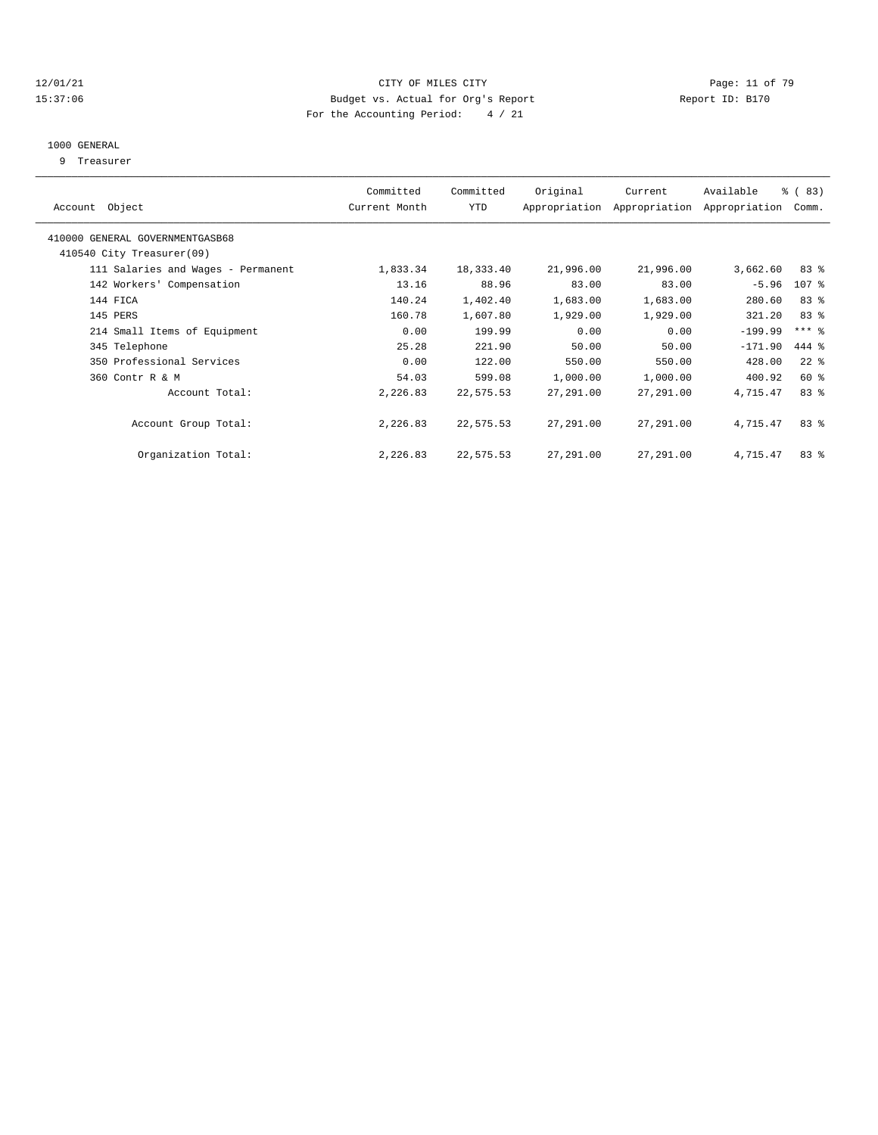### 12/01/21 **Page: 11 of 79** CITY OF MILES CITY **CITY** Page: 11 of 79 15:37:06 Budget vs. Actual for Org's Report Report ID: B170 For the Accounting Period: 4 / 21

### 1000 GENERAL

9 Treasurer

| Object<br>Account                  | Committed<br>Current Month | Committed<br><b>YTD</b> | Original  | Current<br>Appropriation Appropriation | Available<br>Appropriation | % (83)<br>Comm.     |  |
|------------------------------------|----------------------------|-------------------------|-----------|----------------------------------------|----------------------------|---------------------|--|
| 410000 GENERAL GOVERNMENTGASB68    |                            |                         |           |                                        |                            |                     |  |
| 410540 City Treasurer(09)          |                            |                         |           |                                        |                            |                     |  |
| 111 Salaries and Wages - Permanent | 1,833.34                   | 18,333.40               | 21,996.00 | 21,996.00                              | 3,662.60                   | 83%                 |  |
| 142 Workers' Compensation          | 13.16                      | 88.96                   | 83.00     | 83.00                                  | $-5.96$                    | 107 %               |  |
| 144 FICA                           | 140.24                     | 1,402.40                | 1,683.00  | 1,683.00                               | 280.60                     | 83 %                |  |
| 145 PERS                           | 160.78                     | 1,607.80                | 1,929.00  | 1,929.00                               | 321.20                     | 83%                 |  |
| 214 Small Items of Equipment       | 0.00                       | 199.99                  | 0.00      | 0.00                                   | $-199.99$                  | $***$ $\frac{6}{5}$ |  |
| 345 Telephone                      | 25.28                      | 221.90                  | 50.00     | 50.00                                  | $-171.90$                  | 444 %               |  |
| 350 Professional Services          | 0.00                       | 122.00                  | 550.00    | 550.00                                 | 428.00                     | $22$ $%$            |  |
| 360 Contr R & M                    | 54.03                      | 599.08                  | 1,000.00  | 1,000.00                               | 400.92                     | $60*$               |  |
| Account Total:                     | 2,226.83                   | 22,575.53               | 27,291.00 | 27,291.00                              | 4,715.47                   | 83%                 |  |
| Account Group Total:               | 2,226.83                   | 22,575.53               | 27,291.00 | 27,291.00                              | 4,715.47                   | 83%                 |  |
| Organization Total:                | 2,226.83                   | 22,575.53               | 27,291.00 | 27,291.00                              | 4,715.47                   | 83%                 |  |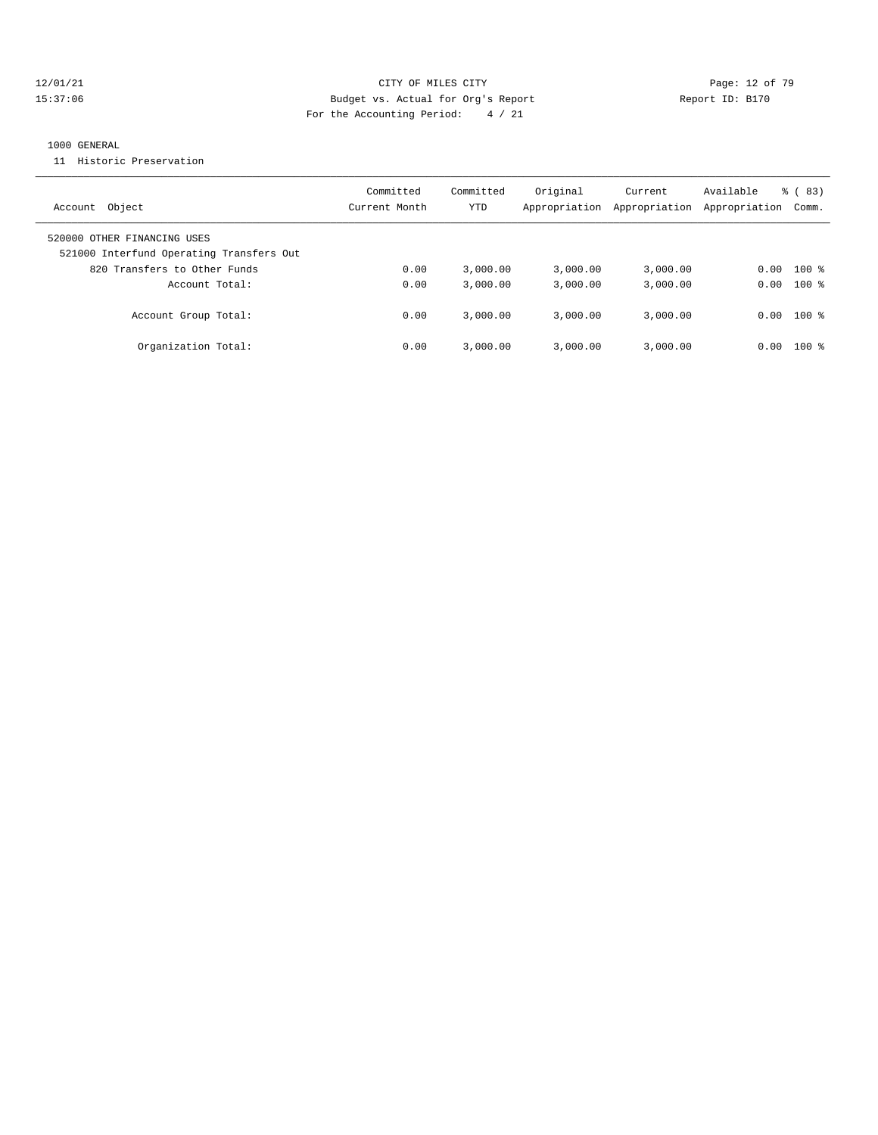### 12/01/21 **Page: 12 of 79** CITY OF MILES CITY **CITY** Page: 12 of 79 15:37:06 Budget vs. Actual for Org's Report Report ID: B170 For the Accounting Period: 4 / 21

#### 1000 GENERAL

11 Historic Preservation

| Account Object                                                          | Committed<br>Current Month | Committed<br>YTD | Original<br>Appropriation | Current<br>Appropriation | Available<br>Appropriation | $\frac{6}{6}$ (83)<br>Comm. |
|-------------------------------------------------------------------------|----------------------------|------------------|---------------------------|--------------------------|----------------------------|-----------------------------|
| 520000 OTHER FINANCING USES<br>521000 Interfund Operating Transfers Out |                            |                  |                           |                          |                            |                             |
| 820 Transfers to Other Funds                                            | 0.00                       | 3.000.00         | 3.000.00                  | 3,000.00                 | 0.00                       | $100*$                      |
| Account Total:                                                          | 0.00                       | 3.000.00         | 3.000.00                  | 3,000.00                 |                            | $0.00$ 100 %                |
| Account Group Total:                                                    | 0.00                       | 3.000.00         | 3.000.00                  | 3,000.00                 | 0.00                       | $100$ %                     |
| Organization Total:                                                     | 0.00                       | 3.000.00         | 3.000.00                  | 3,000.00                 | 0.00                       | $100$ %                     |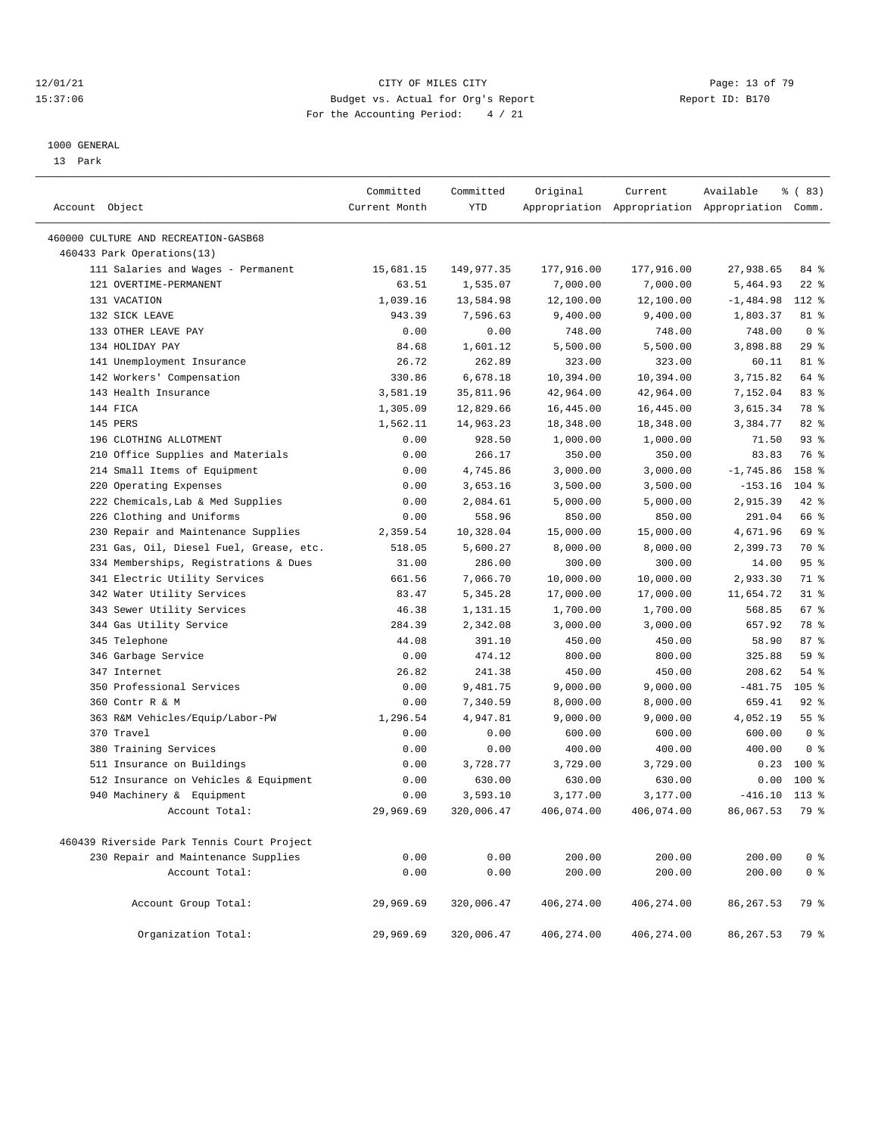### 12/01/21 **Page: 13 of 79** CITY OF MILES CITY **CITY Page: 13 of 79** 15:37:06 Budget vs. Actual for Org's Report Report ID: B170 For the Accounting Period: 4 / 21

————————————————————————————————————————————————————————————————————————————————————————————————————————————————————————————————————

#### 1000 GENERAL

13 Park

|                                            | Committed     | Committed  | Original   | Current     | Available                                       | % (83)         |
|--------------------------------------------|---------------|------------|------------|-------------|-------------------------------------------------|----------------|
| Account Object                             | Current Month | <b>YTD</b> |            |             | Appropriation Appropriation Appropriation Comm. |                |
| 460000 CULTURE AND RECREATION-GASB68       |               |            |            |             |                                                 |                |
| 460433 Park Operations(13)                 |               |            |            |             |                                                 |                |
| 111 Salaries and Wages - Permanent         | 15,681.15     | 149,977.35 | 177,916.00 | 177,916.00  | 27,938.65                                       | 84 %           |
| 121 OVERTIME-PERMANENT                     | 63.51         | 1,535.07   | 7,000.00   | 7,000.00    | 5,464.93                                        | $22$ %         |
| 131 VACATION                               | 1,039.16      | 13,584.98  | 12,100.00  | 12,100.00   | $-1,484.98$                                     | 112 %          |
| 132 SICK LEAVE                             | 943.39        | 7,596.63   | 9,400.00   | 9,400.00    | 1,803.37                                        | 81 %           |
| 133 OTHER LEAVE PAY                        | 0.00          | 0.00       | 748.00     | 748.00      | 748.00                                          | 0 <sup>8</sup> |
| 134 HOLIDAY PAY                            | 84.68         | 1,601.12   | 5,500.00   | 5,500.00    | 3,898.88                                        | 29%            |
| 141 Unemployment Insurance                 | 26.72         | 262.89     | 323.00     | 323.00      | 60.11                                           | 81 %           |
| 142 Workers' Compensation                  | 330.86        | 6,678.18   | 10,394.00  | 10,394.00   | 3,715.82                                        | 64 %           |
| 143 Health Insurance                       | 3,581.19      | 35,811.96  | 42,964.00  | 42,964.00   | 7,152.04                                        | 83%            |
| 144 FICA                                   | 1,305.09      | 12,829.66  | 16,445.00  | 16,445.00   | 3,615.34                                        | 78 %           |
| 145 PERS                                   | 1,562.11      | 14,963.23  | 18,348.00  | 18,348.00   | 3,384.77                                        | 82 %           |
| 196 CLOTHING ALLOTMENT                     | 0.00          | 928.50     | 1,000.00   | 1,000.00    | 71.50                                           | 93%            |
| 210 Office Supplies and Materials          | 0.00          | 266.17     | 350.00     | 350.00      | 83.83                                           | 76 %           |
| 214 Small Items of Equipment               | 0.00          | 4,745.86   | 3,000.00   | 3,000.00    | $-1,745.86$                                     | 158 %          |
| 220 Operating Expenses                     | 0.00          | 3,653.16   | 3,500.00   | 3,500.00    | $-153.16$                                       | $104$ %        |
| 222 Chemicals, Lab & Med Supplies          | 0.00          | 2,084.61   | 5,000.00   | 5,000.00    | 2,915.39                                        | 42 %           |
| 226 Clothing and Uniforms                  | 0.00          | 558.96     | 850.00     | 850.00      | 291.04                                          | 66 %           |
| 230 Repair and Maintenance Supplies        | 2,359.54      | 10,328.04  | 15,000.00  | 15,000.00   | 4,671.96                                        | 69 %           |
| 231 Gas, Oil, Diesel Fuel, Grease, etc.    | 518.05        | 5,600.27   | 8,000.00   | 8,000.00    | 2,399.73                                        | 70 %           |
| 334 Memberships, Registrations & Dues      | 31.00         | 286.00     | 300.00     | 300.00      | 14.00                                           | 95%            |
| 341 Electric Utility Services              | 661.56        | 7,066.70   | 10,000.00  | 10,000.00   | 2,933.30                                        | 71 %           |
| 342 Water Utility Services                 | 83.47         | 5,345.28   | 17,000.00  | 17,000.00   | 11,654.72                                       | $31$ %         |
| 343 Sewer Utility Services                 | 46.38         | 1,131.15   | 1,700.00   | 1,700.00    | 568.85                                          | 67%            |
| 344 Gas Utility Service                    | 284.39        | 2,342.08   | 3,000.00   | 3,000.00    | 657.92                                          | 78 %           |
| 345 Telephone                              | 44.08         | 391.10     | 450.00     | 450.00      | 58.90                                           | 87%            |
| 346 Garbage Service                        | 0.00          | 474.12     | 800.00     | 800.00      | 325.88                                          | 59 %           |
| 347 Internet                               | 26.82         | 241.38     | 450.00     | 450.00      | 208.62                                          | 54 %           |
| 350 Professional Services                  | 0.00          | 9,481.75   | 9,000.00   | 9,000.00    | $-481.75$                                       | $105$ %        |
| 360 Contr R & M                            | 0.00          | 7,340.59   | 8,000.00   | 8,000.00    | 659.41                                          | $92$ $%$       |
| 363 R&M Vehicles/Equip/Labor-PW            | 1,296.54      | 4,947.81   | 9,000.00   | 9,000.00    | 4,052.19                                        | 55%            |
| 370 Travel                                 | 0.00          | 0.00       | 600.00     | 600.00      | 600.00                                          | 0 <sup>8</sup> |
| 380 Training Services                      | 0.00          | 0.00       | 400.00     | 400.00      | 400.00                                          | 0 <sup>8</sup> |
| 511 Insurance on Buildings                 | 0.00          | 3,728.77   | 3,729.00   | 3,729.00    | 0.23                                            | 100 %          |
| 512 Insurance on Vehicles & Equipment      | 0.00          | 630.00     | 630.00     | 630.00      | 0.00                                            | $100*$         |
| 940 Machinery & Equipment                  | 0.00          | 3,593.10   | 3,177.00   | 3,177.00    | $-416.10$                                       | $113*$         |
| Account Total:                             | 29,969.69     | 320,006.47 | 406,074.00 | 406,074.00  | 86,067.53                                       | 79 %           |
| 460439 Riverside Park Tennis Court Project |               |            |            |             |                                                 |                |
| 230 Repair and Maintenance Supplies        | 0.00          | 0.00       | 200.00     | 200.00      | 200.00                                          | 0 <sup>8</sup> |
| Account Total:                             | 0.00          | 0.00       | 200.00     | 200.00      | 200.00                                          | 0 <sup>8</sup> |
| Account Group Total:                       | 29,969.69     | 320,006.47 | 406,274.00 | 406,274.00  | 86, 267.53                                      | 79 %           |
| Organization Total:                        | 29,969.69     | 320,006.47 | 406,274.00 | 406, 274.00 | 86, 267.53                                      | 79 %           |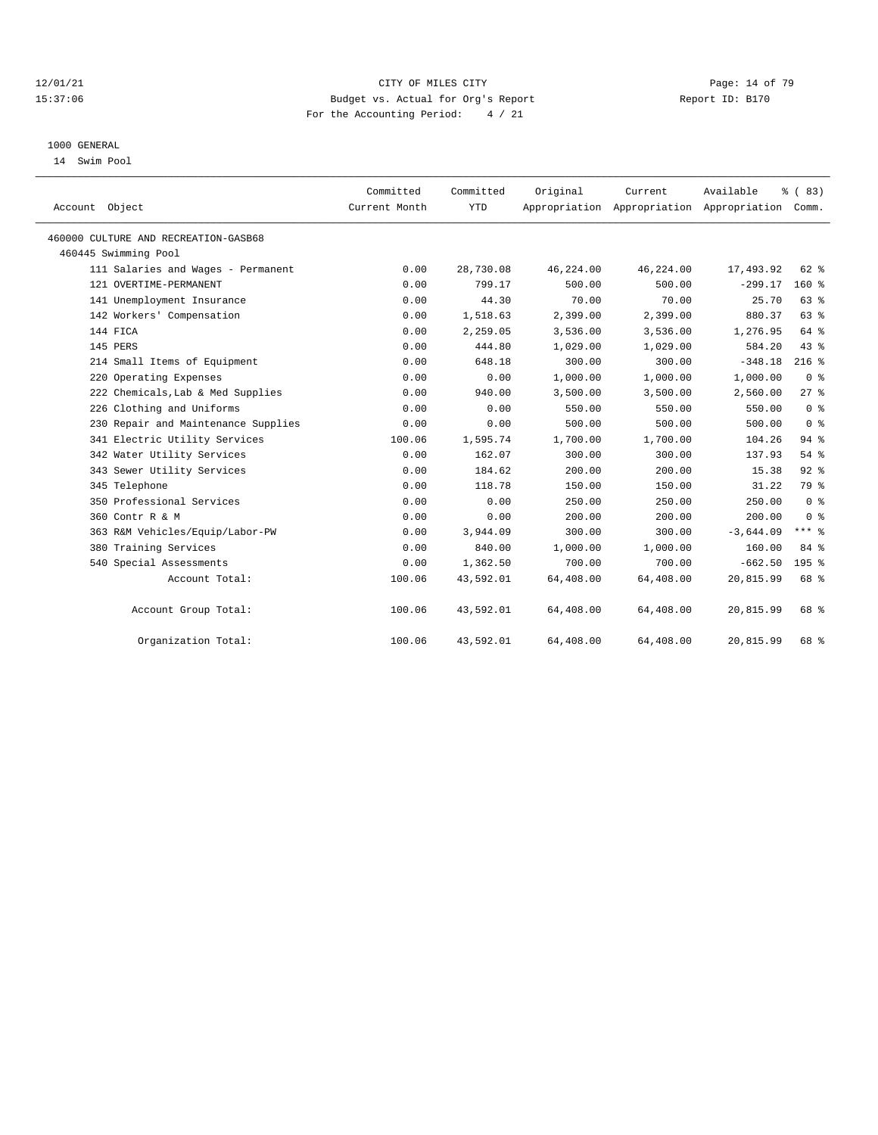### 12/01/21 **CITY OF MILES CITY CITY CITY Page: 14 of 79** 15:37:06 Budget vs. Actual for Org's Report Report ID: B170 For the Accounting Period: 4 / 21

### 1000 GENERAL

14 Swim Pool

| Account Object                       | Committed<br>Current Month | Committed<br><b>YTD</b> | Original  | Current<br>Appropriation Appropriation Appropriation Comm. | Available   | % (83)         |
|--------------------------------------|----------------------------|-------------------------|-----------|------------------------------------------------------------|-------------|----------------|
| 460000 CULTURE AND RECREATION-GASB68 |                            |                         |           |                                                            |             |                |
| 460445 Swimming Pool                 |                            |                         |           |                                                            |             |                |
| 111 Salaries and Wages - Permanent   | 0.00                       | 28,730.08               | 46,224.00 | 46,224.00                                                  | 17,493.92   | 62 %           |
| 121 OVERTIME-PERMANENT               | 0.00                       | 799.17                  | 500.00    | 500.00                                                     | $-299.17$   | $160*$         |
| 141 Unemployment Insurance           | 0.00                       | 44.30                   | 70.00     | 70.00                                                      | 25.70       | 63%            |
| 142 Workers' Compensation            | 0.00                       | 1,518.63                | 2,399.00  | 2,399.00                                                   | 880.37      | 63%            |
| 144 FICA                             | 0.00                       | 2,259.05                | 3,536.00  | 3,536.00                                                   | 1,276.95    | 64 %           |
| 145 PERS                             | 0.00                       | 444.80                  | 1,029.00  | 1,029.00                                                   | 584.20      | 43.8           |
| 214 Small Items of Equipment         | 0.00                       | 648.18                  | 300.00    | 300.00                                                     | $-348.18$   | $216$ %        |
| 220 Operating Expenses               | 0.00                       | 0.00                    | 1,000.00  | 1,000.00                                                   | 1,000.00    | 0 <sup>8</sup> |
| 222 Chemicals, Lab & Med Supplies    | 0.00                       | 940.00                  | 3,500.00  | 3,500.00                                                   | 2,560.00    | 27%            |
| 226 Clothing and Uniforms            | 0.00                       | 0.00                    | 550.00    | 550.00                                                     | 550.00      | 0 <sup>8</sup> |
| 230 Repair and Maintenance Supplies  | 0.00                       | 0.00                    | 500.00    | 500.00                                                     | 500.00      | 0 <sup>8</sup> |
| 341 Electric Utility Services        | 100.06                     | 1,595.74                | 1,700.00  | 1,700.00                                                   | 104.26      | 94%            |
| 342 Water Utility Services           | 0.00                       | 162.07                  | 300.00    | 300.00                                                     | 137.93      | 54 %           |
| 343 Sewer Utility Services           | 0.00                       | 184.62                  | 200.00    | 200.00                                                     | 15.38       | 92%            |
| 345 Telephone                        | 0.00                       | 118.78                  | 150.00    | 150.00                                                     | 31.22       | 79 %           |
| 350 Professional Services            | 0.00                       | 0.00                    | 250.00    | 250.00                                                     | 250.00      | 0 <sup>8</sup> |
| 360 Contr R & M                      | 0.00                       | 0.00                    | 200.00    | 200.00                                                     | 200.00      | 0 <sup>8</sup> |
| 363 R&M Vehicles/Equip/Labor-PW      | 0.00                       | 3,944.09                | 300.00    | 300.00                                                     | $-3,644.09$ | $***$ 8        |
| 380 Training Services                | 0.00                       | 840.00                  | 1,000.00  | 1,000.00                                                   | 160.00      | 84 %           |
| 540 Special Assessments              | 0.00                       | 1,362.50                | 700.00    | 700.00                                                     | $-662.50$   | 195 %          |
| Account Total:                       | 100.06                     | 43,592.01               | 64,408.00 | 64,408.00                                                  | 20,815.99   | 68 %           |
| Account Group Total:                 | 100.06                     | 43,592.01               | 64,408.00 | 64,408.00                                                  | 20,815.99   | 68 %           |
| Organization Total:                  | 100.06                     | 43,592.01               | 64,408.00 | 64,408.00                                                  | 20,815.99   | 68 %           |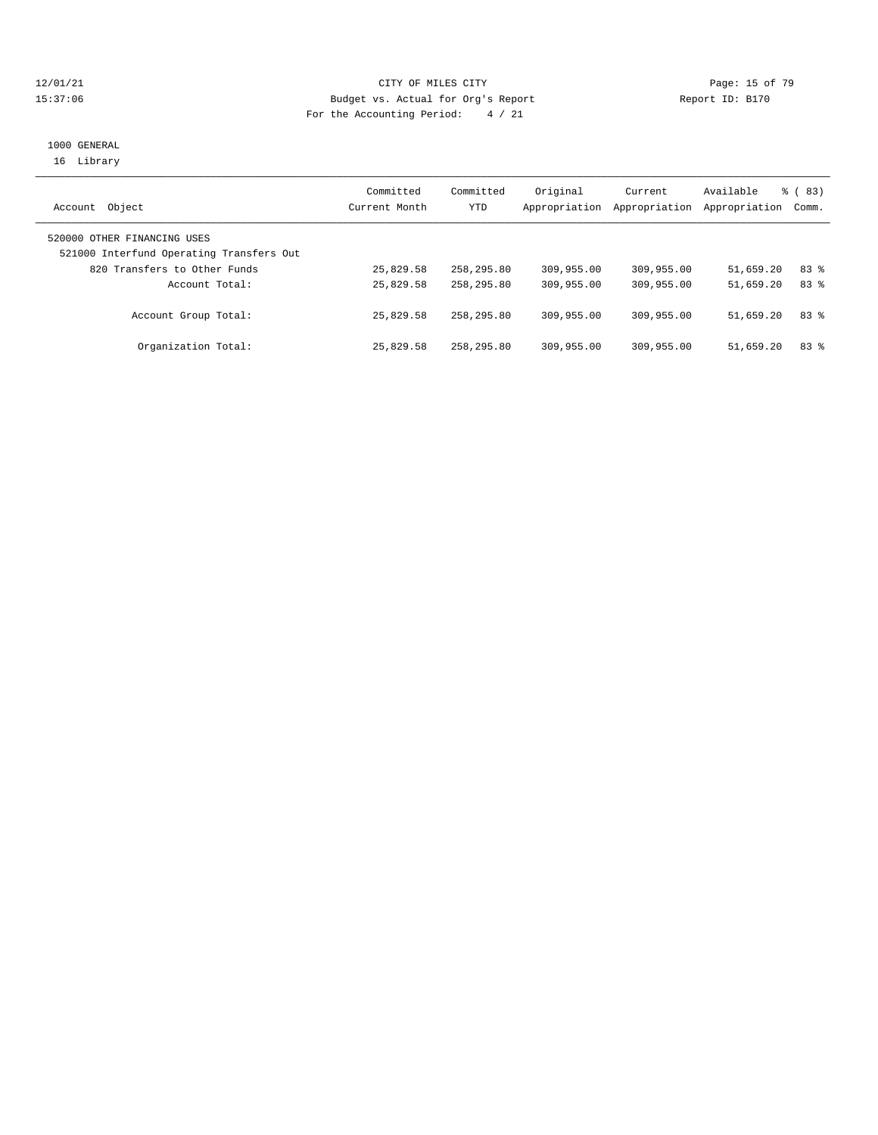### 12/01/21 **Page: 15 of 79** CITY OF MILES CITY **CITY** CITY **Page: 15 of 79** 15:37:06 Budget vs. Actual for Org's Report Report ID: B170 For the Accounting Period: 4 / 21

### 1000 GENERAL 16 Library

| Object<br>Account                                                       | Committed<br>Current Month | Committed<br>YTD | Original<br>Appropriation | Current<br>Appropriation | Available<br>Appropriation Comm. | % (83) |
|-------------------------------------------------------------------------|----------------------------|------------------|---------------------------|--------------------------|----------------------------------|--------|
| 520000 OTHER FINANCING USES<br>521000 Interfund Operating Transfers Out |                            |                  |                           |                          |                                  |        |
| 820 Transfers to Other Funds                                            | 25,829.58                  | 258,295.80       | 309,955.00                | 309,955.00               | 51,659.20                        | 83 %   |
| Account Total:                                                          | 25,829.58                  | 258, 295.80      | 309,955.00                | 309,955.00               | 51,659.20                        | 83%    |
| Account Group Total:                                                    | 25,829.58                  | 258, 295.80      | 309,955.00                | 309,955.00               | 51,659.20                        | 83 %   |
| Organization Total:                                                     | 25,829.58                  | 258,295.80       | 309,955.00                | 309,955.00               | 51,659.20                        | 83%    |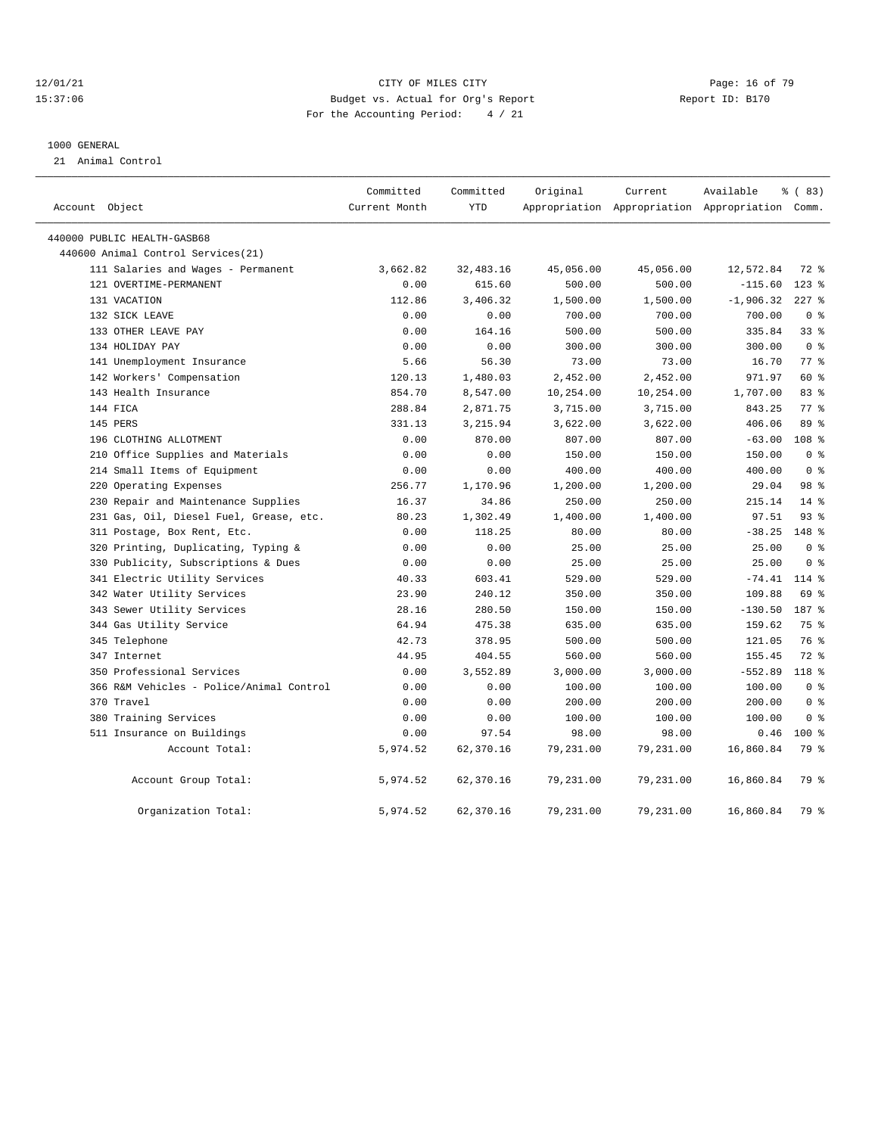### 12/01/21 **Page: 16 of 79** CITY OF MILES CITY **CITY Page: 16 of 79** 15:37:06 Budget vs. Actual for Org's Report Report ID: B170 For the Accounting Period: 4 / 21

### 1000 GENERAL

21 Animal Control

|                |                                          | Committed     | Committed | Original  | Current   | Available                                       | <sub>ර</sub> ි (83) |
|----------------|------------------------------------------|---------------|-----------|-----------|-----------|-------------------------------------------------|---------------------|
| Account Object |                                          | Current Month | YTD       |           |           | Appropriation Appropriation Appropriation Comm. |                     |
|                | 440000 PUBLIC HEALTH-GASB68              |               |           |           |           |                                                 |                     |
|                | 440600 Animal Control Services (21)      |               |           |           |           |                                                 |                     |
|                | 111 Salaries and Wages - Permanent       | 3,662.82      | 32,483.16 | 45,056.00 | 45,056.00 | 12,572.84                                       | $72$ $%$            |
|                | 121 OVERTIME-PERMANENT                   | 0.00          | 615.60    | 500.00    | 500.00    | $-115.60$                                       | $123$ %             |
|                | 131 VACATION                             | 112.86        | 3,406.32  | 1,500.00  | 1,500.00  | $-1,906.32$                                     | $227$ %             |
|                | 132 SICK LEAVE                           | 0.00          | 0.00      | 700.00    | 700.00    | 700.00                                          | 0 <sup>8</sup>      |
|                | 133 OTHER LEAVE PAY                      | 0.00          | 164.16    | 500.00    | 500.00    | 335.84                                          | 33%                 |
|                | 134 HOLIDAY PAY                          | 0.00          | 0.00      | 300.00    | 300.00    | 300.00                                          | 0 <sup>8</sup>      |
|                | 141 Unemployment Insurance               | 5.66          | 56.30     | 73.00     | 73.00     | 16.70                                           | 77.8                |
|                | 142 Workers' Compensation                | 120.13        | 1,480.03  | 2,452.00  | 2,452.00  | 971.97                                          | 60 %                |
|                | 143 Health Insurance                     | 854.70        | 8,547.00  | 10,254.00 | 10,254.00 | 1,707.00                                        | 83%                 |
|                | 144 FICA                                 | 288.84        | 2,871.75  | 3,715.00  | 3,715.00  | 843.25                                          | $77$ $\frac{6}{9}$  |
|                | 145 PERS                                 | 331.13        | 3,215.94  | 3,622.00  | 3,622.00  | 406.06                                          | 89 %                |
|                | 196 CLOTHING ALLOTMENT                   | 0.00          | 870.00    | 807.00    | 807.00    | $-63.00$                                        | 108 <sup>8</sup>    |
|                | 210 Office Supplies and Materials        | 0.00          | 0.00      | 150.00    | 150.00    | 150.00                                          | 0 <sup>8</sup>      |
|                | 214 Small Items of Equipment             | 0.00          | 0.00      | 400.00    | 400.00    | 400.00                                          | 0 <sup>8</sup>      |
|                | 220 Operating Expenses                   | 256.77        | 1,170.96  | 1,200.00  | 1,200.00  | 29.04                                           | 98 %                |
|                | 230 Repair and Maintenance Supplies      | 16.37         | 34.86     | 250.00    | 250.00    | 215.14                                          | $14*$               |
|                | 231 Gas, Oil, Diesel Fuel, Grease, etc.  | 80.23         | 1,302.49  | 1,400.00  | 1,400.00  | 97.51                                           | 93%                 |
|                | 311 Postage, Box Rent, Etc.              | 0.00          | 118.25    | 80.00     | 80.00     | $-38.25$                                        | $148$ %             |
|                | 320 Printing, Duplicating, Typing &      | 0.00          | 0.00      | 25.00     | 25.00     | 25.00                                           | 0 <sup>8</sup>      |
|                | 330 Publicity, Subscriptions & Dues      | 0.00          | 0.00      | 25.00     | 25.00     | 25.00                                           | 0 <sup>8</sup>      |
|                | 341 Electric Utility Services            | 40.33         | 603.41    | 529.00    | 529.00    | $-74.41$                                        | $114*$              |
|                | 342 Water Utility Services               | 23.90         | 240.12    | 350.00    | 350.00    | 109.88                                          | 69 %                |
|                | 343 Sewer Utility Services               | 28.16         | 280.50    | 150.00    | 150.00    | $-130.50$                                       | 187 %               |
|                | 344 Gas Utility Service                  | 64.94         | 475.38    | 635.00    | 635.00    | 159.62                                          | 75 %                |
|                | 345 Telephone                            | 42.73         | 378.95    | 500.00    | 500.00    | 121.05                                          | 76 %                |
|                | 347 Internet                             | 44.95         | 404.55    | 560.00    | 560.00    | 155.45                                          | 72 %                |
|                | 350 Professional Services                | 0.00          | 3,552.89  | 3,000.00  | 3,000.00  | $-552.89$                                       | 118 %               |
|                | 366 R&M Vehicles - Police/Animal Control | 0.00          | 0.00      | 100.00    | 100.00    | 100.00                                          | 0 <sup>8</sup>      |
|                | 370 Travel                               | 0.00          | 0.00      | 200.00    | 200.00    | 200.00                                          | 0 <sup>8</sup>      |
|                | 380 Training Services                    | 0.00          | 0.00      | 100.00    | 100.00    | 100.00                                          | 0 <sup>8</sup>      |
|                | 511 Insurance on Buildings               | 0.00          | 97.54     | 98.00     | 98.00     | 0.46                                            | $100*$              |
|                | Account Total:                           | 5,974.52      | 62,370.16 | 79,231.00 | 79,231.00 | 16,860.84                                       | 79 %                |
|                | Account Group Total:                     | 5,974.52      | 62,370.16 | 79,231.00 | 79,231.00 | 16,860.84                                       | 79 %                |
|                | Organization Total:                      | 5,974.52      | 62,370.16 | 79,231.00 | 79,231.00 | 16,860.84                                       | 79 %                |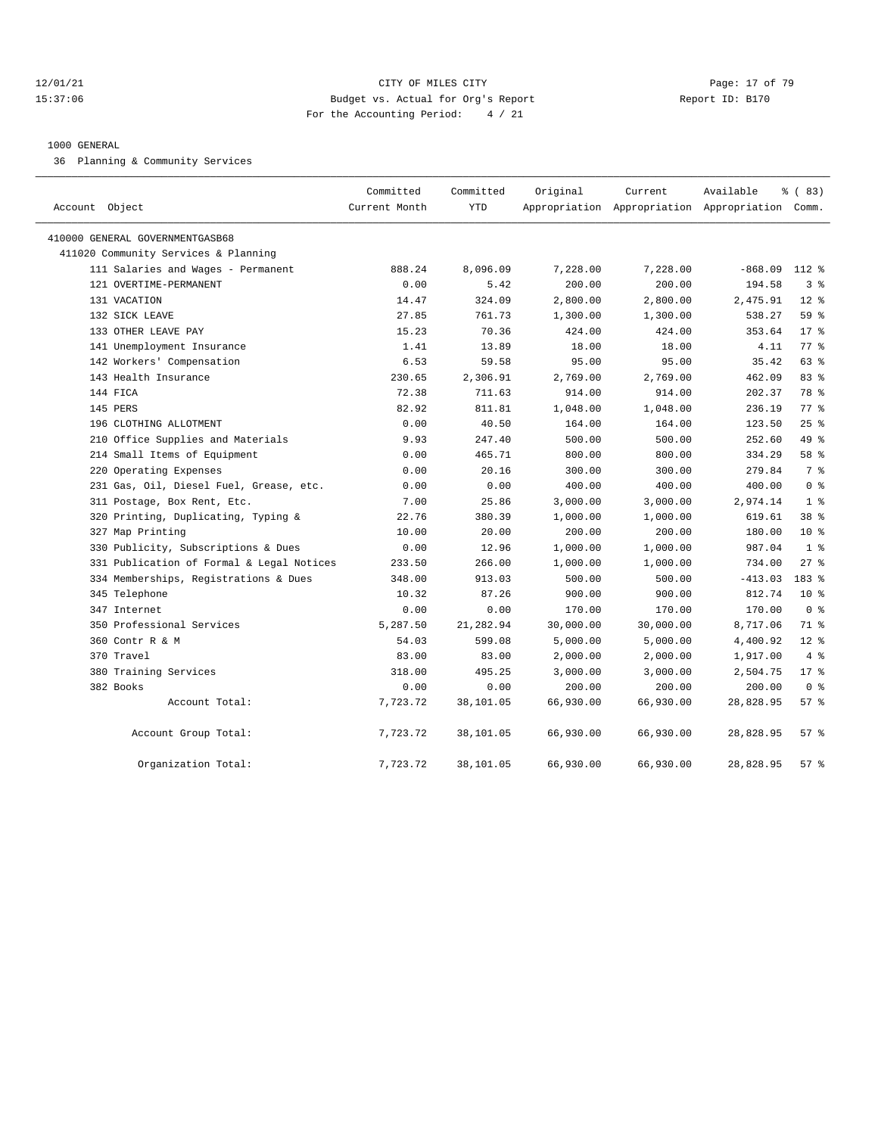### 12/01/21 **Page: 17 of 79** CITY OF MILES CITY **Page: 17 of 79** 15:37:06 Budget vs. Actual for Org's Report Report ID: B170 For the Accounting Period: 4 / 21

### 1000 GENERAL

36 Planning & Community Services

| Account Object                            | Committed<br>Current Month | Committed<br><b>YTD</b> | Original  | Current   | Available<br>Appropriation Appropriation Appropriation Comm. | % (83)         |
|-------------------------------------------|----------------------------|-------------------------|-----------|-----------|--------------------------------------------------------------|----------------|
| 410000 GENERAL GOVERNMENTGASB68           |                            |                         |           |           |                                                              |                |
| 411020 Community Services & Planning      |                            |                         |           |           |                                                              |                |
| 111 Salaries and Wages - Permanent        | 888.24                     | 8,096.09                | 7,228.00  | 7,228.00  | $-868.09$                                                    | 112 %          |
| 121 OVERTIME-PERMANENT                    | 0.00                       | 5.42                    | 200.00    | 200.00    | 194.58                                                       | 3 <sup>8</sup> |
| 131 VACATION                              | 14.47                      | 324.09                  | 2,800.00  | 2,800.00  | 2,475.91                                                     | $12*$          |
| 132 SICK LEAVE                            | 27.85                      | 761.73                  | 1,300.00  | 1,300.00  | 538.27                                                       | 59 %           |
| 133 OTHER LEAVE PAY                       | 15.23                      | 70.36                   | 424.00    | 424.00    | 353.64                                                       | $17*$          |
| 141 Unemployment Insurance                | 1.41                       | 13.89                   | 18.00     | 18.00     | 4.11                                                         | 77.8           |
| 142 Workers' Compensation                 | 6.53                       | 59.58                   | 95.00     | 95.00     | 35.42                                                        | 63 %           |
| 143 Health Insurance                      | 230.65                     | 2,306.91                | 2,769.00  | 2,769.00  | 462.09                                                       | 83%            |
| 144 FICA                                  | 72.38                      | 711.63                  | 914.00    | 914.00    | 202.37                                                       | 78 %           |
| 145 PERS                                  | 82.92                      | 811.81                  | 1,048.00  | 1,048.00  | 236.19                                                       | 77.8           |
| 196 CLOTHING ALLOTMENT                    | 0.00                       | 40.50                   | 164.00    | 164.00    | 123.50                                                       | 25%            |
| 210 Office Supplies and Materials         | 9.93                       | 247.40                  | 500.00    | 500.00    | 252.60                                                       | 49 %           |
| 214 Small Items of Equipment              | 0.00                       | 465.71                  | 800.00    | 800.00    | 334.29                                                       | 58 %           |
| 220 Operating Expenses                    | 0.00                       | 20.16                   | 300.00    | 300.00    | 279.84                                                       | 7 %            |
| 231 Gas, Oil, Diesel Fuel, Grease, etc.   | 0.00                       | 0.00                    | 400.00    | 400.00    | 400.00                                                       | 0 <sup>8</sup> |
| 311 Postage, Box Rent, Etc.               | 7.00                       | 25.86                   | 3,000.00  | 3,000.00  | 2,974.14                                                     | 1 <sup>8</sup> |
| 320 Printing, Duplicating, Typing &       | 22.76                      | 380.39                  | 1,000.00  | 1,000.00  | 619.61                                                       | 38 %           |
| 327 Map Printing                          | 10.00                      | 20.00                   | 200.00    | 200.00    | 180.00                                                       | $10*$          |
| 330 Publicity, Subscriptions & Dues       | 0.00                       | 12.96                   | 1,000.00  | 1,000.00  | 987.04                                                       | 1 <sup>8</sup> |
| 331 Publication of Formal & Legal Notices | 233.50                     | 266.00                  | 1,000.00  | 1,000.00  | 734.00                                                       | $27$ %         |
| 334 Memberships, Registrations & Dues     | 348.00                     | 913.03                  | 500.00    | 500.00    | $-413.03$                                                    | 183 %          |
| 345 Telephone                             | 10.32                      | 87.26                   | 900.00    | 900.00    | 812.74                                                       | $10*$          |
| 347 Internet                              | 0.00                       | 0.00                    | 170.00    | 170.00    | 170.00                                                       | 0 <sup>8</sup> |
| 350 Professional Services                 | 5,287.50                   | 21, 282.94              | 30,000.00 | 30,000.00 | 8,717.06                                                     | 71 %           |
| 360 Contr R & M                           | 54.03                      | 599.08                  | 5,000.00  | 5,000.00  | 4,400.92                                                     | $12*$          |
| 370 Travel                                | 83.00                      | 83.00                   | 2,000.00  | 2,000.00  | 1,917.00                                                     | 4%             |
| 380 Training Services                     | 318.00                     | 495.25                  | 3,000.00  | 3,000.00  | 2,504.75                                                     | $17*$          |
| 382 Books                                 | 0.00                       | 0.00                    | 200.00    | 200.00    | 200.00                                                       | 0 <sup>8</sup> |
| Account Total:                            | 7,723.72                   | 38,101.05               | 66,930.00 | 66,930.00 | 28,828.95                                                    | 57%            |
| Account Group Total:                      | 7,723.72                   | 38,101.05               | 66,930.00 | 66,930.00 | 28,828.95                                                    | 57%            |
| Organization Total:                       | 7,723.72                   | 38,101.05               | 66,930.00 | 66,930.00 | 28,828.95                                                    | 57%            |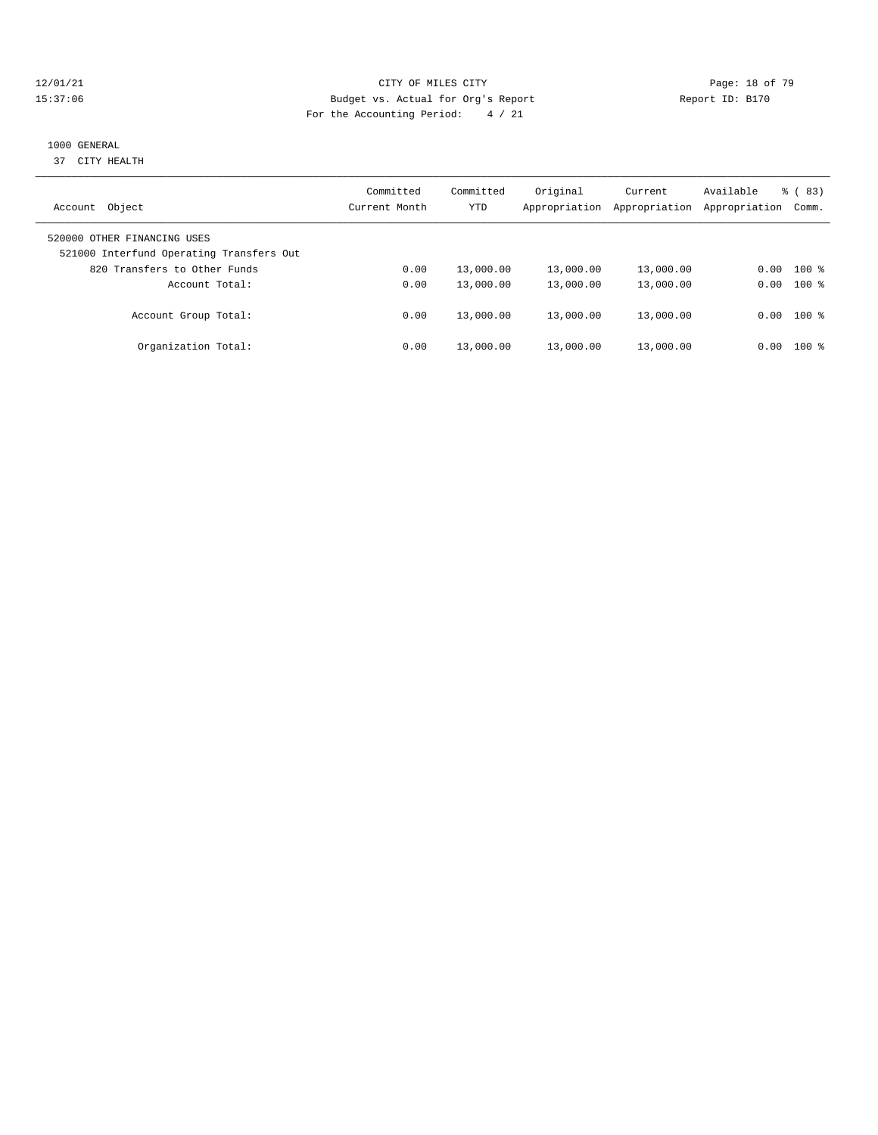### 12/01/21 **Page: 18 of 79** CITY OF MILES CITY **CITY** CITY **Page: 18 of 79** 15:37:06 Budget vs. Actual for Org's Report Report ID: B170 For the Accounting Period: 4 / 21

# 1000 GENERAL

37 CITY HEALTH

| Object<br>Account                                                       | Committed<br>Current Month | Committed<br>YTD | Original<br>Appropriation | Current<br>Appropriation | Available<br>Appropriation | $\frac{6}{6}$ (83)<br>Comm. |
|-------------------------------------------------------------------------|----------------------------|------------------|---------------------------|--------------------------|----------------------------|-----------------------------|
| 520000 OTHER FINANCING USES<br>521000 Interfund Operating Transfers Out |                            |                  |                           |                          |                            |                             |
| 820 Transfers to Other Funds                                            | 0.00                       | 13,000.00        | 13,000.00                 | 13,000.00                | 0.00                       | $100$ %                     |
| Account Total:                                                          | 0.00                       | 13,000.00        | 13,000.00                 | 13,000.00                | 0.00                       | $100$ %                     |
| Account Group Total:                                                    | 0.00                       | 13,000.00        | 13,000.00                 | 13,000.00                |                            | $0.00$ 100 %                |
| Organization Total:                                                     | 0.00                       | 13,000.00        | 13,000.00                 | 13,000.00                | 0.00                       | $100$ %                     |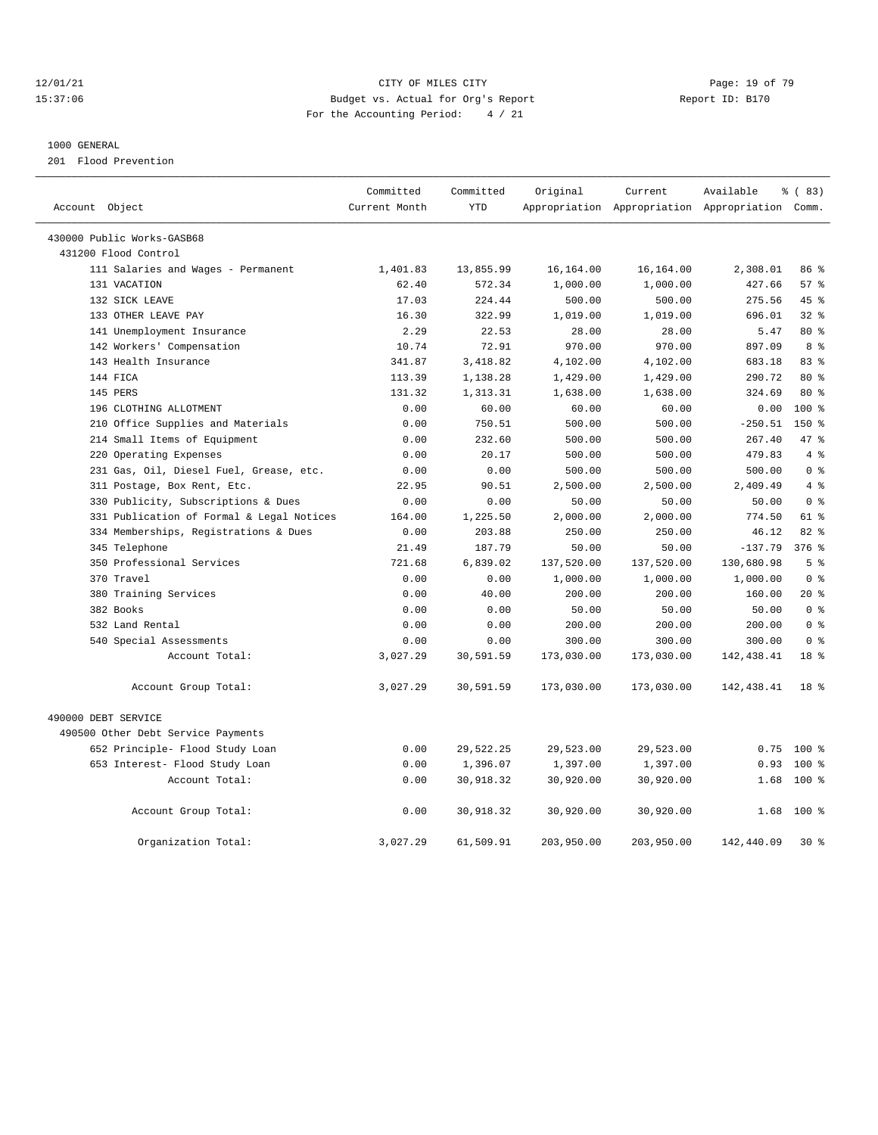### 12/01/21 **Page: 19 of 79** CITY OF MILES CITY **CITY** Page: 19 of 79 15:37:06 Budget vs. Actual for Org's Report Report ID: B170 For the Accounting Period: 4 / 21

### 1000 GENERAL

201 Flood Prevention

| Account Object                            | Committed<br>Current Month | Committed<br><b>YTD</b> | Original   | Current    | Available<br>Appropriation Appropriation Appropriation Comm. | 8 (83)          |
|-------------------------------------------|----------------------------|-------------------------|------------|------------|--------------------------------------------------------------|-----------------|
|                                           |                            |                         |            |            |                                                              |                 |
| 430000 Public Works-GASB68                |                            |                         |            |            |                                                              |                 |
| 431200 Flood Control                      |                            |                         |            |            |                                                              |                 |
| 111 Salaries and Wages - Permanent        | 1,401.83                   | 13,855.99               | 16,164.00  | 16,164.00  | 2,308.01                                                     | 86 %            |
| 131 VACATION                              | 62.40                      | 572.34                  | 1,000.00   | 1,000.00   | 427.66                                                       | 57%             |
| 132 SICK LEAVE                            | 17.03                      | 224.44                  | 500.00     | 500.00     | 275.56                                                       | 45 %            |
| 133 OTHER LEAVE PAY                       | 16.30                      | 322.99                  | 1,019.00   | 1,019.00   | 696.01                                                       | $32$ $%$        |
| 141 Unemployment Insurance                | 2.29                       | 22.53                   | 28.00      | 28.00      | 5.47                                                         | $80*$           |
| 142 Workers' Compensation                 | 10.74                      | 72.91                   | 970.00     | 970.00     | 897.09                                                       | 8 %             |
| 143 Health Insurance                      | 341.87                     | 3,418.82                | 4,102.00   | 4,102.00   | 683.18                                                       | 83%             |
| 144 FICA                                  | 113.39                     | 1,138.28                | 1,429.00   | 1,429.00   | 290.72                                                       | $80*$           |
| 145 PERS                                  | 131.32                     | 1,313.31                | 1,638.00   | 1,638.00   | 324.69                                                       | $80*$           |
| 196 CLOTHING ALLOTMENT                    | 0.00                       | 60.00                   | 60.00      | 60.00      | 0.00                                                         | 100 %           |
| 210 Office Supplies and Materials         | 0.00                       | 750.51                  | 500.00     | 500.00     | $-250.51$                                                    | $150*$          |
| 214 Small Items of Equipment              | 0.00                       | 232.60                  | 500.00     | 500.00     | 267.40                                                       | 47.8            |
| 220 Operating Expenses                    | 0.00                       | 20.17                   | 500.00     | 500.00     | 479.83                                                       | 4%              |
| 231 Gas, Oil, Diesel Fuel, Grease, etc.   | 0.00                       | 0.00                    | 500.00     | 500.00     | 500.00                                                       | 0 <sup>8</sup>  |
| 311 Postage, Box Rent, Etc.               | 22.95                      | 90.51                   | 2,500.00   | 2,500.00   | 2,409.49                                                     | 4%              |
| 330 Publicity, Subscriptions & Dues       | 0.00                       | 0.00                    | 50.00      | 50.00      | 50.00                                                        | 0 <sup>8</sup>  |
| 331 Publication of Formal & Legal Notices | 164.00                     | 1,225.50                | 2,000.00   | 2,000.00   | 774.50                                                       | 61 %            |
| 334 Memberships, Registrations & Dues     | 0.00                       | 203.88                  | 250.00     | 250.00     | 46.12                                                        | $82*$           |
| 345 Telephone                             | 21.49                      | 187.79                  | 50.00      | 50.00      | $-137.79$                                                    | 376 %           |
| 350 Professional Services                 | 721.68                     | 6,839.02                | 137,520.00 | 137,520.00 | 130,680.98                                                   | 5 <sup>8</sup>  |
| 370 Travel                                | 0.00                       | 0.00                    | 1,000.00   | 1,000.00   | 1,000.00                                                     | 0 <sup>8</sup>  |
| 380 Training Services                     | 0.00                       | 40.00                   | 200.00     | 200.00     | 160.00                                                       | $20*$           |
| 382 Books                                 | 0.00                       | 0.00                    | 50.00      | 50.00      | 50.00                                                        | 0 <sup>8</sup>  |
| 532 Land Rental                           | 0.00                       | 0.00                    | 200.00     | 200.00     | 200.00                                                       | 0 <sup>8</sup>  |
| 540 Special Assessments                   | 0.00                       | 0.00                    | 300.00     | 300.00     | 300.00                                                       | 0 <sup>8</sup>  |
| Account Total:                            | 3,027.29                   | 30,591.59               | 173,030.00 | 173,030.00 | 142, 438.41                                                  | 18 %            |
| Account Group Total:                      | 3,027.29                   | 30,591.59               | 173,030.00 | 173,030.00 | 142, 438.41                                                  | 18 <sup>8</sup> |
| 490000 DEBT SERVICE                       |                            |                         |            |            |                                                              |                 |
| 490500 Other Debt Service Payments        |                            |                         |            |            |                                                              |                 |
| 652 Principle- Flood Study Loan           | 0.00                       | 29,522.25               | 29,523.00  | 29,523.00  | 0.75                                                         | $100*$          |
| 653 Interest- Flood Study Loan            | 0.00                       | 1,396.07                | 1,397.00   | 1,397.00   | 0.93                                                         | 100 %           |
| Account Total:                            | 0.00                       | 30,918.32               | 30,920.00  | 30,920.00  | 1.68                                                         | $100*$          |
| Account Group Total:                      | 0.00                       | 30,918.32               | 30,920.00  | 30,920.00  | 1.68                                                         | $100$ %         |
| Organization Total:                       | 3,027.29                   | 61,509.91               | 203,950.00 | 203,950.00 | 142,440.09                                                   | $30*$           |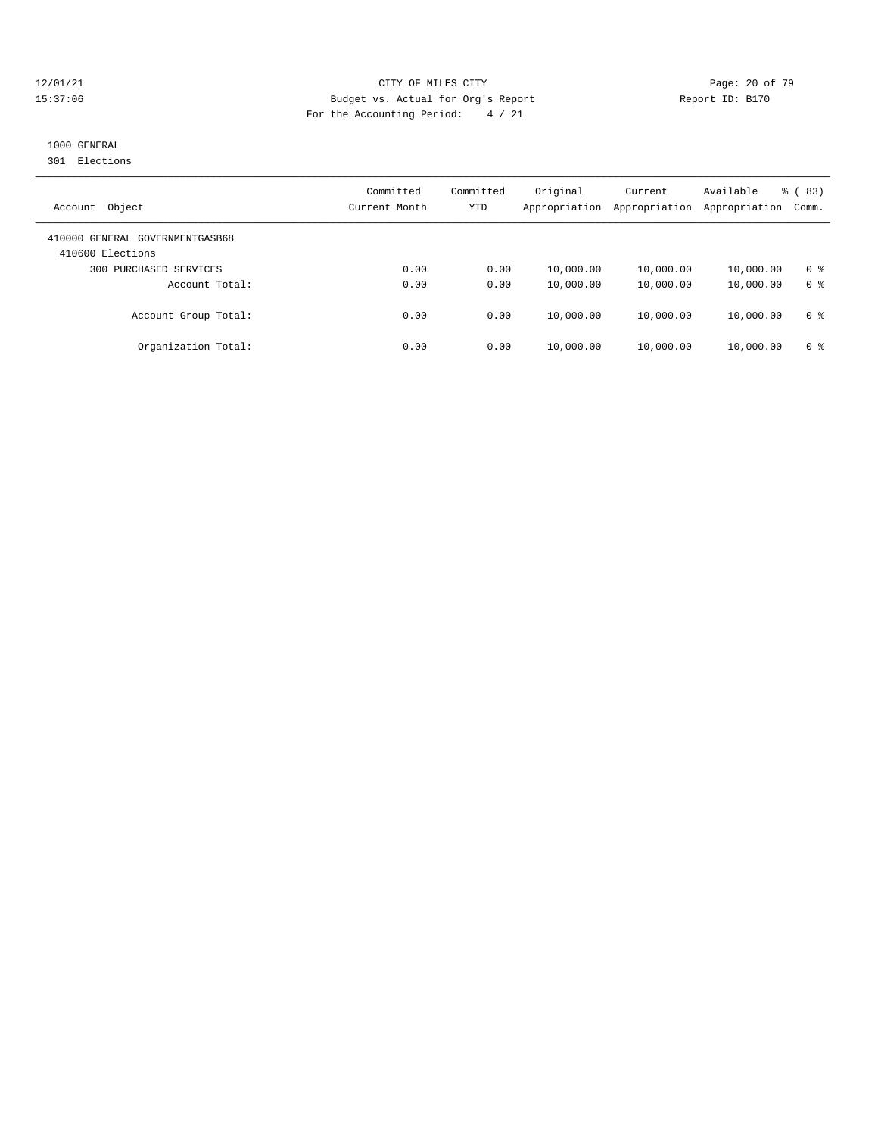### 12/01/21 **Page: 20 of 79** CITY OF MILES CITY **CITY** CITY **Page: 20 of 79** 15:37:06 Budget vs. Actual for Org's Report Report ID: B170 For the Accounting Period: 4 / 21

# 1000 GENERAL

301 Elections

| Object<br>Account                                   | Committed<br>Current Month | Committed<br><b>YTD</b> | Original<br>Appropriation | Current<br>Appropriation | Available<br>Appropriation | % (83)<br>Comm. |
|-----------------------------------------------------|----------------------------|-------------------------|---------------------------|--------------------------|----------------------------|-----------------|
| 410000 GENERAL GOVERNMENTGASB68<br>410600 Elections |                            |                         |                           |                          |                            |                 |
| PURCHASED SERVICES<br>300                           | 0.00                       | 0.00                    | 10,000.00                 | 10,000.00                | 10,000.00                  | 0 <sup>8</sup>  |
| Account Total:                                      | 0.00                       | 0.00                    | 10,000.00                 | 10,000.00                | 10,000.00                  | 0 <sup>8</sup>  |
| Account Group Total:                                | 0.00                       | 0.00                    | 10,000.00                 | 10,000.00                | 10,000.00                  | 0 <sup>8</sup>  |
| Organization Total:                                 | 0.00                       | 0.00                    | 10,000.00                 | 10,000.00                | 10,000.00                  | 0 %             |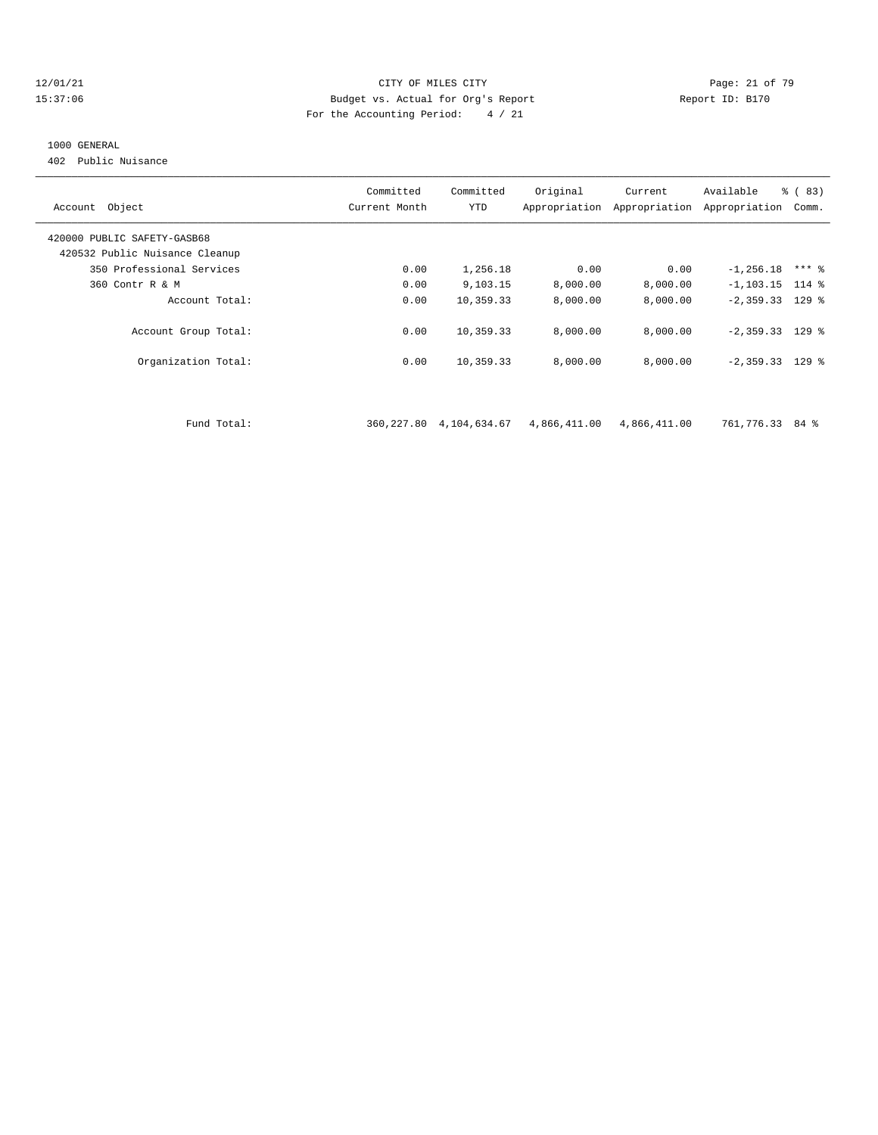### 12/01/21 Page: 21 of 79 15:37:06 Budget vs. Actual for Org's Report Report ID: B170 For the Accounting Period: 4 / 21

### 1000 GENERAL

402 Public Nuisance

| Account Object                 | Committed<br>Current Month | Committed<br>YTD | Original     | Current<br>Appropriation Appropriation | Available<br>Appropriation | % (83)<br>Comm. |
|--------------------------------|----------------------------|------------------|--------------|----------------------------------------|----------------------------|-----------------|
| 420000 PUBLIC SAFETY-GASB68    |                            |                  |              |                                        |                            |                 |
| 420532 Public Nuisance Cleanup |                            |                  |              |                                        |                            |                 |
| 350 Professional Services      | 0.00                       | 1,256.18         | 0.00         | 0.00                                   | $-1, 256.18$               | $***$ %         |
| 360 Contr R & M                | 0.00                       | 9,103.15         | 8,000.00     | 8,000.00                               | $-1, 103.15$ 114 %         |                 |
| Account Total:                 | 0.00                       | 10,359.33        | 8,000.00     | 8,000.00                               | $-2,359.33$ 129 %          |                 |
| Account Group Total:           | 0.00                       | 10,359.33        | 8,000.00     | 8,000.00                               | $-2,359.33$ 129 %          |                 |
| Organization Total:            | 0.00                       | 10,359.33        | 8.000.00     | 8,000.00                               | $-2,359.33$ 129 %          |                 |
|                                |                            |                  |              |                                        |                            |                 |
| Fund Total:                    | 360,227.80                 | 4,104,634.67     | 4,866,411.00 | 4,866,411.00                           | 761,776.33                 | 84 දි           |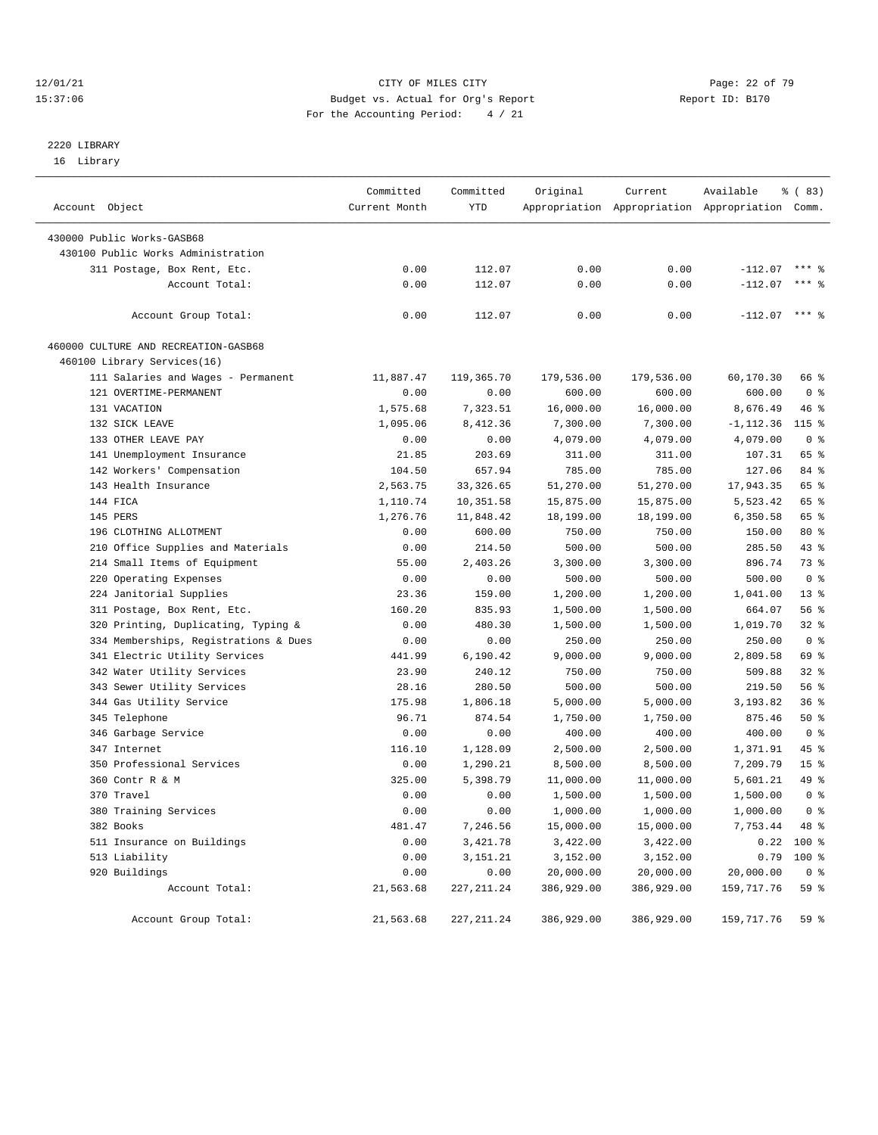### 12/01/21 Page: 22 of 79 15:37:06 Budget vs. Actual for Org's Report Report ID: B170 For the Accounting Period: 4 / 21

# 2220 LIBRARY

16 Library

| Account Object                        | Committed<br>Current Month | Committed<br>YTD | Original   | Current    | Available<br>Appropriation Appropriation Appropriation Comm. | <sub>है</sub> (83) |
|---------------------------------------|----------------------------|------------------|------------|------------|--------------------------------------------------------------|--------------------|
|                                       |                            |                  |            |            |                                                              |                    |
| 430000 Public Works-GASB68            |                            |                  |            |            |                                                              |                    |
| 430100 Public Works Administration    |                            |                  |            |            |                                                              |                    |
| 311 Postage, Box Rent, Etc.           | 0.00                       | 112.07           | 0.00       | 0.00       | $-112.07$                                                    | $***$ 2            |
| Account Total:                        | 0.00                       | 112.07           | 0.00       | 0.00       | $-112.07$                                                    | $***$ 2            |
|                                       |                            |                  |            |            |                                                              |                    |
| Account Group Total:                  | 0.00                       | 112.07           | 0.00       | 0.00       | $-112.07$ *** %                                              |                    |
| 460000 CULTURE AND RECREATION-GASB68  |                            |                  |            |            |                                                              |                    |
| 460100 Library Services(16)           |                            |                  |            |            |                                                              |                    |
| 111 Salaries and Wages - Permanent    | 11,887.47                  | 119,365.70       | 179,536.00 | 179,536.00 | 60,170.30                                                    | 66 %               |
| 121 OVERTIME-PERMANENT                | 0.00                       | 0.00             | 600.00     | 600.00     | 600.00                                                       | 0 <sup>8</sup>     |
| 131 VACATION                          | 1,575.68                   | 7,323.51         | 16,000.00  | 16,000.00  | 8,676.49                                                     | 46 %               |
| 132 SICK LEAVE                        | 1,095.06                   | 8,412.36         | 7,300.00   | 7,300.00   | $-1, 112.36$                                                 | $115$ %            |
| 133 OTHER LEAVE PAY                   | 0.00                       | 0.00             | 4,079.00   | 4,079.00   | 4,079.00                                                     | 0 <sup>8</sup>     |
| 141 Unemployment Insurance            | 21.85                      | 203.69           | 311.00     | 311.00     | 107.31                                                       | 65 %               |
| 142 Workers' Compensation             | 104.50                     | 657.94           | 785.00     | 785.00     | 127.06                                                       | 84 %               |
| 143 Health Insurance                  | 2,563.75                   | 33, 326.65       | 51,270.00  | 51,270.00  | 17,943.35                                                    | 65 %               |
| 144 FICA                              | 1,110.74                   | 10,351.58        | 15,875.00  | 15,875.00  | 5,523.42                                                     | 65 %               |
| 145 PERS                              | 1,276.76                   | 11,848.42        | 18,199.00  | 18,199.00  | 6,350.58                                                     | 65 %               |
| 196 CLOTHING ALLOTMENT                | 0.00                       | 600.00           | 750.00     | 750.00     | 150.00                                                       | $80*$              |
| 210 Office Supplies and Materials     | 0.00                       | 214.50           | 500.00     | 500.00     | 285.50                                                       | 43 %               |
| 214 Small Items of Equipment          | 55.00                      | 2,403.26         | 3,300.00   | 3,300.00   | 896.74                                                       | 73 %               |
| 220 Operating Expenses                | 0.00                       | 0.00             | 500.00     | 500.00     | 500.00                                                       | 0 <sup>8</sup>     |
| 224 Janitorial Supplies               | 23.36                      | 159.00           | 1,200.00   | 1,200.00   | 1,041.00                                                     | $13*$              |
| 311 Postage, Box Rent, Etc.           | 160.20                     | 835.93           | 1,500.00   | 1,500.00   | 664.07                                                       | 56%                |
| 320 Printing, Duplicating, Typing &   | 0.00                       | 480.30           | 1,500.00   | 1,500.00   | 1,019.70                                                     | $32$ $%$           |
| 334 Memberships, Registrations & Dues | 0.00                       | 0.00             | 250.00     | 250.00     | 250.00                                                       | 0 <sup>8</sup>     |
| 341 Electric Utility Services         | 441.99                     | 6,190.42         | 9,000.00   | 9,000.00   | 2,809.58                                                     | 69 %               |
| 342 Water Utility Services            | 23.90                      | 240.12           | 750.00     | 750.00     | 509.88                                                       | $32$ $%$           |
| 343 Sewer Utility Services            | 28.16                      | 280.50           | 500.00     | 500.00     | 219.50                                                       | 56%                |
| 344 Gas Utility Service               | 175.98                     | 1,806.18         | 5,000.00   | 5,000.00   | 3,193.82                                                     | 36%                |
| 345 Telephone                         | 96.71                      | 874.54           | 1,750.00   | 1,750.00   | 875.46                                                       | 50%                |
| 346 Garbage Service                   | 0.00                       | 0.00             | 400.00     | 400.00     | 400.00                                                       | 0 <sup>8</sup>     |
| 347 Internet                          |                            | 1,128.09         |            |            |                                                              | 45 %               |
|                                       | 116.10                     |                  | 2,500.00   | 2,500.00   | 1,371.91                                                     |                    |
| 350 Professional Services             | 0.00                       | 1,290.21         | 8,500.00   | 8,500.00   | 7,209.79                                                     | 15 <sup>8</sup>    |
| 360 Contr R & M                       | 325.00                     | 5,398.79         | 11,000.00  | 11,000.00  | 5,601.21                                                     | 49 %               |
| 370 Travel                            | 0.00                       | 0.00             | 1,500.00   | 1,500.00   | 1,500.00                                                     | 0 <sup>8</sup>     |
| 380 Training Services                 | 0.00                       | 0.00             | 1,000.00   | 1,000.00   | 1,000.00                                                     | 0 <sup>8</sup>     |
| 382 Books                             | 481.47                     | 7,246.56         | 15,000.00  | 15,000.00  | 7,753.44                                                     | 48 %               |
| 511 Insurance on Buildings            | 0.00                       | 3,421.78         | 3,422.00   | 3,422.00   | 0.22                                                         | 100 %              |
| 513 Liability                         | 0.00                       | 3, 151. 21       | 3,152.00   | 3,152.00   | 0.79                                                         | 100 %              |
| 920 Buildings                         | 0.00                       | 0.00             | 20,000.00  | 20,000.00  | 20,000.00                                                    | 0 <sup>8</sup>     |
| Account Total:                        | 21,563.68                  | 227, 211.24      | 386,929.00 | 386,929.00 | 159, 717. 76                                                 | 59 %               |
| Account Group Total:                  | 21,563.68                  | 227, 211.24      | 386,929.00 | 386,929.00 | 159,717.76                                                   | 59 %               |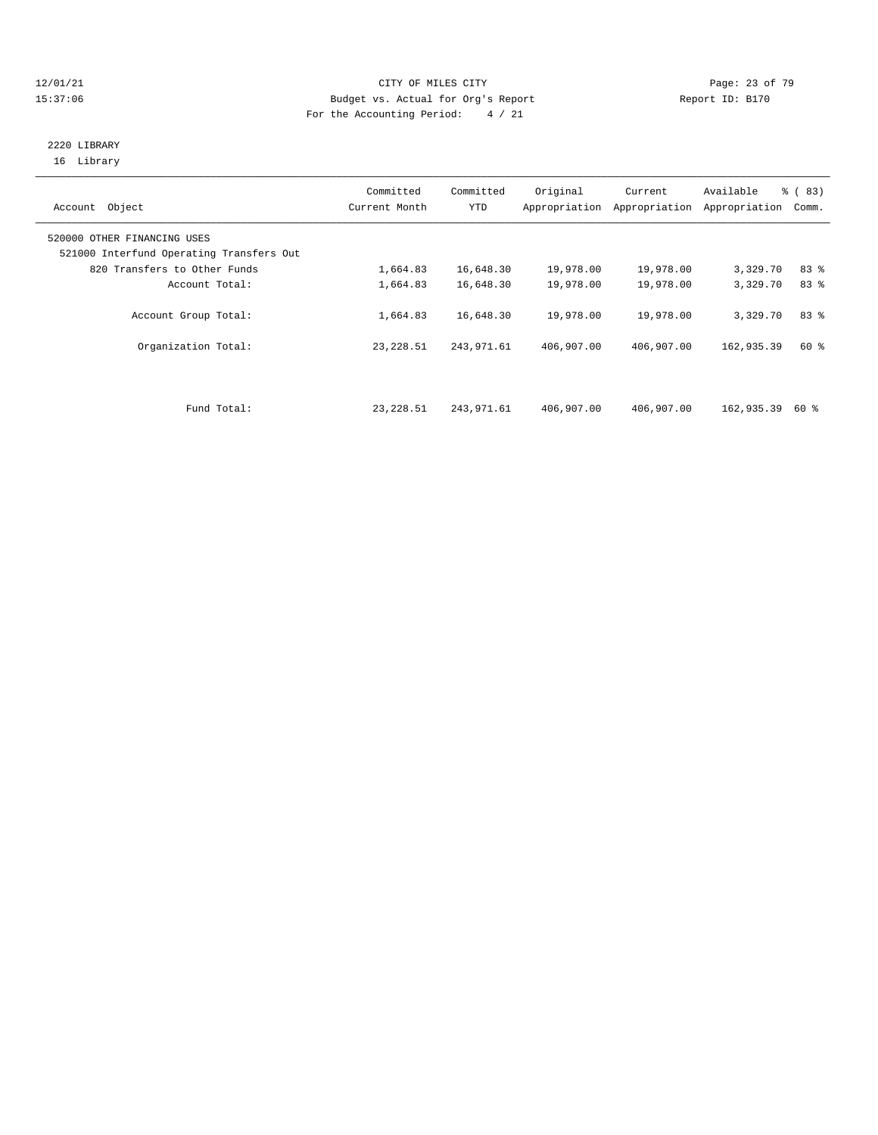### 12/01/21 Page: 23 of 79 15:37:06 Budget vs. Actual for Org's Report Report ID: B170 For the Accounting Period: 4 / 21

### 2220 LIBRARY 16 Library

| Account Object                                                          | Committed<br>Current Month | Committed<br>YTD | Original<br>Appropriation | Current<br>Appropriation | Available<br>Appropriation | % (83)<br>Comm. |
|-------------------------------------------------------------------------|----------------------------|------------------|---------------------------|--------------------------|----------------------------|-----------------|
| 520000 OTHER FINANCING USES<br>521000 Interfund Operating Transfers Out |                            |                  |                           |                          |                            |                 |
| 820 Transfers to Other Funds                                            | 1,664.83                   | 16,648.30        | 19,978.00                 | 19,978.00                | 3,329.70                   | 83%             |
| Account Total:                                                          | 1,664.83                   | 16,648.30        | 19,978.00                 | 19,978.00                | 3,329.70                   | 83 %            |
| Account Group Total:                                                    | 1,664.83                   | 16,648.30        | 19,978.00                 | 19,978.00                | 3,329.70                   | 83 %            |
| Organization Total:                                                     | 23, 228.51                 | 243,971.61       | 406,907.00                | 406,907.00               | 162,935.39                 | $60*$           |
|                                                                         |                            |                  |                           |                          |                            |                 |
| Fund Total:                                                             | 23,228.51                  | 243,971.61       | 406,907.00                | 406,907.00               | 162,935.39                 | 60 %            |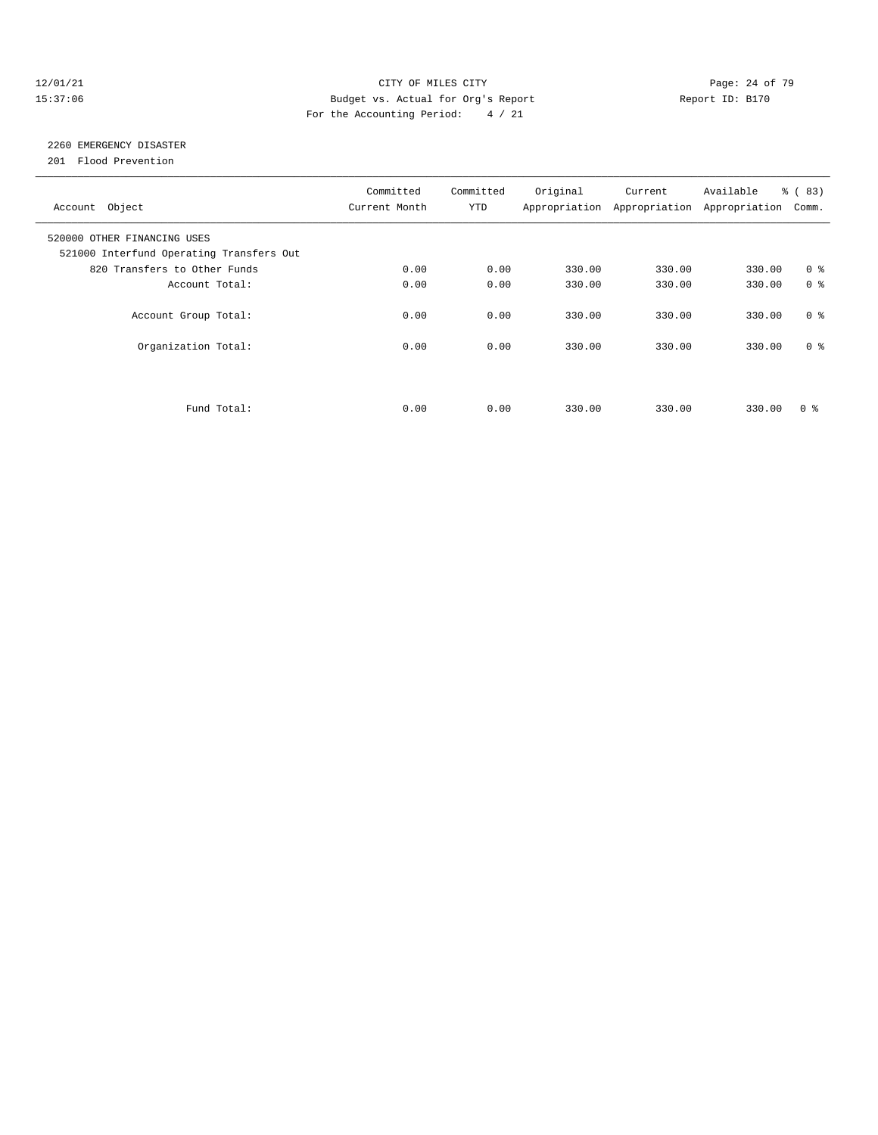### 12/01/21 Page: 24 of 79 15:37:06 Budget vs. Actual for Org's Report Report ID: B170 For the Accounting Period: 4 / 21

# 2260 EMERGENCY DISASTER

201 Flood Prevention

| Account Object                                                          | Committed<br>Current Month | Committed<br><b>YTD</b> | Original | Current<br>Appropriation Appropriation Appropriation | Available | % (83)<br>Comm. |
|-------------------------------------------------------------------------|----------------------------|-------------------------|----------|------------------------------------------------------|-----------|-----------------|
| 520000 OTHER FINANCING USES<br>521000 Interfund Operating Transfers Out |                            |                         |          |                                                      |           |                 |
| 820 Transfers to Other Funds                                            | 0.00                       | 0.00                    | 330.00   | 330.00                                               | 330.00    | 0 <sup>8</sup>  |
| Account Total:                                                          | 0.00                       | 0.00                    | 330.00   | 330.00                                               | 330.00    | 0 <sup>8</sup>  |
| Account Group Total:                                                    | 0.00                       | 0.00                    | 330.00   | 330.00                                               | 330.00    | 0 <sup>8</sup>  |
| Organization Total:                                                     | 0.00                       | 0.00                    | 330.00   | 330.00                                               | 330.00    | 0 <sup>8</sup>  |
|                                                                         |                            |                         |          |                                                      |           |                 |
| Fund Total:                                                             | 0.00                       | 0.00                    | 330.00   | 330.00                                               | 330.00    | 0 ៖             |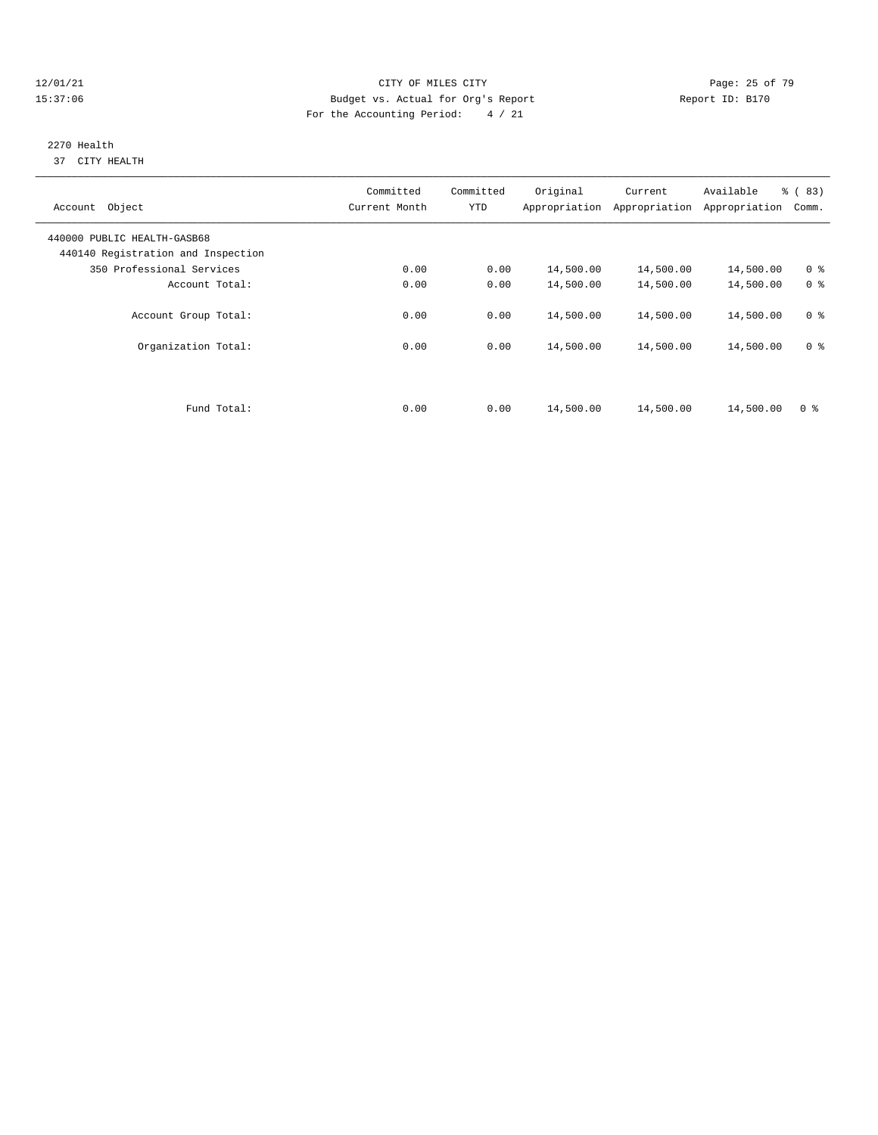### 12/01/21 Page: 25 of 79 15:37:06 Budget vs. Actual for Org's Report Report ID: B170 For the Accounting Period: 4 / 21

### 2270 Health 37 CITY HEALTH

| Committed<br>Current Month | Committed<br><b>YTD</b> | Original  | Current   | Available<br>Appropriation  | % (83)<br>Comm. |
|----------------------------|-------------------------|-----------|-----------|-----------------------------|-----------------|
|                            |                         |           |           |                             |                 |
| 0.00                       | 0.00                    | 14,500.00 | 14,500.00 | 14,500.00                   | 0 <sup>8</sup>  |
| 0.00                       | 0.00                    | 14,500.00 | 14,500.00 | 14,500.00                   | 0 <sup>8</sup>  |
| 0.00                       | 0.00                    | 14,500.00 | 14,500.00 | 14,500.00                   | 0 <sup>8</sup>  |
| 0.00                       | 0.00                    | 14,500.00 | 14,500.00 | 14,500.00                   | 0 <sup>8</sup>  |
| 0.00                       | 0.00                    | 14,500.00 | 14,500.00 | 14,500.00                   | 0 <sup>8</sup>  |
|                            |                         |           |           | Appropriation Appropriation |                 |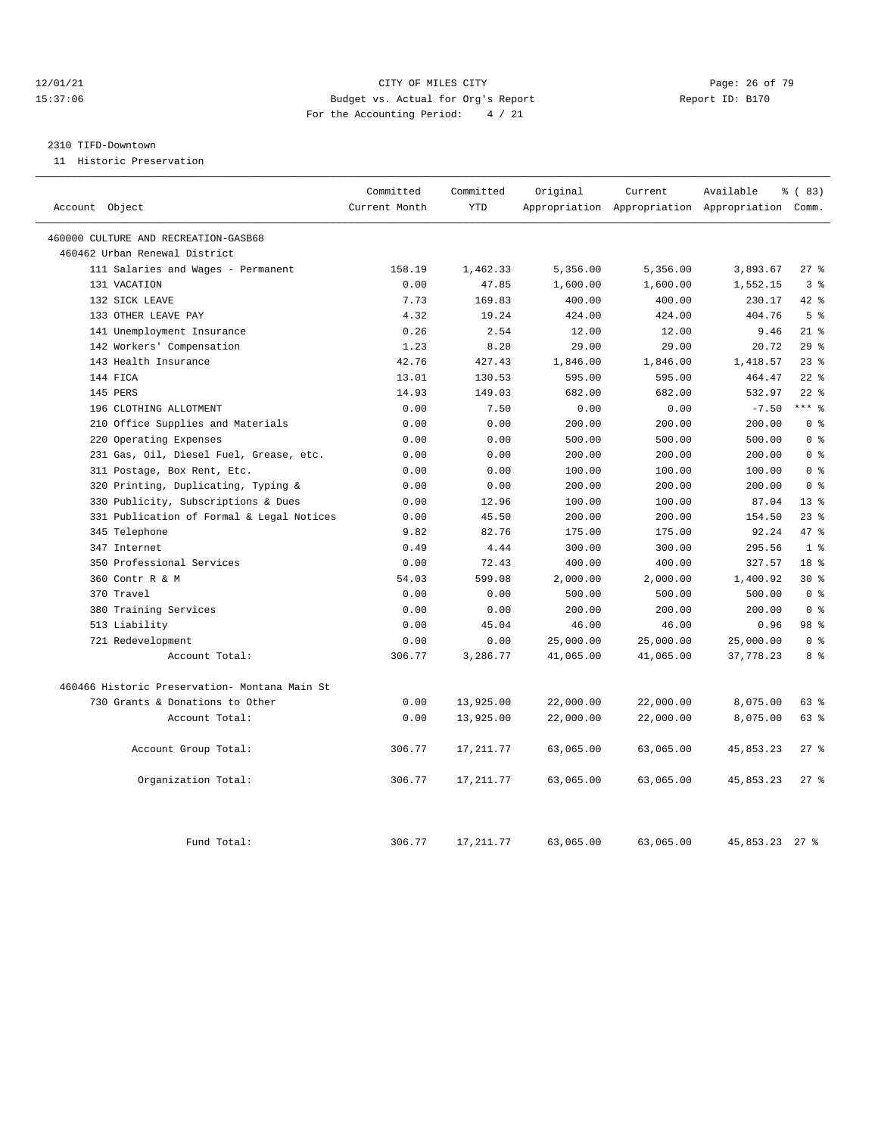### 12/01/21 **Page: 26 of 79** CITY OF MILES CITY **CITY** CITY **Page: 26 of 79** 15:37:06 Budget vs. Actual for Org's Report Report ID: B170 For the Accounting Period: 4 / 21

### 2310 TIFD-Downtown

11 Historic Preservation

| Account Object                                | Committed<br>Current Month | Committed<br><b>YTD</b> | Original  | Current   | Available<br>Appropriation Appropriation Appropriation Comm. | 8 (83)         |
|-----------------------------------------------|----------------------------|-------------------------|-----------|-----------|--------------------------------------------------------------|----------------|
|                                               |                            |                         |           |           |                                                              |                |
| 460000 CULTURE AND RECREATION-GASB68          |                            |                         |           |           |                                                              |                |
| 460462 Urban Renewal District                 |                            |                         |           |           |                                                              |                |
| 111 Salaries and Wages - Permanent            | 158.19                     | 1,462.33                | 5,356.00  | 5,356.00  | 3,893.67                                                     | 27%            |
| 131 VACATION                                  | 0.00                       | 47.85                   | 1,600.00  | 1,600.00  | 1,552.15                                                     | 38             |
| 132 SICK LEAVE                                | 7.73                       | 169.83                  | 400.00    | 400.00    | 230.17                                                       | $42$ %         |
| 133 OTHER LEAVE PAY                           | 4.32                       | 19.24                   | 424.00    | 424.00    | 404.76                                                       | 5 <sup>8</sup> |
| 141 Unemployment Insurance                    | 0.26                       | 2.54                    | 12.00     | 12.00     | 9.46                                                         | $21$ %         |
| 142 Workers' Compensation                     | 1.23                       | 8.28                    | 29.00     | 29.00     | 20.72                                                        | $29$ $%$       |
| 143 Health Insurance                          | 42.76                      | 427.43                  | 1,846.00  | 1,846.00  | 1,418.57                                                     | $23$ $%$       |
| 144 FICA                                      | 13.01                      | 130.53                  | 595.00    | 595.00    | 464.47                                                       | $22$ %         |
| 145 PERS                                      | 14.93                      | 149.03                  | 682.00    | 682.00    | 532.97                                                       | 22.8           |
| 196 CLOTHING ALLOTMENT                        | 0.00                       | 7.50                    | 0.00      | 0.00      | $-7.50$                                                      | $***$ $%$      |
| Office Supplies and Materials<br>210          | 0.00                       | 0.00                    | 200.00    | 200.00    | 200.00                                                       | 0 <sup>8</sup> |
| Operating Expenses<br>220                     | 0.00                       | 0.00                    | 500.00    | 500.00    | 500.00                                                       | 0 <sup>8</sup> |
| 231 Gas, Oil, Diesel Fuel, Grease, etc.       | 0.00                       | 0.00                    | 200.00    | 200.00    | 200.00                                                       | 0 <sup>8</sup> |
| 311 Postage, Box Rent, Etc.                   | 0.00                       | 0.00                    | 100.00    | 100.00    | 100.00                                                       | 0 <sup>8</sup> |
| 320 Printing, Duplicating, Typing &           | 0.00                       | 0.00                    | 200.00    | 200.00    | 200.00                                                       | 0 <sup>8</sup> |
| 330 Publicity, Subscriptions & Dues           | 0.00                       | 12.96                   | 100.00    | 100.00    | 87.04                                                        | $13*$          |
| 331 Publication of Formal & Legal Notices     | 0.00                       | 45.50                   | 200.00    | 200.00    | 154.50                                                       | $23$ $%$       |
| 345 Telephone                                 | 9.82                       | 82.76                   | 175.00    | 175.00    | 92.24                                                        | 47.8           |
| 347 Internet                                  | 0.49                       | 4.44                    | 300.00    | 300.00    | 295.56                                                       | 1 <sup>8</sup> |
| 350 Professional Services                     | 0.00                       | 72.43                   | 400.00    | 400.00    | 327.57                                                       | 18 %           |
| 360 Contr R & M                               | 54.03                      | 599.08                  | 2,000.00  | 2,000.00  | 1,400.92                                                     | $30*$          |
| 370 Travel                                    | 0.00                       | 0.00                    | 500.00    | 500.00    | 500.00                                                       | 0 <sup>8</sup> |
| 380 Training Services                         | 0.00                       | 0.00                    | 200.00    | 200.00    | 200.00                                                       | 0 <sup>8</sup> |
| 513 Liability                                 | 0.00                       | 45.04                   | 46.00     | 46.00     | 0.96                                                         | 98 %           |
| 721 Redevelopment                             | 0.00                       | 0.00                    | 25,000.00 | 25,000.00 | 25,000.00                                                    | 0 <sup>8</sup> |
| Account Total:                                | 306.77                     | 3,286.77                | 41,065.00 | 41,065.00 | 37,778.23                                                    | 8 %            |
| 460466 Historic Preservation- Montana Main St |                            |                         |           |           |                                                              |                |
| 730 Grants & Donations to Other               | 0.00                       | 13,925.00               | 22,000.00 | 22,000.00 | 8,075.00                                                     | 63%            |
| Account Total:                                | 0.00                       | 13,925.00               | 22,000.00 | 22,000.00 | 8,075.00                                                     | 63 %           |
| Account Group Total:                          | 306.77                     | 17, 211.77              | 63,065.00 | 63,065.00 | 45,853.23                                                    | $27$ %         |
| Organization Total:                           | 306.77                     | 17,211.77               | 63,065.00 | 63,065.00 | 45,853.23                                                    | 278            |
| Fund Total:                                   | 306.77                     | 17, 211.77              | 63,065.00 | 63,065.00 | 45,853.23                                                    | $27$ %         |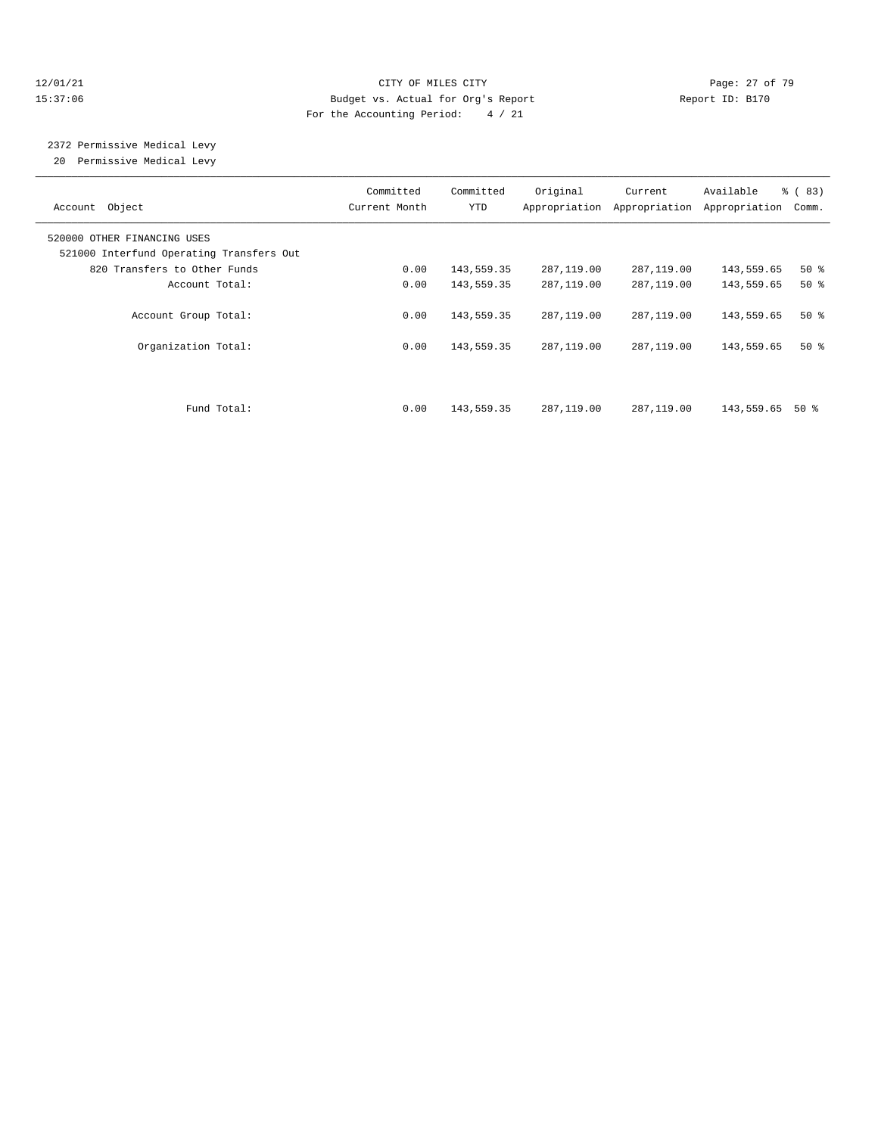### 12/01/21 Page: 27 of 79 15:37:06 Budget vs. Actual for Org's Report Report ID: B170 For the Accounting Period: 4 / 21

# 2372 Permissive Medical Levy

20 Permissive Medical Levy

| Account Object                                                          | Committed<br>Current Month | Committed<br><b>YTD</b> | Original<br>Appropriation | Current<br>Appropriation | Available<br>Appropriation | % (83)<br>Comm. |
|-------------------------------------------------------------------------|----------------------------|-------------------------|---------------------------|--------------------------|----------------------------|-----------------|
| 520000 OTHER FINANCING USES<br>521000 Interfund Operating Transfers Out |                            |                         |                           |                          |                            |                 |
| 820 Transfers to Other Funds                                            | 0.00                       | 143,559.35              | 287,119.00                | 287,119.00               | 143,559.65                 | $50*$           |
| Account Total:                                                          | 0.00                       | 143,559.35              | 287,119.00                | 287,119.00               | 143,559.65                 | $50*$           |
| Account Group Total:                                                    | 0.00                       | 143,559.35              | 287,119.00                | 287,119.00               | 143,559.65                 | $50*$           |
| Organization Total:                                                     | 0.00                       | 143,559.35              | 287,119.00                | 287,119.00               | 143,559.65                 | $50*$           |
| Fund Total:                                                             | 0.00                       | 143,559.35              | 287,119.00                | 287,119.00               | 143,559.65                 | 50 %            |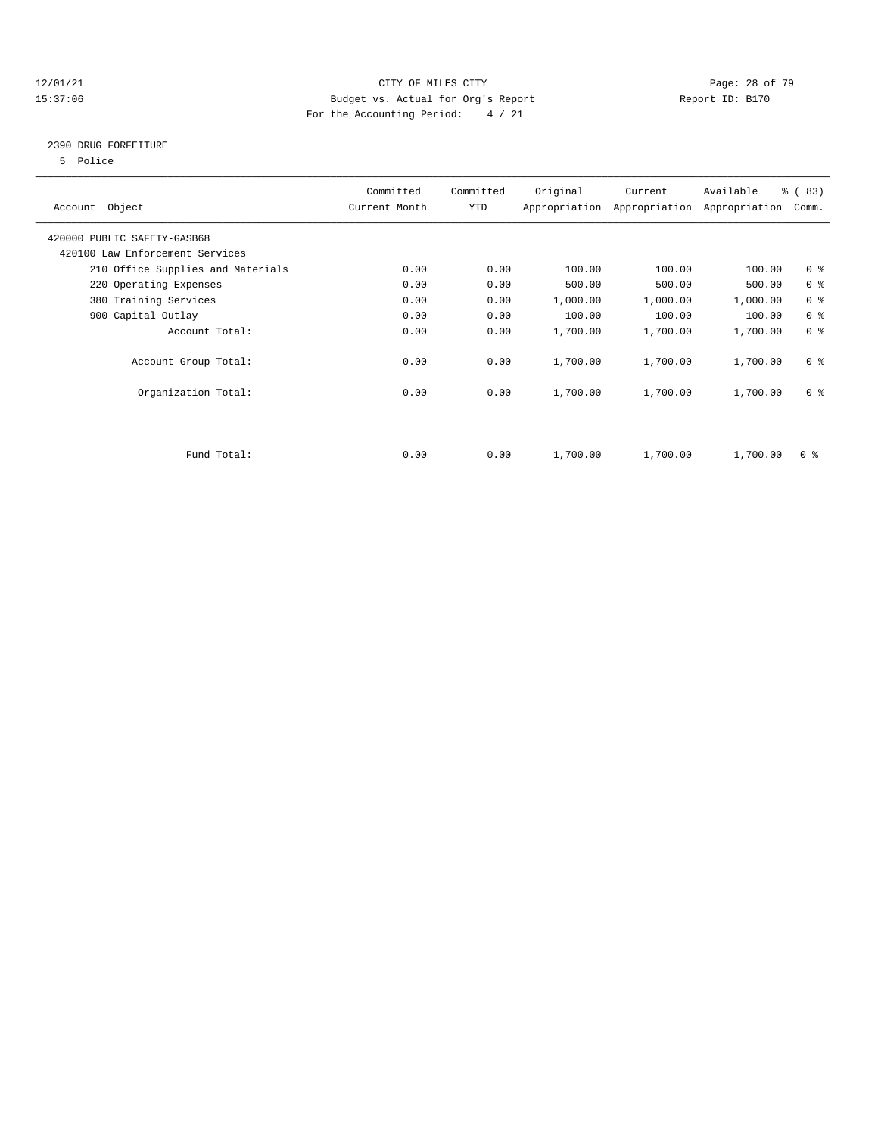### 12/01/21 CITY OF MILES CITY Page: 28 of 79 15:37:06 Budget vs. Actual for Org's Report Report ID: B170 For the Accounting Period: 4 / 21

### 2390 DRUG FORFEITURE

5 Police

| Account Object                    | Committed<br>Current Month | Committed<br>YTD | Original | Current<br>Appropriation Appropriation | Available<br>Appropriation | % (83)<br>Comm.         |
|-----------------------------------|----------------------------|------------------|----------|----------------------------------------|----------------------------|-------------------------|
| 420000 PUBLIC SAFETY-GASB68       |                            |                  |          |                                        |                            |                         |
| 420100 Law Enforcement Services   |                            |                  |          |                                        |                            |                         |
| 210 Office Supplies and Materials | 0.00                       | 0.00             | 100.00   | 100.00                                 | 100.00                     | 0 <sup>8</sup>          |
| 220 Operating Expenses            | 0.00                       | 0.00             | 500.00   | 500.00                                 | 500.00                     | 0 <sup>8</sup>          |
| 380 Training Services             | 0.00                       | 0.00             | 1,000.00 | 1,000.00                               | 1,000.00                   | 0 <sup>8</sup>          |
| 900 Capital Outlay                | 0.00                       | 0.00             | 100.00   | 100.00                                 | 100.00                     | 0 <sup>8</sup>          |
| Account Total:                    | 0.00                       | 0.00             | 1,700.00 | 1,700.00                               | 1,700.00                   | 0 <sup>8</sup>          |
| Account Group Total:              | 0.00                       | 0.00             | 1,700.00 | 1,700.00                               | 1,700.00                   | 0 <sup>8</sup>          |
| Organization Total:               | 0.00                       | 0.00             | 1,700.00 | 1,700.00                               | 1,700.00                   | 0 <sup>8</sup>          |
|                                   |                            |                  |          |                                        |                            |                         |
| Fund Total:                       | 0.00                       | 0.00             | 1,700.00 | 1,700.00                               | 1,700.00                   | $0 \text{ }$ $\text{*}$ |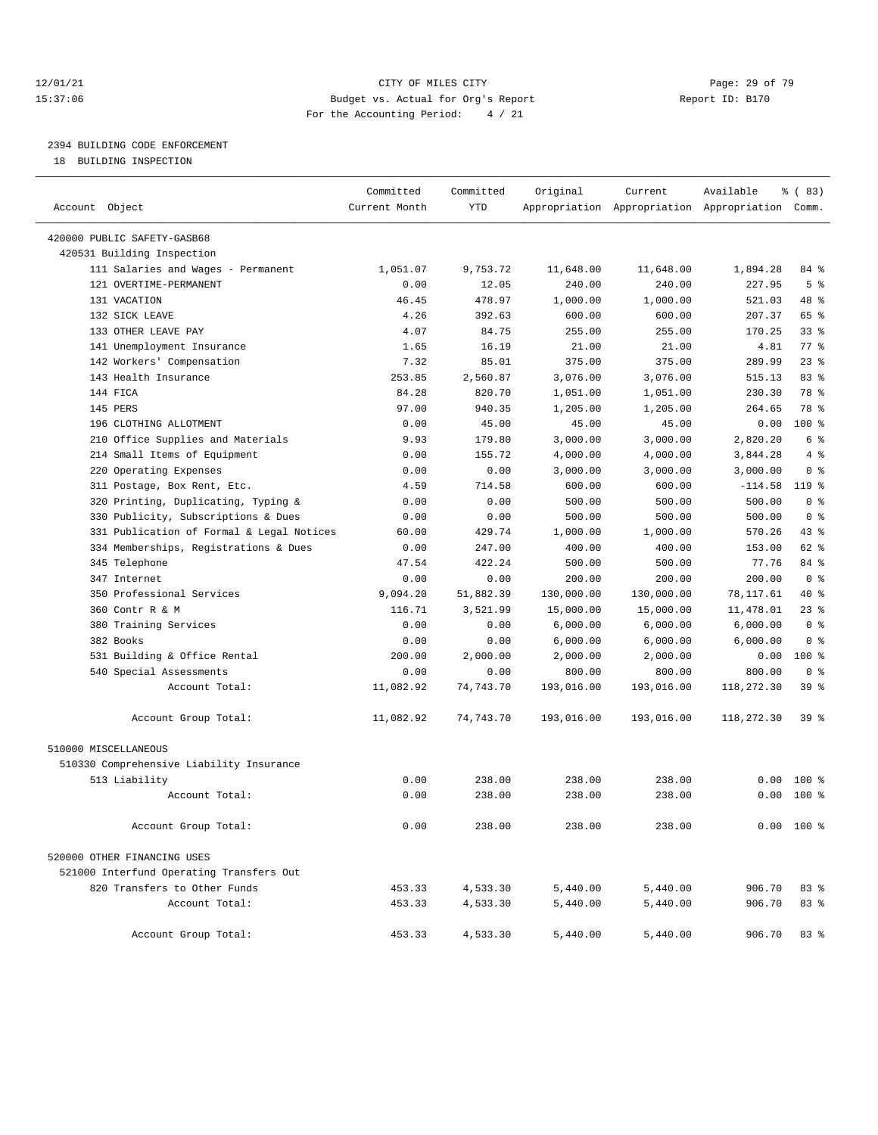### 12/01/21 **Page: 29 of 79** CITY OF MILES CITY **CITY** CITY **Page: 29 of 79** 15:37:06 Budget vs. Actual for Org's Report Report ID: B170 For the Accounting Period: 4 / 21

# 2394 BUILDING CODE ENFORCEMENT

18 BUILDING INSPECTION

| Account Object                            | Committed<br>Current Month | Committed<br><b>YTD</b> | Original   | Current    | Available<br>Appropriation Appropriation Appropriation Comm. | <sub>ර</sub> ි (83) |
|-------------------------------------------|----------------------------|-------------------------|------------|------------|--------------------------------------------------------------|---------------------|
|                                           |                            |                         |            |            |                                                              |                     |
| 420000 PUBLIC SAFETY-GASB68               |                            |                         |            |            |                                                              |                     |
| 420531 Building Inspection                |                            |                         |            |            |                                                              |                     |
| 111 Salaries and Wages - Permanent        | 1,051.07                   | 9,753.72                | 11,648.00  | 11,648.00  | 1,894.28                                                     | 84 %                |
| 121 OVERTIME-PERMANENT                    | 0.00                       | 12.05                   | 240.00     | 240.00     | 227.95                                                       | 5 <sup>8</sup>      |
| 131 VACATION                              | 46.45                      | 478.97                  | 1,000.00   | 1,000.00   | 521.03                                                       | 48 %                |
| 132 SICK LEAVE                            | 4.26                       | 392.63                  | 600.00     | 600.00     | 207.37                                                       | 65 %                |
| 133 OTHER LEAVE PAY                       | 4.07                       | 84.75                   | 255.00     | 255.00     | 170.25                                                       | $33$ $%$            |
| 141 Unemployment Insurance                | 1.65                       | 16.19                   | 21.00      | 21.00      | 4.81                                                         | 77.8                |
| 142 Workers' Compensation                 | 7.32                       | 85.01                   | 375.00     | 375.00     | 289.99                                                       | 23%                 |
| 143 Health Insurance                      | 253.85                     | 2,560.87                | 3,076.00   | 3,076.00   | 515.13                                                       | 83 %                |
| 144 FICA                                  | 84.28                      | 820.70                  | 1,051.00   | 1,051.00   | 230.30                                                       | 78 %                |
| 145 PERS                                  | 97.00                      | 940.35                  | 1,205.00   | 1,205.00   | 264.65                                                       | 78 %                |
| 196 CLOTHING ALLOTMENT                    | 0.00                       | 45.00                   | 45.00      | 45.00      | 0.00                                                         | $100*$              |
| 210 Office Supplies and Materials         | 9.93                       | 179.80                  | 3,000.00   | 3,000.00   | 2,820.20                                                     | 6 %                 |
| 214 Small Items of Equipment              | 0.00                       | 155.72                  | 4,000.00   | 4,000.00   | 3,844.28                                                     | 4%                  |
| 220 Operating Expenses                    | 0.00                       | 0.00                    | 3,000.00   | 3,000.00   | 3,000.00                                                     | 0 <sup>8</sup>      |
| 311 Postage, Box Rent, Etc.               | 4.59                       | 714.58                  | 600.00     | 600.00     | $-114.58$                                                    | 119 %               |
| 320 Printing, Duplicating, Typing &       | 0.00                       | 0.00                    | 500.00     | 500.00     | 500.00                                                       | 0 <sup>8</sup>      |
| 330 Publicity, Subscriptions & Dues       | 0.00                       | 0.00                    | 500.00     | 500.00     | 500.00                                                       | 0 <sup>8</sup>      |
| 331 Publication of Formal & Legal Notices | 60.00                      | 429.74                  | 1,000.00   | 1,000.00   | 570.26                                                       | $43$ %              |
| 334 Memberships, Registrations & Dues     | 0.00                       | 247.00                  | 400.00     | 400.00     | 153.00                                                       | 62 %                |
| 345 Telephone                             | 47.54                      | 422.24                  | 500.00     | 500.00     | 77.76                                                        | 84 %                |
| 347 Internet                              | 0.00                       | 0.00                    | 200.00     | 200.00     | 200.00                                                       | 0 <sup>8</sup>      |
| 350 Professional Services                 | 9,094.20                   | 51,882.39               | 130,000.00 | 130,000.00 | 78,117.61                                                    | $40*$               |
| 360 Contr R & M                           | 116.71                     | 3,521.99                | 15,000.00  | 15,000.00  | 11,478.01                                                    | 23%                 |
| 380 Training Services                     | 0.00                       | 0.00                    | 6,000.00   | 6,000.00   | 6,000.00                                                     | 0 <sup>8</sup>      |
| 382 Books                                 | 0.00                       | 0.00                    | 6,000.00   | 6,000.00   | 6,000.00                                                     | 0 <sup>8</sup>      |
| 531 Building & Office Rental              | 200.00                     | 2,000.00                | 2,000.00   | 2,000.00   | 0.00                                                         | $100*$              |
| 540 Special Assessments                   | 0.00                       | 0.00                    | 800.00     | 800.00     | 800.00                                                       | 0 <sup>8</sup>      |
| Account Total:                            | 11,082.92                  | 74,743.70               | 193,016.00 | 193,016.00 | 118,272.30                                                   | 39%                 |
| Account Group Total:                      | 11,082.92                  | 74,743.70               | 193,016.00 | 193,016.00 | 118,272.30                                                   | 398                 |
| 510000 MISCELLANEOUS                      |                            |                         |            |            |                                                              |                     |
| 510330 Comprehensive Liability Insurance  |                            |                         |            |            |                                                              |                     |
| 513 Liability                             | 0.00                       | 238.00                  | 238.00     | 238.00     | 0.00                                                         | 100 %               |
| Account Total:                            | 0.00                       | 238.00                  | 238.00     | 238.00     | 0.00                                                         | $100*$              |
| Account Group Total:                      | 0.00                       | 238.00                  | 238.00     | 238.00     |                                                              | $0.00$ 100 %        |
| 520000 OTHER FINANCING USES               |                            |                         |            |            |                                                              |                     |
| 521000 Interfund Operating Transfers Out  |                            |                         |            |            |                                                              |                     |
| 820 Transfers to Other Funds              | 453.33                     | 4,533.30                | 5,440.00   | 5,440.00   | 906.70                                                       | 83%                 |
| Account Total:                            | 453.33                     | 4,533.30                | 5,440.00   | 5,440.00   | 906.70                                                       | 83%                 |
| Account Group Total:                      | 453.33                     | 4,533.30                | 5,440.00   | 5,440.00   | 906.70                                                       | 83%                 |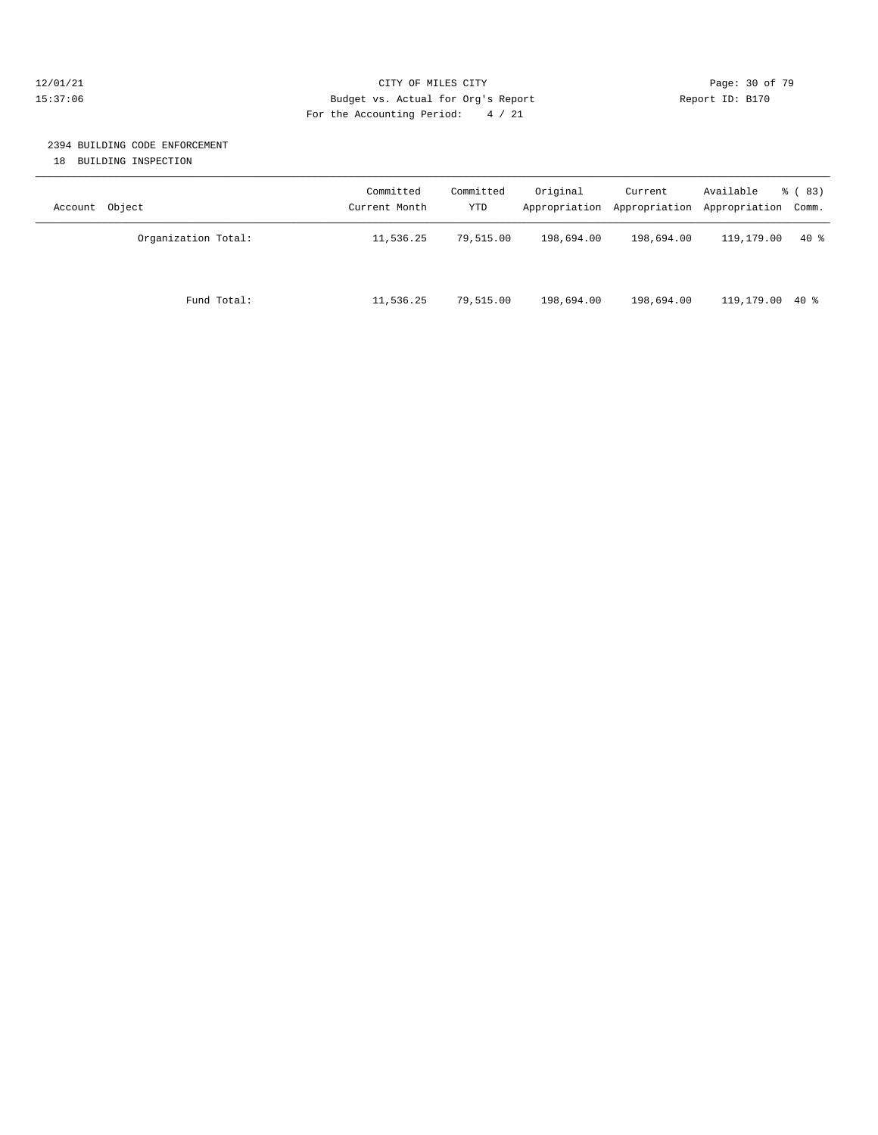### 12/01/21 **Page: 30 of 79** CITY OF MILES CITY **CITY** Page: 30 of 79 15:37:06 Budget vs. Actual for Org's Report Report ID: B170 For the Accounting Period: 4 / 21

### 2394 BUILDING CODE ENFORCEMENT

18 BUILDING INSPECTION

| Object<br>Account   | Committed<br>Current Month | Committed<br>YTD | Original   | Current<br>Appropriation Appropriation | Available<br>Appropriation Comm. | 8 (83) |
|---------------------|----------------------------|------------------|------------|----------------------------------------|----------------------------------|--------|
| Organization Total: | 11,536.25                  | 79,515.00        | 198,694.00 | 198,694.00                             | 119,179.00                       | $40*$  |
| Fund Total:         | 11,536.25                  | 79,515.00        | 198,694.00 | 198,694.00                             | 119,179.00 40 %                  |        |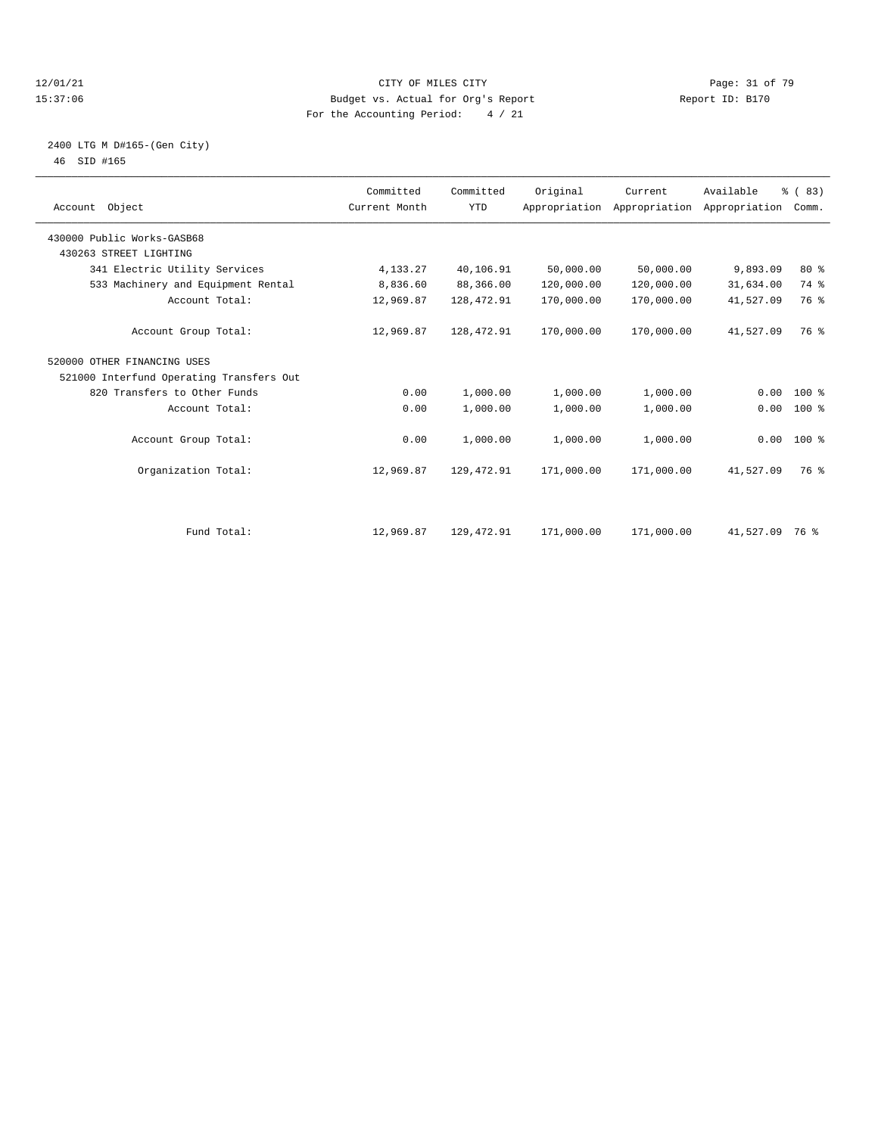### 12/01/21 Page: 31 of 79<br>15:37:06 Pudget vs. Actual for Org's Report Report TD: B170 15:37:06 Budget vs. Actual for Org's Report For the Accounting Period: 4 / 21

### 2400 LTG M D#165-(Gen City) 46 SID #165

| Account Object                           | Committed<br>Current Month | Committed<br><b>YTD</b> | Original   | Current<br>Appropriation Appropriation Appropriation | Available | % (83)<br>Comm. |  |
|------------------------------------------|----------------------------|-------------------------|------------|------------------------------------------------------|-----------|-----------------|--|
| 430000 Public Works-GASB68               |                            |                         |            |                                                      |           |                 |  |
| 430263 STREET LIGHTING                   |                            |                         |            |                                                      |           |                 |  |
| 341 Electric Utility Services            | 4,133.27                   | 40,106.91               | 50,000.00  | 50,000.00                                            | 9,893.09  | $80*$           |  |
| 533 Machinery and Equipment Rental       | 8,836.60                   | 88,366.00               | 120,000.00 | 120,000.00                                           | 31,634.00 | 74 %            |  |
| Account Total:                           | 12,969.87                  | 128, 472.91             | 170,000.00 | 170,000.00                                           | 41,527.09 | 76 %            |  |
| Account Group Total:                     | 12,969.87                  | 128,472.91              | 170,000.00 | 170,000.00                                           | 41,527.09 | 76 %            |  |
| 520000 OTHER FINANCING USES              |                            |                         |            |                                                      |           |                 |  |
| 521000 Interfund Operating Transfers Out |                            |                         |            |                                                      |           |                 |  |
| 820 Transfers to Other Funds             | 0.00                       | 1,000.00                | 1,000.00   | 1,000.00                                             | 0.00      | $100*$          |  |
| Account Total:                           | 0.00                       | 1,000.00                | 1,000.00   | 1,000.00                                             | 0.00      | $100*$          |  |
| Account Group Total:                     | 0.00                       | 1,000.00                | 1,000.00   | 1,000.00                                             |           | $0.00 100$ %    |  |
| Organization Total:                      | 12,969.87                  | 129,472.91              | 171,000.00 | 171,000.00                                           | 41,527.09 | 76 %            |  |
| Fund Total:                              | 12,969.87                  | 129, 472.91             | 171,000.00 | 171,000.00                                           | 41,527.09 | 76 %            |  |
|                                          |                            |                         |            |                                                      |           |                 |  |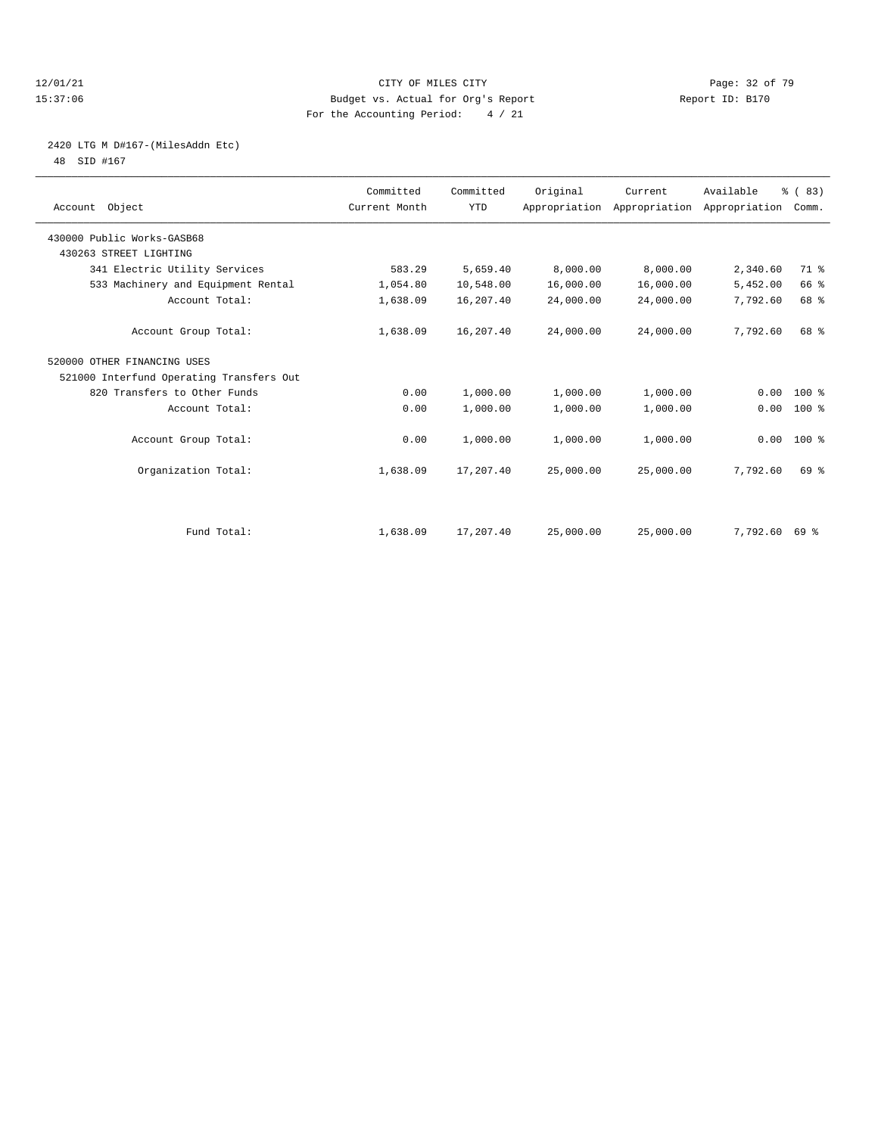### 12/01/21 Page: 32 of 79<br>15:37:06 Pudget vs. Actual for Org's Report Page: 32 of 79<br>15:37:06 Pudget vs. Actual for Org's Report Page: 22 of 79 15:37:06 Budget vs. Actual for Org's Report For the Accounting Period: 4 / 21

# 2420 LTG M D#167-(MilesAddn Etc)

48 SID #167

| Account Object                           | Committed<br>Current Month | Committed<br><b>YTD</b> | Original  | Current<br>Appropriation Appropriation Appropriation | Available | % (83)<br>Comm. |  |
|------------------------------------------|----------------------------|-------------------------|-----------|------------------------------------------------------|-----------|-----------------|--|
| 430000 Public Works-GASB68               |                            |                         |           |                                                      |           |                 |  |
| 430263 STREET LIGHTING                   |                            |                         |           |                                                      |           |                 |  |
| 341 Electric Utility Services            | 583.29                     | 5,659.40                | 8,000.00  | 8,000.00                                             | 2,340.60  | 71 %            |  |
| 533 Machinery and Equipment Rental       | 1,054.80                   | 10,548.00               | 16,000.00 | 16,000.00                                            | 5,452.00  | 66 %            |  |
| Account Total:                           | 1,638.09                   | 16,207.40               | 24,000.00 | 24,000.00                                            | 7,792.60  | 68 %            |  |
| Account Group Total:                     | 1,638.09                   | 16,207.40               | 24,000.00 | 24,000.00                                            | 7,792.60  | 68 %            |  |
| 520000 OTHER FINANCING USES              |                            |                         |           |                                                      |           |                 |  |
| 521000 Interfund Operating Transfers Out |                            |                         |           |                                                      |           |                 |  |
| 820 Transfers to Other Funds             | 0.00                       | 1,000.00                | 1,000.00  | 1,000.00                                             | 0.00      | $100*$          |  |
| Account Total:                           | 0.00                       | 1,000.00                | 1,000.00  | 1,000.00                                             | 0.00      | $100*$          |  |
| Account Group Total:                     | 0.00                       | 1,000.00                | 1,000.00  | 1,000.00                                             | 0.00      | $100*$          |  |
| Organization Total:                      | 1,638.09                   | 17,207.40               | 25,000.00 | 25,000.00                                            | 7,792.60  | 69 %            |  |
|                                          |                            |                         |           |                                                      |           |                 |  |
| Fund Total:                              | 1,638.09                   | 17,207.40               | 25,000.00 | 25,000.00                                            | 7,792.60  | 69 %            |  |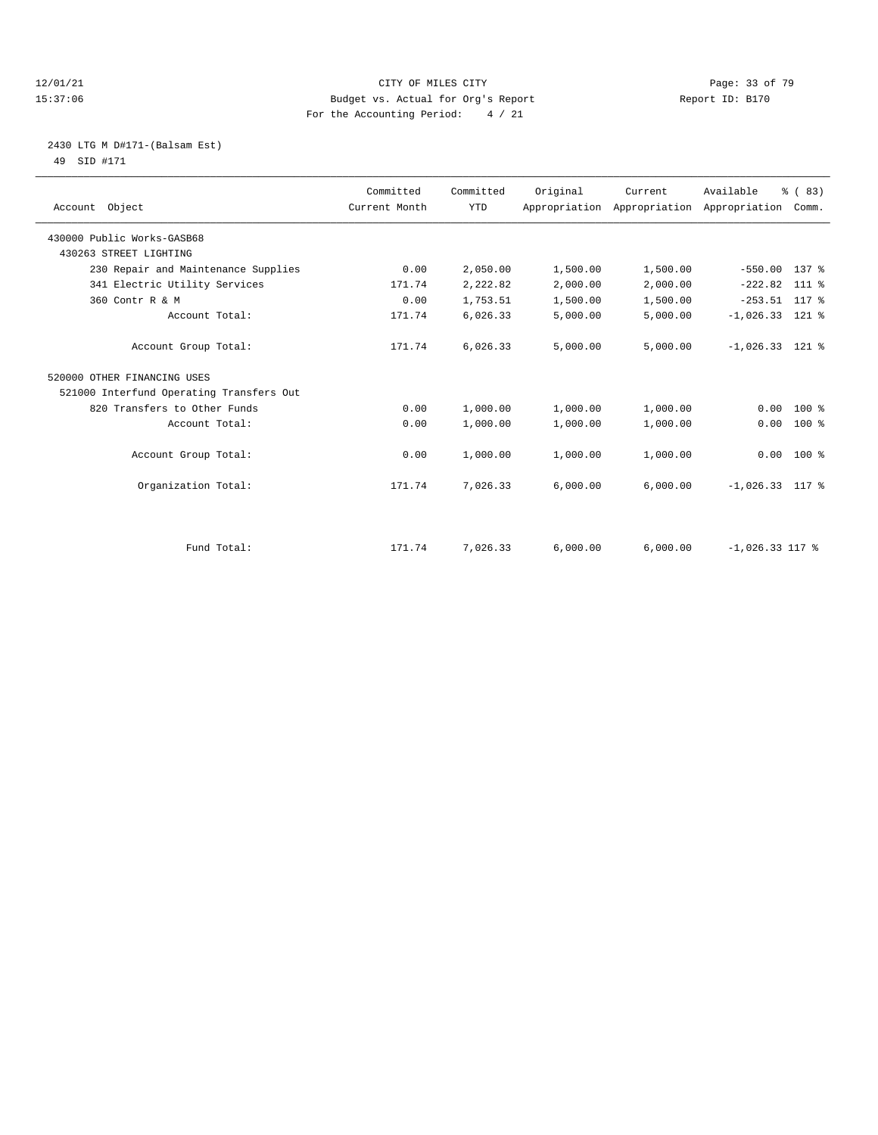### 12/01/21 Page: 33 of 79<br>15:37:06 Pudget vs. Actual for Org's Report Report Report ID: B170 15:37:06 Budget vs. Actual for Org's Report For the Accounting Period: 4 / 21

### 2430 LTG M D#171-(Balsam Est) 49 SID #171

| Account Object                           | Committed<br>Current Month | Committed<br><b>YTD</b> | Original | Current  | Available<br>Appropriation Appropriation Appropriation Comm. | % (83)       |
|------------------------------------------|----------------------------|-------------------------|----------|----------|--------------------------------------------------------------|--------------|
| 430000 Public Works-GASB68               |                            |                         |          |          |                                                              |              |
| 430263 STREET LIGHTING                   |                            |                         |          |          |                                                              |              |
| 230 Repair and Maintenance Supplies      | 0.00                       | 2,050.00                | 1,500.00 | 1,500.00 | $-550.00$                                                    | 137 %        |
| 341 Electric Utility Services            | 171.74                     | 2,222.82                | 2,000.00 | 2,000.00 | $-222.82$                                                    | $111*$       |
| 360 Contr R & M                          | 0.00                       | 1,753.51                | 1,500.00 | 1,500.00 | $-253.51$ 117 %                                              |              |
| Account Total:                           | 171.74                     | 6,026.33                | 5,000.00 | 5,000.00 | $-1,026.33$ 121 %                                            |              |
| Account Group Total:                     | 171.74                     | 6,026.33                | 5,000.00 | 5,000.00 | $-1,026.33$ 121 %                                            |              |
| 520000 OTHER FINANCING USES              |                            |                         |          |          |                                                              |              |
| 521000 Interfund Operating Transfers Out |                            |                         |          |          |                                                              |              |
| 820 Transfers to Other Funds             | 0.00                       | 1,000.00                | 1,000.00 | 1,000.00 | 0.00                                                         | $100*$       |
| Account Total:                           | 0.00                       | 1,000.00                | 1,000.00 | 1,000.00 | 0.00                                                         | $100*$       |
| Account Group Total:                     | 0.00                       | 1,000.00                | 1,000.00 | 1,000.00 |                                                              | $0.00 100$ % |
| Organization Total:                      | 171.74                     | 7,026.33                | 6.000.00 | 6,000.00 | $-1,026.33$ 117 %                                            |              |
|                                          |                            |                         |          |          |                                                              |              |
| Fund Total:                              | 171.74                     | 7,026.33                | 6,000.00 | 6,000.00 | $-1,026.33$ 117 %                                            |              |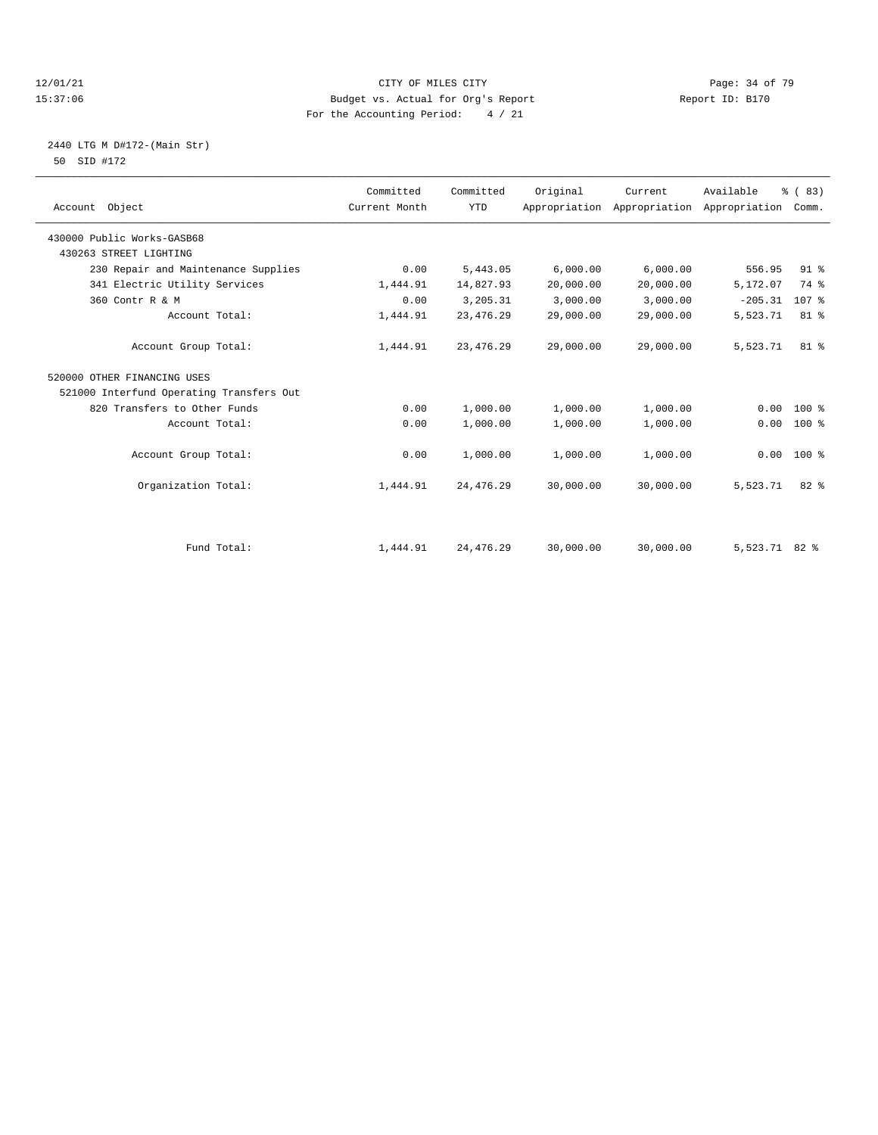### 12/01/21 Page: 34 of 79<br>15:37:06 Pudget vs. Actual for Org's Report Report Report ID: B170 15:37:06 Budget vs. Actual for Org's Report For the Accounting Period: 4 / 21

### 2440 LTG M D#172-(Main Str) 50 SID #172

| Account Object                           | Committed<br>Current Month | Committed<br><b>YTD</b> | Original  | Current   | Available<br>Appropriation Appropriation Appropriation Comm. | % (83)          |
|------------------------------------------|----------------------------|-------------------------|-----------|-----------|--------------------------------------------------------------|-----------------|
| 430000 Public Works-GASB68               |                            |                         |           |           |                                                              |                 |
| 430263 STREET LIGHTING                   |                            |                         |           |           |                                                              |                 |
| 230 Repair and Maintenance Supplies      | 0.00                       | 5,443.05                | 6,000.00  | 6,000.00  | 556.95                                                       | 91 <sup>°</sup> |
| 341 Electric Utility Services            | 1,444.91                   | 14,827.93               | 20,000.00 | 20,000.00 | 5,172.07                                                     | 74 %            |
| 360 Contr R & M                          | 0.00                       | 3,205.31                | 3,000.00  | 3,000.00  | $-205.31$                                                    | 107 %           |
| Account Total:                           | 1,444.91                   | 23, 476.29              | 29,000.00 | 29,000.00 | 5,523.71                                                     | 81 %            |
| Account Group Total:                     | 1,444.91                   | 23, 476.29              | 29,000.00 | 29,000.00 | 5,523.71                                                     | 81 %            |
| 520000 OTHER FINANCING USES              |                            |                         |           |           |                                                              |                 |
| 521000 Interfund Operating Transfers Out |                            |                         |           |           |                                                              |                 |
| 820 Transfers to Other Funds             | 0.00                       | 1,000.00                | 1,000.00  | 1,000.00  | 0.00                                                         | $100*$          |
| Account Total:                           | 0.00                       | 1,000.00                | 1,000.00  | 1,000.00  | 0.00                                                         | $100*$          |
| Account Group Total:                     | 0.00                       | 1,000.00                | 1,000.00  | 1,000.00  | 0.00                                                         | $100*$          |
| Organization Total:                      | 1,444.91                   | 24, 476.29              | 30,000.00 | 30,000.00 | 5,523.71                                                     | $82*$           |
|                                          |                            |                         |           |           |                                                              |                 |
| Fund Total:                              | 1,444.91                   | 24, 476.29              | 30,000.00 | 30,000.00 | 5,523.71 82 %                                                |                 |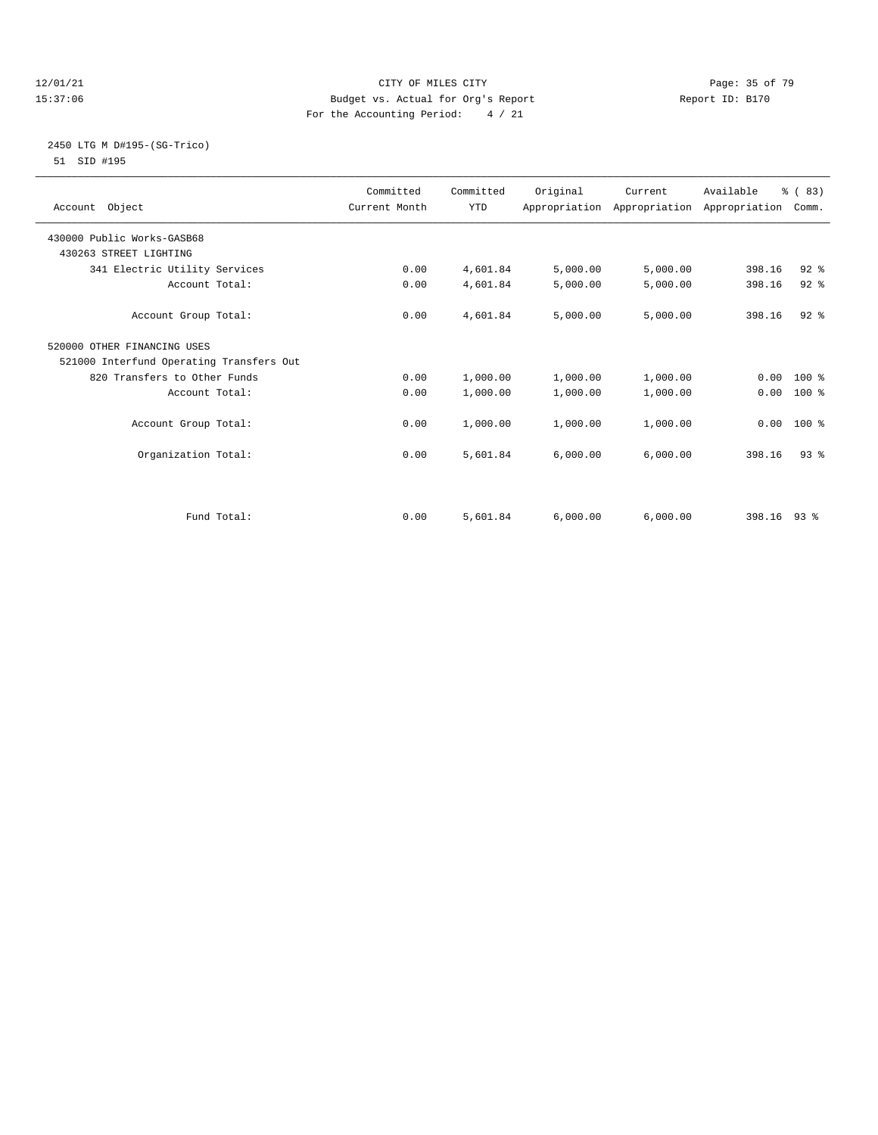### 12/01/21 Page: 35 of 79<br>15:37:06 Pudget vs. Actual for Org's Report Page: 35 of 79<br>15:37:06 Pudget vs. Actual for Org's Report Page: 25 of 79 15:37:06 Budget vs. Actual for Org's Report For the Accounting Period: 4 / 21

### 2450 LTG M D#195-(SG-Trico) 51 SID #195

| Account Object                           | Committed<br>Current Month | Committed<br><b>YTD</b> | Original | Current<br>Appropriation Appropriation Appropriation Comm. | Available   | % (83)       |  |
|------------------------------------------|----------------------------|-------------------------|----------|------------------------------------------------------------|-------------|--------------|--|
| 430000 Public Works-GASB68               |                            |                         |          |                                                            |             |              |  |
| 430263 STREET LIGHTING                   |                            |                         |          |                                                            |             |              |  |
| 341 Electric Utility Services            | 0.00                       | 4,601.84                | 5,000.00 | 5,000.00                                                   | 398.16      | $92$ $%$     |  |
| Account Total:                           | 0.00                       | 4,601.84                | 5,000.00 | 5,000.00                                                   | 398.16      | 92%          |  |
| Account Group Total:                     | 0.00                       | 4,601.84                | 5,000.00 | 5,000.00                                                   | 398.16      | $92$ $%$     |  |
| 520000 OTHER FINANCING USES              |                            |                         |          |                                                            |             |              |  |
| 521000 Interfund Operating Transfers Out |                            |                         |          |                                                            |             |              |  |
| 820 Transfers to Other Funds             | 0.00                       | 1,000.00                | 1,000.00 | 1,000.00                                                   |             | $0.00 100$ % |  |
| Account Total:                           | 0.00                       | 1,000.00                | 1,000.00 | 1,000.00                                                   | 0.00        | $100*$       |  |
|                                          |                            |                         |          |                                                            |             |              |  |
| Account Group Total:                     | 0.00                       | 1,000.00                | 1,000.00 | 1,000.00                                                   | 0.00        | 100 %        |  |
|                                          |                            |                         |          |                                                            |             |              |  |
| Organization Total:                      | 0.00                       | 5,601.84                | 6,000.00 | 6,000.00                                                   | 398.16      | $93$ $%$     |  |
|                                          |                            |                         |          |                                                            |             |              |  |
| Fund Total:                              | 0.00                       | 5,601.84                | 6,000.00 | 6,000.00                                                   | 398.16 93 % |              |  |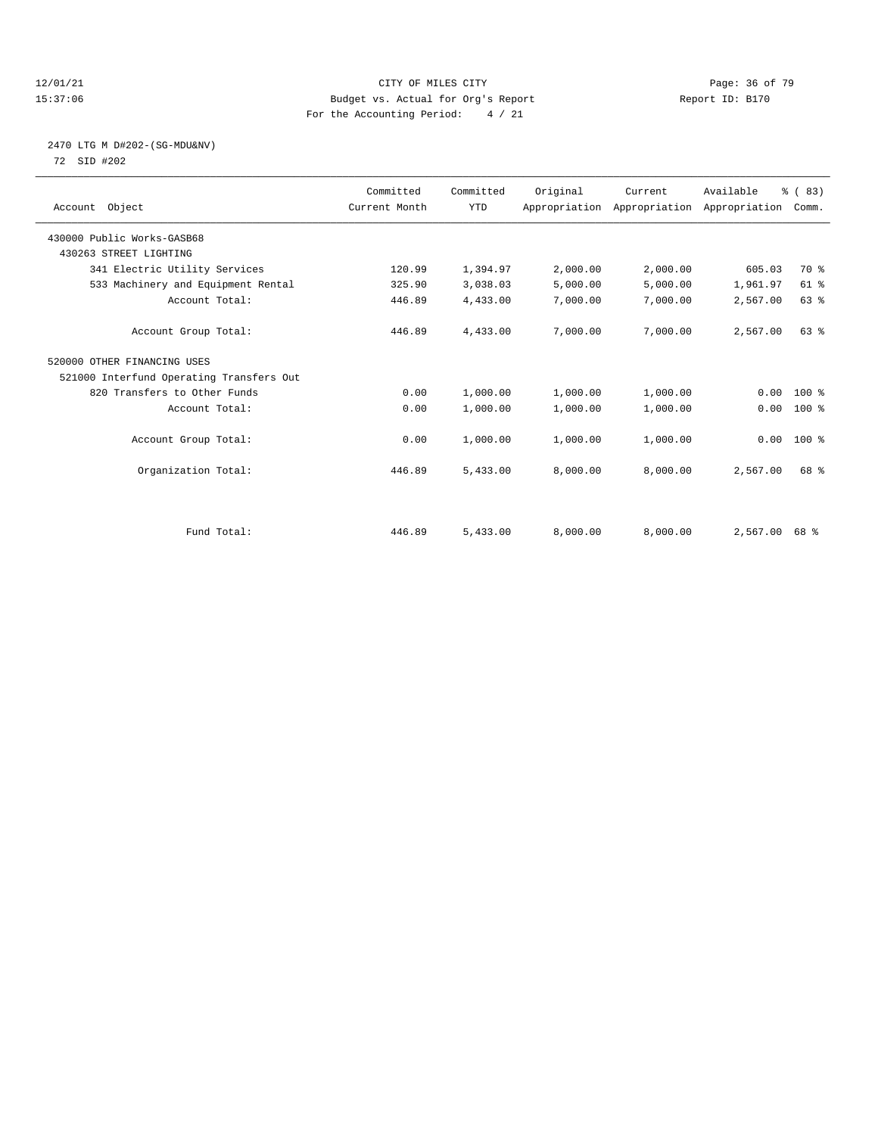### 12/01/21 Page: 36 of 79<br>15:37:06 Pudget vs. Actual for Org's Report Report Report ID: B170 15:37:06 Budget vs. Actual for Org's Report For the Accounting Period: 4 / 21

### 2470 LTG M D#202-(SG-MDU&NV) 72 SID #202

| Account Object                           | Committed<br>Current Month | Committed<br><b>YTD</b> | Original | Current<br>Appropriation Appropriation Appropriation | Available | % (83)<br>Comm. |  |
|------------------------------------------|----------------------------|-------------------------|----------|------------------------------------------------------|-----------|-----------------|--|
| 430000 Public Works-GASB68               |                            |                         |          |                                                      |           |                 |  |
| 430263 STREET LIGHTING                   |                            |                         |          |                                                      |           |                 |  |
| 341 Electric Utility Services            | 120.99                     | 1,394.97                | 2,000.00 | 2,000.00                                             | 605.03    | 70 %            |  |
| 533 Machinery and Equipment Rental       | 325.90                     | 3,038.03                | 5,000.00 | 5,000.00                                             | 1,961.97  | 61 %            |  |
| Account Total:                           | 446.89                     | 4,433.00                | 7,000.00 | 7,000.00                                             | 2,567.00  | 63 %            |  |
| Account Group Total:                     | 446.89                     | 4,433.00                | 7,000.00 | 7,000.00                                             | 2,567.00  | 63%             |  |
| 520000 OTHER FINANCING USES              |                            |                         |          |                                                      |           |                 |  |
| 521000 Interfund Operating Transfers Out |                            |                         |          |                                                      |           |                 |  |
| 820 Transfers to Other Funds             | 0.00                       | 1,000.00                | 1,000.00 | 1,000.00                                             | 0.00      | $100*$          |  |
| Account Total:                           | 0.00                       | 1,000.00                | 1,000.00 | 1,000.00                                             | 0.00      | $100*$          |  |
| Account Group Total:                     | 0.00                       | 1,000.00                | 1,000.00 | 1,000.00                                             |           | $0.00$ 100 %    |  |
| Organization Total:                      | 446.89                     | 5,433.00                | 8,000.00 | 8,000.00                                             | 2,567.00  | 68 %            |  |
|                                          |                            |                         |          |                                                      |           |                 |  |
| Fund Total:                              | 446.89                     | 5,433.00                | 8,000.00 | 8,000.00                                             | 2,567.00  | 68 %            |  |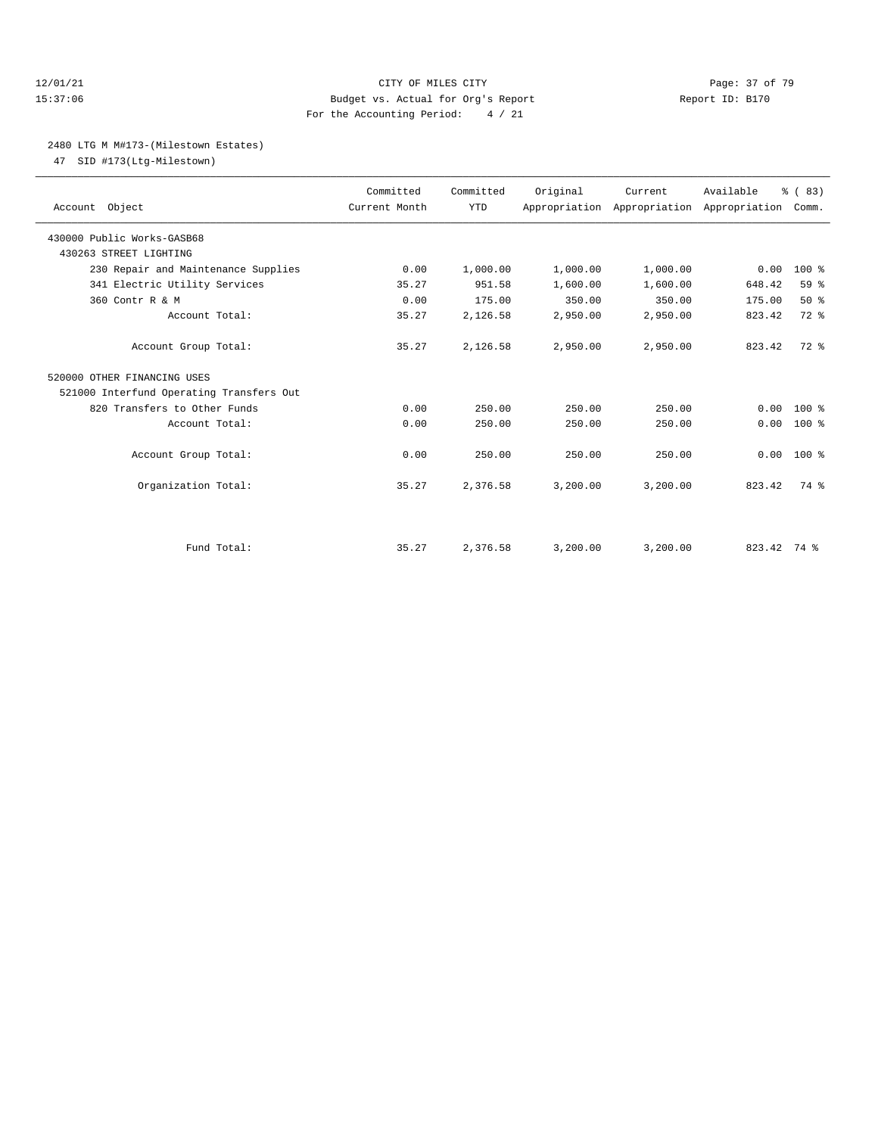## 12/01/21 Page: 37 of 79 15:37:06 Budget vs. Actual for Org's Report Report ID: B170 For the Accounting Period: 4 / 21

## 2480 LTG M M#173-(Milestown Estates)

47 SID #173(Ltg-Milestown)

| Account Object                           | Committed<br>Current Month | Committed<br><b>YTD</b> | Original | Current  | Available<br>Appropriation Appropriation Appropriation Comm. | % (83)       |  |
|------------------------------------------|----------------------------|-------------------------|----------|----------|--------------------------------------------------------------|--------------|--|
| 430000 Public Works-GASB68               |                            |                         |          |          |                                                              |              |  |
| 430263 STREET LIGHTING                   |                            |                         |          |          |                                                              |              |  |
| 230 Repair and Maintenance Supplies      | 0.00                       | 1,000.00                | 1,000.00 | 1,000.00 | 0.00                                                         | 100 %        |  |
| 341 Electric Utility Services            | 35.27                      | 951.58                  | 1,600.00 | 1,600.00 | 648.42                                                       | 59 %         |  |
| 360 Contr R & M                          | 0.00                       | 175.00                  | 350.00   | 350.00   | 175.00                                                       | 50%          |  |
| Account Total:                           | 35.27                      | 2,126.58                | 2,950.00 | 2,950.00 | 823.42                                                       | $72$ $%$     |  |
| Account Group Total:                     | 35.27                      | 2,126.58                | 2,950.00 | 2,950.00 | 823.42                                                       | $72$ $%$     |  |
| 520000 OTHER FINANCING USES              |                            |                         |          |          |                                                              |              |  |
| 521000 Interfund Operating Transfers Out |                            |                         |          |          |                                                              |              |  |
| 820 Transfers to Other Funds             | 0.00                       | 250.00                  | 250.00   | 250.00   | 0.00                                                         | $100*$       |  |
| Account Total:                           | 0.00                       | 250.00                  | 250.00   | 250.00   | 0.00                                                         | $100*$       |  |
| Account Group Total:                     | 0.00                       | 250.00                  | 250.00   | 250.00   |                                                              | $0.00 100$ % |  |
| Organization Total:                      | 35.27                      | 2,376.58                | 3,200.00 | 3,200.00 | 823.42                                                       | 74 %         |  |
|                                          |                            |                         |          |          |                                                              |              |  |
| Fund Total:                              | 35.27                      | 2,376.58                | 3,200.00 | 3,200.00 | 823.42 74 %                                                  |              |  |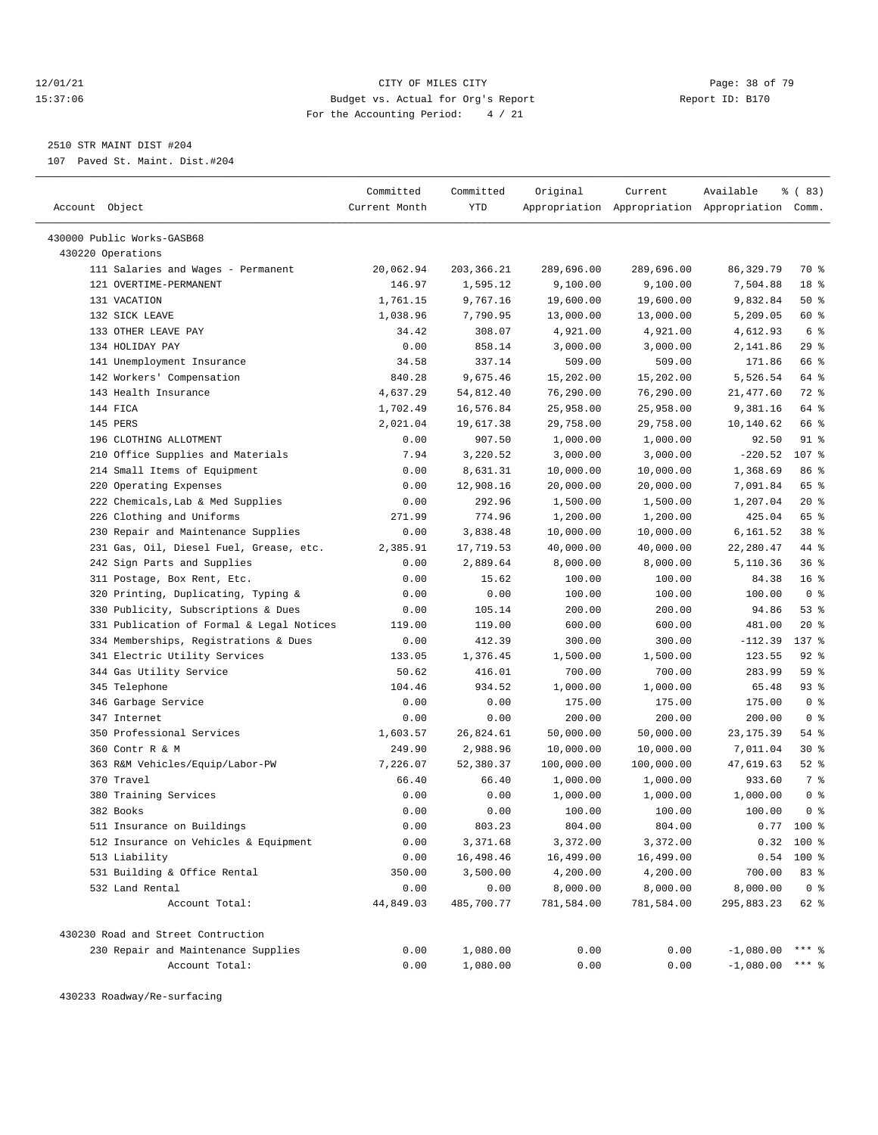## 12/01/21 **CITY OF MILES CITY CITY CITY Page: 38 of 79** 15:37:06 Budget vs. Actual for Org's Report Report ID: B170 For the Accounting Period: 4 / 21

————————————————————————————————————————————————————————————————————————————————————————————————————————————————————————————————————

2510 STR MAINT DIST #204

107 Paved St. Maint. Dist.#204

|                                                        | Committed     | Committed           | Original               | Current    | Available                                       | % (83)          |
|--------------------------------------------------------|---------------|---------------------|------------------------|------------|-------------------------------------------------|-----------------|
| Account Object                                         | Current Month | YTD                 |                        |            | Appropriation Appropriation Appropriation Comm. |                 |
|                                                        |               |                     |                        |            |                                                 |                 |
| 430000 Public Works-GASB68<br>430220 Operations        |               |                     |                        |            |                                                 |                 |
| 111 Salaries and Wages - Permanent                     | 20,062.94     | 203, 366.21         | 289,696.00             | 289,696.00 | 86, 329.79                                      | 70 %            |
| 121 OVERTIME-PERMANENT                                 | 146.97        | 1,595.12            | 9,100.00               | 9,100.00   | 7,504.88                                        | 18 %            |
| 131 VACATION                                           | 1,761.15      | 9,767.16            | 19,600.00              | 19,600.00  | 9,832.84                                        | 50%             |
| 132 SICK LEAVE                                         | 1,038.96      | 7,790.95            | 13,000.00              | 13,000.00  | 5,209.05                                        | 60 %            |
| 133 OTHER LEAVE PAY                                    | 34.42         | 308.07              | 4,921.00               | 4,921.00   | 4,612.93                                        | 6 %             |
| 134 HOLIDAY PAY                                        | 0.00          | 858.14              | 3,000.00               | 3,000.00   | 2,141.86                                        | 29%             |
| 141 Unemployment Insurance                             | 34.58         | 337.14              | 509.00                 | 509.00     | 171.86                                          | 66 %            |
| 142 Workers' Compensation                              | 840.28        | 9,675.46            | 15,202.00              | 15,202.00  | 5,526.54                                        | 64 %            |
| 143 Health Insurance                                   | 4,637.29      | 54,812.40           | 76,290.00              | 76,290.00  | 21,477.60                                       | 72 %            |
| 144 FICA                                               | 1,702.49      | 16,576.84           | 25,958.00              | 25,958.00  | 9,381.16                                        | 64 %            |
| 145 PERS                                               | 2,021.04      | 19,617.38           | 29,758.00              | 29,758.00  | 10,140.62                                       | 66 %            |
| 196 CLOTHING ALLOTMENT                                 | 0.00          | 907.50              | 1,000.00               | 1,000.00   | 92.50                                           | $91$ %          |
| 210 Office Supplies and Materials                      | 7.94          | 3,220.52            |                        | 3,000.00   | $-220.52$                                       | 107 %           |
|                                                        |               |                     | 3,000.00               |            |                                                 | 86 %            |
| 214 Small Items of Equipment<br>220 Operating Expenses | 0.00<br>0.00  | 8,631.31            | 10,000.00<br>20,000.00 | 10,000.00  | 1,368.69<br>7,091.84                            | 65 %            |
|                                                        |               | 12,908.16<br>292.96 |                        | 20,000.00  |                                                 | $20*$           |
| 222 Chemicals, Lab & Med Supplies                      | 0.00          |                     | 1,500.00               | 1,500.00   | 1,207.04                                        | 65 %            |
| 226 Clothing and Uniforms                              | 271.99        | 774.96              | 1,200.00               | 1,200.00   | 425.04                                          |                 |
| 230 Repair and Maintenance Supplies                    | 0.00          | 3,838.48            | 10,000.00              | 10,000.00  | 6,161.52                                        | 38 %            |
| 231 Gas, Oil, Diesel Fuel, Grease, etc.                | 2,385.91      | 17,719.53           | 40,000.00              | 40,000.00  | 22,280.47                                       | 44 %<br>36%     |
| 242 Sign Parts and Supplies                            | 0.00          | 2,889.64            | 8,000.00               | 8,000.00   | 5,110.36                                        |                 |
| 311 Postage, Box Rent, Etc.                            | 0.00          | 15.62               | 100.00                 | 100.00     | 84.38                                           | 16 <sup>8</sup> |
| 320 Printing, Duplicating, Typing &                    | 0.00          | 0.00                | 100.00                 | 100.00     | 100.00                                          | 0 <sup>8</sup>  |
| 330 Publicity, Subscriptions & Dues                    | 0.00          | 105.14              | 200.00                 | 200.00     | 94.86                                           | 53%             |
| 331 Publication of Formal & Legal Notices              | 119.00        | 119.00              | 600.00                 | 600.00     | 481.00                                          | $20*$           |
| 334 Memberships, Registrations & Dues                  | 0.00          | 412.39              | 300.00                 | 300.00     | $-112.39$                                       | 137 %           |
| 341 Electric Utility Services                          | 133.05        | 1,376.45            | 1,500.00               | 1,500.00   | 123.55                                          | $92$ $%$        |
| 344 Gas Utility Service                                | 50.62         | 416.01              | 700.00                 | 700.00     | 283.99                                          | 59%             |
| 345 Telephone                                          | 104.46        | 934.52              | 1,000.00               | 1,000.00   | 65.48                                           | $93$ $%$        |
| 346 Garbage Service                                    | 0.00          | 0.00                | 175.00                 | 175.00     | 175.00                                          | 0 <sup>8</sup>  |
| 347 Internet                                           | 0.00          | 0.00                | 200.00                 | 200.00     | 200.00                                          | 0 <sup>8</sup>  |
| 350 Professional Services                              | 1,603.57      | 26,824.61           | 50,000.00              | 50,000.00  | 23, 175.39                                      | 54 %            |
| 360 Contr R & M                                        | 249.90        | 2,988.96            | 10,000.00              | 10,000.00  | 7,011.04                                        | $30*$           |
| 363 R&M Vehicles/Equip/Labor-PW                        | 7,226.07      | 52,380.37           | 100,000.00             | 100,000.00 | 47,619.63                                       | $52$ $%$        |
| 370 Travel                                             | 66.40         | 66.40               | 1,000.00               | 1,000.00   | 933.60                                          | 7 %             |
| 380 Training Services                                  | 0.00          | 0.00                | 1,000.00               | 1,000.00   | 1,000.00                                        | 0 <sup>8</sup>  |
| 382 Books                                              | 0.00          | 0.00                | 100.00                 | 100.00     | 100.00                                          | 0 <sup>8</sup>  |
| 511 Insurance on Buildings                             | 0.00          | 803.23              | 804.00                 | 804.00     | 0.77                                            | $100*$          |
| 512 Insurance on Vehicles & Equipment                  | 0.00          | 3,371.68            | 3,372.00               | 3,372.00   |                                                 | $0.32$ 100 %    |
| 513 Liability                                          | 0.00          | 16,498.46           | 16,499.00              | 16,499.00  | 0.54                                            | 100 %           |
| 531 Building & Office Rental                           | 350.00        | 3,500.00            | 4,200.00               | 4,200.00   | 700.00                                          | 83 %            |
| 532 Land Rental                                        | 0.00          | 0.00                | 8,000.00               | 8,000.00   | 8,000.00                                        | 0 <sup>8</sup>  |
| Account Total:                                         | 44,849.03     | 485,700.77          | 781,584.00             | 781,584.00 | 295,883.23                                      | 62 %            |
| 430230 Road and Street Contruction                     |               |                     |                        |            |                                                 |                 |
| 230 Repair and Maintenance Supplies                    | 0.00          | 1,080.00            | 0.00                   | 0.00       | $-1,080.00$                                     | $***$ $%$       |
| Account Total:                                         | 0.00          | 1,080.00            | 0.00                   | 0.00       | $-1,080.00$ *** %                               |                 |

430233 Roadway/Re-surfacing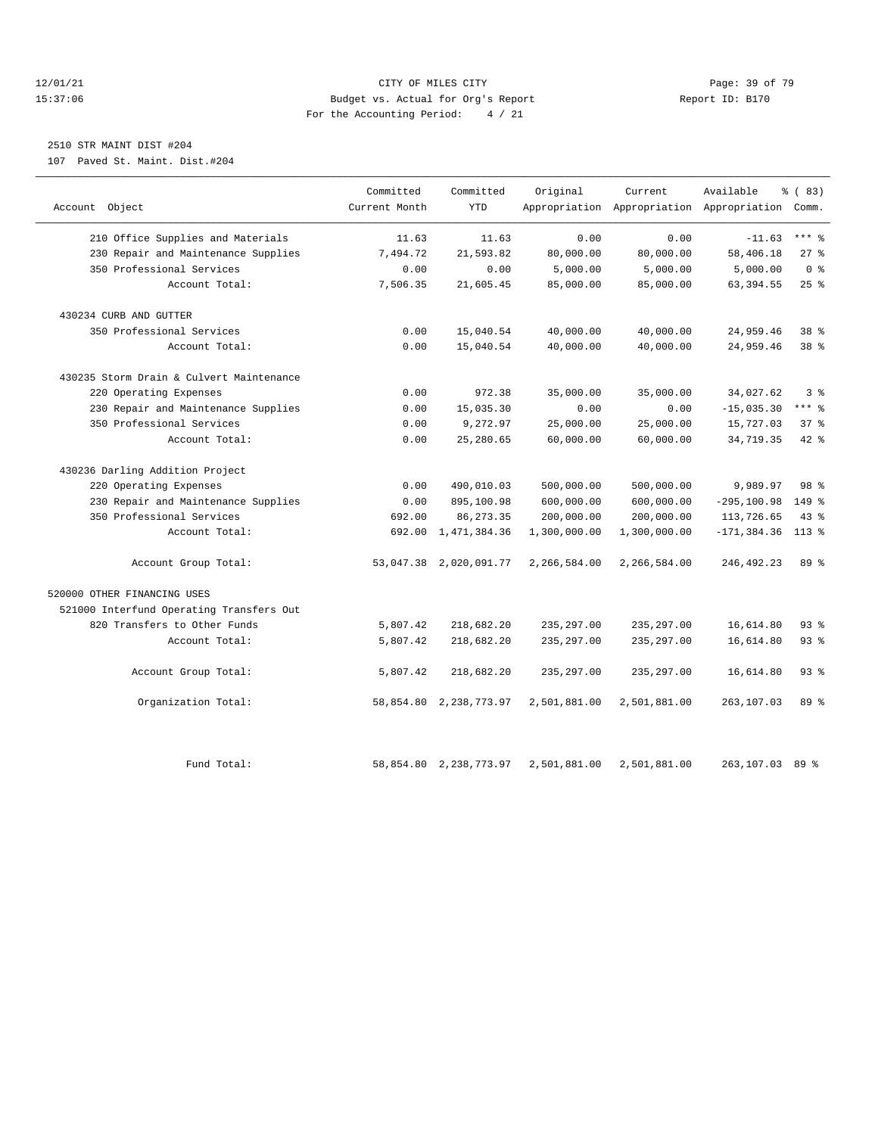## 12/01/21 Page: 39 of 79<br>
12/01/21 Page: 39 of 79<br>
Budget vs. Actual for Org's Report Physics (Report ID: B170 15:37:06 Budget vs. Actual for Org's Report For the Accounting Period: 4 / 21

# 2510 STR MAINT DIST #204

107 Paved St. Maint. Dist.#204

|                                          | Committed     | Committed              | Original     | Current      | Available                                       | % (83)          |
|------------------------------------------|---------------|------------------------|--------------|--------------|-------------------------------------------------|-----------------|
| Account Object                           | Current Month | <b>YTD</b>             |              |              | Appropriation Appropriation Appropriation Comm. |                 |
| 210 Office Supplies and Materials        | 11.63         | 11.63                  | 0.00         | 0.00         | $-11.63$                                        | $***$ 8         |
| 230 Repair and Maintenance Supplies      | 7,494.72      | 21,593.82              | 80,000.00    | 80,000.00    | 58,406.18                                       | 27%             |
| 350 Professional Services                | 0.00          | 0.00                   | 5,000.00     | 5,000.00     | 5,000.00                                        | 0 <sup>8</sup>  |
| Account Total:                           | 7,506.35      | 21,605.45              | 85,000.00    | 85,000.00    | 63, 394.55                                      | 25%             |
|                                          |               |                        |              |              |                                                 |                 |
| 430234 CURB AND GUTTER                   |               |                        |              |              |                                                 |                 |
| 350 Professional Services                | 0.00          | 15,040.54              | 40,000.00    | 40,000.00    | 24,959.46                                       | 38 <sup>8</sup> |
| Account Total:                           | 0.00          | 15,040.54              | 40,000.00    | 40,000.00    | 24,959.46                                       | 38 <sup>8</sup> |
| 430235 Storm Drain & Culvert Maintenance |               |                        |              |              |                                                 |                 |
| 220 Operating Expenses                   | 0.00          | 972.38                 | 35,000.00    | 35,000.00    | 34,027.62                                       | 3 <sup>8</sup>  |
| 230 Repair and Maintenance Supplies      | 0.00          | 15,035.30              | 0.00         | 0.00         | $-15,035.30$                                    | $***$ $%$       |
| 350 Professional Services                | 0.00          | 9,272.97               | 25,000.00    | 25,000.00    | 15,727.03                                       | 378             |
| Account Total:                           | 0.00          | 25, 280.65             | 60,000.00    | 60,000.00    | 34,719.35                                       | 42 %            |
| 430236 Darling Addition Project          |               |                        |              |              |                                                 |                 |
| 220 Operating Expenses                   | 0.00          | 490,010.03             | 500,000.00   | 500,000.00   | 9,989.97                                        | 98 %            |
| 230 Repair and Maintenance Supplies      | 0.00          | 895,100.98             | 600,000.00   | 600,000.00   | $-295, 100.98$                                  | $149$ %         |
| 350 Professional Services                | 692.00        | 86, 273.35             | 200,000.00   | 200,000.00   | 113,726.65                                      | 43.8            |
| Account Total:                           | 692.00        | 1,471,384.36           | 1,300,000.00 | 1,300,000.00 | $-171, 384.36$                                  | $113*$          |
| Account Group Total:                     |               | 53,047.38 2,020,091.77 | 2,266,584.00 | 2,266,584.00 | 246, 492.23                                     | $89*$           |
| 520000 OTHER FINANCING USES              |               |                        |              |              |                                                 |                 |
| 521000 Interfund Operating Transfers Out |               |                        |              |              |                                                 |                 |
| 820 Transfers to Other Funds             | 5,807.42      | 218,682.20             | 235, 297.00  | 235, 297.00  | 16,614.80                                       | 93%             |
| Account Total:                           | 5,807.42      | 218,682.20             | 235, 297.00  | 235, 297.00  | 16,614.80                                       | 93%             |
| Account Group Total:                     | 5,807.42      | 218,682.20             | 235, 297.00  | 235, 297.00  | 16,614.80                                       | 93%             |
| Organization Total:                      | 58,854.80     | 2, 238, 773.97         | 2,501,881.00 | 2,501,881.00 | 263,107.03                                      | 89 %            |
| Fund Total:                              |               | 58,854.80 2,238,773.97 | 2,501,881.00 | 2,501,881.00 | 263,107.03 89 %                                 |                 |
|                                          |               |                        |              |              |                                                 |                 |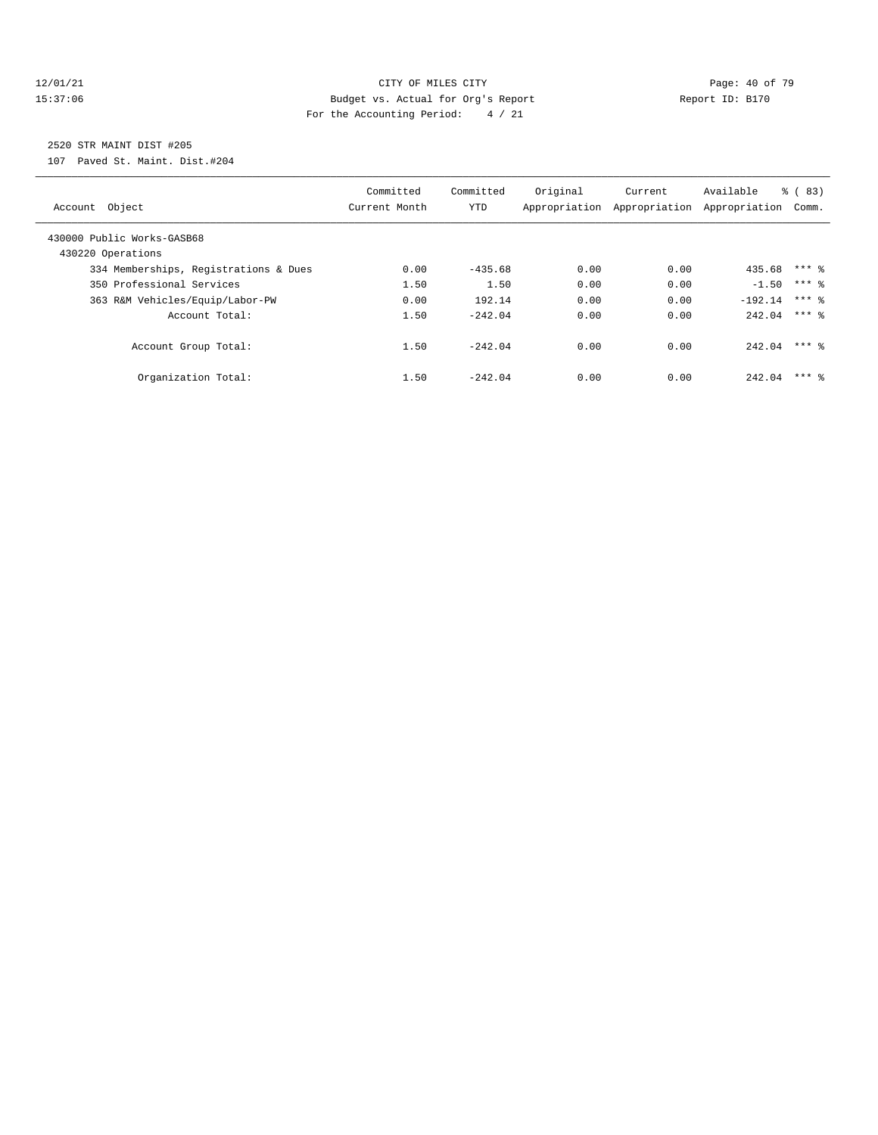## 12/01/21 **Page: 40 of 79** CITY OF MILES CITY **CITY** Page: 40 of 79 15:37:06 Budget vs. Actual for Org's Report Report ID: B170 For the Accounting Period: 4 / 21

# 2520 STR MAINT DIST #205

107 Paved St. Maint. Dist.#204

| Object<br>Account                               | Committed<br>Current Month | Committed<br>YTD | Original<br>Appropriation | Current<br>Appropriation | Available<br>Appropriation | $\frac{6}{6}$ (<br>83)<br>Comm. |
|-------------------------------------------------|----------------------------|------------------|---------------------------|--------------------------|----------------------------|---------------------------------|
| 430000 Public Works-GASB68<br>430220 Operations |                            |                  |                           |                          |                            |                                 |
| 334 Memberships, Registrations & Dues           | 0.00                       | $-435.68$        | 0.00                      | 0.00                     | 435.68 *** \$              |                                 |
| 350 Professional Services                       | 1.50                       | 1.50             | 0.00                      | 0.00                     | $-1.50$                    | $***$ 2                         |
| 363 R&M Vehicles/Equip/Labor-PW                 | 0.00                       | 192.14           | 0.00                      | 0.00                     | $-192.14$                  | $***$ 2                         |
| Account Total:                                  | 1.50                       | $-242.04$        | 0.00                      | 0.00                     | 242.04                     | $***$ 2                         |
| Account Group Total:                            | 1.50                       | $-242.04$        | 0.00                      | 0.00                     | 242.04                     | $***$ 2                         |
| Organization Total:                             | 1.50                       | $-242.04$        | 0.00                      | 0.00                     | 242.04                     | $***$ 2                         |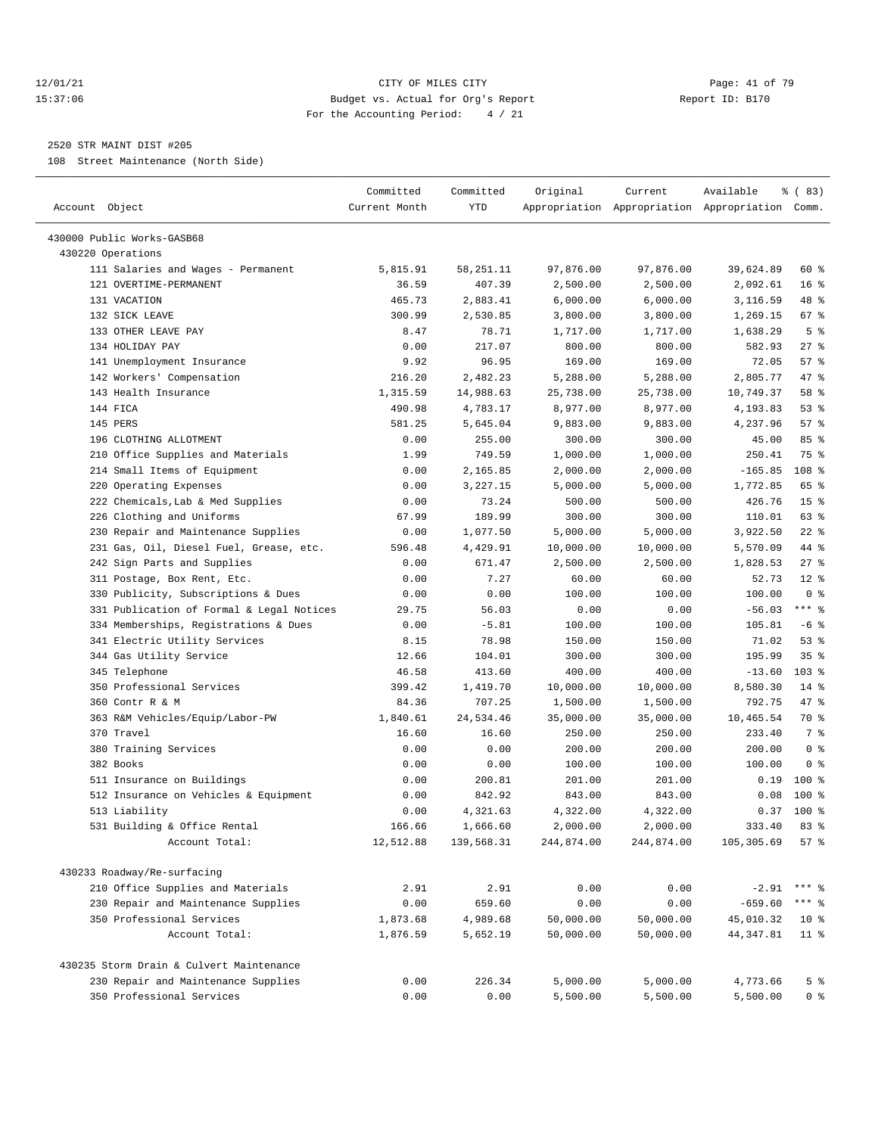## 12/01/21 **Page: 41 of 79** CITY OF MILES CITY **CITY** Page: 41 of 79 15:37:06 Budget vs. Actual for Org's Report Report ID: B170 For the Accounting Period: 4 / 21

————————————————————————————————————————————————————————————————————————————————————————————————————————————————————————————————————

#### 2520 STR MAINT DIST #205

108 Street Maintenance (North Side)

| Account Object                            | Committed<br>Current Month | Committed<br>YTD | Original   | Current    | Available<br>Appropriation Appropriation Appropriation Comm. | % (83)          |
|-------------------------------------------|----------------------------|------------------|------------|------------|--------------------------------------------------------------|-----------------|
| 430000 Public Works-GASB68                |                            |                  |            |            |                                                              |                 |
| 430220 Operations                         |                            |                  |            |            |                                                              |                 |
| 111 Salaries and Wages - Permanent        | 5,815.91                   | 58, 251.11       | 97,876.00  | 97,876.00  | 39,624.89                                                    | 60 %            |
| 121 OVERTIME-PERMANENT                    | 36.59                      | 407.39           | 2,500.00   | 2,500.00   | 2,092.61                                                     | 16 <sup>°</sup> |
| 131 VACATION                              | 465.73                     | 2,883.41         | 6,000.00   | 6,000.00   | 3,116.59                                                     | 48 %            |
| 132 SICK LEAVE                            | 300.99                     | 2,530.85         | 3,800.00   | 3,800.00   | 1,269.15                                                     | 67%             |
| 133 OTHER LEAVE PAY                       | 8.47                       | 78.71            | 1,717.00   | 1,717.00   | 1,638.29                                                     | 5 <sup>8</sup>  |
| 134 HOLIDAY PAY                           | 0.00                       | 217.07           | 800.00     | 800.00     | 582.93                                                       | 27%             |
| 141 Unemployment Insurance                | 9.92                       | 96.95            | 169.00     | 169.00     | 72.05                                                        | 57%             |
| 142 Workers' Compensation                 | 216.20                     | 2,482.23         | 5,288.00   | 5,288.00   | 2,805.77                                                     | 47 %            |
| 143 Health Insurance                      | 1,315.59                   | 14,988.63        | 25,738.00  | 25,738.00  | 10,749.37                                                    | 58 %            |
| 144 FICA                                  | 490.98                     | 4,783.17         | 8,977.00   | 8,977.00   | 4,193.83                                                     | $53$ $%$        |
| 145 PERS                                  | 581.25                     | 5,645.04         | 9,883.00   | 9,883.00   | 4,237.96                                                     | 57%             |
| 196 CLOTHING ALLOTMENT                    | 0.00                       | 255.00           | 300.00     | 300.00     | 45.00                                                        | 85%             |
| 210 Office Supplies and Materials         | 1.99                       | 749.59           | 1,000.00   | 1,000.00   | 250.41                                                       | 75 %            |
| 214 Small Items of Equipment              | 0.00                       | 2,165.85         | 2,000.00   | 2,000.00   | $-165.85$                                                    | 108 %           |
| 220 Operating Expenses                    | 0.00                       | 3,227.15         | 5,000.00   | 5,000.00   | 1,772.85                                                     | 65 %            |
| 222 Chemicals, Lab & Med Supplies         | 0.00                       | 73.24            | 500.00     | 500.00     | 426.76                                                       | 15 <sup>°</sup> |
| 226 Clothing and Uniforms                 | 67.99                      | 189.99           | 300.00     | 300.00     | 110.01                                                       | 63 %            |
| 230 Repair and Maintenance Supplies       | 0.00                       | 1,077.50         | 5,000.00   | 5,000.00   | 3,922.50                                                     | $22$ %          |
| 231 Gas, Oil, Diesel Fuel, Grease, etc.   | 596.48                     | 4,429.91         | 10,000.00  | 10,000.00  | 5,570.09                                                     | 44 %            |
| 242 Sign Parts and Supplies               | 0.00                       | 671.47           | 2,500.00   | 2,500.00   | 1,828.53                                                     | $27$ %          |
| 311 Postage, Box Rent, Etc.               | 0.00                       | 7.27             | 60.00      | 60.00      | 52.73                                                        | $12*$           |
| 330 Publicity, Subscriptions & Dues       | 0.00                       | 0.00             | 100.00     | 100.00     | 100.00                                                       | 0 <sup>8</sup>  |
| 331 Publication of Formal & Legal Notices | 29.75                      | 56.03            | 0.00       | 0.00       | $-56.03$                                                     | $***$ $%$       |
| 334 Memberships, Registrations & Dues     | 0.00                       | $-5.81$          | 100.00     | 100.00     | 105.81                                                       | $-6$ %          |
| 341 Electric Utility Services             | 8.15                       | 78.98            | 150.00     | 150.00     | 71.02                                                        | 53%             |
| 344 Gas Utility Service                   | 12.66                      | 104.01           | 300.00     | 300.00     | 195.99                                                       | 35%             |
| 345 Telephone                             | 46.58                      | 413.60           | 400.00     | 400.00     | $-13.60$                                                     | $103$ %         |
| 350 Professional Services                 | 399.42                     | 1,419.70         | 10,000.00  | 10,000.00  | 8,580.30                                                     | $14$ %          |
| 360 Contr R & M                           | 84.36                      | 707.25           | 1,500.00   | 1,500.00   | 792.75                                                       | 47.8            |
| 363 R&M Vehicles/Equip/Labor-PW           | 1,840.61                   | 24,534.46        | 35,000.00  | 35,000.00  | 10,465.54                                                    | <b>70 응</b>     |
| 370 Travel                                | 16.60                      | 16.60            | 250.00     | 250.00     | 233.40                                                       | 7 %             |
| 380 Training Services                     | 0.00                       | 0.00             | 200.00     | 200.00     | 200.00                                                       | 0 <sup>8</sup>  |
| 382 Books                                 | 0.00                       | 0.00             | 100.00     | 100.00     | 100.00                                                       | 0 <sup>8</sup>  |
| 511 Insurance on Buildings                | 0.00                       | 200.81           | 201.00     | 201.00     | 0.19                                                         | $100$ %         |
| 512 Insurance on Vehicles & Equipment     | 0.00                       | 842.92           | 843.00     | 843.00     | 0.08                                                         | $100$ %         |
| 513 Liability                             | 0.00                       | 4,321.63         | 4,322.00   | 4,322.00   | 0.37                                                         | 100 %           |
| 531 Building & Office Rental              | 166.66                     | 1,666.60         | 2,000.00   | 2,000.00   | 333.40                                                       | 83%             |
| Account Total:                            | 12,512.88                  | 139,568.31       | 244,874.00 | 244,874.00 | 105,305.69                                                   | 57%             |
| 430233 Roadway/Re-surfacing               |                            |                  |            |            |                                                              |                 |
| 210 Office Supplies and Materials         | 2.91                       | 2.91             | 0.00       | 0.00       | $-2.91$                                                      | $***$ 2         |
| 230 Repair and Maintenance Supplies       | 0.00                       | 659.60           | 0.00       | 0.00       | $-659.60$                                                    | $***$ $-$       |
| 350 Professional Services                 | 1,873.68                   | 4,989.68         | 50,000.00  | 50,000.00  | 45,010.32                                                    | $10*$           |
| Account Total:                            | 1,876.59                   | 5,652.19         | 50,000.00  | 50,000.00  | 44, 347.81                                                   | $11$ %          |
| 430235 Storm Drain & Culvert Maintenance  |                            |                  |            |            |                                                              |                 |
| 230 Repair and Maintenance Supplies       | 0.00                       | 226.34           | 5,000.00   | 5,000.00   | 4,773.66                                                     | 5 <sup>°</sup>  |
| 350 Professional Services                 | 0.00                       | 0.00             | 5,500.00   | 5,500.00   | 5,500.00                                                     | 0 <sup>8</sup>  |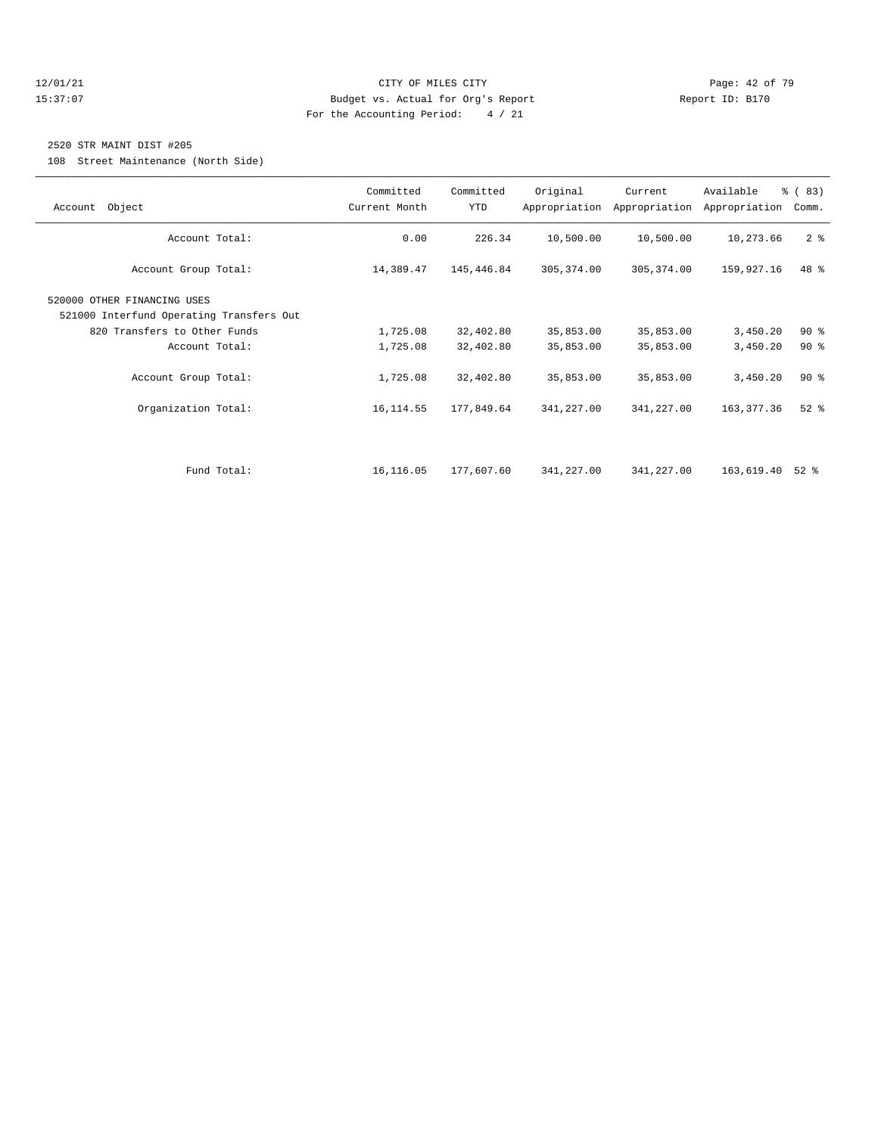## 12/01/21 **Page: 42 of 79 CITY OF MILES CITY CITY Page: 42 of 79** 15:37:07 Budget vs. Actual for Org's Report Report ID: B170 For the Accounting Period: 4 / 21

#### 2520 STR MAINT DIST #205

108 Street Maintenance (North Side)

|                                          | Committed     | Committed  | Original    | Current                     | Available     | $\frac{6}{6}$ (83)            |
|------------------------------------------|---------------|------------|-------------|-----------------------------|---------------|-------------------------------|
| Account Object                           | Current Month | <b>YTD</b> |             | Appropriation Appropriation | Appropriation | Comm.                         |
|                                          |               |            |             |                             |               |                               |
| Account Total:                           | 0.00          | 226.34     | 10,500.00   | 10,500.00                   | 10,273.66     | 2 <sup>8</sup>                |
|                                          |               |            |             |                             |               |                               |
| Account Group Total:                     | 14,389.47     | 145,446.84 | 305, 374.00 | 305, 374.00                 | 159,927.16    | 48 %                          |
|                                          |               |            |             |                             |               |                               |
| 520000 OTHER FINANCING USES              |               |            |             |                             |               |                               |
| 521000 Interfund Operating Transfers Out |               |            |             |                             |               |                               |
| 820 Transfers to Other Funds             | 1,725.08      | 32,402.80  | 35,853.00   | 35,853.00                   | 3,450.20      | 90%                           |
| Account Total:                           | 1,725.08      | 32,402.80  | 35,853.00   | 35,853.00                   | 3,450.20      | $90*$                         |
|                                          |               |            |             |                             |               |                               |
| Account Group Total:                     | 1,725.08      | 32,402.80  | 35,853.00   | 35,853.00                   | 3,450.20      | 90%                           |
|                                          |               |            |             |                             |               |                               |
| Organization Total:                      | 16, 114.55    | 177,849.64 | 341,227.00  | 341,227.00                  | 163, 377.36   | $52$ $%$                      |
|                                          |               |            |             |                             |               |                               |
|                                          |               |            |             |                             |               |                               |
|                                          |               |            |             |                             |               |                               |
| Fund Total:                              | 16,116.05     | 177,607.60 | 341,227.00  | 341,227.00                  | 163,619.40    | $52$ $\overline{\phantom{0}}$ |
|                                          |               |            |             |                             |               |                               |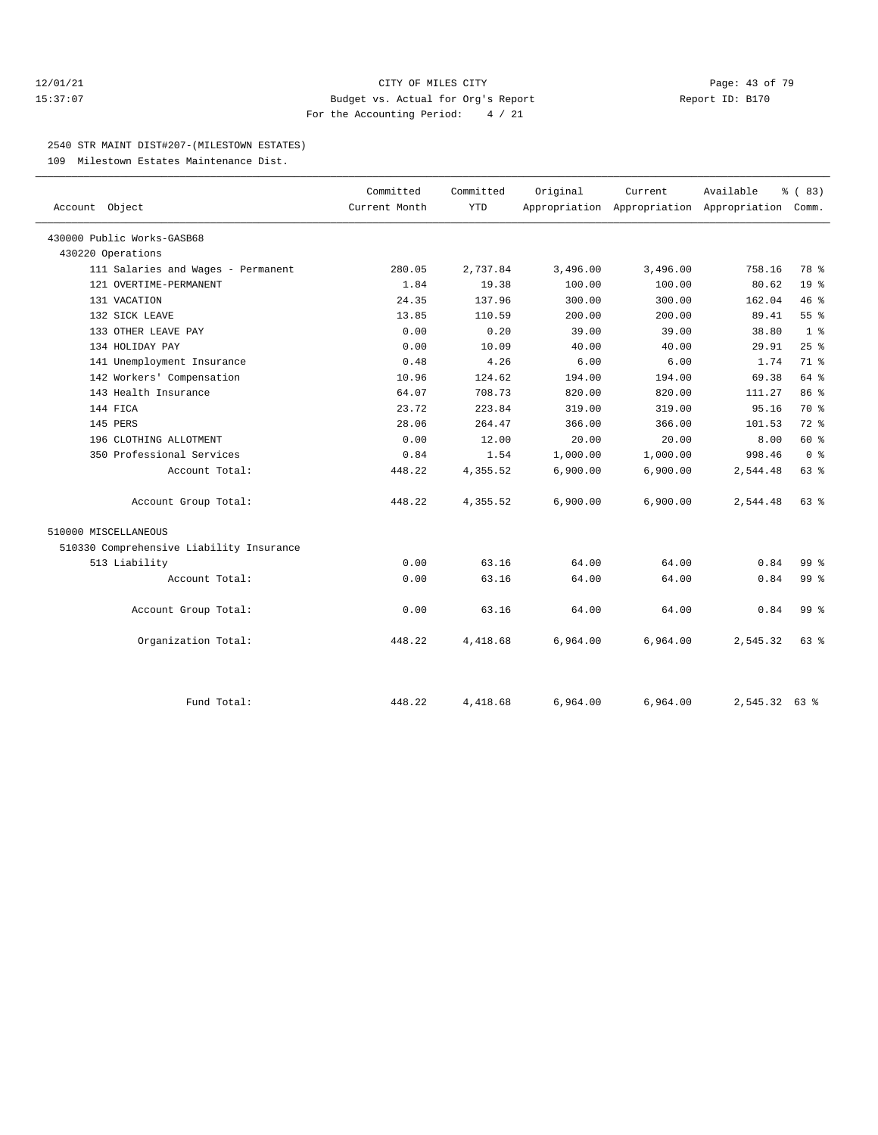## 12/01/21 **Page: 43 of 79** CITY OF MILES CITY **CITY** CITY **Page: 43 of 79** 15:37:07 Budget vs. Actual for Org's Report Report ID: B170 For the Accounting Period: 4 / 21

#### 2540 STR MAINT DIST#207-(MILESTOWN ESTATES)

109 Milestown Estates Maintenance Dist.

|                                          | Committed     | Committed  | Original | Current  | Available                                       | 8 ( 83)         |
|------------------------------------------|---------------|------------|----------|----------|-------------------------------------------------|-----------------|
| Account Object                           | Current Month | <b>YTD</b> |          |          | Appropriation Appropriation Appropriation Comm. |                 |
| 430000 Public Works-GASB68               |               |            |          |          |                                                 |                 |
| 430220 Operations                        |               |            |          |          |                                                 |                 |
| 111 Salaries and Wages - Permanent       | 280.05        | 2,737.84   | 3,496.00 | 3,496.00 | 758.16                                          | 78 %            |
| 121 OVERTIME-PERMANENT                   | 1.84          | 19.38      | 100.00   | 100.00   | 80.62                                           | 19 <sup>°</sup> |
| 131 VACATION                             | 24.35         | 137.96     | 300.00   | 300.00   | 162.04                                          | 46%             |
| 132 SICK LEAVE                           | 13.85         | 110.59     | 200.00   | 200.00   | 89.41                                           | 55 <sup>8</sup> |
| 133 OTHER LEAVE PAY                      | 0.00          | 0.20       | 39.00    | 39.00    | 38.80                                           | 1 <sup>8</sup>  |
| 134 HOLIDAY PAY                          | 0.00          | 10.09      | 40.00    | 40.00    | 29.91                                           | 25%             |
| 141 Unemployment Insurance               | 0.48          | 4.26       | 6.00     | 6.00     | 1.74                                            | 71 %            |
| 142 Workers' Compensation                | 10.96         | 124.62     | 194.00   | 194.00   | 69.38                                           | 64 %            |
| 143 Health Insurance                     | 64.07         | 708.73     | 820.00   | 820.00   | 111.27                                          | 86 %            |
| 144 FICA                                 | 23.72         | 223.84     | 319.00   | 319.00   | 95.16                                           | 70 %            |
| 145 PERS                                 | 28.06         | 264.47     | 366.00   | 366.00   | 101.53                                          | $72$ $%$        |
| 196 CLOTHING ALLOTMENT                   | 0.00          | 12.00      | 20.00    | 20.00    | 8.00                                            | 60 %            |
| 350 Professional Services                | 0.84          | 1.54       | 1,000.00 | 1,000.00 | 998.46                                          | 0 <sup>8</sup>  |
| Account Total:                           | 448.22        | 4,355.52   | 6,900.00 | 6,900.00 | 2,544.48                                        | 63%             |
| Account Group Total:                     | 448.22        | 4,355.52   | 6,900.00 | 6,900.00 | 2,544.48                                        | $63$ $%$        |
| 510000 MISCELLANEOUS                     |               |            |          |          |                                                 |                 |
| 510330 Comprehensive Liability Insurance |               |            |          |          |                                                 |                 |
| 513 Liability                            | 0.00          | 63.16      | 64.00    | 64.00    | 0.84                                            | 99 <sub>8</sub> |
| Account Total:                           | 0.00          | 63.16      | 64.00    | 64.00    | 0.84                                            | 99 <sub>8</sub> |
| Account Group Total:                     | 0.00          | 63.16      | 64.00    | 64.00    | 0.84                                            | 99 %            |
| Organization Total:                      | 448.22        | 4,418.68   | 6,964.00 | 6,964.00 | 2,545.32                                        | $63$ $%$        |
|                                          |               |            |          |          |                                                 |                 |
| Fund Total:                              | 448.22        | 4,418.68   | 6,964.00 | 6,964.00 | $2,545.32$ 63 %                                 |                 |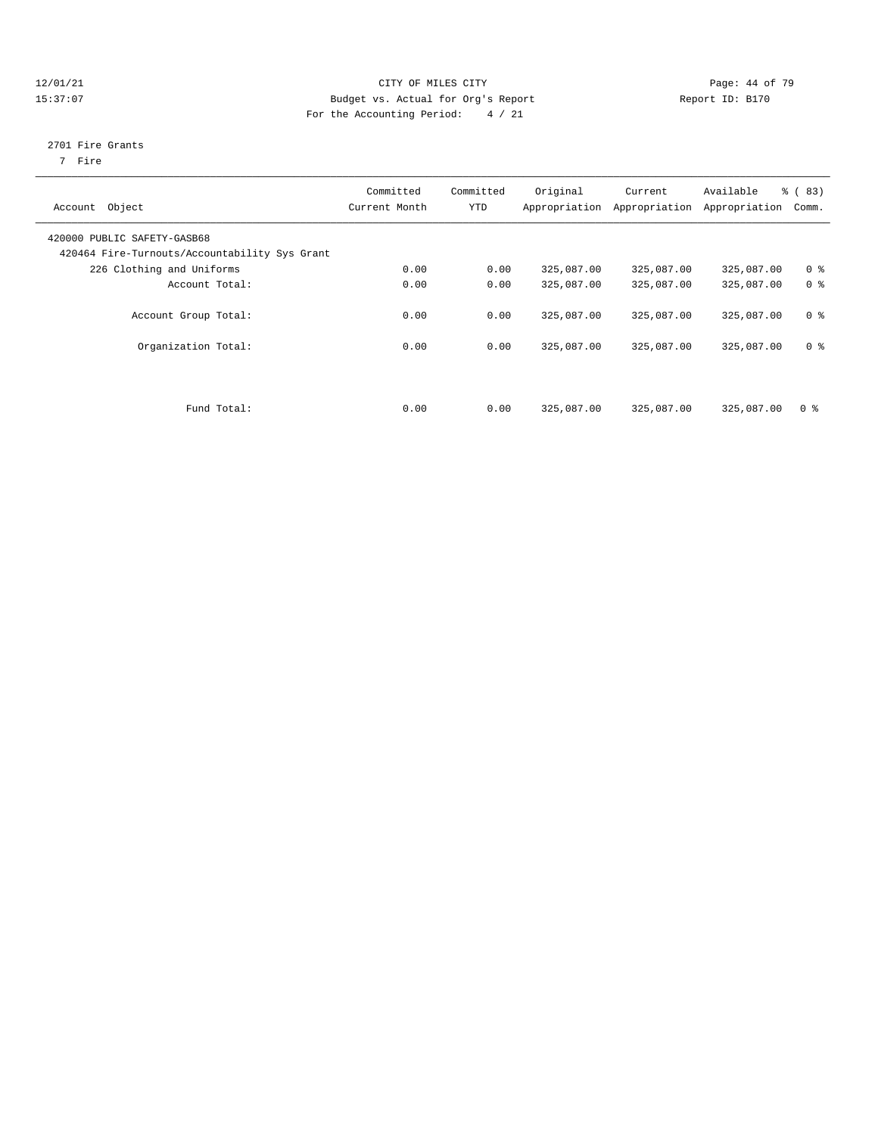## 12/01/21 Page: 44 of 79 15:37:07 Budget vs. Actual for Org's Report Report ID: B170 For the Accounting Period: 4 / 21

#### 2701 Fire Grants

7 Fire

| Account Object                                                               | Committed<br>Current Month | Committed<br><b>YTD</b> | Original   | Current<br>Appropriation Appropriation | Available<br>Appropriation | <sub>8</sub> ( 83 )<br>Comm. |
|------------------------------------------------------------------------------|----------------------------|-------------------------|------------|----------------------------------------|----------------------------|------------------------------|
| 420000 PUBLIC SAFETY-GASB68<br>420464 Fire-Turnouts/Accountability Sys Grant |                            |                         |            |                                        |                            |                              |
| 226 Clothing and Uniforms                                                    | 0.00                       | 0.00                    | 325,087.00 | 325,087.00                             | 325,087.00                 | 0 <sup>8</sup>               |
| Account Total:                                                               | 0.00                       | 0.00                    | 325,087.00 | 325,087.00                             | 325,087.00                 | 0 <sup>8</sup>               |
| Account Group Total:                                                         | 0.00                       | 0.00                    | 325,087.00 | 325,087.00                             | 325,087.00                 | 0 <sup>8</sup>               |
| Organization Total:                                                          | 0.00                       | 0.00                    | 325,087.00 | 325,087.00                             | 325,087.00                 | 0 <sup>8</sup>               |
| Fund Total:                                                                  | 0.00                       | 0.00                    | 325,087.00 | 325,087.00                             | 325,087.00                 | 0 <sup>8</sup>               |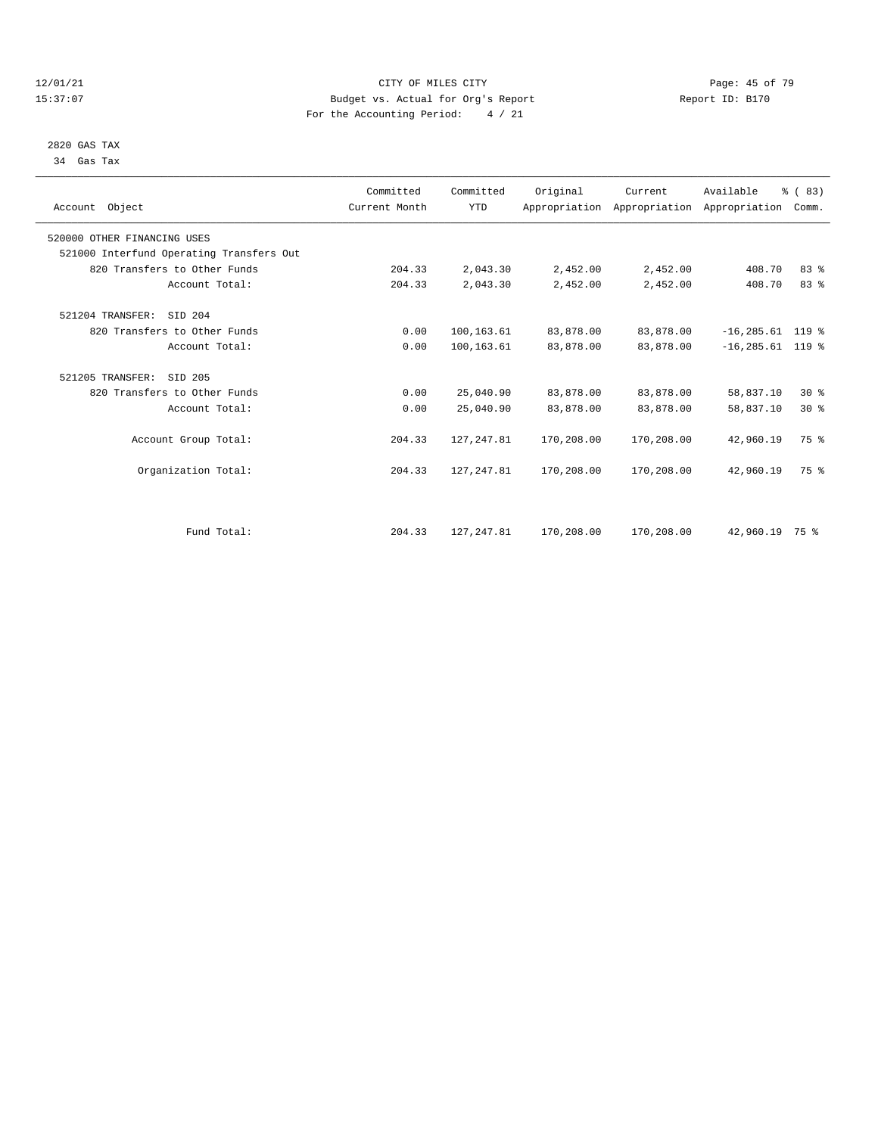## 12/01/21 Page: 45 of 79 15:37:07 Budget vs. Actual for Org's Report Report ID: B170 For the Accounting Period: 4 / 21

 2820 GAS TAX 34 Gas Tax

| Account Object                           | Committed<br>Current Month | Committed<br><b>YTD</b> | Original   | Current<br>Appropriation Appropriation Appropriation | Available           | % (83)<br>Comm. |  |
|------------------------------------------|----------------------------|-------------------------|------------|------------------------------------------------------|---------------------|-----------------|--|
| 520000 OTHER FINANCING USES              |                            |                         |            |                                                      |                     |                 |  |
| 521000 Interfund Operating Transfers Out |                            |                         |            |                                                      |                     |                 |  |
| 820 Transfers to Other Funds             | 204.33                     | 2,043.30                | 2,452.00   | 2,452.00                                             | 408.70              | 83%             |  |
| Account Total:                           | 204.33                     | 2,043.30                | 2,452.00   | 2,452.00                                             | 408.70              | 83%             |  |
| 521204 TRANSFER:<br>SID 204              |                            |                         |            |                                                      |                     |                 |  |
| 820 Transfers to Other Funds             | 0.00                       | 100,163.61              | 83,878.00  | 83,878.00                                            | $-16, 285.61$ 119 % |                 |  |
| Account Total:                           | 0.00                       | 100,163.61              | 83,878.00  | 83,878.00                                            | $-16, 285.61$ 119 % |                 |  |
| 521205 TRANSFER:<br>SID 205              |                            |                         |            |                                                      |                     |                 |  |
| 820 Transfers to Other Funds             | 0.00                       | 25,040.90               | 83,878.00  | 83,878.00                                            | 58,837.10           | $30*$           |  |
| Account Total:                           | 0.00                       | 25,040.90               | 83,878.00  | 83,878.00                                            | 58,837.10           | $30*$           |  |
| Account Group Total:                     | 204.33                     | 127,247.81              | 170,208.00 | 170,208.00                                           | 42,960.19           | 75 %            |  |
| Organization Total:                      | 204.33                     | 127, 247.81             | 170,208.00 | 170,208.00                                           | 42,960.19           | 75 %            |  |
|                                          |                            |                         |            |                                                      |                     |                 |  |
| Fund Total:                              | 204.33                     | 127, 247.81             | 170,208.00 | 170,208.00                                           | 42,960.19 75 %      |                 |  |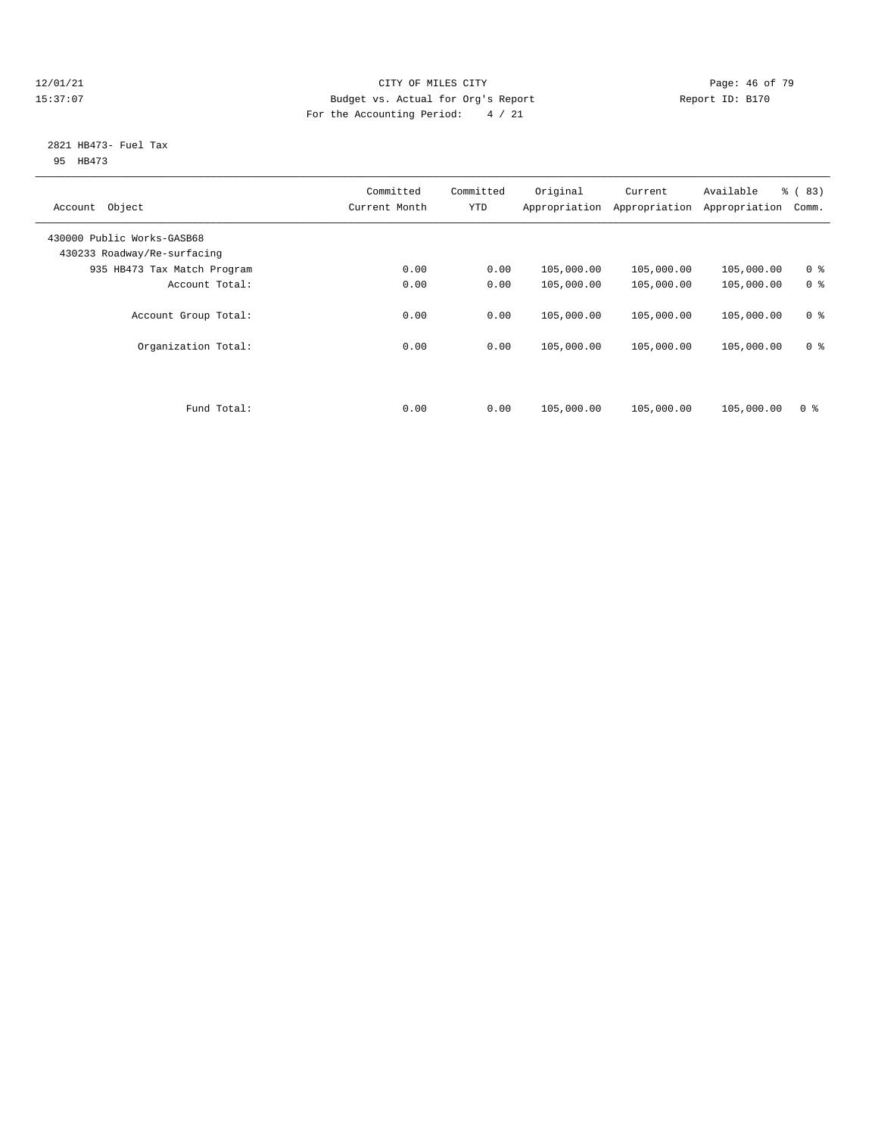## 12/01/21 **Page: 46 of 79** CITY OF MILES CITY **CITY** CITY **Page: 46 of 79** 15:37:07 Budget vs. Actual for Org's Report Report ID: B170 For the Accounting Period: 4 / 21

#### 2821 HB473- Fuel Tax 95 HB473

| Committed<br>Current Month | Committed<br><b>YTD</b> | Original   | Current<br>Appropriation | Available<br>Appropriation | % (83)<br>Comm. |
|----------------------------|-------------------------|------------|--------------------------|----------------------------|-----------------|
|                            |                         |            |                          |                            |                 |
| 0.00                       | 0.00                    | 105,000.00 | 105,000.00               | 105,000.00                 | 0 <sup>8</sup>  |
| 0.00                       | 0.00                    | 105,000.00 | 105,000.00               | 105,000.00                 | 0 <sup>8</sup>  |
| 0.00                       | 0.00                    | 105,000.00 | 105,000.00               | 105,000.00                 | 0 <sup>8</sup>  |
| 0.00                       | 0.00                    | 105,000.00 | 105,000.00               | 105,000.00                 | 0 <sup>8</sup>  |
| 0.00                       | 0.00                    | 105,000.00 | 105,000.00               | 105,000.00                 | 0 <sup>8</sup>  |
|                            |                         |            |                          | Appropriation              |                 |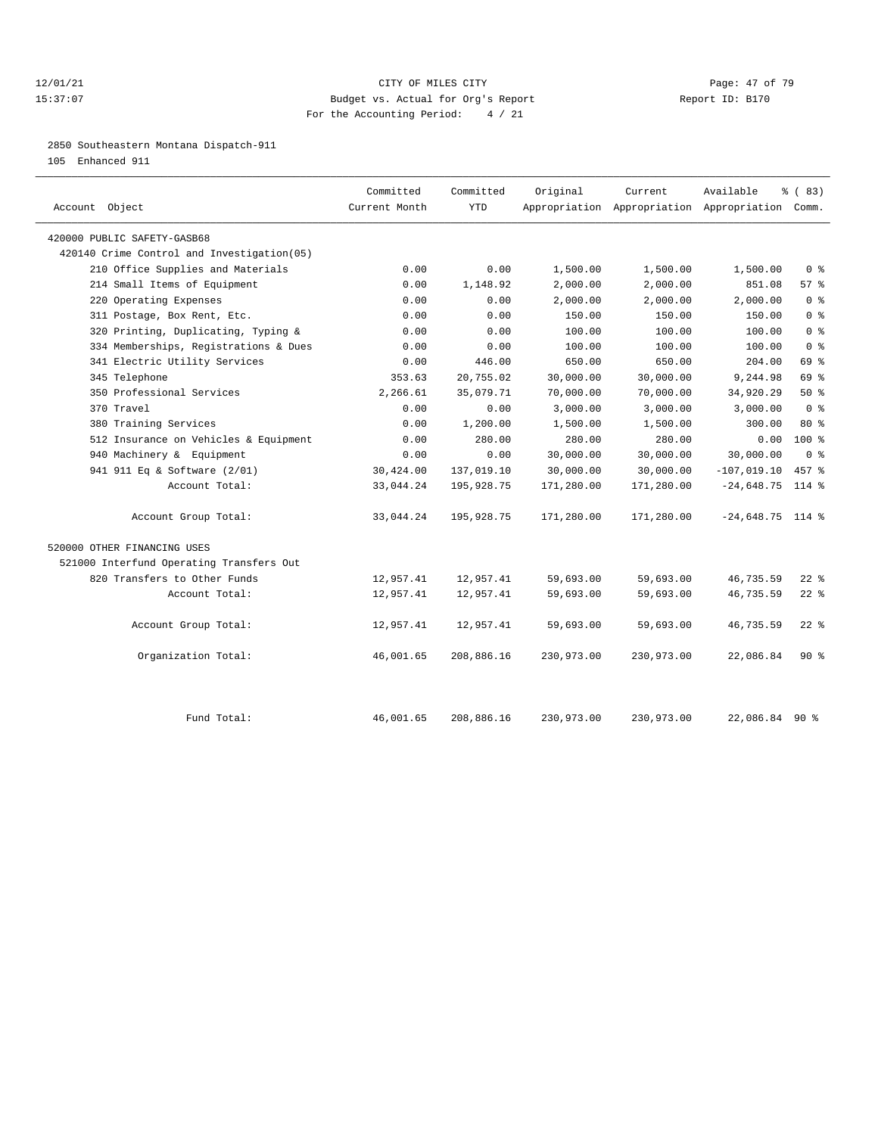## 12/01/21 **Page: 47 of 79 CITY OF MILES CITY CITY Page: 47 of 79** 15:37:07 Budget vs. Actual for Org's Report Report ID: B170 For the Accounting Period: 4 / 21

2850 Southeastern Montana Dispatch-911

105 Enhanced 911

| Account Object                              | Committed<br>Current Month | Committed<br><b>YTD</b> | Original   | Current    | Available<br>Appropriation Appropriation Appropriation Comm. | % (83)         |
|---------------------------------------------|----------------------------|-------------------------|------------|------------|--------------------------------------------------------------|----------------|
| 420000 PUBLIC SAFETY-GASB68                 |                            |                         |            |            |                                                              |                |
| 420140 Crime Control and Investigation (05) |                            |                         |            |            |                                                              |                |
| 210 Office Supplies and Materials           | 0.00                       | 0.00                    | 1,500.00   | 1,500.00   | 1,500.00                                                     | 0 <sup>8</sup> |
| 214 Small Items of Equipment                | 0.00                       | 1,148.92                | 2,000.00   | 2,000.00   | 851.08                                                       | 57%            |
| 220 Operating Expenses                      | 0.00                       | 0.00                    | 2,000.00   | 2,000.00   | 2,000.00                                                     | 0 <sup>8</sup> |
| 311 Postage, Box Rent, Etc.                 | 0.00                       | 0.00                    | 150.00     | 150.00     | 150.00                                                       | 0 <sup>8</sup> |
| 320 Printing, Duplicating, Typing &         | 0.00                       | 0.00                    | 100.00     | 100.00     | 100.00                                                       | 0 <sup>8</sup> |
| 334 Memberships, Registrations & Dues       | 0.00                       | 0.00                    | 100.00     | 100.00     | 100.00                                                       | 0 <sup>8</sup> |
| 341 Electric Utility Services               | 0.00                       | 446.00                  | 650.00     | 650.00     | 204.00                                                       | 69 %           |
| 345 Telephone                               | 353.63                     | 20,755.02               | 30,000.00  | 30,000.00  | 9,244.98                                                     | 69 %           |
| 350 Professional Services                   | 2,266.61                   | 35,079.71               | 70,000.00  | 70,000.00  | 34,920.29                                                    | $50*$          |
| 370 Travel                                  | 0.00                       | 0.00                    | 3,000.00   | 3,000.00   | 3,000.00                                                     | 0 <sup>8</sup> |
| 380 Training Services                       | 0.00                       | 1,200.00                | 1,500.00   | 1,500.00   | 300.00                                                       | $80*$          |
| 512 Insurance on Vehicles & Equipment       | 0.00                       | 280.00                  | 280.00     | 280.00     | 0.00                                                         | 100 %          |
| 940 Machinery & Equipment                   | 0.00                       | 0.00                    | 30,000.00  | 30,000.00  | 30,000.00                                                    | 0 <sup>8</sup> |
| 941 911 Eq & Software (2/01)                | 30,424.00                  | 137,019.10              | 30,000.00  | 30,000.00  | $-107,019.10$                                                | 457 %          |
| Account Total:                              | 33,044.24                  | 195,928.75              | 171,280.00 | 171,280.00 | $-24,648.75$                                                 | 114 %          |
|                                             |                            |                         |            |            |                                                              |                |
| Account Group Total:                        | 33,044.24                  | 195,928.75              | 171,280.00 | 171,280.00 | $-24,648.75$ 114 %                                           |                |
| 520000 OTHER FINANCING USES                 |                            |                         |            |            |                                                              |                |
| 521000 Interfund Operating Transfers Out    |                            |                         |            |            |                                                              |                |
| 820 Transfers to Other Funds                | 12,957.41                  | 12,957.41               | 59,693.00  | 59,693.00  | 46,735.59                                                    | $22$ %         |
| Account Total:                              | 12,957.41                  | 12,957.41               | 59,693.00  | 59,693.00  | 46,735.59                                                    | $22$ $%$       |
|                                             |                            |                         |            |            |                                                              |                |
| Account Group Total:                        | 12,957.41                  | 12,957.41               | 59,693.00  | 59,693.00  | 46,735.59                                                    | $22$ %         |
| Organization Total:                         | 46,001.65                  | 208,886.16              | 230,973.00 | 230,973.00 | 22,086.84                                                    | $90*$          |
| Fund Total:                                 | 46,001.65                  | 208,886.16              | 230,973.00 | 230,973.00 | 22,086.84 90 %                                               |                |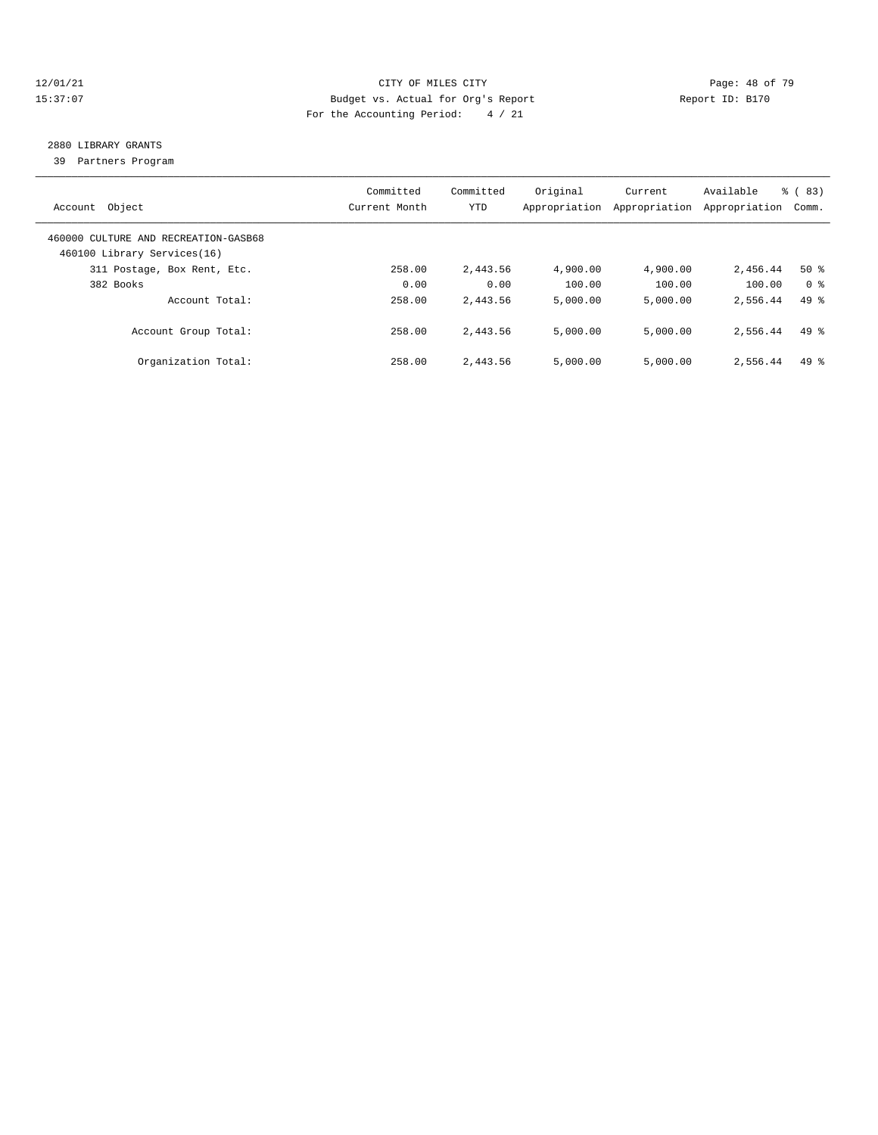## 12/01/21 **Page: 48 of 79** CITY OF MILES CITY **CITY** CITY **Page: 48 of 79** 15:37:07 Budget vs. Actual for Org's Report Report ID: B170 For the Accounting Period: 4 / 21

# 2880 LIBRARY GRANTS

39 Partners Program

| Account Object                                                      | Committed<br>Current Month | Committed<br>YTD | Original<br>Appropriation | Current<br>Appropriation | Available<br>Appropriation | $\frac{6}{6}$ (83)<br>Comm. |
|---------------------------------------------------------------------|----------------------------|------------------|---------------------------|--------------------------|----------------------------|-----------------------------|
| 460000 CULTURE AND RECREATION-GASB68<br>460100 Library Services(16) |                            |                  |                           |                          |                            |                             |
| 311 Postage, Box Rent, Etc.                                         | 258.00                     | 2,443.56         | 4,900.00                  | 4,900.00                 | 2,456.44                   | $50*$                       |
| 382 Books                                                           | 0.00                       | 0.00             | 100.00                    | 100.00                   | 100.00                     | 0 %                         |
| Account Total:                                                      | 258.00                     | 2,443.56         | 5,000.00                  | 5.000.00                 | 2,556.44                   | $49*$                       |
| Account Group Total:                                                | 258.00                     | 2,443.56         | 5,000.00                  | 5,000.00                 | 2,556.44                   | $49*$                       |
| Organization Total:                                                 | 258.00                     | 2,443.56         | 5,000.00                  | 5.000.00                 | 2,556.44                   | $49*$                       |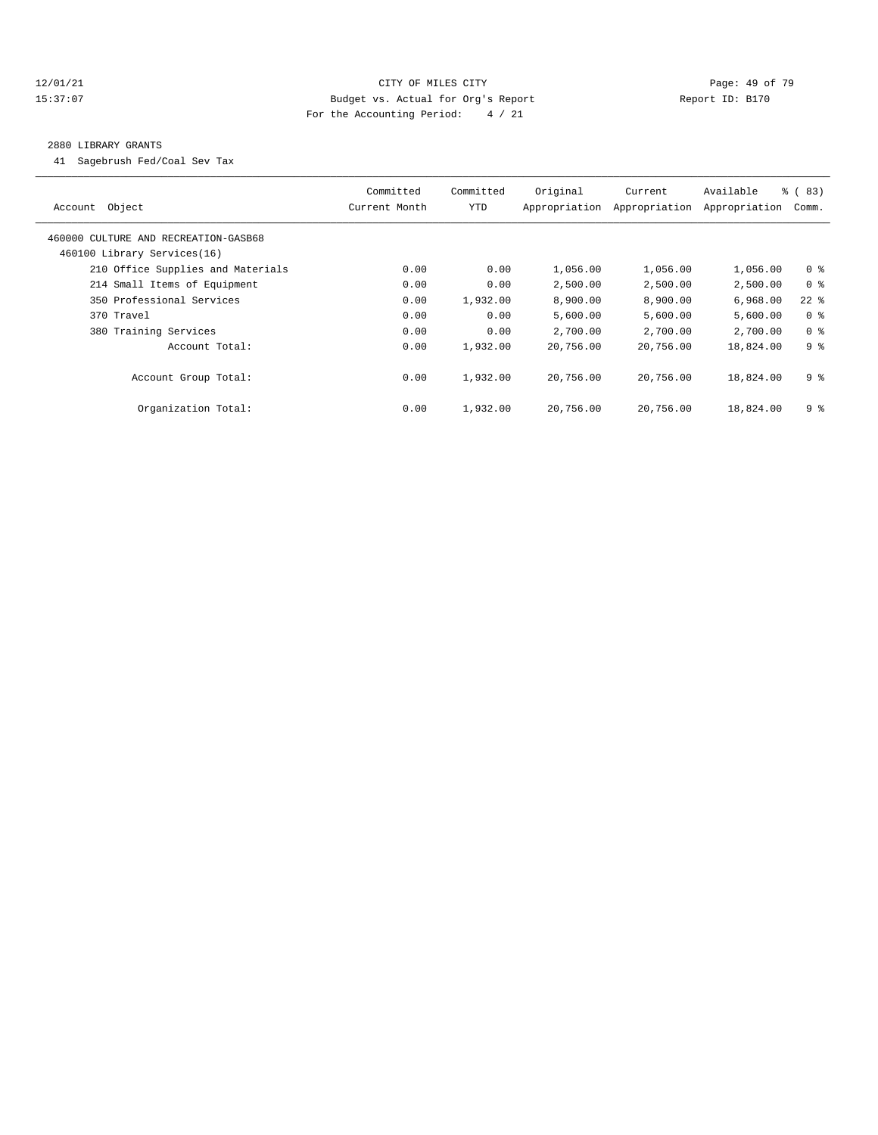## 12/01/21 **Page: 49 of 79** CITY OF MILES CITY **CITY** Page: 49 of 79 15:37:07 Budget vs. Actual for Org's Report Report ID: B170 For the Accounting Period: 4 / 21

#### 2880 LIBRARY GRANTS

41 Sagebrush Fed/Coal Sev Tax

| Object<br>Account                                                   | Committed<br>Current Month | Committed<br>YTD | Original<br>Appropriation | Current<br>Appropriation | Available<br>Appropriation | % (83)<br>Comm. |
|---------------------------------------------------------------------|----------------------------|------------------|---------------------------|--------------------------|----------------------------|-----------------|
| 460000 CULTURE AND RECREATION-GASB68<br>460100 Library Services(16) |                            |                  |                           |                          |                            |                 |
| 210 Office Supplies and Materials                                   | 0.00                       | 0.00             | 1,056.00                  | 1,056.00                 | 1,056.00                   | 0 <sup>8</sup>  |
| 214 Small Items of Equipment                                        | 0.00                       | 0.00             | 2,500.00                  | 2,500.00                 | 2,500.00                   | 0 <sup>8</sup>  |
| 350 Professional Services                                           | 0.00                       | 1,932.00         | 8,900.00                  | 8,900.00                 | 6,968.00                   | $22$ %          |
| 370 Travel                                                          | 0.00                       | 0.00             | 5,600.00                  | 5,600.00                 | 5,600.00                   | 0 <sup>8</sup>  |
| 380 Training Services                                               | 0.00                       | 0.00             | 2,700.00                  | 2,700.00                 | 2,700.00                   | 0 <sup>8</sup>  |
| Account Total:                                                      | 0.00                       | 1,932.00         | 20,756.00                 | 20,756.00                | 18,824.00                  | 9 <sup>8</sup>  |
| Account Group Total:                                                | 0.00                       | 1,932.00         | 20,756.00                 | 20,756.00                | 18,824.00                  | 9 %             |
| Organization Total:                                                 | 0.00                       | 1,932.00         | 20,756.00                 | 20,756.00                | 18,824.00                  | 9 %             |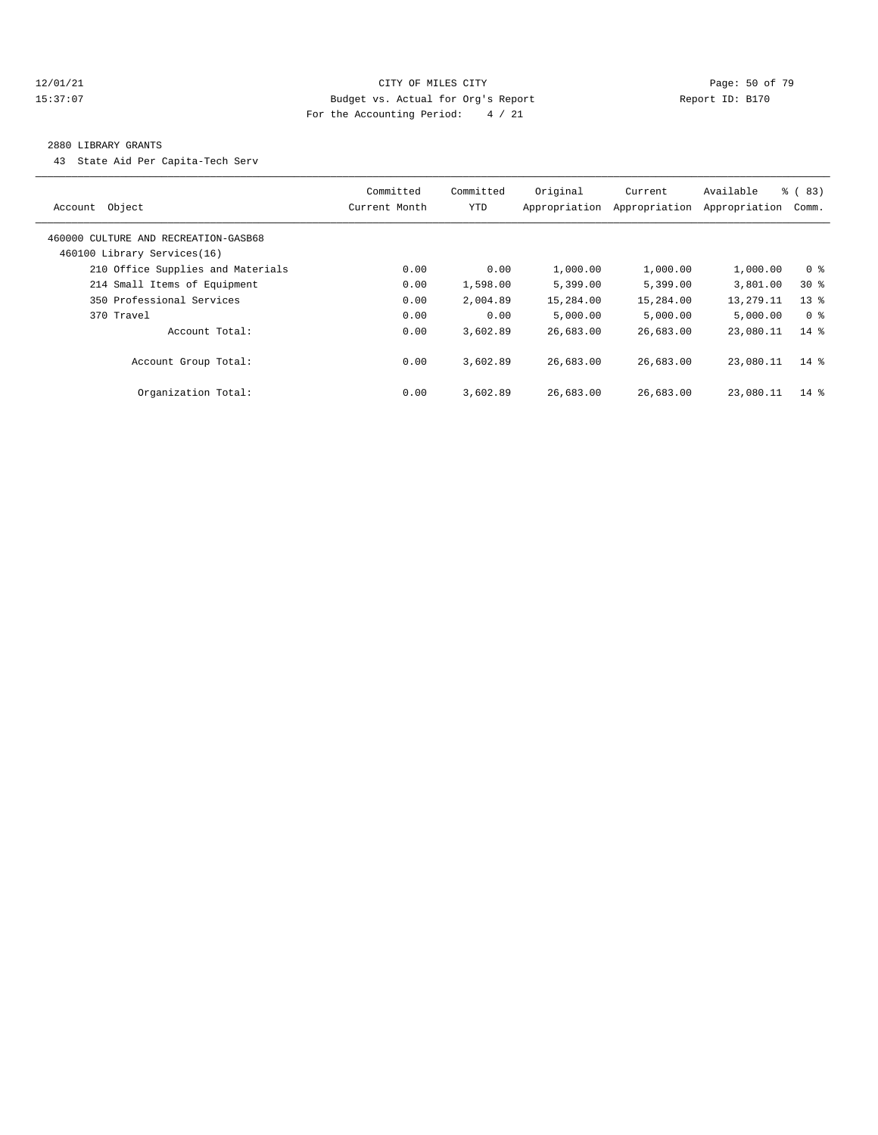## 12/01/21 **Page: 50 of 79** CITY OF MILES CITY **CITY Page: 50 of 79** 15:37:07 Budget vs. Actual for Org's Report Report ID: B170 For the Accounting Period: 4 / 21

#### 2880 LIBRARY GRANTS

43 State Aid Per Capita-Tech Serv

| Account Object                                                      | Committed<br>Current Month | Committed<br>YTD | Original<br>Appropriation | Current<br>Appropriation | Available<br>Appropriation | <sub>8</sub> ( 83 )<br>Comm. |
|---------------------------------------------------------------------|----------------------------|------------------|---------------------------|--------------------------|----------------------------|------------------------------|
| 460000 CULTURE AND RECREATION-GASB68<br>460100 Library Services(16) |                            |                  |                           |                          |                            |                              |
| 210 Office Supplies and Materials                                   | 0.00                       | 0.00             | 1,000.00                  | 1,000.00                 | 1,000.00                   | 0 <sup>8</sup>               |
| 214 Small Items of Equipment                                        | 0.00                       | 1,598.00         | 5,399.00                  | 5,399.00                 | 3,801.00                   | $30*$                        |
| 350 Professional Services                                           | 0.00                       | 2,004.89         | 15,284.00                 | 15,284.00                | 13,279.11                  | $13*$                        |
| 370 Travel                                                          | 0.00                       | 0.00             | 5,000.00                  | 5.000.00                 | 5.000.00                   | 0 %                          |
| Account Total:                                                      | 0.00                       | 3,602.89         | 26,683.00                 | 26,683.00                | 23,080.11                  | $14*$                        |
| Account Group Total:                                                | 0.00                       | 3,602.89         | 26,683.00                 | 26,683.00                | 23,080.11                  | $14*$                        |
| Organization Total:                                                 | 0.00                       | 3,602.89         | 26,683.00                 | 26,683.00                | 23,080.11                  | $14*$                        |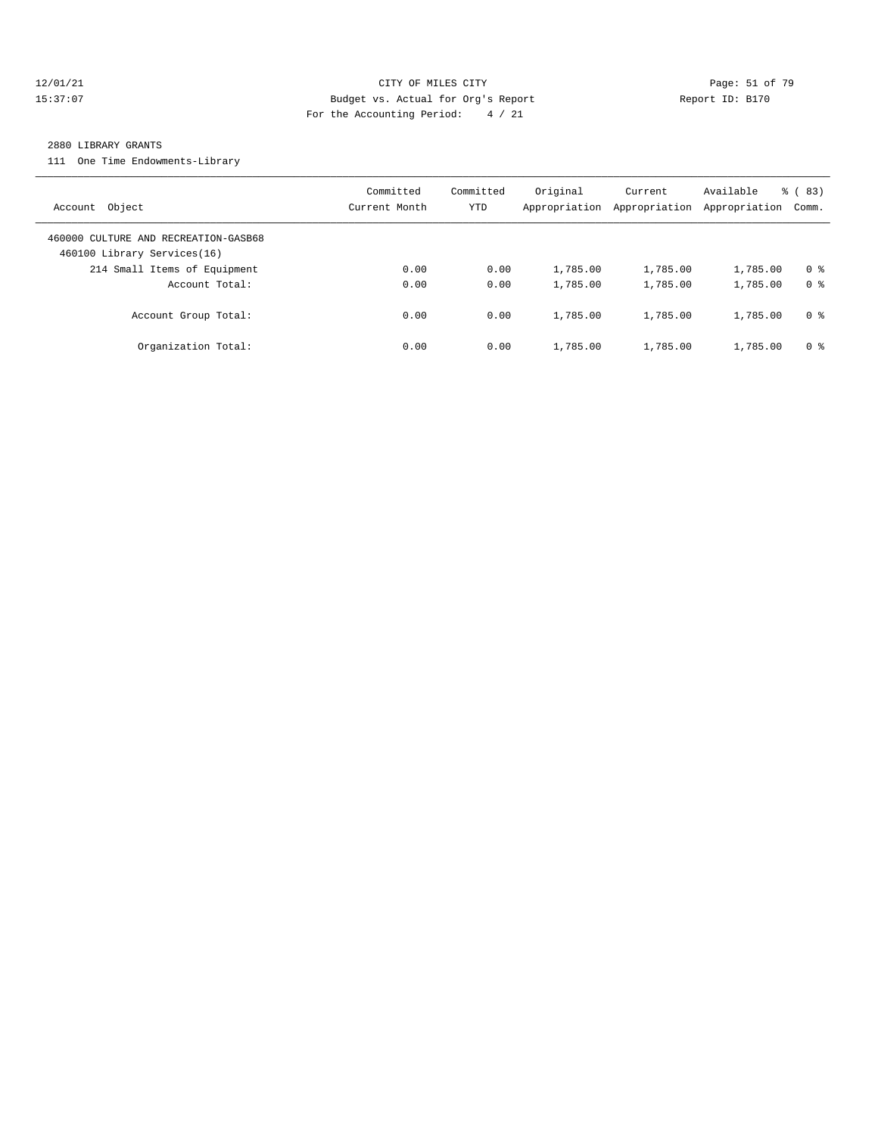## 12/01/21 **Page: 51 of 79** CITY OF MILES CITY **CITY** CITY **Page: 51 of 79** 15:37:07 Budget vs. Actual for Org's Report Report ID: B170 For the Accounting Period: 4 / 21

#### 2880 LIBRARY GRANTS

111 One Time Endowments-Library

| Account Object                                                      | Committed<br>Current Month | Committed<br>YTD | Original<br>Appropriation | Current<br>Appropriation | Available<br>Appropriation | $\frac{6}{6}$ (83)<br>Comm. |
|---------------------------------------------------------------------|----------------------------|------------------|---------------------------|--------------------------|----------------------------|-----------------------------|
| 460000 CULTURE AND RECREATION-GASB68<br>460100 Library Services(16) |                            |                  |                           |                          |                            |                             |
| 214 Small Items of Equipment                                        | 0.00                       | 0.00             | 1,785.00                  | 1,785.00                 | 1,785.00                   | 0 <sup>8</sup>              |
| Account Total:                                                      | 0.00                       | 0.00             | 1,785.00                  | 1,785.00                 | 1,785.00                   | 0 <sup>8</sup>              |
| Account Group Total:                                                | 0.00                       | 0.00             | 1,785.00                  | 1,785.00                 | 1,785.00                   | 0 %                         |
| Organization Total:                                                 | 0.00                       | 0.00             | 1,785.00                  | 1,785.00                 | 1,785.00                   | 0 %                         |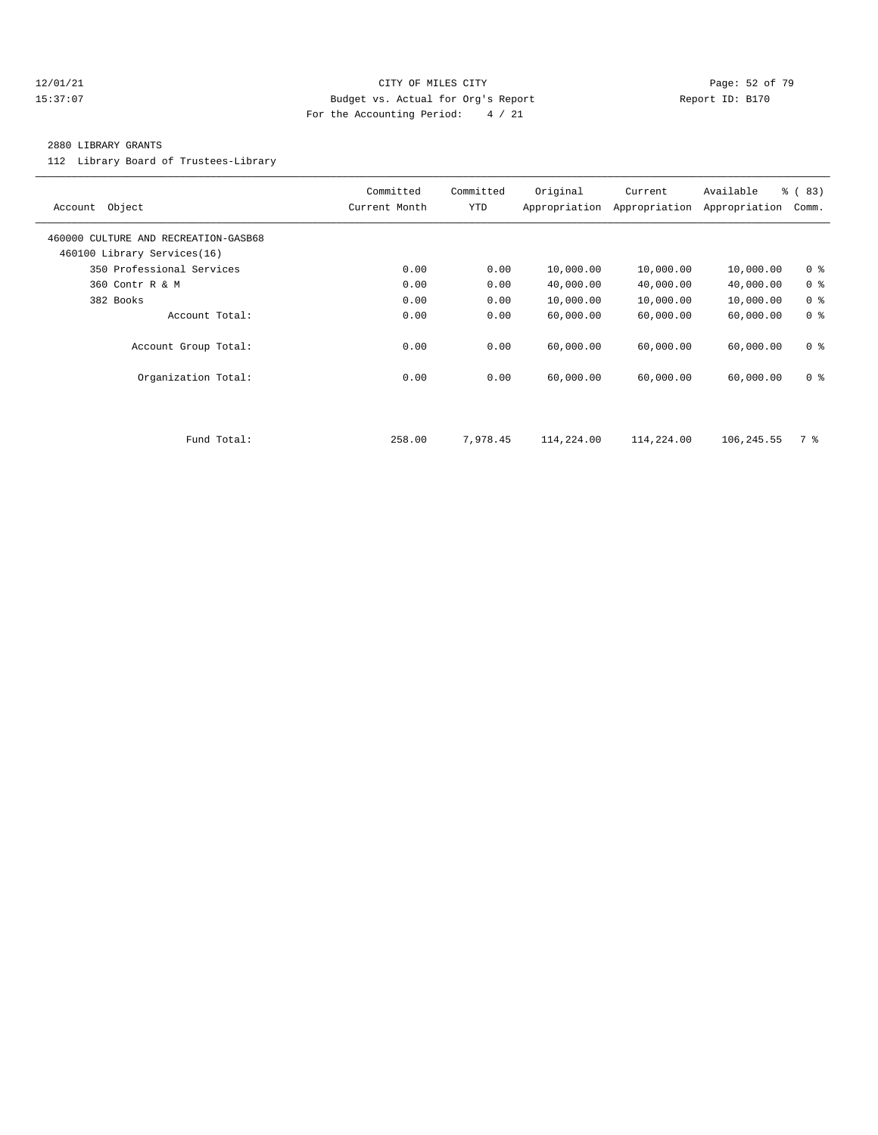## 12/01/21 **Page: 52 of 79** CITY OF MILES CITY **CITY Page: 52 of 79** 15:37:07 Budget vs. Actual for Org's Report Report ID: B170 For the Accounting Period: 4 / 21

#### 2880 LIBRARY GRANTS

112 Library Board of Trustees-Library

| Object<br>Account                                                   | Committed<br>Current Month | Committed<br>YTD | Original<br>Appropriation | Current<br>Appropriation | Available<br>Appropriation | % (83)<br>Comm. |
|---------------------------------------------------------------------|----------------------------|------------------|---------------------------|--------------------------|----------------------------|-----------------|
| 460000 CULTURE AND RECREATION-GASB68<br>460100 Library Services(16) |                            |                  |                           |                          |                            |                 |
| 350 Professional Services                                           | 0.00                       | 0.00             | 10,000.00                 | 10,000.00                | 10,000.00                  | 0 <sup>8</sup>  |
| 360 Contr R & M                                                     | 0.00                       | 0.00             | 40,000.00                 | 40,000.00                | 40,000.00                  | 0 <sup>8</sup>  |
| 382 Books                                                           | 0.00                       | 0.00             | 10,000.00                 | 10,000.00                | 10,000.00                  | 0 <sup>8</sup>  |
| Account Total:                                                      | 0.00                       | 0.00             | 60,000.00                 | 60,000.00                | 60,000.00                  | 0 <sup>8</sup>  |
| Account Group Total:                                                | 0.00                       | 0.00             | 60,000.00                 | 60,000.00                | 60,000.00                  | 0 <sup>8</sup>  |
| Organization Total:                                                 | 0.00                       | 0.00             | 60,000.00                 | 60,000.00                | 60,000.00                  | 0 <sup>8</sup>  |
|                                                                     |                            |                  |                           |                          |                            |                 |
| Fund Total:                                                         | 258.00                     | 7,978.45         | 114,224.00                | 114,224.00               | 106,245.55                 | 7 %             |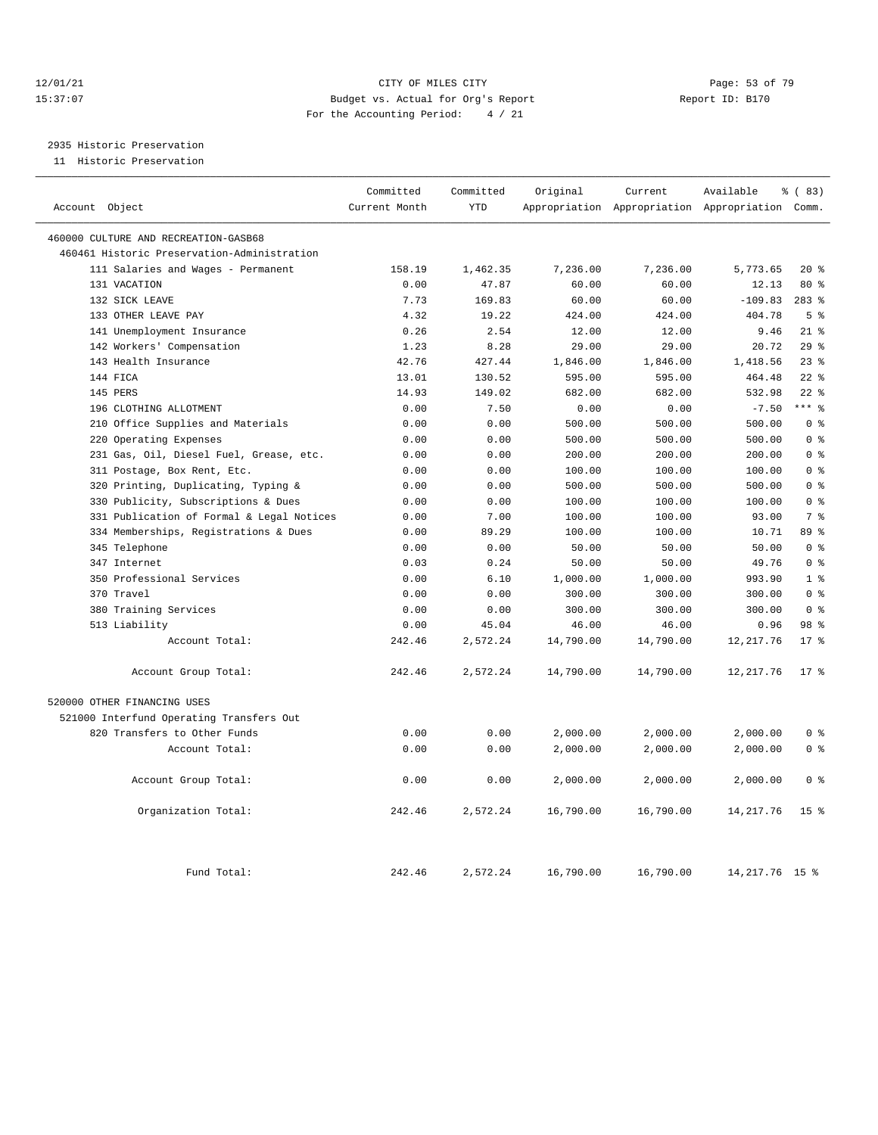## 12/01/21 **Page: 53 of 79** CITY OF MILES CITY **CITY** Page: 53 of 79 15:37:07 Budget vs. Actual for Org's Report Report ID: B170 For the Accounting Period: 4 / 21

# 2935 Historic Preservation

11 Historic Preservation

| Account Object                              | Committed<br>Current Month | Committed<br><b>YTD</b> | Original  | Current   | Available<br>Appropriation Appropriation Appropriation Comm. | % (83)                  |
|---------------------------------------------|----------------------------|-------------------------|-----------|-----------|--------------------------------------------------------------|-------------------------|
| 460000 CULTURE AND RECREATION-GASB68        |                            |                         |           |           |                                                              |                         |
| 460461 Historic Preservation-Administration |                            |                         |           |           |                                                              |                         |
| 111 Salaries and Wages - Permanent          | 158.19                     | 1,462.35                | 7,236.00  | 7,236.00  | 5,773.65                                                     | $20*$                   |
| 131 VACATION                                | 0.00                       | 47.87                   | 60.00     | 60.00     | 12.13                                                        | 80 %                    |
| 132 SICK LEAVE                              | 7.73                       | 169.83                  | 60.00     | 60.00     | $-109.83$                                                    | $283$ %                 |
| 133 OTHER LEAVE PAY                         | 4.32                       | 19.22                   | 424.00    | 424.00    | 404.78                                                       | 5 <sup>8</sup>          |
| 141 Unemployment Insurance                  | 0.26                       | 2.54                    | 12.00     | 12.00     | 9.46                                                         | $21$ %                  |
| 142 Workers' Compensation                   | 1.23                       | 8.28                    | 29.00     | 29.00     | 20.72                                                        | 29%                     |
| 143 Health Insurance                        | 42.76                      | 427.44                  | 1,846.00  | 1,846.00  | 1,418.56                                                     | $23$ $%$                |
| 144 FICA                                    | 13.01                      | 130.52                  | 595.00    | 595.00    | 464.48                                                       | $22$ %                  |
| 145 PERS                                    | 14.93                      | 149.02                  | 682.00    | 682.00    | 532.98                                                       | $22$ %                  |
| 196 CLOTHING ALLOTMENT                      | 0.00                       | 7.50                    | 0.00      | 0.00      | $-7.50$                                                      | $***$ 8                 |
| 210 Office Supplies and Materials           | 0.00                       | 0.00                    | 500.00    | 500.00    | 500.00                                                       | 0 <sup>8</sup>          |
| 220 Operating Expenses                      | 0.00                       | 0.00                    | 500.00    | 500.00    | 500.00                                                       | 0 <sup>8</sup>          |
| 231 Gas, Oil, Diesel Fuel, Grease, etc.     | 0.00                       | 0.00                    | 200.00    | 200.00    | 200.00                                                       | 0 <sup>8</sup>          |
| 311 Postage, Box Rent, Etc.                 | 0.00                       | 0.00                    | 100.00    | 100.00    | 100.00                                                       | $0 \text{ }$ $\text{ }$ |
| 320 Printing, Duplicating, Typing &         | 0.00                       | 0.00                    | 500.00    | 500.00    | 500.00                                                       | 0 <sup>8</sup>          |
| 330 Publicity, Subscriptions & Dues         | 0.00                       | 0.00                    | 100.00    | 100.00    | 100.00                                                       | 0 <sup>8</sup>          |
| 331 Publication of Formal & Legal Notices   | 0.00                       | 7.00                    | 100.00    | 100.00    | 93.00                                                        | 7 <sup>8</sup>          |
| 334 Memberships, Registrations & Dues       | 0.00                       | 89.29                   | 100.00    | 100.00    | 10.71                                                        | 89 %                    |
| 345 Telephone                               | 0.00                       | 0.00                    | 50.00     | 50.00     | 50.00                                                        | 0 <sup>8</sup>          |
| 347 Internet                                | 0.03                       | 0.24                    | 50.00     | 50.00     | 49.76                                                        | 0 <sup>8</sup>          |
| 350 Professional Services                   | 0.00                       | 6.10                    | 1,000.00  | 1,000.00  | 993.90                                                       | 1 <sup>8</sup>          |
| 370 Travel                                  | 0.00                       | 0.00                    | 300.00    | 300.00    | 300.00                                                       | 0 <sup>8</sup>          |
| 380 Training Services                       | 0.00                       | 0.00                    | 300.00    | 300.00    | 300.00                                                       | 0 <sup>8</sup>          |
| 513 Liability                               | 0.00                       | 45.04                   | 46.00     | 46.00     | 0.96                                                         | 98 <sup>8</sup>         |
| Account Total:                              | 242.46                     | 2,572.24                | 14,790.00 | 14,790.00 | 12, 217.76                                                   | $17*$                   |
| Account Group Total:                        | 242.46                     | 2,572.24                | 14,790.00 | 14,790.00 | 12, 217.76                                                   | $17*$                   |
| 520000 OTHER FINANCING USES                 |                            |                         |           |           |                                                              |                         |
| 521000 Interfund Operating Transfers Out    |                            |                         |           |           |                                                              |                         |
| 820 Transfers to Other Funds                | 0.00                       | 0.00                    | 2,000.00  | 2,000.00  | 2,000.00                                                     | 0 <sup>8</sup>          |
| Account Total:                              | 0.00                       | 0.00                    | 2,000.00  | 2,000.00  | 2,000.00                                                     | 0 <sup>8</sup>          |
| Account Group Total:                        | 0.00                       | 0.00                    | 2,000.00  | 2,000.00  | 2,000.00                                                     | 0 <sup>8</sup>          |
| Organization Total:                         | 242.46                     | 2,572.24                | 16,790.00 | 16,790.00 | 14, 217.76                                                   | 15 <sup>°</sup>         |
| Fund Total:                                 | 242.46                     | 2,572.24                | 16,790.00 | 16,790.00 | 14, 217.76 15 %                                              |                         |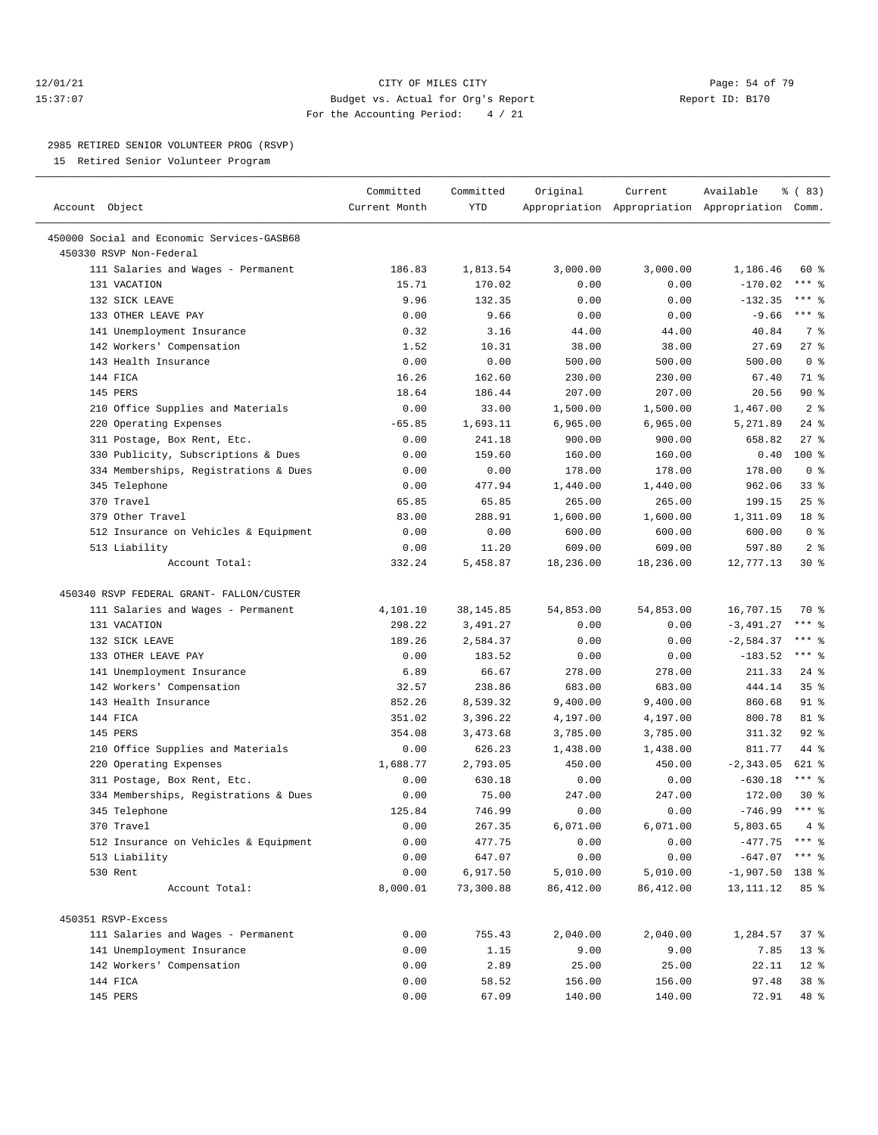## 12/01/21 **Page: 54 of 79** CITY OF MILES CITY **CITY** CITY **Page: 54 of 79** 15:37:07 Budget vs. Actual for Org's Report Report ID: B170 For the Accounting Period: 4 / 21

————————————————————————————————————————————————————————————————————————————————————————————————————————————————————————————————————

#### 2985 RETIRED SENIOR VOLUNTEER PROG (RSVP)

15 Retired Senior Volunteer Program

|                                                                       | Committed     | Committed  | Original   | Current                                         | Available         | % (83)         |
|-----------------------------------------------------------------------|---------------|------------|------------|-------------------------------------------------|-------------------|----------------|
| Account Object                                                        | Current Month | <b>YTD</b> |            | Appropriation Appropriation Appropriation Comm. |                   |                |
|                                                                       |               |            |            |                                                 |                   |                |
| 450000 Social and Economic Services-GASB68<br>450330 RSVP Non-Federal |               |            |            |                                                 |                   |                |
| 111 Salaries and Wages - Permanent                                    | 186.83        | 1,813.54   | 3,000.00   | 3,000.00                                        | 1,186.46          | 60 %           |
| 131 VACATION                                                          | 15.71         | 170.02     | 0.00       | 0.00                                            | $-170.02$         | $***$ $-$      |
| 132 SICK LEAVE                                                        | 9.96          | 132.35     | 0.00       | 0.00                                            | $-132.35$         | $***$ $-$      |
| 133 OTHER LEAVE PAY                                                   | 0.00          | 9.66       | 0.00       | 0.00                                            | $-9.66$           | $***$ $-$      |
| 141 Unemployment Insurance                                            | 0.32          | 3.16       | 44.00      | 44.00                                           | 40.84             | 7 %            |
| 142 Workers' Compensation                                             | 1.52          | 10.31      | 38.00      | 38.00                                           | 27.69             | $27$ %         |
| 143 Health Insurance                                                  | 0.00          | 0.00       | 500.00     | 500.00                                          | 500.00            | 0 <sup>8</sup> |
| 144 FICA                                                              | 16.26         | 162.60     | 230.00     | 230.00                                          | 67.40             | 71 %           |
| 145 PERS                                                              | 18.64         | 186.44     | 207.00     | 207.00                                          | 20.56             | 90%            |
| 210 Office Supplies and Materials                                     | 0.00          | 33.00      | 1,500.00   | 1,500.00                                        | 1,467.00          | 2 <sup>8</sup> |
| 220 Operating Expenses                                                | $-65.85$      | 1,693.11   | 6,965.00   | 6,965.00                                        | 5,271.89          | $24$ %         |
| 311 Postage, Box Rent, Etc.                                           | 0.00          | 241.18     | 900.00     | 900.00                                          | 658.82            | $27$ %         |
| 330 Publicity, Subscriptions & Dues                                   | 0.00          | 159.60     | 160.00     | 160.00                                          | 0.40              | $100$ %        |
| 334 Memberships, Registrations & Dues                                 | 0.00          | 0.00       | 178.00     | 178.00                                          | 178.00            | 0 <sup>8</sup> |
| 345 Telephone                                                         | 0.00          | 477.94     | 1,440.00   | 1,440.00                                        | 962.06            | $33$ $%$       |
| 370 Travel                                                            | 65.85         | 65.85      | 265.00     | 265.00                                          | 199.15            | 25%            |
| 379 Other Travel                                                      | 83.00         | 288.91     | 1,600.00   | 1,600.00                                        | 1,311.09          | 18 %           |
| 512 Insurance on Vehicles & Equipment                                 | 0.00          | 0.00       | 600.00     | 600.00                                          | 600.00            | 0 <sup>8</sup> |
| 513 Liability                                                         | 0.00          | 11.20      | 609.00     | 609.00                                          | 597.80            | 2 <sup>8</sup> |
| Account Total:                                                        | 332.24        | 5,458.87   | 18,236.00  | 18,236.00                                       | 12,777.13         | $30*$          |
|                                                                       |               |            |            |                                                 |                   |                |
| 450340 RSVP FEDERAL GRANT- FALLON/CUSTER                              |               |            |            |                                                 |                   |                |
| 111 Salaries and Wages - Permanent                                    | 4,101.10      | 38, 145.85 | 54,853.00  | 54,853.00                                       | 16,707.15         | 70 %           |
| 131 VACATION                                                          | 298.22        | 3,491.27   | 0.00       | 0.00                                            | $-3,491.27$       | $***$ $_{8}$   |
| 132 SICK LEAVE                                                        | 189.26        | 2,584.37   | 0.00       | 0.00                                            | $-2,584.37$       | $***$ $-$      |
| 133 OTHER LEAVE PAY                                                   | 0.00          | 183.52     | 0.00       | 0.00                                            | $-183.52$         | $***$ $-$      |
| 141 Unemployment Insurance                                            | 6.89          | 66.67      | 278.00     | 278.00                                          | 211.33            | 24%            |
| 142 Workers' Compensation                                             | 32.57         | 238.86     | 683.00     | 683.00                                          | 444.14            | 35%            |
| 143 Health Insurance                                                  | 852.26        | 8,539.32   | 9,400.00   | 9,400.00                                        | 860.68            | $91$ %         |
| 144 FICA                                                              | 351.02        | 3,396.22   | 4,197.00   | 4,197.00                                        | 800.78            | 81 %           |
| 145 PERS                                                              | 354.08        | 3,473.68   | 3,785.00   | 3,785.00                                        | 311.32            | $92$ %         |
| 210 Office Supplies and Materials                                     | 0.00          | 626.23     | 1,438.00   | 1,438.00                                        | 811.77            | 44 %           |
| 220 Operating Expenses                                                | 1,688.77      | 2,793.05   | 450.00     | 450.00                                          | $-2, 343.05$      | 621 %          |
| 311 Postage, Box Rent, Etc.                                           | 0.00          | 630.18     | 0.00       | 0.00                                            | $-630.18$         | $***$ 8        |
| 334 Memberships, Registrations & Dues                                 | 0.00          | 75.00      | 247.00     | 247.00                                          | 172.00            | $30*$          |
| 345 Telephone                                                         | 125.84        | 746.99     | 0.00       | 0.00                                            | $-746.99$         | $***$ $%$      |
| 370 Travel                                                            | 0.00          | 267.35     | 6,071.00   | 6,071.00                                        | 5,803.65          | $4\degree$     |
| 512 Insurance on Vehicles & Equipment                                 | 0.00          | 477.75     | 0.00       | 0.00                                            | $-477.75$ *** $%$ |                |
| 513 Liability                                                         | 0.00          | 647.07     | 0.00       | 0.00                                            | $-647.07$         | $***$ $%$      |
| 530 Rent                                                              | 0.00          | 6,917.50   | 5,010.00   | 5,010.00                                        | $-1,907.50$ 138 % |                |
| Account Total:                                                        | 8,000.01      | 73,300.88  | 86, 412.00 | 86, 412.00                                      | 13, 111. 12       | 85%            |
|                                                                       |               |            |            |                                                 |                   |                |
| 450351 RSVP-Excess                                                    |               |            |            |                                                 |                   |                |
| 111 Salaries and Wages - Permanent                                    | 0.00          | 755.43     | 2,040.00   | 2,040.00                                        | 1,284.57          | 37%            |
| 141 Unemployment Insurance                                            | 0.00          | 1.15       | 9.00       | 9.00                                            | 7.85              | $13*$          |
| 142 Workers' Compensation                                             | 0.00          | 2.89       | 25.00      | 25.00                                           | 22.11             | $12*$          |
| 144 FICA                                                              | 0.00          | 58.52      | 156.00     | 156.00                                          | 97.48             | 38 %           |
| 145 PERS                                                              | 0.00          | 67.09      | 140.00     | 140.00                                          | 72.91             | 48 %           |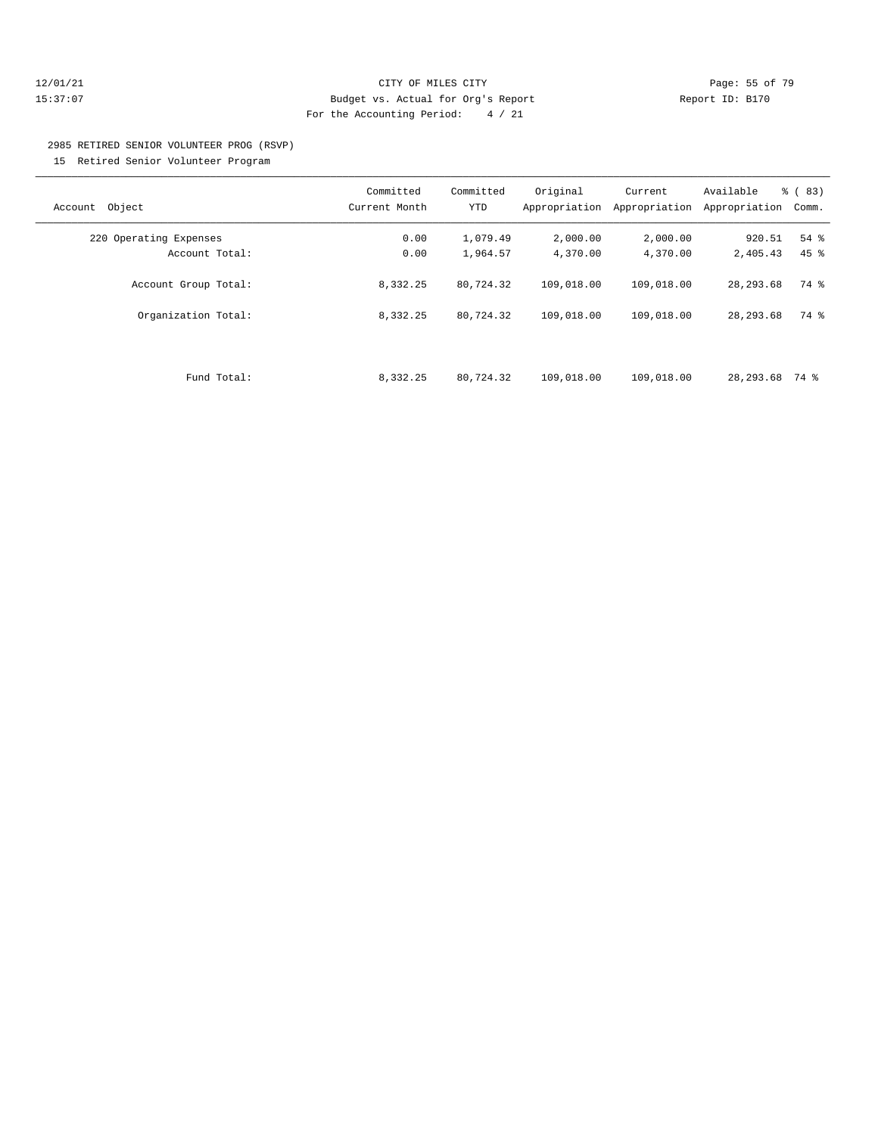## 12/01/21 Page: 55 of 79 15:37:07 Budget vs. Actual for Org's Report Report ID: B170 For the Accounting Period: 4 / 21

# 2985 RETIRED SENIOR VOLUNTEER PROG (RSVP)

15 Retired Senior Volunteer Program

| Object<br>Account      | Committed<br>Current Month | Committed<br><b>YTD</b> | Original<br>Appropriation | Current<br>Appropriation | Available<br>Appropriation | $\frac{6}{6}$ (83)<br>Comm. |
|------------------------|----------------------------|-------------------------|---------------------------|--------------------------|----------------------------|-----------------------------|
| 220 Operating Expenses | 0.00                       | 1,079.49                | 2,000.00                  | 2,000.00                 | 920.51                     | 54 %                        |
| Account Total:         | 0.00                       | 1,964.57                | 4,370.00                  | 4,370.00                 | 2,405.43                   | $45$ $%$                    |
| Account Group Total:   | 8,332.25                   | 80,724.32               | 109,018.00                | 109,018.00               | 28, 293.68                 | 74 %                        |
| Organization Total:    | 8,332.25                   | 80,724.32               | 109,018.00                | 109,018.00               | 28, 293.68                 | 74 %                        |
|                        |                            |                         |                           |                          |                            |                             |
| Fund Total:            | 8,332.25                   | 80,724.32               | 109,018.00                | 109,018.00               | 28,293.68                  | 74 %                        |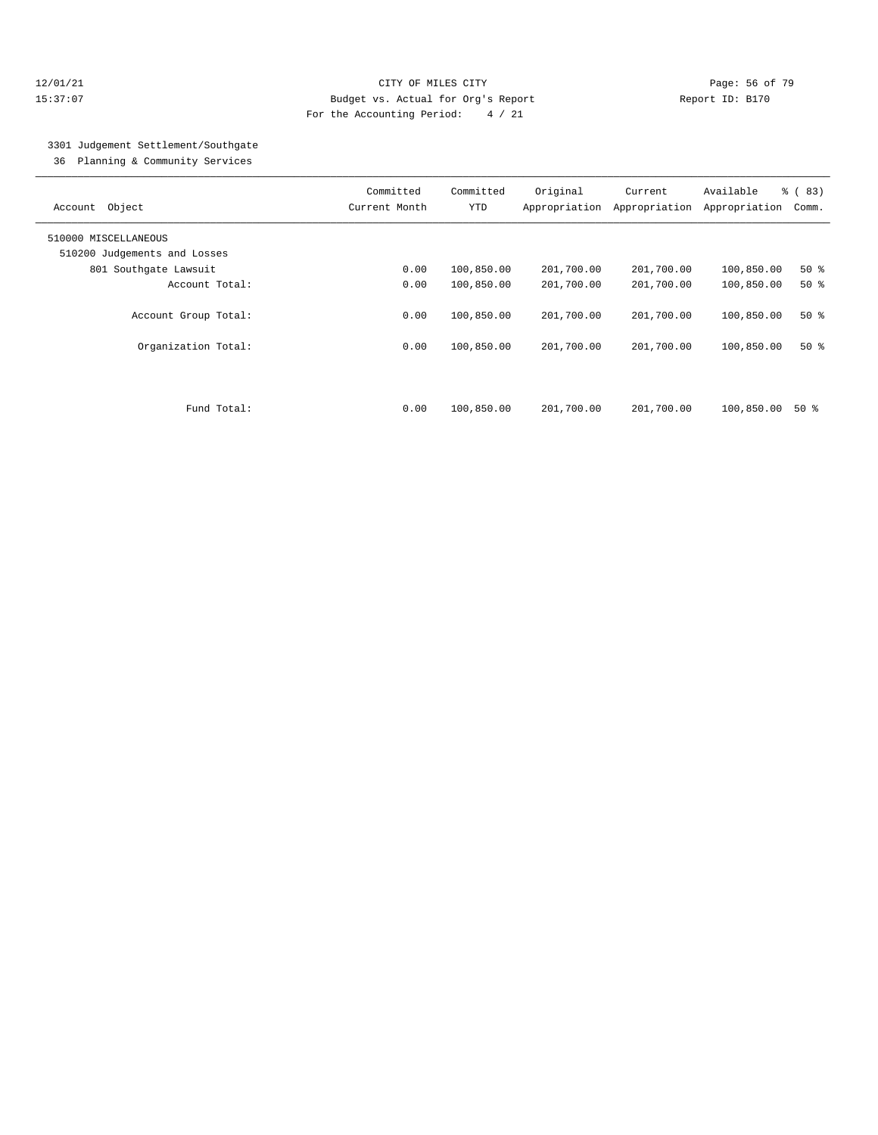## 12/01/21 **CITY OF MILES CITY CITY CITY Page: 56 of 79** 15:37:07 Budget vs. Actual for Org's Report Report ID: B170 For the Accounting Period: 4 / 21

# 3301 Judgement Settlement/Southgate

36 Planning & Community Services

| Object<br>Account            | Committed<br>Current Month | Committed<br><b>YTD</b> | Original<br>Appropriation | Current<br>Appropriation | Available<br>Appropriation | % (83)<br>Comm. |
|------------------------------|----------------------------|-------------------------|---------------------------|--------------------------|----------------------------|-----------------|
| 510000 MISCELLANEOUS         |                            |                         |                           |                          |                            |                 |
| 510200 Judgements and Losses |                            |                         |                           |                          |                            |                 |
| 801 Southqate Lawsuit        | 0.00                       | 100,850.00              | 201,700.00                | 201,700.00               | 100,850.00                 | $50*$           |
| Account Total:               | 0.00                       | 100,850.00              | 201,700.00                | 201,700.00               | 100,850.00                 | $50*$           |
| Account Group Total:         | 0.00                       | 100,850.00              | 201,700.00                | 201,700.00               | 100,850.00                 | $50*$           |
| Organization Total:          | 0.00                       | 100,850.00              | 201,700.00                | 201,700.00               | 100,850.00                 | $50*$           |
| Fund Total:                  | 0.00                       | 100,850.00              | 201,700.00                | 201,700.00               | 100,850.00                 | 50 %            |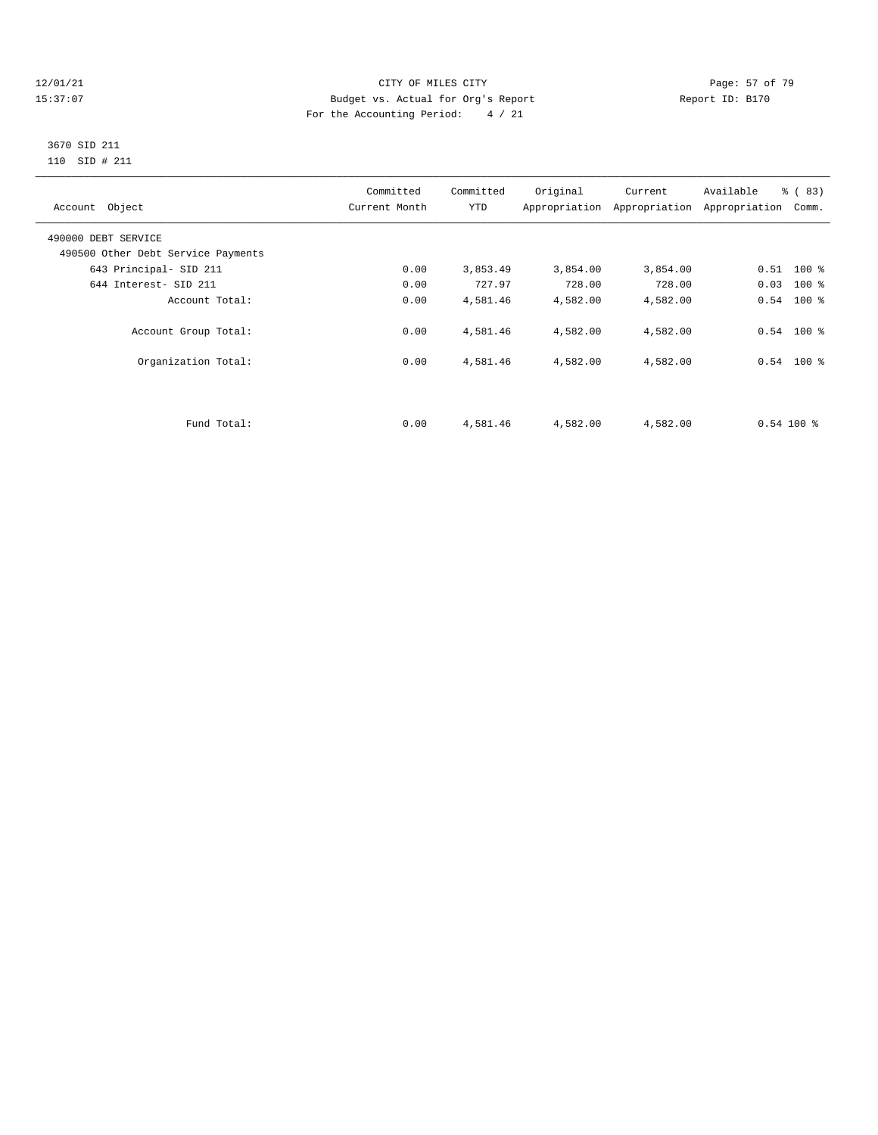## 12/01/21 Page: 57 of 79<br>15:37:07 Page: 57 of 79 Budget vs. Actual for Org's Report Page: 57 of 79 Page: 57 of 79 Budget vs. Actual for Org's Report Page: 2007 15:37:07 Budget vs. Actual for Org's Report For the Accounting Period: 4 / 21

## 3670 SID 211 110 SID # 211

| Account Object                     | Committed<br>Current Month | Committed<br>YTD | Original | Current<br>Appropriation Appropriation | Available<br>% (83)<br>Appropriation | Comm. |
|------------------------------------|----------------------------|------------------|----------|----------------------------------------|--------------------------------------|-------|
| 490000 DEBT SERVICE                |                            |                  |          |                                        |                                      |       |
| 490500 Other Debt Service Payments |                            |                  |          |                                        |                                      |       |
| 643 Principal- SID 211             | 0.00                       | 3,853.49         | 3,854.00 | 3,854.00                               | $0.51$ 100 %                         |       |
| 644 Interest- SID 211              | 0.00                       | 727.97           | 728.00   | 728.00                                 | $0.03$ 100 %                         |       |
| Account Total:                     | 0.00                       | 4,581.46         | 4,582.00 | 4,582.00                               | $0.54$ 100 %                         |       |
| Account Group Total:               | 0.00                       | 4,581.46         | 4,582.00 | 4,582.00                               | $0.54$ 100 %                         |       |
| Organization Total:                | 0.00                       | 4,581.46         | 4,582.00 | 4,582.00                               | $0.54$ 100 %                         |       |
|                                    |                            |                  |          |                                        |                                      |       |
| Fund Total:                        | 0.00                       | 4,581.46         | 4,582.00 | 4,582.00                               | $0.54100$ %                          |       |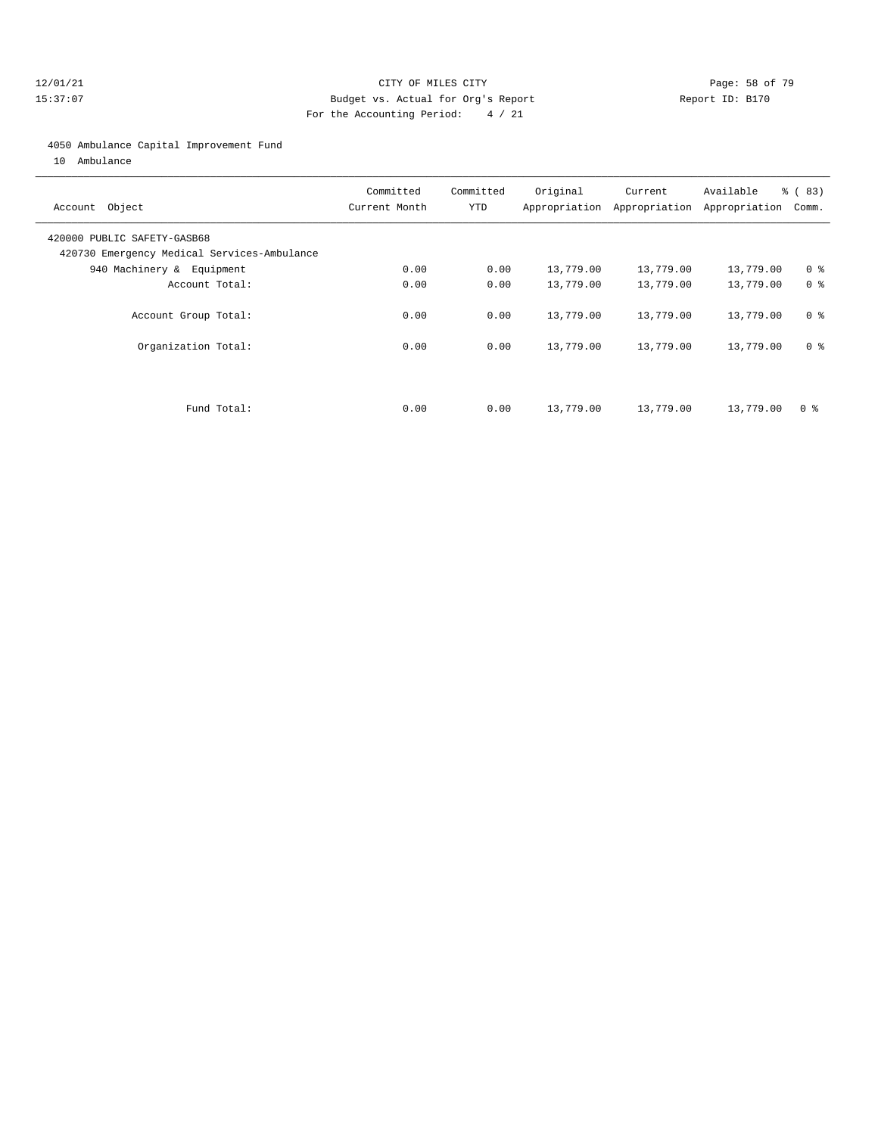## 12/01/21 **Page: 58 of 79** CITY OF MILES CITY **CITY** Page: 58 of 79 15:37:07 Budget vs. Actual for Org's Report Report ID: B170 For the Accounting Period: 4 / 21

#### 4050 Ambulance Capital Improvement Fund

10 Ambulance

| Account Object                                                             | Committed<br>Current Month | Committed<br><b>YTD</b> | Original  | Current<br>Appropriation Appropriation | Available<br>Appropriation | % (83)<br>Comm. |
|----------------------------------------------------------------------------|----------------------------|-------------------------|-----------|----------------------------------------|----------------------------|-----------------|
| 420000 PUBLIC SAFETY-GASB68<br>420730 Emergency Medical Services-Ambulance |                            |                         |           |                                        |                            |                 |
| 940 Machinery & Equipment                                                  | 0.00                       | 0.00                    | 13,779.00 | 13,779.00                              | 13,779.00                  | 0 <sup>8</sup>  |
| Account Total:                                                             | 0.00                       | 0.00                    | 13,779.00 | 13,779.00                              | 13,779.00                  | 0 <sup>8</sup>  |
| Account Group Total:                                                       | 0.00                       | 0.00                    | 13,779.00 | 13,779.00                              | 13,779.00                  | 0 <sup>8</sup>  |
| Organization Total:                                                        | 0.00                       | 0.00                    | 13,779.00 | 13,779.00                              | 13,779.00                  | 0 <sup>8</sup>  |
| Fund Total:                                                                | 0.00                       | 0.00                    | 13,779.00 | 13,779.00                              | 13,779.00                  | 0 ક             |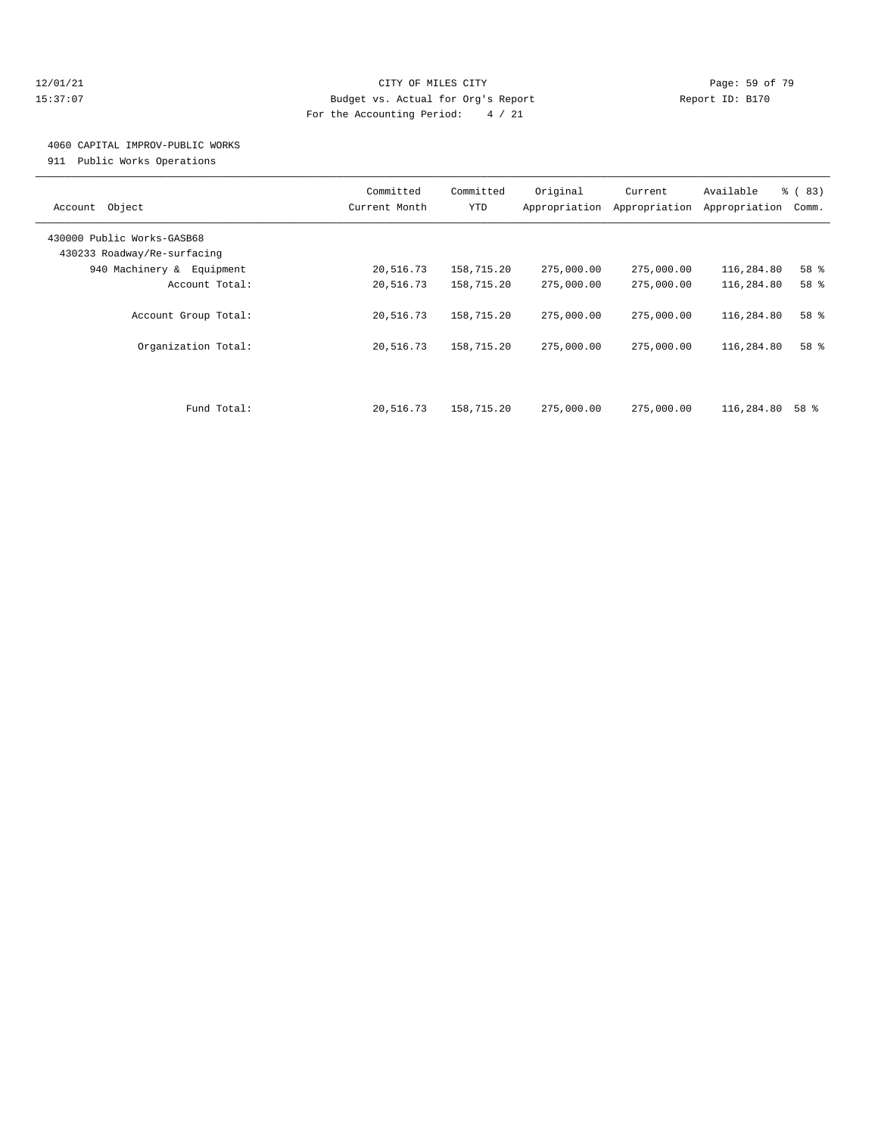## 12/01/21 **Page: 59 of 79** CITY OF MILES CITY **CITY** CITY **Page: 59 of 79** 15:37:07 Budget vs. Actual for Org's Report Report ID: B170 For the Accounting Period: 4 / 21

# 4060 CAPITAL IMPROV-PUBLIC WORKS

911 Public Works Operations

| Object<br>Account                                         | Committed<br>Current Month | Committed<br><b>YTD</b>  | Original<br>Appropriation | Current<br>Appropriation | Available<br>Appropriation | % (83)<br>Comm. |
|-----------------------------------------------------------|----------------------------|--------------------------|---------------------------|--------------------------|----------------------------|-----------------|
| 430000 Public Works-GASB68<br>430233 Roadway/Re-surfacing |                            |                          |                           |                          |                            |                 |
| 940 Machinery & Equipment                                 | 20,516.73                  | 158,715.20               | 275,000.00                | 275,000.00               | 116,284.80                 | 58 %            |
| Account Total:                                            | 20,516.73                  | 158,715.20               | 275,000.00                | 275,000.00               | 116,284.80                 | 58 %            |
| Account Group Total:<br>Organization Total:               | 20,516.73<br>20,516.73     | 158,715.20<br>158,715.20 | 275,000.00<br>275,000.00  | 275,000.00<br>275,000.00 | 116,284.80<br>116,284.80   | 58 %<br>58 %    |
| Fund Total:                                               | 20,516.73                  | 158,715.20               | 275,000.00                | 275,000.00               | 116,284.80                 | 58 %            |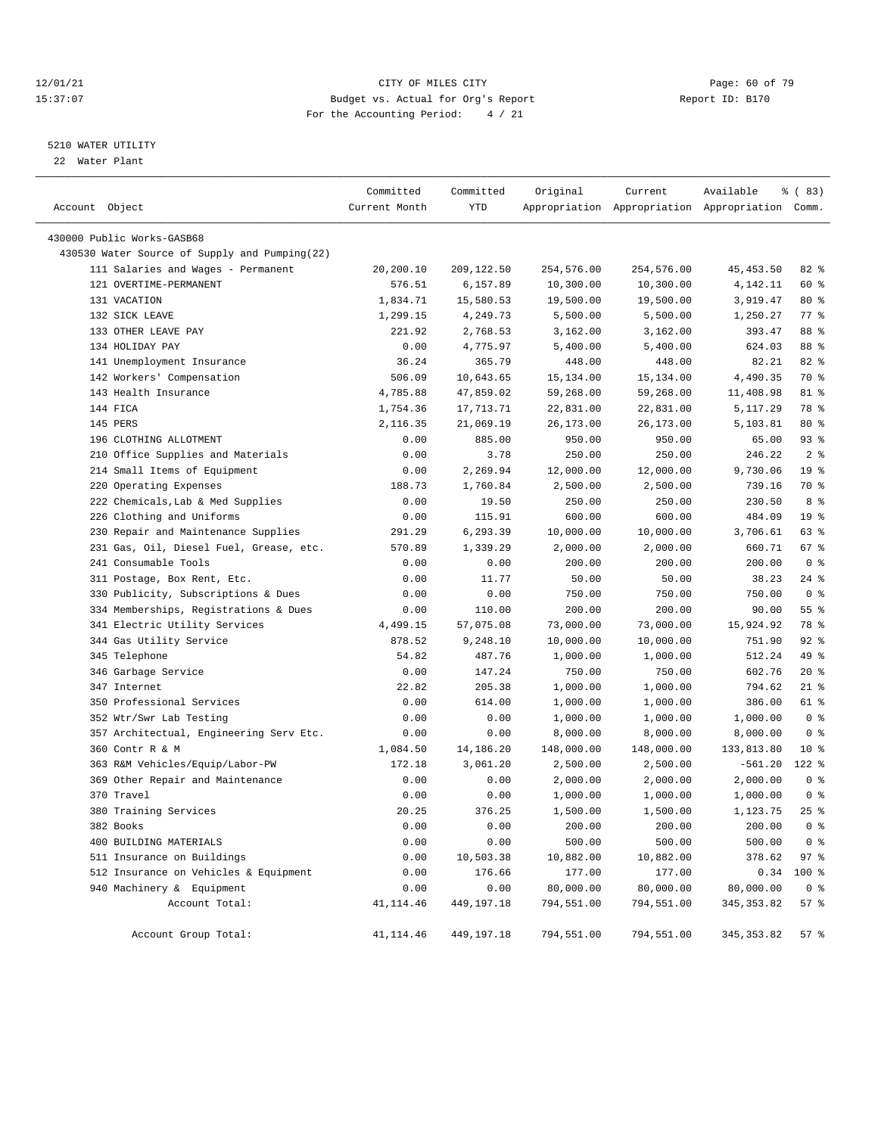## 12/01/21 Page: 60 of 79<br>
12/01/21 Page: 60 of 79<br>
Budget vs. Actual for Org's Report Physics (Papert ID: B170 15:37:07 Budget vs. Actual for Org's Report For the Accounting Period: 4 / 21

## 5210 WATER UTILITY

22 Water Plant

| Account Object                                                  | Committed<br>Current Month | Committed<br>YTD | Original   | Current    | Available<br>Appropriation Appropriation Appropriation Comm. | <sub>है</sub> (83) |
|-----------------------------------------------------------------|----------------------------|------------------|------------|------------|--------------------------------------------------------------|--------------------|
| 430000 Public Works-GASB68                                      |                            |                  |            |            |                                                              |                    |
| 430530 Water Source of Supply and Pumping(22)                   |                            |                  |            |            |                                                              |                    |
| 111 Salaries and Wages - Permanent                              | 20,200.10                  | 209,122.50       | 254,576.00 | 254,576.00 | 45, 453.50                                                   | $82$ $%$           |
| 121 OVERTIME-PERMANENT                                          | 576.51                     | 6,157.89         | 10,300.00  | 10,300.00  | 4,142.11                                                     | 60 %               |
| 131 VACATION                                                    | 1,834.71                   | 15,580.53        | 19,500.00  | 19,500.00  | 3,919.47                                                     | $80*$              |
| 132 SICK LEAVE                                                  | 1,299.15                   | 4,249.73         | 5,500.00   | 5,500.00   | 1,250.27                                                     | 77 %               |
| 133 OTHER LEAVE PAY                                             | 221.92                     | 2,768.53         | 3,162.00   | 3,162.00   | 393.47                                                       | 88 %               |
| 134 HOLIDAY PAY                                                 | 0.00                       | 4,775.97         | 5,400.00   | 5,400.00   | 624.03                                                       | 88 %               |
| 141 Unemployment Insurance                                      | 36.24                      | 365.79           | 448.00     | 448.00     | 82.21                                                        | 82 %               |
| 142 Workers' Compensation                                       | 506.09                     | 10,643.65        | 15,134.00  | 15,134.00  | 4,490.35                                                     | 70 %               |
| 143 Health Insurance                                            | 4,785.88                   | 47,859.02        | 59,268.00  | 59,268.00  | 11,408.98                                                    | 81 %               |
| 144 FICA                                                        | 1,754.36                   | 17,713.71        | 22,831.00  | 22,831.00  | 5,117.29                                                     | 78 %               |
| 145 PERS                                                        | 2,116.35                   | 21,069.19        | 26,173.00  | 26,173.00  | 5,103.81                                                     | $80*$              |
| 196 CLOTHING ALLOTMENT                                          | 0.00                       | 885.00           | 950.00     | 950.00     | 65.00                                                        | 93%                |
| 210 Office Supplies and Materials                               | 0.00                       | 3.78             | 250.00     | 250.00     | 246.22                                                       | 2 <sup>8</sup>     |
| 214 Small Items of Equipment                                    | 0.00                       | 2,269.94         | 12,000.00  | 12,000.00  | 9,730.06                                                     | 19 <sup>°</sup>    |
| 220 Operating Expenses                                          | 188.73                     | 1,760.84         | 2,500.00   | 2,500.00   | 739.16                                                       | 70 %               |
| 222 Chemicals, Lab & Med Supplies                               | 0.00                       | 19.50            | 250.00     | 250.00     | 230.50                                                       | 8 %                |
| 226 Clothing and Uniforms                                       | 0.00                       | 115.91           | 600.00     | 600.00     | 484.09                                                       | 19 <sup>°</sup>    |
| 230 Repair and Maintenance Supplies                             | 291.29                     | 6,293.39         | 10,000.00  | 10,000.00  | 3,706.61                                                     | 63%                |
|                                                                 |                            |                  | 2,000.00   |            | 660.71                                                       | 67%                |
| 231 Gas, Oil, Diesel Fuel, Grease, etc.<br>241 Consumable Tools | 570.89                     | 1,339.29         |            | 2,000.00   | 200.00                                                       | 0 <sup>8</sup>     |
|                                                                 | 0.00                       | 0.00             | 200.00     | 200.00     |                                                              | $24$ %             |
| 311 Postage, Box Rent, Etc.                                     | 0.00                       | 11.77            | 50.00      | 50.00      | 38.23                                                        |                    |
| 330 Publicity, Subscriptions & Dues                             | 0.00                       | 0.00             | 750.00     | 750.00     | 750.00                                                       | 0 <sup>8</sup>     |
| 334 Memberships, Registrations & Dues                           | 0.00                       | 110.00           | 200.00     | 200.00     | 90.00                                                        | 55%                |
| 341 Electric Utility Services                                   | 4,499.15                   | 57,075.08        | 73,000.00  | 73,000.00  | 15,924.92                                                    | 78 %               |
| 344 Gas Utility Service                                         | 878.52                     | 9,248.10         | 10,000.00  | 10,000.00  | 751.90                                                       | $92$ %             |
| 345 Telephone                                                   | 54.82                      | 487.76           | 1,000.00   | 1,000.00   | 512.24                                                       | 49 %               |
| 346 Garbage Service                                             | 0.00                       | 147.24           | 750.00     | 750.00     | 602.76                                                       | $20*$              |
| 347 Internet                                                    | 22.82                      | 205.38           | 1,000.00   | 1,000.00   | 794.62                                                       | $21$ %             |
| 350 Professional Services                                       | 0.00                       | 614.00           | 1,000.00   | 1,000.00   | 386.00                                                       | 61 %               |
| 352 Wtr/Swr Lab Testing                                         | 0.00                       | 0.00             | 1,000.00   | 1,000.00   | 1,000.00                                                     | 0 <sup>8</sup>     |
| 357 Architectual, Engineering Serv Etc.                         | 0.00                       | 0.00             | 8,000.00   | 8,000.00   | 8,000.00                                                     | 0 <sup>8</sup>     |
| 360 Contr R & M                                                 | 1,084.50                   | 14,186.20        | 148,000.00 | 148,000.00 | 133,813.80                                                   | $10*$              |
| 363 R&M Vehicles/Equip/Labor-PW                                 | 172.18                     | 3,061.20         | 2,500.00   | 2,500.00   | $-561.20$                                                    | $122$ %            |
| 369 Other Repair and Maintenance                                | 0.00                       | 0.00             | 2,000.00   | 2,000.00   | 2,000.00                                                     | 0 <sup>8</sup>     |
| 370 Travel                                                      | 0.00                       | 0.00             | 1,000.00   | 1,000.00   | 1,000.00                                                     | 0 <sup>8</sup>     |
| 380 Training Services                                           | 20.25                      | 376.25           | 1,500.00   | 1,500.00   | 1,123.75                                                     | 25%                |
| 382 Books                                                       | 0.00                       | 0.00             | 200.00     | 200.00     | 200.00                                                       | 0 <sup>8</sup>     |
| 400 BUILDING MATERIALS                                          | 0.00                       | 0.00             | 500.00     | 500.00     | 500.00                                                       | 0 <sup>8</sup>     |
| 511 Insurance on Buildings                                      | 0.00                       | 10,503.38        | 10,882.00  | 10,882.00  | 378.62                                                       | 97%                |
| 512 Insurance on Vehicles & Equipment                           | 0.00                       | 176.66           | 177.00     | 177.00     | 0.34                                                         | 100 %              |
| 940 Machinery & Equipment                                       | 0.00                       | 0.00             | 80,000.00  | 80,000.00  | 80,000.00                                                    | 0 <sup>8</sup>     |
| Account Total:                                                  | 41, 114.46                 | 449,197.18       | 794,551.00 | 794,551.00 | 345, 353.82                                                  | 57%                |
| Account Group Total:                                            | 41, 114.46                 | 449,197.18       | 794,551.00 | 794,551.00 | 345, 353.82                                                  | 57%                |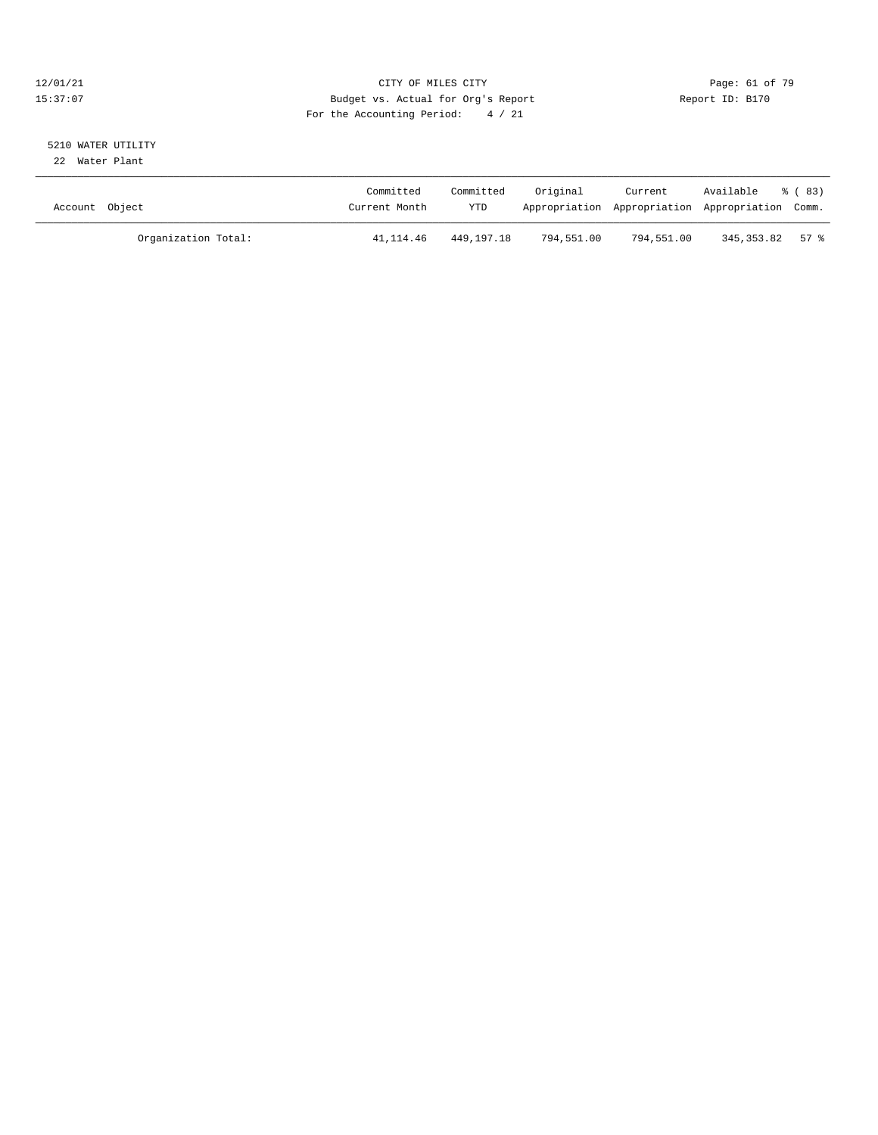## 12/01/21 Page: 61 of 79<br>15:37:07 Page: 61 of 79 Budget vs. Actual for Org's Report Page: 61 of 79 Page: 61 of 79 Budget vs. Actual for Org's Report Page: 2016 15:37:07 Budget vs. Actual for Org's Report For the Accounting Period: 4 / 21

# 5210 WATER UTILITY

22 Water Plant

| Account Object |                     | Committed<br>Current Month | Committed<br>YTD | Original   | Current    | Available<br>Appropriation Appropriation Appropriation Comm. | 8 (83) |
|----------------|---------------------|----------------------------|------------------|------------|------------|--------------------------------------------------------------|--------|
|                | Organization Total: | 41,114.46                  | 449,197.18       | 794,551.00 | 794,551.00 | 345,353.82 57 %                                              |        |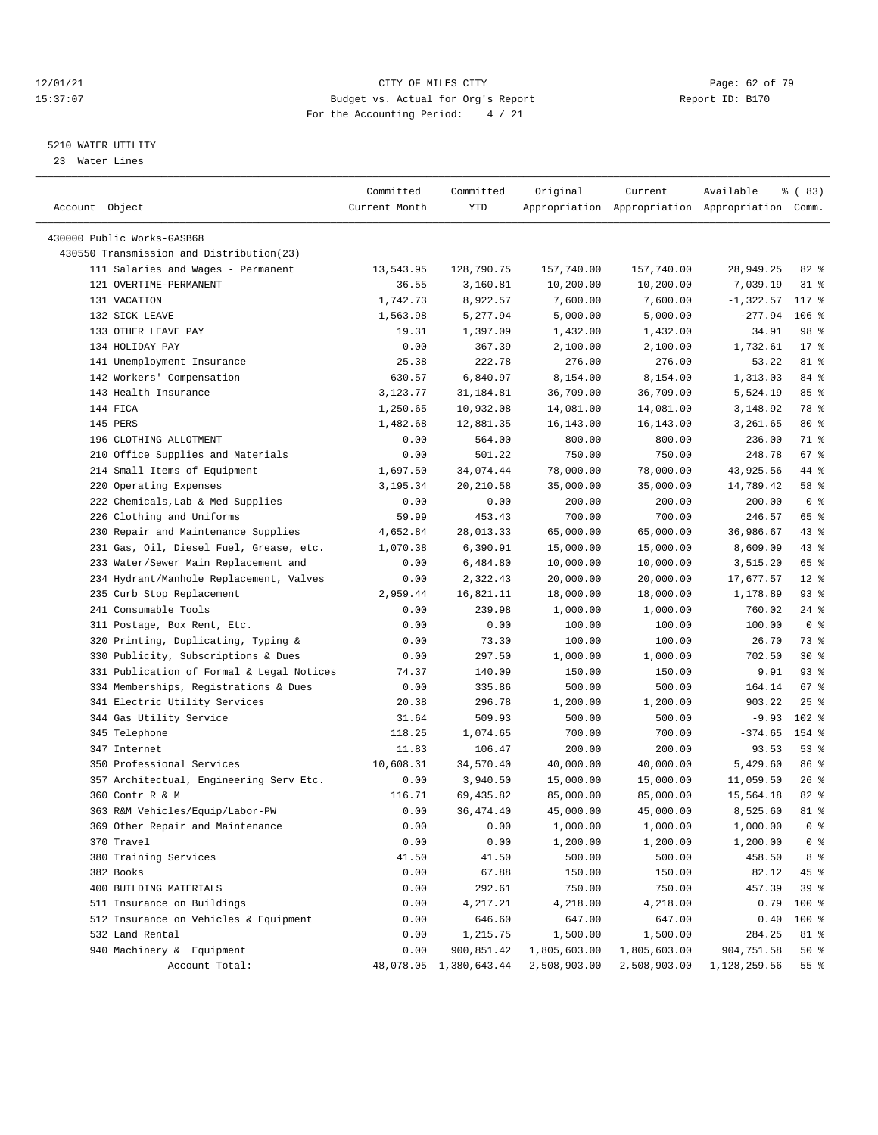## 12/01/21 **Page: 62 of 79** CITY OF MILES CITY **CITY Page: 62 of 79** 15:37:07 Budget vs. Actual for Org's Report Report ID: B170 For the Accounting Period: 4 / 21

————————————————————————————————————————————————————————————————————————————————————————————————————————————————————————————————————

## 5210 WATER UTILITY

23 Water Lines

|                                           | Committed     | Committed              | Original     | Current                                         | Available    | <sub>है</sub> (83) |
|-------------------------------------------|---------------|------------------------|--------------|-------------------------------------------------|--------------|--------------------|
| Account Object                            | Current Month | YTD                    |              | Appropriation Appropriation Appropriation Comm. |              |                    |
|                                           |               |                        |              |                                                 |              |                    |
| 430000 Public Works-GASB68                |               |                        |              |                                                 |              |                    |
| 430550 Transmission and Distribution(23)  |               |                        |              |                                                 |              |                    |
| 111 Salaries and Wages - Permanent        | 13,543.95     | 128,790.75             | 157,740.00   | 157,740.00                                      | 28,949.25    | $82$ $%$           |
| 121 OVERTIME-PERMANENT                    | 36.55         | 3,160.81               | 10,200.00    | 10,200.00                                       | 7,039.19     | 318                |
| 131 VACATION                              | 1,742.73      | 8,922.57               | 7,600.00     | 7,600.00                                        | $-1,322.57$  | 117 %              |
| 132 SICK LEAVE                            | 1,563.98      | 5,277.94               | 5,000.00     | 5,000.00                                        | $-277.94$    | $106$ %            |
| 133 OTHER LEAVE PAY                       | 19.31         | 1,397.09               | 1,432.00     | 1,432.00                                        | 34.91        | 98 %               |
| 134 HOLIDAY PAY                           | 0.00          | 367.39                 | 2,100.00     | 2,100.00                                        | 1,732.61     | $17*$              |
| 141 Unemployment Insurance                | 25.38         | 222.78                 | 276.00       | 276.00                                          | 53.22        | 81 %               |
| 142 Workers' Compensation                 | 630.57        | 6,840.97               | 8,154.00     | 8,154.00                                        | 1,313.03     | 84 %               |
| 143 Health Insurance                      | 3,123.77      | 31,184.81              | 36,709.00    | 36,709.00                                       | 5,524.19     | 85%                |
| 144 FICA                                  | 1,250.65      | 10,932.08              | 14,081.00    | 14,081.00                                       | 3,148.92     | 78 %               |
| 145 PERS                                  | 1,482.68      | 12,881.35              | 16,143.00    | 16,143.00                                       | 3,261.65     | $80*$              |
| 196 CLOTHING ALLOTMENT                    | 0.00          | 564.00                 | 800.00       | 800.00                                          | 236.00       | 71 %               |
| 210 Office Supplies and Materials         | 0.00          | 501.22                 | 750.00       | 750.00                                          | 248.78       | 67%                |
| 214 Small Items of Equipment              | 1,697.50      | 34,074.44              | 78,000.00    | 78,000.00                                       | 43,925.56    | 44 %               |
| 220 Operating Expenses                    | 3,195.34      | 20,210.58              | 35,000.00    | 35,000.00                                       | 14,789.42    | 58 %               |
| 222 Chemicals, Lab & Med Supplies         | 0.00          | 0.00                   | 200.00       | 200.00                                          | 200.00       | 0 <sup>8</sup>     |
| 226 Clothing and Uniforms                 | 59.99         | 453.43                 | 700.00       | 700.00                                          | 246.57       | 65 %               |
| 230 Repair and Maintenance Supplies       | 4,652.84      | 28,013.33              | 65,000.00    | 65,000.00                                       | 36,986.67    | 43%                |
| 231 Gas, Oil, Diesel Fuel, Grease, etc.   | 1,070.38      | 6,390.91               | 15,000.00    | 15,000.00                                       | 8,609.09     | 43 %               |
| 233 Water/Sewer Main Replacement and      | 0.00          | 6,484.80               | 10,000.00    | 10,000.00                                       | 3,515.20     | 65 %               |
| 234 Hydrant/Manhole Replacement, Valves   | 0.00          | 2,322.43               | 20,000.00    | 20,000.00                                       | 17,677.57    | $12$ %             |
| 235 Curb Stop Replacement                 | 2,959.44      | 16,821.11              | 18,000.00    | 18,000.00                                       | 1,178.89     | 93%                |
| 241 Consumable Tools                      | 0.00          | 239.98                 | 1,000.00     | 1,000.00                                        | 760.02       | $24$ %             |
| 311 Postage, Box Rent, Etc.               | 0.00          | 0.00                   | 100.00       | 100.00                                          | 100.00       | 0 <sup>8</sup>     |
| 320 Printing, Duplicating, Typing &       | 0.00          | 73.30                  | 100.00       | 100.00                                          | 26.70        | 73 %               |
| 330 Publicity, Subscriptions & Dues       | 0.00          | 297.50                 | 1,000.00     | 1,000.00                                        | 702.50       | $30*$              |
| 331 Publication of Formal & Legal Notices | 74.37         | 140.09                 | 150.00       | 150.00                                          | 9.91         | 93%                |
| 334 Memberships, Registrations & Dues     | 0.00          | 335.86                 | 500.00       | 500.00                                          | 164.14       | 67%                |
| 341 Electric Utility Services             | 20.38         | 296.78                 | 1,200.00     | 1,200.00                                        | 903.22       | $25$ %             |
| 344 Gas Utility Service                   | 31.64         | 509.93                 | 500.00       | 500.00                                          | $-9.93$      | $102$ %            |
| 345 Telephone                             | 118.25        | 1,074.65               | 700.00       | 700.00                                          | $-374.65$    | 154 %              |
| 347 Internet                              | 11.83         | 106.47                 | 200.00       | 200.00                                          | 93.53        | 53%                |
| 350 Professional Services                 | 10,608.31     | 34,570.40              | 40,000.00    | 40,000.00                                       | 5,429.60     | 86 %               |
| 357 Architectual, Engineering Serv Etc.   | 0.00          | 3,940.50               | 15,000.00    | 15,000.00                                       | 11,059.50    | 26%                |
| 360 Contr R & M                           | 116.71        | 69,435.82              | 85,000.00    | 85,000.00                                       | 15,564.18    | $82$ $%$           |
| 363 R&M Vehicles/Equip/Labor-PW           | 0.00          | 36, 474.40             | 45,000.00    | 45,000.00                                       | 8,525.60     | 81 %               |
| 369 Other Repair and Maintenance          | 0.00          | 0.00                   | 1,000.00     | 1,000.00                                        | 1,000.00     | 0 <sup>8</sup>     |
| 370 Travel                                | 0.00          | 0.00                   | 1,200.00     | 1,200.00                                        | 1,200.00     | 0 <sup>8</sup>     |
| 380 Training Services                     | 41.50         | 41.50                  | 500.00       | 500.00                                          | 458.50       | 8 %                |
| 382 Books                                 | 0.00          | 67.88                  | 150.00       | 150.00                                          | 82.12        | 45 %               |
| 400 BUILDING MATERIALS                    | 0.00          | 292.61                 | 750.00       | 750.00                                          | 457.39       | 39 %               |
| 511 Insurance on Buildings                | 0.00          | 4,217.21               | 4,218.00     | 4,218.00                                        | 0.79         | 100 %              |
| 512 Insurance on Vehicles & Equipment     | 0.00          | 646.60                 | 647.00       | 647.00                                          | 0.40         | 100 %              |
| 532 Land Rental                           | 0.00          | 1,215.75               | 1,500.00     | 1,500.00                                        | 284.25       | 81 %               |
| 940 Machinery & Equipment                 | 0.00          | 900,851.42             | 1,805,603.00 | 1,805,603.00                                    | 904,751.58   | 50%                |
| Account Total:                            |               | 48,078.05 1,380,643.44 | 2,508,903.00 | 2,508,903.00                                    | 1,128,259.56 | 55 %               |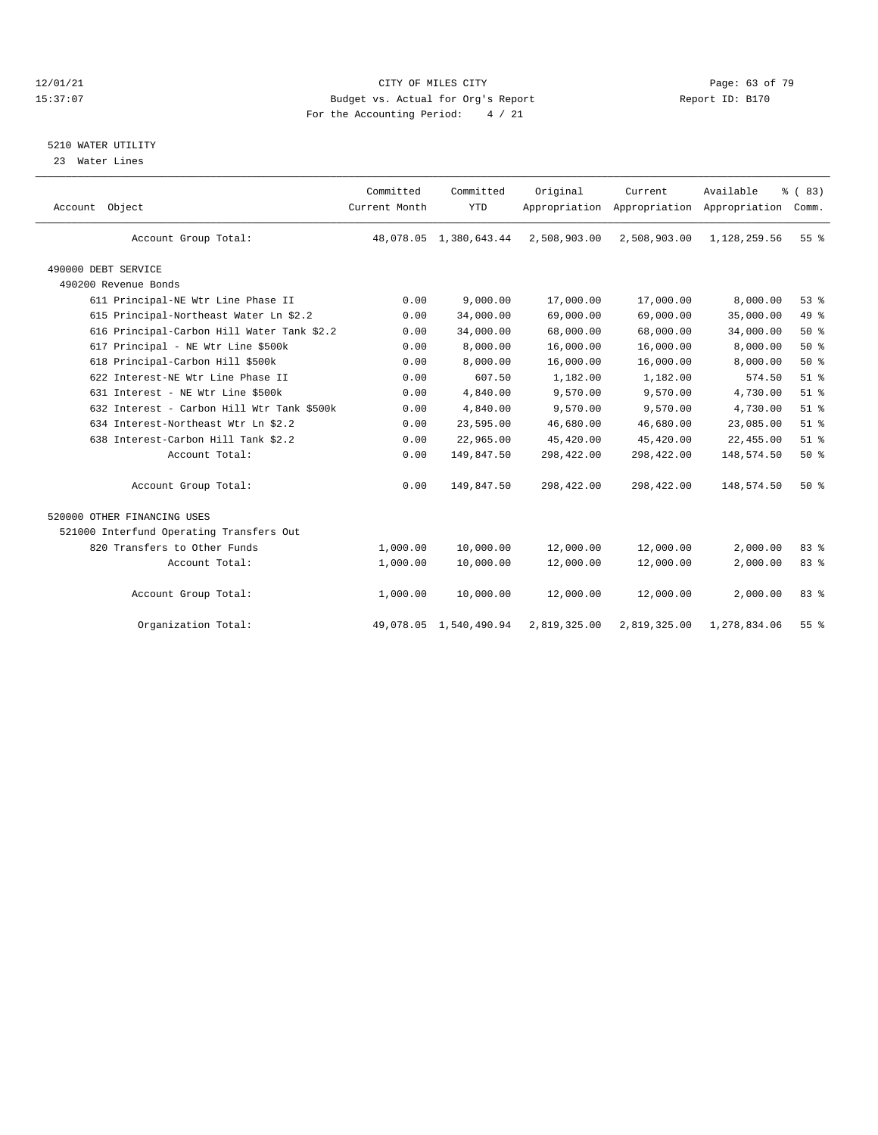## 12/01/21 **CITY OF MILES CITY CITY CITY Page: 63 of 79** 15:37:07 Budget vs. Actual for Org's Report Report ID: B170 For the Accounting Period: 4 / 21

# 5210 WATER UTILITY

23 Water Lines

| Account Object                             | Committed<br>Current Month | Committed<br><b>YTD</b> | Original     | Current      | Available<br>Appropriation Appropriation Appropriation | % (83)<br>Comm. |  |
|--------------------------------------------|----------------------------|-------------------------|--------------|--------------|--------------------------------------------------------|-----------------|--|
| Account Group Total:                       |                            | 48,078.05 1,380,643.44  | 2,508,903.00 | 2,508,903.00 | 1,128,259.56                                           | 55%             |  |
| 490000 DEBT SERVICE                        |                            |                         |              |              |                                                        |                 |  |
| 490200 Revenue Bonds                       |                            |                         |              |              |                                                        |                 |  |
| 611 Principal-NE Wtr Line Phase II         | 0.00                       | 9,000.00                | 17,000.00    | 17,000.00    | 8,000.00                                               | 53%             |  |
| 615 Principal-Northeast Water Ln \$2.2     | 0.00                       | 34,000.00               | 69,000.00    | 69,000.00    | 35,000.00                                              | 49.8            |  |
| 616 Principal-Carbon Hill Water Tank \$2.2 | 0.00                       | 34,000.00               | 68,000.00    | 68,000.00    | 34,000.00                                              | 50%             |  |
| 617 Principal - NE Wtr Line \$500k         | 0.00                       | 8,000.00                | 16,000.00    | 16,000.00    | 8,000.00                                               | 50%             |  |
| 618 Principal-Carbon Hill \$500k           | 0.00                       | 8,000.00                | 16,000.00    | 16,000.00    | 8,000.00                                               | 50%             |  |
| 622 Interest-NE Wtr Line Phase II          | 0.00                       | 607.50                  | 1,182.00     | 1,182.00     | 574.50                                                 | $51$ $%$        |  |
| 631 Interest - NE Wtr Line \$500k          | 0.00                       | 4,840.00                | 9,570.00     | 9,570.00     | 4,730.00                                               | $51$ $%$        |  |
| 632 Interest - Carbon Hill Wtr Tank \$500k | 0.00                       | 4,840.00                | 9,570.00     | 9,570.00     | 4,730.00                                               | $51$ %          |  |
| 634 Interest-Northeast Wtr Ln \$2.2        | 0.00                       | 23,595.00               | 46,680.00    | 46,680.00    | 23,085.00                                              | $51$ %          |  |
| 638 Interest-Carbon Hill Tank \$2.2        | 0.00                       | 22,965.00               | 45,420.00    | 45,420.00    | 22,455.00                                              | $51$ %          |  |
| Account Total:                             | 0.00                       | 149,847.50              | 298,422.00   | 298,422.00   | 148,574.50                                             | 50%             |  |
| Account Group Total:                       | 0.00                       | 149,847.50              | 298,422.00   | 298,422.00   | 148,574.50                                             | 50%             |  |
| 520000 OTHER FINANCING USES                |                            |                         |              |              |                                                        |                 |  |
| 521000 Interfund Operating Transfers Out   |                            |                         |              |              |                                                        |                 |  |
| 820 Transfers to Other Funds               | 1,000.00                   | 10,000.00               | 12,000.00    | 12,000.00    | 2,000.00                                               | 83%             |  |
| Account Total:                             | 1,000.00                   | 10,000.00               | 12,000.00    | 12,000.00    | 2,000.00                                               | 83%             |  |
| Account Group Total:                       | 1,000.00                   | 10,000.00               | 12,000.00    | 12,000.00    | 2,000.00                                               | 83%             |  |
| Organization Total:                        |                            | 49,078.05 1,540,490.94  | 2,819,325.00 | 2,819,325.00 | 1,278,834.06                                           | 55 <sup>8</sup> |  |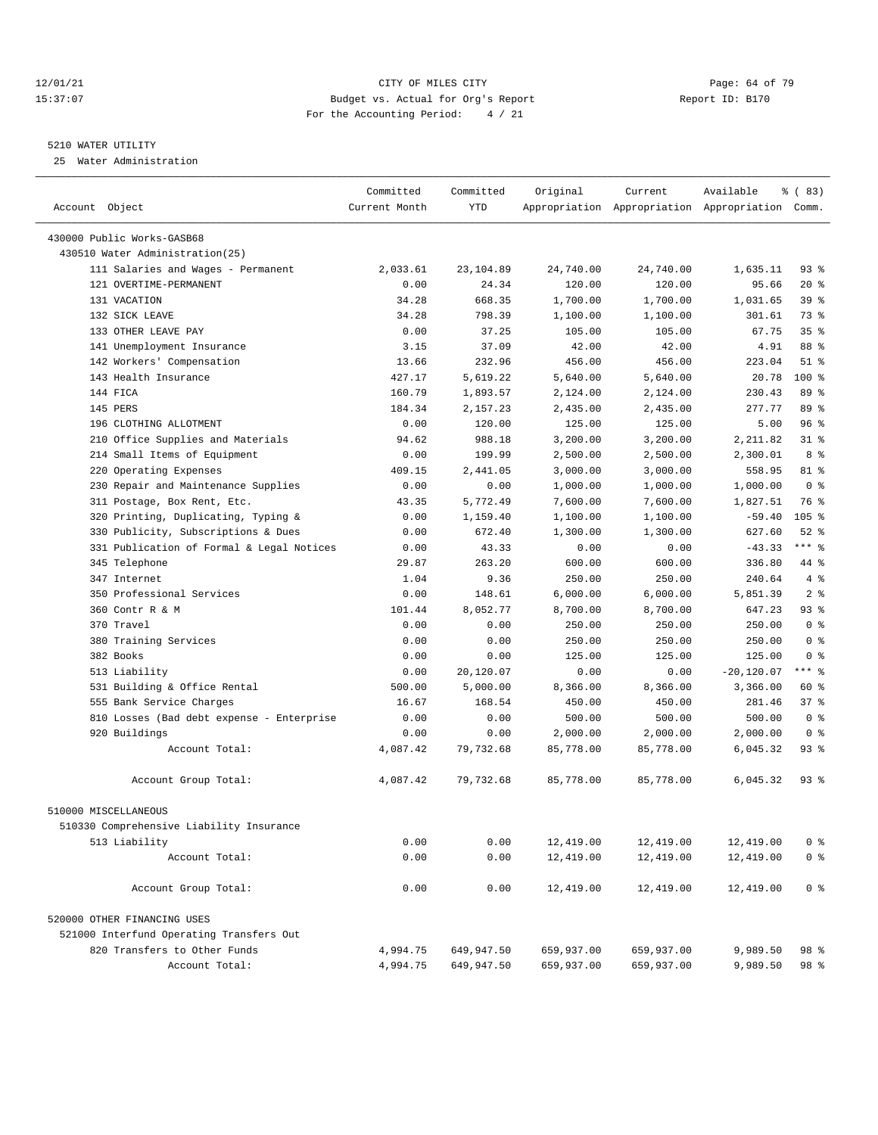## 12/01/21 Page: 64 of 79<br>15:37:07 Budget vs. Actual for Org's Report Report Report ID: B170 15:37:07 Budget vs. Actual for Org's Report For the Accounting Period: 4 / 21

#### 5210 WATER UTILITY

25 Water Administration

|                                           | Committed     | Committed  | Original   | Current    | Available                                       | <sub>ර</sub> ි (83) |
|-------------------------------------------|---------------|------------|------------|------------|-------------------------------------------------|---------------------|
| Account Object                            | Current Month | <b>YTD</b> |            |            | Appropriation Appropriation Appropriation Comm. |                     |
| 430000 Public Works-GASB68                |               |            |            |            |                                                 |                     |
| 430510 Water Administration (25)          |               |            |            |            |                                                 |                     |
| 111 Salaries and Wages - Permanent        | 2,033.61      | 23, 104.89 | 24,740.00  | 24,740.00  | 1,635.11                                        | 938                 |
| 121 OVERTIME-PERMANENT                    | 0.00          | 24.34      | 120.00     | 120.00     | 95.66                                           | $20*$               |
| 131 VACATION                              | 34.28         | 668.35     | 1,700.00   | 1,700.00   | 1,031.65                                        | 39 %                |
| 132 SICK LEAVE                            | 34.28         | 798.39     | 1,100.00   | 1,100.00   | 301.61                                          | 73 %                |
| 133 OTHER LEAVE PAY                       | 0.00          | 37.25      | 105.00     | 105.00     | 67.75                                           | 35%                 |
| 141 Unemployment Insurance                | 3.15          | 37.09      | 42.00      | 42.00      | 4.91                                            | 88 %                |
| 142 Workers' Compensation                 | 13.66         | 232.96     | 456.00     | 456.00     | 223.04                                          | $51$ %              |
| 143 Health Insurance                      | 427.17        | 5,619.22   | 5,640.00   | 5,640.00   | 20.78                                           | $100*$              |
| 144 FICA                                  | 160.79        | 1,893.57   | 2,124.00   | 2,124.00   | 230.43                                          | 89 %                |
| 145 PERS                                  | 184.34        | 2,157.23   | 2,435.00   | 2,435.00   | 277.77                                          | 89 %                |
| 196 CLOTHING ALLOTMENT                    | 0.00          | 120.00     | 125.00     | 125.00     | 5.00                                            | 96%                 |
| 210 Office Supplies and Materials         | 94.62         | 988.18     | 3,200.00   | 3,200.00   | 2,211.82                                        | $31$ $%$            |
| 214 Small Items of Equipment              | 0.00          | 199.99     | 2,500.00   | 2,500.00   | 2,300.01                                        | 8 %                 |
| 220 Operating Expenses                    | 409.15        | 2,441.05   | 3,000.00   | 3,000.00   | 558.95                                          | 81 %                |
| 230 Repair and Maintenance Supplies       | 0.00          | 0.00       | 1,000.00   | 1,000.00   | 1,000.00                                        | 0 <sup>8</sup>      |
| 311 Postage, Box Rent, Etc.               | 43.35         | 5,772.49   | 7,600.00   | 7,600.00   | 1,827.51                                        | 76 %                |
| 320 Printing, Duplicating, Typing &       | 0.00          | 1,159.40   | 1,100.00   | 1,100.00   | $-59.40$                                        | $105*$              |
| 330 Publicity, Subscriptions & Dues       | 0.00          | 672.40     | 1,300.00   | 1,300.00   | 627.60                                          | $52$ $%$            |
| 331 Publication of Formal & Legal Notices | 0.00          | 43.33      | 0.00       | 0.00       | $-43.33$                                        | $***$ $%$           |
| 345 Telephone                             | 29.87         | 263.20     | 600.00     | 600.00     | 336.80                                          | 44 %                |
| 347 Internet                              | 1.04          | 9.36       | 250.00     | 250.00     | 240.64                                          | 4%                  |
| 350 Professional Services                 | 0.00          | 148.61     | 6,000.00   | 6,000.00   | 5,851.39                                        | 2 <sup>8</sup>      |
| 360 Contr R & M                           | 101.44        | 8,052.77   | 8,700.00   | 8,700.00   | 647.23                                          | 93%                 |
| 370 Travel                                | 0.00          | 0.00       | 250.00     | 250.00     | 250.00                                          | 0 <sup>8</sup>      |
| 380 Training Services                     | 0.00          | 0.00       | 250.00     | 250.00     | 250.00                                          | 0 <sup>8</sup>      |
| 382 Books                                 | 0.00          | 0.00       | 125.00     | 125.00     | 125.00                                          | 0 <sup>8</sup>      |
| 513 Liability                             | 0.00          | 20,120.07  | 0.00       | 0.00       | $-20,120.07$                                    | $***$ 8             |
| 531 Building & Office Rental              | 500.00        | 5,000.00   | 8,366.00   | 8,366.00   | 3,366.00                                        | 60 %                |
| 555 Bank Service Charges                  | 16.67         | 168.54     | 450.00     | 450.00     | 281.46                                          | 378                 |
| 810 Losses (Bad debt expense - Enterprise | 0.00          | 0.00       | 500.00     | 500.00     | 500.00                                          | 0 <sup>8</sup>      |
| 920 Buildings                             | 0.00          | 0.00       | 2,000.00   | 2,000.00   | 2,000.00                                        | 0 <sup>8</sup>      |
| Account Total:                            | 4,087.42      | 79,732.68  | 85,778.00  | 85,778.00  | 6,045.32                                        | 93%                 |
| Account Group Total:                      | 4,087.42      | 79,732.68  | 85,778.00  | 85,778.00  | 6,045.32                                        | 93%                 |
| 510000 MISCELLANEOUS                      |               |            |            |            |                                                 |                     |
| 510330 Comprehensive Liability Insurance  |               |            |            |            |                                                 |                     |
| 513 Liability                             | 0.00          | 0.00       | 12,419.00  | 12,419.00  | 12,419.00                                       | 0 <sup>8</sup>      |
| Account Total:                            | 0.00          | 0.00       | 12,419.00  | 12,419.00  | 12,419.00                                       | 0 <sup>8</sup>      |
| Account Group Total:                      | 0.00          | 0.00       | 12,419.00  | 12,419.00  | 12,419.00                                       | 0 <sup>8</sup>      |
| 520000 OTHER FINANCING USES               |               |            |            |            |                                                 |                     |
| 521000 Interfund Operating Transfers Out  |               |            |            |            |                                                 |                     |
| 820 Transfers to Other Funds              | 4,994.75      | 649,947.50 | 659,937.00 | 659,937.00 | 9,989.50                                        | 98 %                |
| Account Total:                            | 4,994.75      | 649,947.50 | 659,937.00 | 659,937.00 | 9,989.50                                        | 98 %                |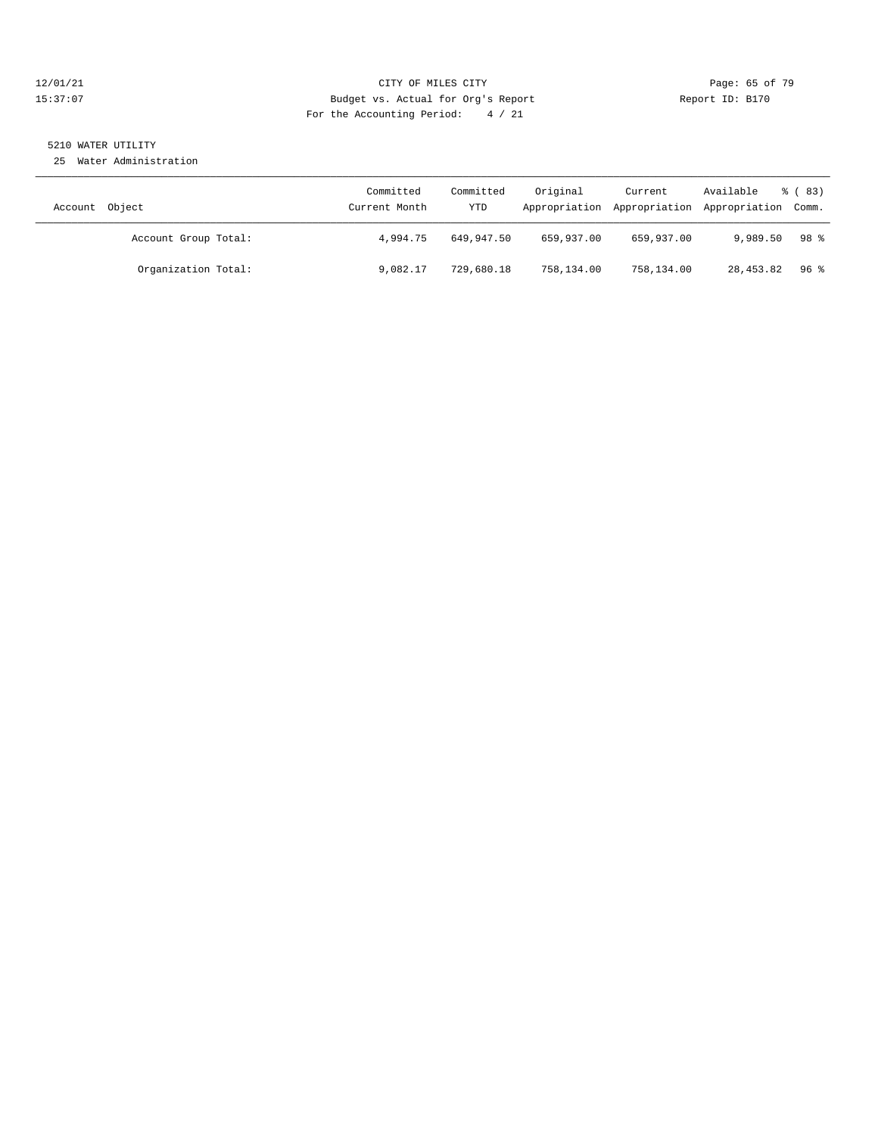## 12/01/21 Page: 65 of 79 15:37:07 Budget vs. Actual for Org's Report Report ID: B170 For the Accounting Period: 4 / 21

# 5210 WATER UTILITY

25 Water Administration

| Account Object       | Committed<br>Current Month | Committed<br>YTD | Original   | Current    | Available<br>Appropriation Appropriation Appropriation Comm. | $\frac{6}{6}$ (83) |
|----------------------|----------------------------|------------------|------------|------------|--------------------------------------------------------------|--------------------|
| Account Group Total: | 4,994.75                   | 649,947.50       | 659,937.00 | 659,937.00 | 9,989.50                                                     | 98 <sup>8</sup>    |
| Organization Total:  | 9,082.17                   | 729,680.18       | 758,134.00 | 758,134.00 | 28,453.82                                                    | 96 %               |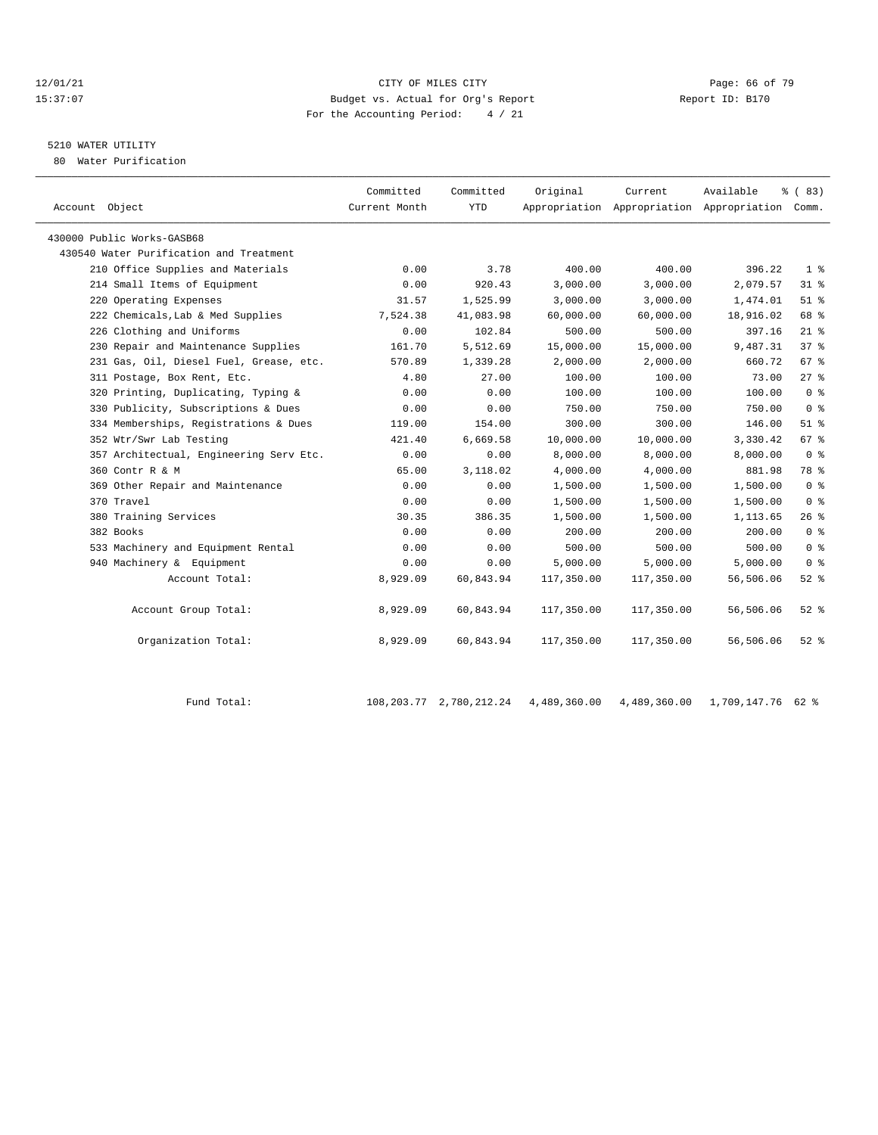## 12/01/21 **CITY OF MILES CITY CITY CITY Page: 66 of 79** 15:37:07 Budget vs. Actual for Org's Report Report ID: B170 For the Accounting Period: 4 / 21

# 5210 WATER UTILITY

80 Water Purification

| Account Object                          | Committed<br>Current Month | Committed<br><b>YTD</b> | Original   | Current    | Available<br>Appropriation Appropriation Appropriation Comm. | % (83)         |
|-----------------------------------------|----------------------------|-------------------------|------------|------------|--------------------------------------------------------------|----------------|
| 430000 Public Works-GASB68              |                            |                         |            |            |                                                              |                |
| 430540 Water Purification and Treatment |                            |                         |            |            |                                                              |                |
| 210 Office Supplies and Materials       | 0.00                       | 3.78                    | 400.00     | 400.00     | 396.22                                                       | 1 <sup>8</sup> |
| 214 Small Items of Equipment            | 0.00                       | 920.43                  | 3,000.00   | 3,000.00   | 2,079.57                                                     | 31.8           |
| 220 Operating Expenses                  | 31.57                      | 1,525.99                | 3,000.00   | 3,000.00   | 1,474.01                                                     | $51$ %         |
| 222 Chemicals, Lab & Med Supplies       | 7,524.38                   | 41,083.98               | 60,000.00  | 60,000.00  | 18,916.02                                                    | 68 %           |
| 226 Clothing and Uniforms               | 0.00                       | 102.84                  | 500.00     | 500.00     | 397.16                                                       | $21$ %         |
| 230 Repair and Maintenance Supplies     | 161.70                     | 5,512.69                | 15,000.00  | 15,000.00  | 9,487.31                                                     | 378            |
| 231 Gas, Oil, Diesel Fuel, Grease, etc. | 570.89                     | 1,339.28                | 2,000.00   | 2,000.00   | 660.72                                                       | 67%            |
| 311 Postage, Box Rent, Etc.             | 4.80                       | 27.00                   | 100.00     | 100.00     | 73.00                                                        | $27$ $%$       |
| 320 Printing, Duplicating, Typing &     | 0.00                       | 0.00                    | 100.00     | 100.00     | 100.00                                                       | 0 <sup>8</sup> |
| 330 Publicity, Subscriptions & Dues     | 0.00                       | 0.00                    | 750.00     | 750.00     | 750.00                                                       | 0 <sup>8</sup> |
| 334 Memberships, Registrations & Dues   | 119.00                     | 154.00                  | 300.00     | 300.00     | 146.00                                                       | $51$ %         |
| 352 Wtr/Swr Lab Testing                 | 421.40                     | 6,669.58                | 10,000.00  | 10,000.00  | 3,330.42                                                     | 67%            |
| 357 Architectual, Engineering Serv Etc. | 0.00                       | 0.00                    | 8,000.00   | 8,000.00   | 8,000.00                                                     | 0 <sup>8</sup> |
| 360 Contr R & M                         | 65.00                      | 3,118.02                | 4,000.00   | 4,000.00   | 881.98                                                       | 78 %           |
| 369 Other Repair and Maintenance        | 0.00                       | 0.00                    | 1,500.00   | 1,500.00   | 1,500.00                                                     | 0 <sup>8</sup> |
| 370 Travel                              | 0.00                       | 0.00                    | 1,500.00   | 1,500.00   | 1,500.00                                                     | 0 <sup>8</sup> |
| 380 Training Services                   | 30.35                      | 386.35                  | 1,500.00   | 1,500.00   | 1,113.65                                                     | 26%            |
| 382 Books                               | 0.00                       | 0.00                    | 200.00     | 200.00     | 200.00                                                       | 0 <sup>8</sup> |
| 533 Machinery and Equipment Rental      | 0.00                       | 0.00                    | 500.00     | 500.00     | 500.00                                                       | 0 <sup>8</sup> |
| 940 Machinery & Equipment               | 0.00                       | 0.00                    | 5,000.00   | 5,000.00   | 5,000.00                                                     | 0 <sup>8</sup> |
| Account Total:                          | 8,929.09                   | 60,843.94               | 117,350.00 | 117,350.00 | 56,506.06                                                    | $52$ $%$       |
| Account Group Total:                    | 8,929.09                   | 60,843.94               | 117,350.00 | 117,350.00 | 56,506.06                                                    | $52$ $%$       |
| Organization Total:                     | 8,929.09                   | 60,843.94               | 117,350.00 | 117,350.00 | 56,506.06                                                    | $52$ $%$       |

Fund Total: 108,203.77 2,780,212.24 4,489,360.00 4,489,360.00 1,709,147.76 62 %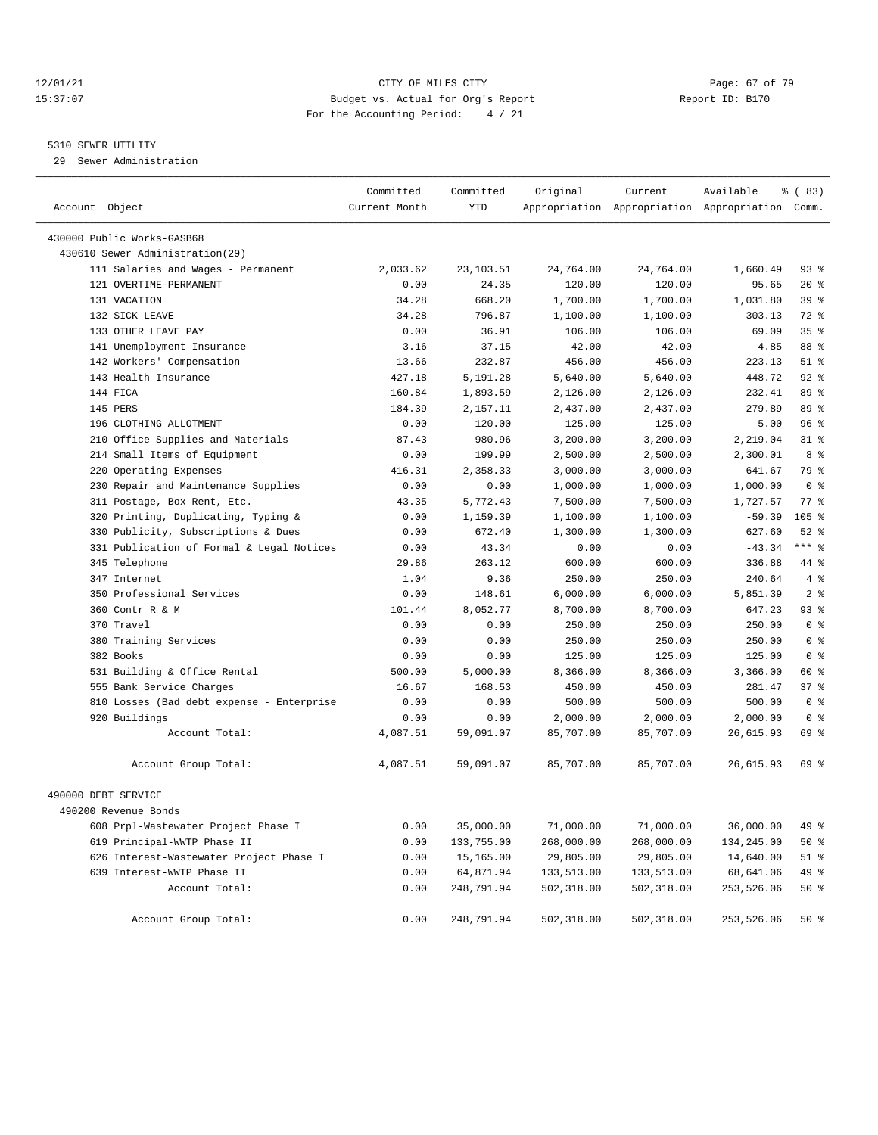## 12/01/21 **Page: 67 of 79** CITY OF MILES CITY **CITY Page: 67 of 79** 15:37:07 Budget vs. Actual for Org's Report Report ID: B170 For the Accounting Period: 4 / 21

#### 5310 SEWER UTILITY

29 Sewer Administration

| Account Object                            | Committed<br>Current Month | Committed<br>YTD | Original   | Current    | Available<br>Appropriation Appropriation Appropriation Comm. | <sub>ර</sub> ි (83) |
|-------------------------------------------|----------------------------|------------------|------------|------------|--------------------------------------------------------------|---------------------|
| 430000 Public Works-GASB68                |                            |                  |            |            |                                                              |                     |
| 430610 Sewer Administration(29)           |                            |                  |            |            |                                                              |                     |
| 111 Salaries and Wages - Permanent        | 2,033.62                   | 23, 103.51       | 24,764.00  | 24,764.00  | 1,660.49                                                     | 938                 |
| 121 OVERTIME-PERMANENT                    | 0.00                       | 24.35            | 120.00     | 120.00     | 95.65                                                        | $20*$               |
| 131 VACATION                              | 34.28                      | 668.20           | 1,700.00   | 1,700.00   | 1,031.80                                                     | 39 %                |
| 132 SICK LEAVE                            | 34.28                      | 796.87           | 1,100.00   | 1,100.00   | 303.13                                                       | 72 %                |
| 133 OTHER LEAVE PAY                       | 0.00                       | 36.91            | 106.00     | 106.00     | 69.09                                                        | 35 <sup>8</sup>     |
| 141 Unemployment Insurance                | 3.16                       | 37.15            | 42.00      | 42.00      | 4.85                                                         | 88 %                |
| 142 Workers' Compensation                 | 13.66                      | 232.87           | 456.00     | 456.00     | 223.13                                                       | $51$ %              |
| 143 Health Insurance                      | 427.18                     | 5,191.28         | 5,640.00   | 5,640.00   | 448.72                                                       | 92%                 |
| 144 FICA                                  | 160.84                     | 1,893.59         | 2,126.00   | 2,126.00   | 232.41                                                       | 89 %                |
| 145 PERS                                  | 184.39                     | 2,157.11         | 2,437.00   | 2,437.00   | 279.89                                                       | 89 %                |
| 196 CLOTHING ALLOTMENT                    | 0.00                       | 120.00           | 125.00     | 125.00     | 5.00                                                         | 96%                 |
| 210 Office Supplies and Materials         | 87.43                      | 980.96           | 3,200.00   | 3,200.00   | 2,219.04                                                     | $31*$               |
| 214 Small Items of Equipment              | 0.00                       | 199.99           | 2,500.00   | 2,500.00   | 2,300.01                                                     | 8 %                 |
| 220 Operating Expenses                    | 416.31                     | 2,358.33         | 3,000.00   | 3,000.00   | 641.67                                                       | 79 %                |
| 230 Repair and Maintenance Supplies       | 0.00                       | 0.00             | 1,000.00   | 1,000.00   | 1,000.00                                                     | 0 <sup>8</sup>      |
| 311 Postage, Box Rent, Etc.               | 43.35                      | 5,772.43         | 7,500.00   | 7,500.00   | 1,727.57                                                     | 77.8                |
| 320 Printing, Duplicating, Typing &       | 0.00                       | 1,159.39         | 1,100.00   | 1,100.00   | $-59.39$                                                     | $105$ %             |
| 330 Publicity, Subscriptions & Dues       | 0.00                       | 672.40           | 1,300.00   | 1,300.00   | 627.60                                                       | $52$ $%$            |
| 331 Publication of Formal & Legal Notices | 0.00                       | 43.34            | 0.00       | 0.00       | $-43.34$                                                     | $***$ $%$           |
| 345 Telephone                             | 29.86                      | 263.12           | 600.00     | 600.00     | 336.88                                                       | 44 %                |
| 347 Internet                              | 1.04                       | 9.36             | 250.00     | 250.00     | 240.64                                                       | 4%                  |
| 350 Professional Services                 | 0.00                       | 148.61           | 6,000.00   | 6,000.00   | 5,851.39                                                     | 2 <sup>8</sup>      |
| 360 Contr R & M                           | 101.44                     | 8,052.77         | 8,700.00   | 8,700.00   | 647.23                                                       | 93%                 |
| 370 Travel                                | 0.00                       | 0.00             | 250.00     | 250.00     | 250.00                                                       | 0 <sup>8</sup>      |
| 380 Training Services                     | 0.00                       | 0.00             | 250.00     | 250.00     | 250.00                                                       | 0 <sup>8</sup>      |
| 382 Books                                 | 0.00                       | 0.00             | 125.00     | 125.00     | 125.00                                                       | 0 <sup>8</sup>      |
| 531 Building & Office Rental              | 500.00                     | 5,000.00         | 8,366.00   | 8,366.00   | 3,366.00                                                     | $60*$               |
| 555 Bank Service Charges                  | 16.67                      | 168.53           | 450.00     | 450.00     | 281.47                                                       | 37%                 |
| 810 Losses (Bad debt expense - Enterprise | 0.00                       | 0.00             | 500.00     | 500.00     | 500.00                                                       | 0 <sup>8</sup>      |
| 920 Buildings                             | 0.00                       | 0.00             | 2,000.00   | 2,000.00   | 2,000.00                                                     | 0 <sup>8</sup>      |
| Account Total:                            | 4,087.51                   | 59,091.07        | 85,707.00  | 85,707.00  | 26,615.93                                                    | 69 %                |
| Account Group Total:                      | 4,087.51                   | 59,091.07        | 85,707.00  | 85,707.00  | 26,615.93                                                    | 69 %                |
| 490000 DEBT SERVICE                       |                            |                  |            |            |                                                              |                     |
| 490200 Revenue Bonds                      |                            |                  |            |            |                                                              |                     |
| 608 Prpl-Wastewater Project Phase I       | 0.00                       | 35,000.00        | 71,000.00  | 71,000.00  | 36,000.00                                                    | 49 %                |
| 619 Principal-WWTP Phase II               | 0.00                       | 133,755.00       | 268,000.00 | 268,000.00 | 134,245.00                                                   | 50 %                |
| 626 Interest-Wastewater Project Phase I   | 0.00                       | 15,165.00        | 29,805.00  | 29,805.00  | 14,640.00                                                    | 51 %                |
| 639 Interest-WWTP Phase II                | 0.00                       | 64,871.94        | 133,513.00 | 133,513.00 | 68,641.06                                                    | 49 %                |
| Account Total:                            | 0.00                       | 248,791.94       | 502,318.00 | 502,318.00 | 253,526.06                                                   | 50%                 |
| Account Group Total:                      | 0.00                       | 248,791.94       | 502,318.00 | 502,318.00 | 253,526.06                                                   | 50%                 |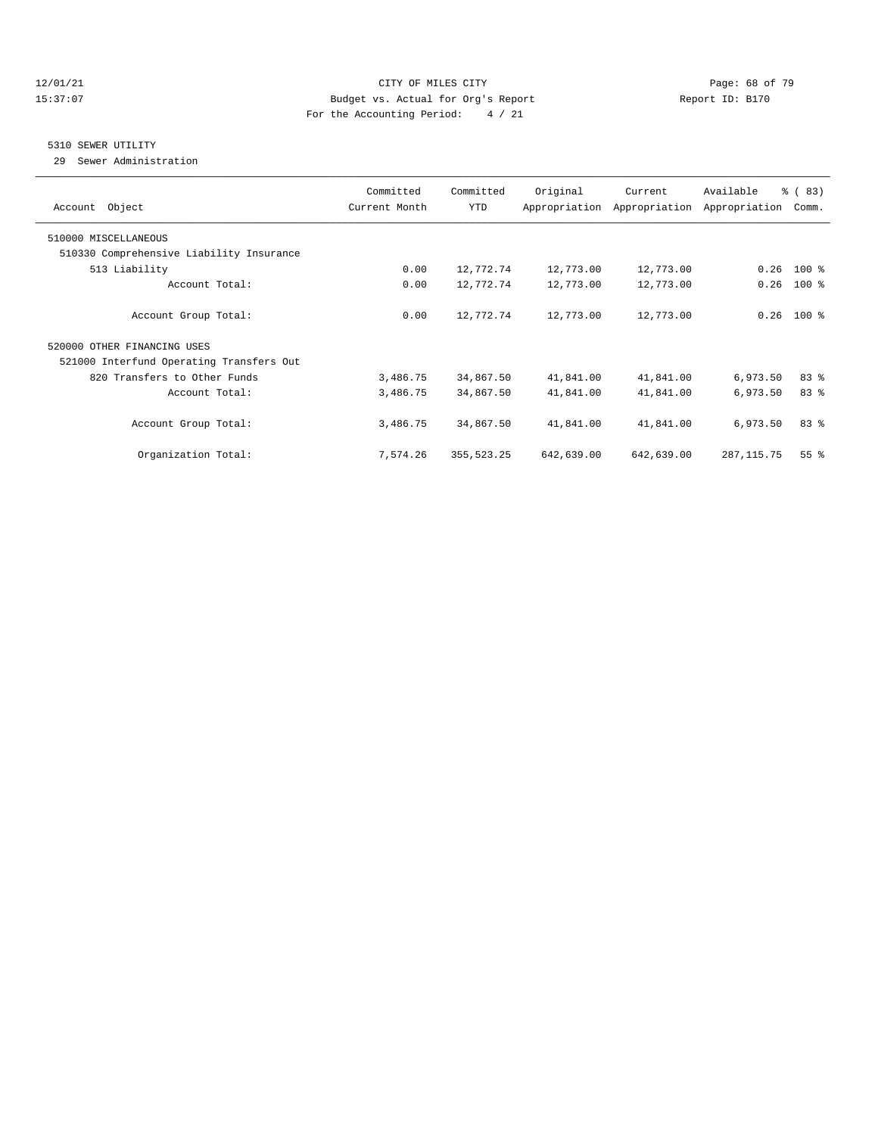## 12/01/21 **CITY OF MILES CITY CITY CITY Page: 68 of 79** 15:37:07 Budget vs. Actual for Org's Report Report ID: B170 For the Accounting Period: 4 / 21

# 5310 SEWER UTILITY

29 Sewer Administration

| Account Object                           | Committed<br>Current Month | Committed<br><b>YTD</b> | Original   | Current<br>Appropriation Appropriation | Available<br>Appropriation | % (83)<br>Comm. |
|------------------------------------------|----------------------------|-------------------------|------------|----------------------------------------|----------------------------|-----------------|
| 510000 MISCELLANEOUS                     |                            |                         |            |                                        |                            |                 |
| 510330 Comprehensive Liability Insurance |                            |                         |            |                                        |                            |                 |
| 513 Liability                            | 0.00                       | 12,772.74               | 12,773.00  | 12,773.00                              | 0.26                       | $100*$          |
| Account Total:                           | 0.00                       | 12,772.74               | 12,773.00  | 12,773.00                              | 0.26                       | $100*$          |
| Account Group Total:                     | 0.00                       | 12,772.74               | 12,773.00  | 12,773.00                              |                            | $0.26$ 100 %    |
| 520000 OTHER FINANCING USES              |                            |                         |            |                                        |                            |                 |
| 521000 Interfund Operating Transfers Out |                            |                         |            |                                        |                            |                 |
| 820 Transfers to Other Funds             | 3,486.75                   | 34,867.50               | 41,841.00  | 41,841.00                              | 6,973.50                   | 83%             |
| Account Total:                           | 3,486.75                   | 34,867.50               | 41,841.00  | 41,841.00                              | 6,973.50                   | 83%             |
| Account Group Total:                     | 3,486.75                   | 34,867.50               | 41,841.00  | 41,841.00                              | 6,973.50                   | 83%             |
| Organization Total:                      | 7,574.26                   | 355, 523.25             | 642,639.00 | 642,639.00                             | 287, 115.75                | 55 <sup>8</sup> |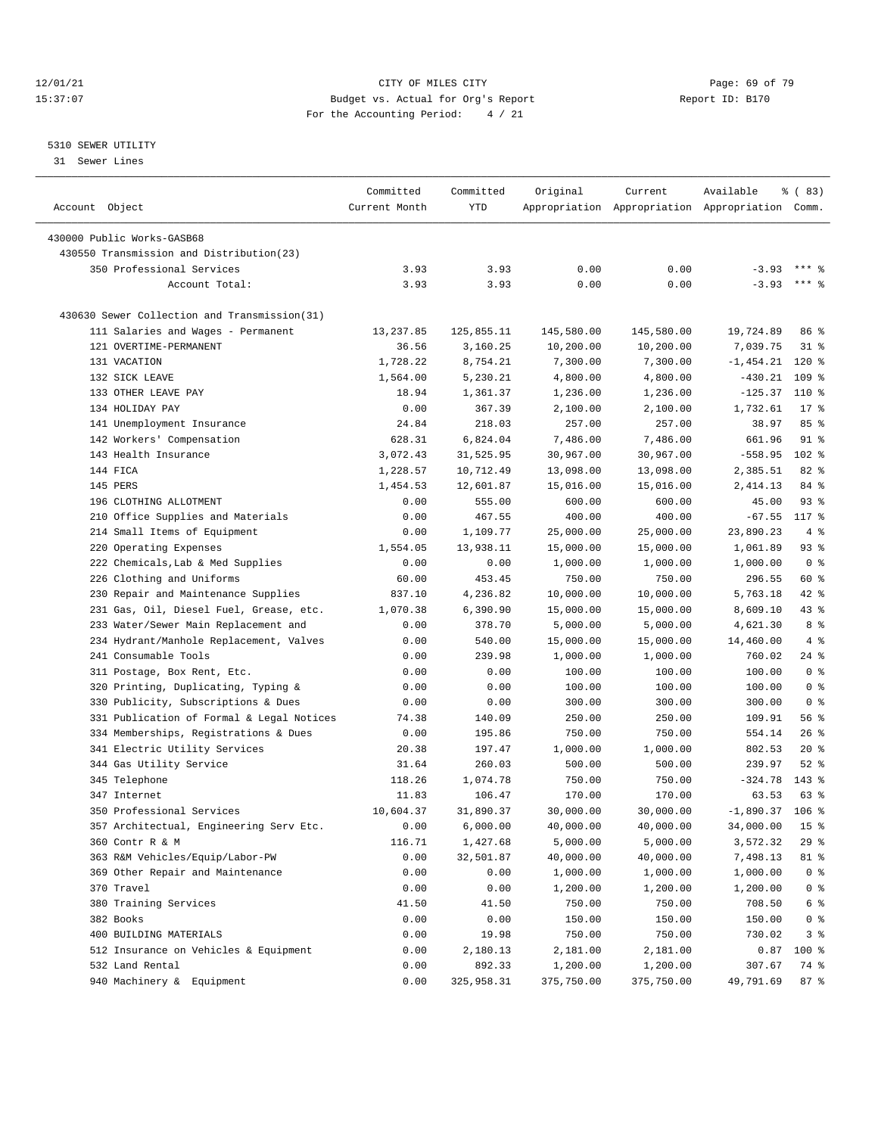## 12/01/21 **CITY OF MILES CITY CITY CITY Page: 69 of 79** 15:37:07 Budget vs. Actual for Org's Report Report ID: B170 For the Accounting Period: 4 / 21

#### 5310 SEWER UTILITY

31 Sewer Lines

|                                              | Committed     | Committed  | Original   | Current    | Available                                       | % (83)          |
|----------------------------------------------|---------------|------------|------------|------------|-------------------------------------------------|-----------------|
| Account Object                               | Current Month | <b>YTD</b> |            |            | Appropriation Appropriation Appropriation Comm. |                 |
| 430000 Public Works-GASB68                   |               |            |            |            |                                                 |                 |
| 430550 Transmission and Distribution(23)     |               |            |            |            |                                                 |                 |
| 350 Professional Services                    | 3.93          | 3.93       | 0.00       | 0.00       | $-3.93$                                         | $***$ 2         |
| Account Total:                               | 3.93          | 3.93       | 0.00       | 0.00       | $-3.93$                                         | $***$ 2         |
|                                              |               |            |            |            |                                                 |                 |
| 430630 Sewer Collection and Transmission(31) |               |            |            |            |                                                 |                 |
| 111 Salaries and Wages - Permanent           | 13, 237.85    | 125,855.11 | 145,580.00 | 145,580.00 | 19,724.89                                       | 86 %            |
| 121 OVERTIME-PERMANENT                       | 36.56         | 3,160.25   | 10,200.00  | 10,200.00  | 7,039.75                                        | $31$ %          |
| 131 VACATION                                 | 1,728.22      | 8,754.21   | 7,300.00   | 7,300.00   | $-1, 454.21$                                    | $120*$          |
| 132 SICK LEAVE                               | 1,564.00      | 5,230.21   | 4,800.00   | 4,800.00   | $-430.21$                                       | 109 %           |
| 133 OTHER LEAVE PAY                          | 18.94         | 1,361.37   | 1,236.00   | 1,236.00   | $-125.37$                                       | 110 %           |
| 134 HOLIDAY PAY                              | 0.00          | 367.39     | 2,100.00   | 2,100.00   | 1,732.61                                        | $17*$           |
| 141 Unemployment Insurance                   | 24.84         | 218.03     | 257.00     | 257.00     | 38.97                                           | 85%             |
| 142 Workers' Compensation                    | 628.31        | 6,824.04   | 7,486.00   | 7,486.00   | 661.96                                          | $91$ %          |
| 143 Health Insurance                         | 3,072.43      | 31,525.95  | 30,967.00  | 30,967.00  | $-558.95$                                       | 102 %           |
| 144 FICA                                     | 1,228.57      | 10,712.49  | 13,098.00  | 13,098.00  | 2,385.51                                        | 82 %            |
| 145 PERS                                     | 1,454.53      | 12,601.87  | 15,016.00  | 15,016.00  | 2, 414.13                                       | 84 %            |
| 196 CLOTHING ALLOTMENT                       | 0.00          | 555.00     | 600.00     | 600.00     | 45.00                                           | $93$ $%$        |
| 210 Office Supplies and Materials            | 0.00          | 467.55     | 400.00     | 400.00     | $-67.55$                                        | 117 %           |
| 214 Small Items of Equipment                 | 0.00          | 1,109.77   | 25,000.00  | 25,000.00  | 23,890.23                                       | 4%              |
| 220 Operating Expenses                       | 1,554.05      | 13,938.11  | 15,000.00  | 15,000.00  | 1,061.89                                        | 93%             |
| 222 Chemicals, Lab & Med Supplies            | 0.00          | 0.00       | 1,000.00   | 1,000.00   | 1,000.00                                        | 0 <sup>8</sup>  |
| 226 Clothing and Uniforms                    | 60.00         | 453.45     | 750.00     | 750.00     | 296.55                                          | 60 %            |
| 230 Repair and Maintenance Supplies          | 837.10        | 4,236.82   | 10,000.00  | 10,000.00  | 5,763.18                                        | 42 %            |
| 231 Gas, Oil, Diesel Fuel, Grease, etc.      | 1,070.38      | 6,390.90   | 15,000.00  | 15,000.00  | 8,609.10                                        | 43 %            |
| 233 Water/Sewer Main Replacement and         | 0.00          | 378.70     | 5,000.00   | 5,000.00   | 4,621.30                                        | 8 %             |
| 234 Hydrant/Manhole Replacement, Valves      | 0.00          | 540.00     | 15,000.00  | 15,000.00  | 14,460.00                                       | 4%              |
| 241 Consumable Tools                         | 0.00          | 239.98     | 1,000.00   | 1,000.00   | 760.02                                          | $24$ %          |
| 311 Postage, Box Rent, Etc.                  | 0.00          | 0.00       | 100.00     | 100.00     | 100.00                                          | 0 <sup>8</sup>  |
| 320 Printing, Duplicating, Typing &          | 0.00          | 0.00       | 100.00     | 100.00     | 100.00                                          | 0 <sup>8</sup>  |
| 330 Publicity, Subscriptions & Dues          | 0.00          | 0.00       | 300.00     | 300.00     | 300.00                                          | 0 <sup>8</sup>  |
| 331 Publication of Formal & Legal Notices    | 74.38         | 140.09     | 250.00     | 250.00     | 109.91                                          | 56%             |
| 334 Memberships, Registrations & Dues        | 0.00          | 195.86     | 750.00     | 750.00     | 554.14                                          | $26$ %          |
| 341 Electric Utility Services                | 20.38         | 197.47     | 1,000.00   | 1,000.00   | 802.53                                          | 20%             |
| 344 Gas Utility Service                      | 31.64         | 260.03     | 500.00     | 500.00     | 239.97                                          | 52%             |
| 345 Telephone                                | 118.26        | 1,074.78   | 750.00     | 750.00     | $-324.78$                                       | 143 %           |
| 347 Internet                                 | 11.83         | 106.47     | 170.00     | 170.00     | 63.53                                           | 63 %            |
| 350 Professional Services                    | 10,604.37     | 31,890.37  | 30,000.00  | 30,000.00  | $-1,890.37$                                     | $106$ %         |
| 357 Architectual, Engineering Serv Etc.      | 0.00          | 6,000.00   | 40,000.00  | 40,000.00  | 34,000.00                                       | 15 <sup>°</sup> |
| 360 Contr R & M                              | 116.71        | 1,427.68   | 5,000.00   | 5,000.00   | 3,572.32                                        | 29%             |
| 363 R&M Vehicles/Equip/Labor-PW              | 0.00          | 32,501.87  | 40,000.00  | 40,000.00  | 7,498.13                                        | 81 %            |
| 369 Other Repair and Maintenance             | 0.00          | 0.00       | 1,000.00   | 1,000.00   | 1,000.00                                        | 0 <sup>8</sup>  |
| 370 Travel                                   | 0.00          | 0.00       | 1,200.00   | 1,200.00   | 1,200.00                                        | 0 <sup>8</sup>  |
| 380 Training Services                        | 41.50         | 41.50      | 750.00     | 750.00     | 708.50                                          | $6\degree$      |
| 382 Books                                    | 0.00          | 0.00       | 150.00     | 150.00     | 150.00                                          | 0 <sup>8</sup>  |
| 400 BUILDING MATERIALS                       | 0.00          | 19.98      | 750.00     | 750.00     | 730.02                                          | 3%              |
| 512 Insurance on Vehicles & Equipment        | 0.00          | 2,180.13   | 2,181.00   | 2,181.00   | 0.87                                            | 100 %           |
| 532 Land Rental                              | 0.00          | 892.33     | 1,200.00   | 1,200.00   | 307.67                                          | 74 %            |
| 940 Machinery & Equipment                    | 0.00          | 325,958.31 | 375,750.00 | 375,750.00 | 49,791.69                                       | 87%             |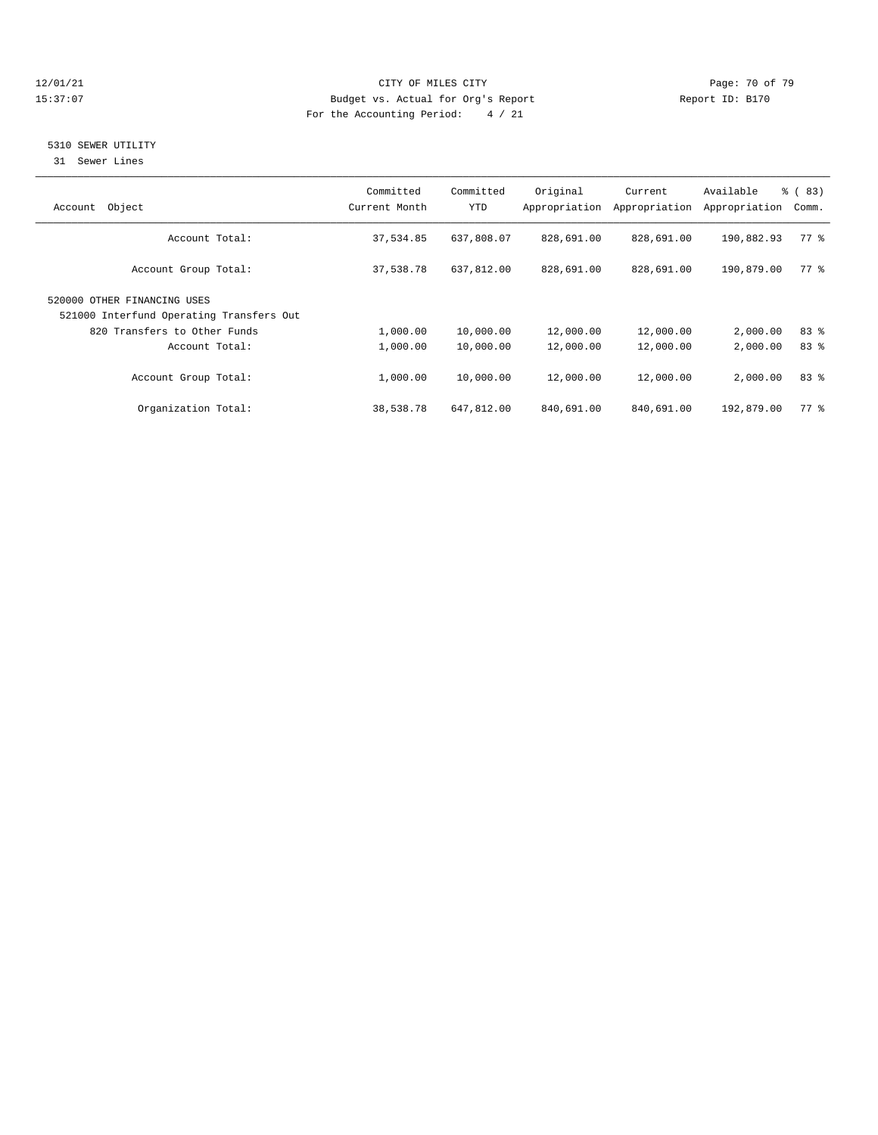## 12/01/21 Page: 70 of 79<br>
12/01/21 Page: 70 of 79<br>
Budget vs. Actual for Org's Report Physics (Paport ID: B170 15:37:07 Budget vs. Actual for Org's Report For the Accounting Period: 4 / 21

#### 5310 SEWER UTILITY

31 Sewer Lines

| Object<br>Account                                                       | Committed<br>Current Month | Committed<br>YTD | Original<br>Appropriation | Current<br>Appropriation | Available<br>Appropriation | % (83)<br>Comm. |
|-------------------------------------------------------------------------|----------------------------|------------------|---------------------------|--------------------------|----------------------------|-----------------|
| Account Total:                                                          | 37,534.85                  | 637,808.07       | 828,691.00                | 828,691.00               | 190,882.93                 | 77.8            |
| Account Group Total:                                                    | 37,538.78                  | 637,812.00       | 828,691.00                | 828,691.00               | 190,879.00                 | 77.8            |
| 520000 OTHER FINANCING USES<br>521000 Interfund Operating Transfers Out |                            |                  |                           |                          |                            |                 |
| 820 Transfers to Other Funds                                            | 1,000.00                   | 10,000.00        | 12,000.00                 | 12,000.00                | 2,000.00                   | 83%             |
| Account Total:                                                          | 1,000.00                   | 10,000.00        | 12,000.00                 | 12,000.00                | 2,000.00                   | 83%             |
| Account Group Total:                                                    | 1,000.00                   | 10,000.00        | 12,000.00                 | 12,000.00                | 2,000.00                   | 83%             |
| Organization Total:                                                     | 38,538.78                  | 647,812.00       | 840,691.00                | 840,691.00               | 192,879.00                 | 77.8            |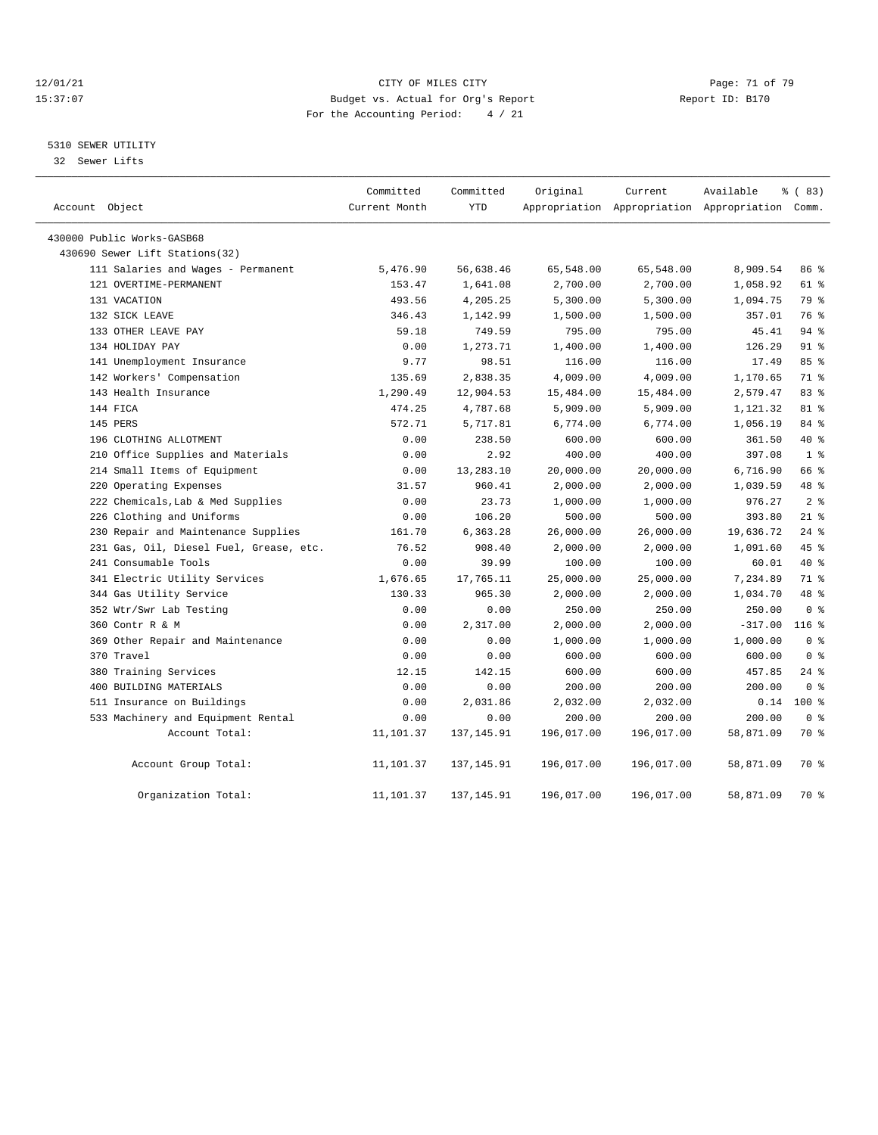## 12/01/21 Page: 71 of 79<br>
12/01/21 Page: 71 of 79<br>
Budget vs. Actual for Org's Report Physics (Papert ID: B170 15:37:07 Budget vs. Actual for Org's Report For the Accounting Period: 4 / 21

## 5310 SEWER UTILITY

32 Sewer Lifts

| Account Object                          | Committed<br>Current Month | Committed<br><b>YTD</b> | Original   | Current<br>Appropriation Appropriation Appropriation Comm. | Available | % (83)         |
|-----------------------------------------|----------------------------|-------------------------|------------|------------------------------------------------------------|-----------|----------------|
| 430000 Public Works-GASB68              |                            |                         |            |                                                            |           |                |
| 430690 Sewer Lift Stations(32)          |                            |                         |            |                                                            |           |                |
| 111 Salaries and Wages - Permanent      | 5,476.90                   | 56,638.46               | 65,548.00  | 65,548.00                                                  | 8,909.54  | 86 %           |
| 121 OVERTIME-PERMANENT                  | 153.47                     | 1,641.08                | 2,700.00   | 2,700.00                                                   | 1,058.92  | 61 %           |
| 131 VACATION                            | 493.56                     | 4,205.25                | 5,300.00   | 5,300.00                                                   | 1,094.75  | 79 %           |
| 132 SICK LEAVE                          | 346.43                     | 1,142.99                | 1,500.00   | 1,500.00                                                   | 357.01    | 76 %           |
| 133 OTHER LEAVE PAY                     | 59.18                      | 749.59                  | 795.00     | 795.00                                                     | 45.41     | 94%            |
| 134 HOLIDAY PAY                         | 0.00                       | 1,273.71                | 1,400.00   | 1,400.00                                                   | 126.29    | 91 %           |
| 141 Unemployment Insurance              | 9.77                       | 98.51                   | 116.00     | 116.00                                                     | 17.49     | 85%            |
| 142 Workers' Compensation               | 135.69                     | 2,838.35                | 4,009.00   | 4,009.00                                                   | 1,170.65  | 71 %           |
| 143 Health Insurance                    | 1,290.49                   | 12,904.53               | 15,484.00  | 15,484.00                                                  | 2,579.47  | 83%            |
| 144 FICA                                | 474.25                     | 4,787.68                | 5,909.00   | 5,909.00                                                   | 1,121.32  | 81 %           |
| 145 PERS                                | 572.71                     | 5,717.81                | 6,774.00   | 6,774.00                                                   | 1,056.19  | 84 %           |
| 196 CLOTHING ALLOTMENT                  | 0.00                       | 238.50                  | 600.00     | 600.00                                                     | 361.50    | $40*$          |
| 210 Office Supplies and Materials       | 0.00                       | 2.92                    | 400.00     | 400.00                                                     | 397.08    | 1 <sup>8</sup> |
| 214 Small Items of Equipment            | 0.00                       | 13,283.10               | 20,000.00  | 20,000.00                                                  | 6,716.90  | 66 %           |
| 220 Operating Expenses                  | 31.57                      | 960.41                  | 2,000.00   | 2,000.00                                                   | 1,039.59  | 48 %           |
| 222 Chemicals, Lab & Med Supplies       | 0.00                       | 23.73                   | 1,000.00   | 1,000.00                                                   | 976.27    | 2 <sup>8</sup> |
| 226 Clothing and Uniforms               | 0.00                       | 106.20                  | 500.00     | 500.00                                                     | 393.80    | $21$ %         |
| 230 Repair and Maintenance Supplies     | 161.70                     | 6,363.28                | 26,000.00  | 26,000.00                                                  | 19,636.72 | $24$ %         |
| 231 Gas, Oil, Diesel Fuel, Grease, etc. | 76.52                      | 908.40                  | 2,000.00   | 2,000.00                                                   | 1,091.60  | 45 %           |
| 241 Consumable Tools                    | 0.00                       | 39.99                   | 100.00     | 100.00                                                     | 60.01     | 40 %           |
| 341 Electric Utility Services           | 1,676.65                   | 17,765.11               | 25,000.00  | 25,000.00                                                  | 7,234.89  | 71 %           |
| 344 Gas Utility Service                 | 130.33                     | 965.30                  | 2,000.00   | 2,000.00                                                   | 1,034.70  | 48 %           |
| 352 Wtr/Swr Lab Testing                 | 0.00                       | 0.00                    | 250.00     | 250.00                                                     | 250.00    | 0 <sup>8</sup> |
| 360 Contr R & M                         | 0.00                       | 2,317.00                | 2,000.00   | 2,000.00                                                   | $-317.00$ | $116$ %        |
| 369 Other Repair and Maintenance        | 0.00                       | 0.00                    | 1,000.00   | 1,000.00                                                   | 1,000.00  | 0 <sup>8</sup> |
| 370 Travel                              | 0.00                       | 0.00                    | 600.00     | 600.00                                                     | 600.00    | 0 <sup>8</sup> |
| 380 Training Services                   | 12.15                      | 142.15                  | 600.00     | 600.00                                                     | 457.85    | $24$ %         |
| 400 BUILDING MATERIALS                  | 0.00                       | 0.00                    | 200.00     | 200.00                                                     | 200.00    | 0 <sup>8</sup> |
| 511 Insurance on Buildings              | 0.00                       | 2,031.86                | 2,032.00   | 2,032.00                                                   | 0.14      | $100*$         |
| 533 Machinery and Equipment Rental      | 0.00                       | 0.00                    | 200.00     | 200.00                                                     | 200.00    | 0 <sup>8</sup> |
| Account Total:                          | 11,101.37                  | 137, 145.91             | 196,017.00 | 196,017.00                                                 | 58,871.09 | 70 %           |
| Account Group Total:                    | 11,101.37                  | 137,145.91              | 196,017.00 | 196,017.00                                                 | 58,871.09 | 70 %           |
| Organization Total:                     | 11,101.37                  | 137, 145.91             | 196,017.00 | 196,017.00                                                 | 58,871.09 | 70 %           |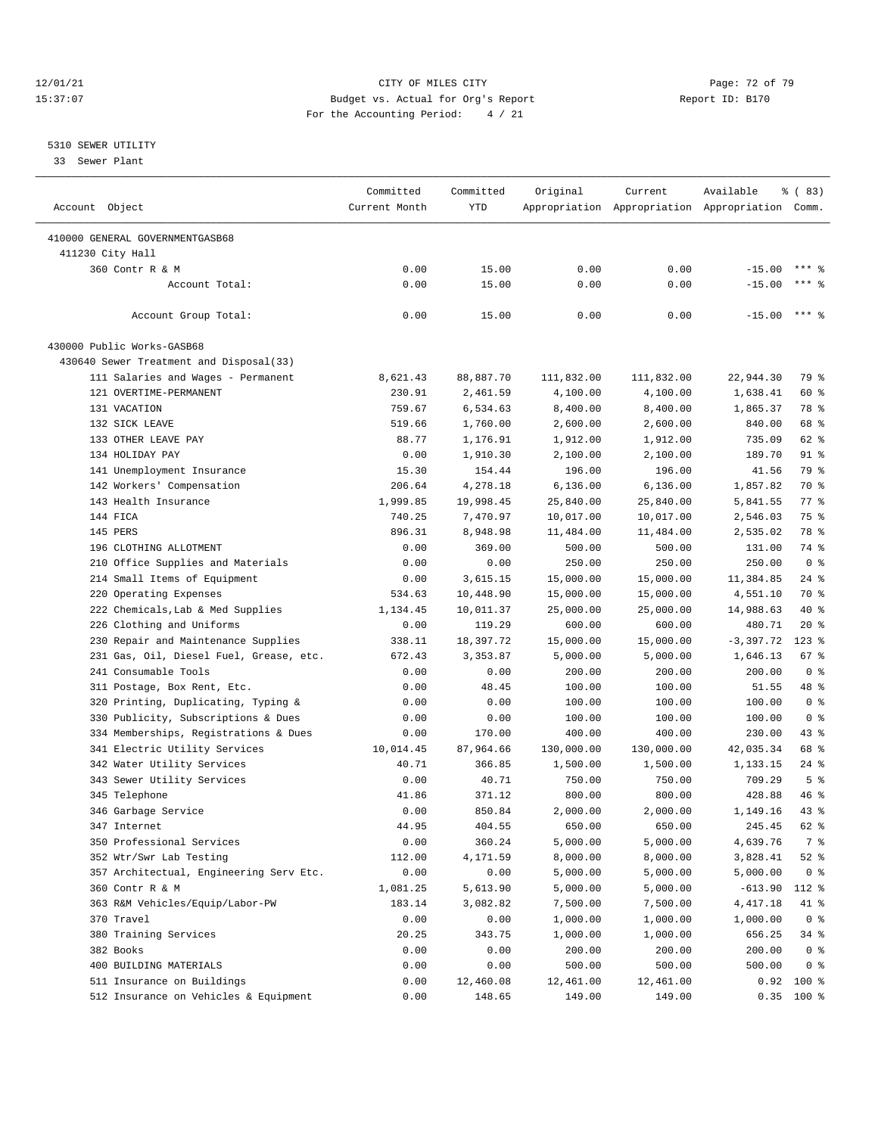## 12/01/21 Page: 72 of 79<br>
12/01/21 Page: 72 of 79<br>
Budget vs. Actual for Org's Report Physics (Papert ID: B170 15:37:07 Budget vs. Actual for Org's Report For the Accounting Period: 4 / 21

## 5310 SEWER UTILITY

33 Sewer Plant

| Account Object                          | Committed<br>Current Month | Committed<br><b>YTD</b> | Original   | Current    | Available<br>Appropriation Appropriation Appropriation Comm. | % (83)         |
|-----------------------------------------|----------------------------|-------------------------|------------|------------|--------------------------------------------------------------|----------------|
| 410000 GENERAL GOVERNMENTGASB68         |                            |                         |            |            |                                                              |                |
| 411230 City Hall                        |                            |                         |            |            |                                                              |                |
| 360 Contr R & M                         | 0.00                       | 15.00                   | 0.00       | 0.00       | $-15.00$                                                     | $***$ 9        |
| Account Total:                          |                            |                         |            |            |                                                              | $***$ 2        |
|                                         | 0.00                       | 15.00                   | 0.00       | 0.00       | $-15.00$                                                     |                |
| Account Group Total:                    | 0.00                       | 15.00                   | 0.00       | 0.00       | $-15.00$                                                     | $***$ 8        |
| 430000 Public Works-GASB68              |                            |                         |            |            |                                                              |                |
| 430640 Sewer Treatment and Disposal(33) |                            |                         |            |            |                                                              |                |
| 111 Salaries and Wages - Permanent      | 8,621.43                   | 88,887.70               | 111,832.00 | 111,832.00 | 22,944.30                                                    | 79 %           |
| 121 OVERTIME-PERMANENT                  | 230.91                     | 2,461.59                | 4,100.00   | 4,100.00   | 1,638.41                                                     | 60 %           |
| 131 VACATION                            | 759.67                     | 6,534.63                | 8,400.00   | 8,400.00   | 1,865.37                                                     | 78 %           |
| 132 SICK LEAVE                          | 519.66                     | 1,760.00                | 2,600.00   | 2,600.00   | 840.00                                                       | 68 %           |
| 133 OTHER LEAVE PAY                     | 88.77                      | 1,176.91                | 1,912.00   | 1,912.00   | 735.09                                                       | 62 %           |
| 134 HOLIDAY PAY                         | 0.00                       | 1,910.30                | 2,100.00   | 2,100.00   | 189.70                                                       | 91 %           |
| 141 Unemployment Insurance              | 15.30                      | 154.44                  | 196.00     | 196.00     | 41.56                                                        | 79 %           |
| 142 Workers' Compensation               | 206.64                     | 4,278.18                | 6, 136.00  | 6,136.00   | 1,857.82                                                     | 70 %           |
| 143 Health Insurance                    | 1,999.85                   | 19,998.45               | 25,840.00  | 25,840.00  | 5,841.55                                                     | 77 %           |
| 144 FICA                                | 740.25                     | 7,470.97                | 10,017.00  | 10,017.00  | 2,546.03                                                     | 75 %           |
| 145 PERS                                | 896.31                     | 8,948.98                | 11,484.00  | 11,484.00  | 2,535.02                                                     | 78 %           |
| 196 CLOTHING ALLOTMENT                  | 0.00                       | 369.00                  | 500.00     | 500.00     | 131.00                                                       | 74 %           |
| 210 Office Supplies and Materials       | 0.00                       | 0.00                    | 250.00     | 250.00     | 250.00                                                       | 0 <sup>8</sup> |
| 214 Small Items of Equipment            | 0.00                       | 3,615.15                | 15,000.00  | 15,000.00  | 11,384.85                                                    | $24$ %         |
| 220 Operating Expenses                  | 534.63                     | 10,448.90               | 15,000.00  | 15,000.00  | 4,551.10                                                     | 70 %           |
|                                         |                            |                         |            |            |                                                              | 40 %           |
| 222 Chemicals, Lab & Med Supplies       | 1,134.45                   | 10,011.37               | 25,000.00  | 25,000.00  | 14,988.63                                                    |                |
| 226 Clothing and Uniforms               | 0.00                       | 119.29                  | 600.00     | 600.00     | 480.71                                                       | 20%            |
| 230 Repair and Maintenance Supplies     | 338.11                     | 18,397.72               | 15,000.00  | 15,000.00  | $-3,397.72$                                                  | $123$ %        |
| 231 Gas, Oil, Diesel Fuel, Grease, etc. | 672.43                     | 3,353.87                | 5,000.00   | 5,000.00   | 1,646.13                                                     | 67 %           |
| 241 Consumable Tools                    | 0.00                       | 0.00                    | 200.00     | 200.00     | 200.00                                                       | 0 <sup>8</sup> |
| 311 Postage, Box Rent, Etc.             | 0.00                       | 48.45                   | 100.00     | 100.00     | 51.55                                                        | 48 %           |
| 320 Printing, Duplicating, Typing &     | 0.00                       | 0.00                    | 100.00     | 100.00     | 100.00                                                       | 0 <sup>8</sup> |
| 330 Publicity, Subscriptions & Dues     | 0.00                       | 0.00                    | 100.00     | 100.00     | 100.00                                                       | 0 <sup>8</sup> |
| 334 Memberships, Registrations & Dues   | 0.00                       | 170.00                  | 400.00     | 400.00     | 230.00                                                       | 43 %           |
| 341 Electric Utility Services           | 10,014.45                  | 87,964.66               | 130,000.00 | 130,000.00 | 42,035.34                                                    | 68 %           |
| 342 Water Utility Services              | 40.71                      | 366.85                  | 1,500.00   | 1,500.00   | 1,133.15                                                     | $24$ %         |
| 343 Sewer Utility Services              | 0.00                       | 40.71                   | 750.00     | 750.00     | 709.29                                                       | 5 <sup>8</sup> |
| 345 Telephone                           | 41.86                      | 371.12                  | 800.00     | 800.00     | 428.88                                                       | 46 %           |
| 346 Garbage Service                     | 0.00                       | 850.84                  | 2,000.00   | 2,000.00   | 1,149.16                                                     | 43.8           |
| 347 Internet                            | 44.95                      | 404.55                  | 650.00     | 650.00     | 245.45                                                       | 62 %           |
| 350 Professional Services               | 0.00                       | 360.24                  | 5,000.00   | 5,000.00   | 4,639.76                                                     | 7 %            |
| 352 Wtr/Swr Lab Testing                 | 112.00                     | 4,171.59                | 8,000.00   | 8,000.00   | 3,828.41                                                     | $52$ $%$       |
| 357 Architectual, Engineering Serv Etc. | 0.00                       | 0.00                    | 5,000.00   | 5,000.00   | 5,000.00                                                     | 0 <sup>8</sup> |
| 360 Contr R & M                         | 1,081.25                   | 5,613.90                | 5,000.00   | 5,000.00   | $-613.90$                                                    | 112 %          |
| 363 R&M Vehicles/Equip/Labor-PW         | 183.14                     | 3,082.82                | 7,500.00   | 7,500.00   | 4, 417.18                                                    | 41 %           |
| 370 Travel                              | 0.00                       | 0.00                    | 1,000.00   | 1,000.00   | 1,000.00                                                     | 0 <sup>8</sup> |
| 380 Training Services                   | 20.25                      | 343.75                  | 1,000.00   | 1,000.00   | 656.25                                                       | 34 %           |
| 382 Books                               | 0.00                       | 0.00                    | 200.00     | 200.00     | 200.00                                                       | 0 <sup>8</sup> |
| 400 BUILDING MATERIALS                  | 0.00                       | 0.00                    | 500.00     | 500.00     | 500.00                                                       | 0 <sup>8</sup> |
| 511 Insurance on Buildings              | 0.00                       | 12,460.08               | 12,461.00  | 12,461.00  | 0.92                                                         | 100 %          |
| 512 Insurance on Vehicles & Equipment   | 0.00                       | 148.65                  | 149.00     | 149.00     |                                                              | $0.35$ 100 %   |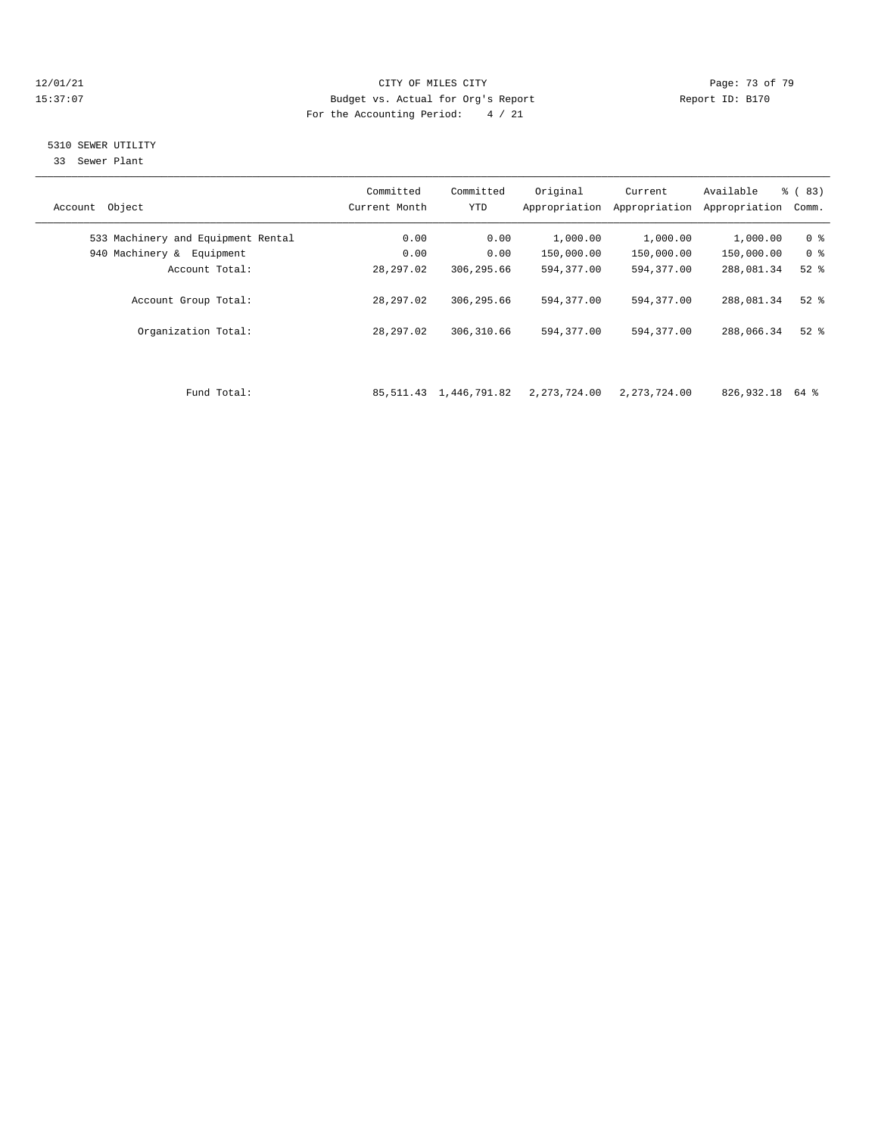### 12/01/21 Page: 73 of 79<br>
12/01/21 Page: 73 of 79 Eudget vs. Actual for Org's Report Page: 73 of 79 Page: 73 of 79 Eudget vs. Actual for Org's Report Page: 73 of 79 Page: 73 of 79 Eudget vs. Actual for Org's Report Page: 73 15:37:07 Budget vs. Actual for Org's Report For the Accounting Period: 4 / 21

### 5310 SEWER UTILITY

33 Sewer Plant

| Object<br>Account                  | Committed<br>Current Month | Committed<br><b>YTD</b> | Original<br>Appropriation | Current<br>Appropriation | Available<br>Appropriation | % (83)<br>Comm. |
|------------------------------------|----------------------------|-------------------------|---------------------------|--------------------------|----------------------------|-----------------|
| 533 Machinery and Equipment Rental | 0.00                       | 0.00                    | 1,000.00                  | 1,000.00                 | 1,000.00                   | 0 <sup>8</sup>  |
| 940 Machinery &<br>Equipment       | 0.00                       | 0.00                    | 150,000.00                | 150,000.00               | 150,000.00                 | 0 <sup>8</sup>  |
| Account Total:                     | 28,297.02                  | 306,295.66              | 594,377.00                | 594,377.00               | 288,081.34                 | $52$ $%$        |
| Account Group Total:               | 28,297.02                  | 306,295.66              | 594,377.00                | 594,377.00               | 288,081.34                 | $52$ $%$        |
| Organization Total:                | 28,297.02                  | 306,310.66              | 594,377.00                | 594,377.00               | 288,066.34                 | $52$ $%$        |
|                                    |                            |                         |                           |                          |                            |                 |
| Fund Total:                        | 85,511.43                  | 1,446,791.82            | 2,273,724.00              | 2,273,724.00             | 826,932.18 64 %            |                 |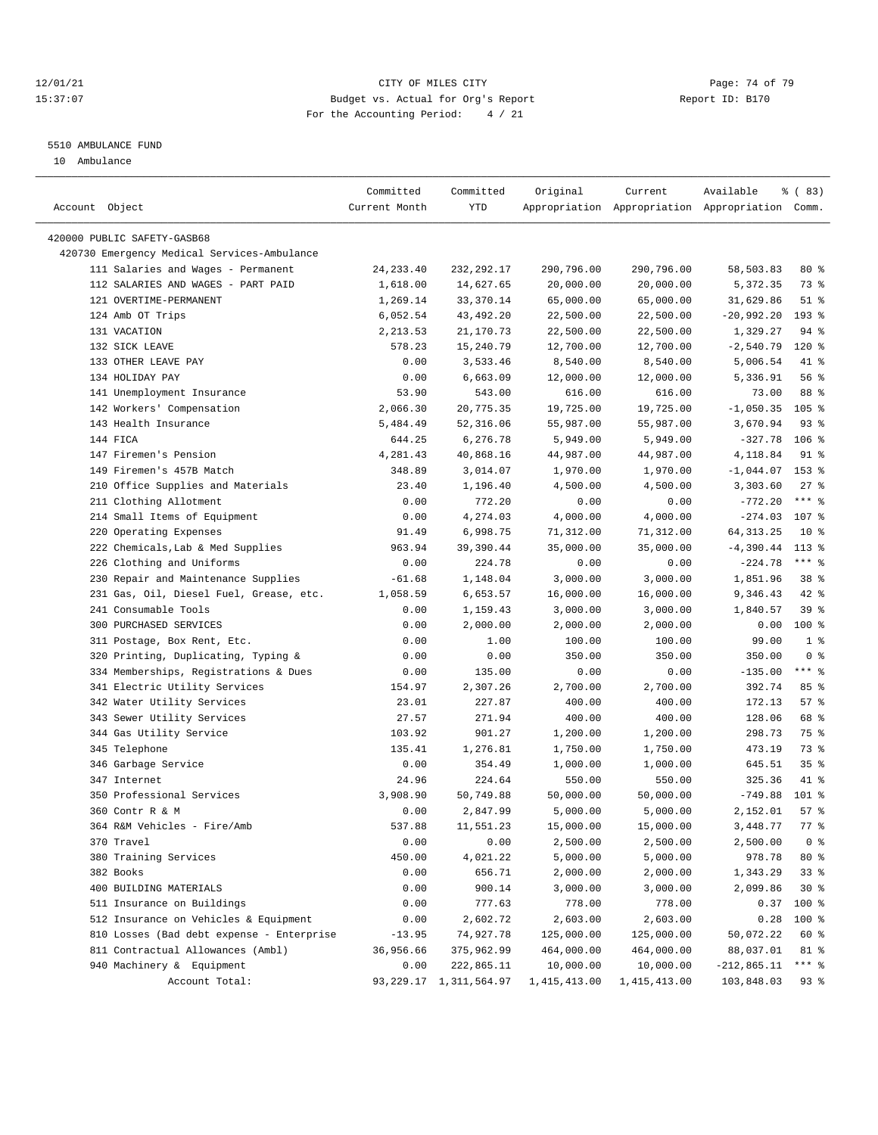### 12/01/21 Page: 74 of 79 15:37:07 Budget vs. Actual for Org's Report Report ID: B170 For the Accounting Period: 4 / 21

————————————————————————————————————————————————————————————————————————————————————————————————————————————————————————————————————

#### 5510 AMBULANCE FUND

10 Ambulance

|                                             | Committed     | Committed                   | Original     | Current      | Available                                       | % (83)          |
|---------------------------------------------|---------------|-----------------------------|--------------|--------------|-------------------------------------------------|-----------------|
| Account Object                              | Current Month | YTD                         |              |              | Appropriation Appropriation Appropriation Comm. |                 |
| 420000 PUBLIC SAFETY-GASB68                 |               |                             |              |              |                                                 |                 |
| 420730 Emergency Medical Services-Ambulance |               |                             |              |              |                                                 |                 |
| 111 Salaries and Wages - Permanent          | 24, 233.40    | 232,292.17                  | 290,796.00   | 290,796.00   | 58,503.83                                       | 80%             |
| 112 SALARIES AND WAGES - PART PAID          | 1,618.00      | 14,627.65                   | 20,000.00    | 20,000.00    | 5,372.35                                        | 73 %            |
| 121 OVERTIME-PERMANENT                      | 1,269.14      | 33, 370.14                  | 65,000.00    | 65,000.00    | 31,629.86                                       | $51$ %          |
| 124 Amb OT Trips                            | 6,052.54      | 43, 492. 20                 | 22,500.00    | 22,500.00    | $-20,992.20$                                    | 193 %           |
| 131 VACATION                                | 2, 213.53     | 21,170.73                   | 22,500.00    | 22,500.00    | 1,329.27                                        | $94$ %          |
| 132 SICK LEAVE                              | 578.23        | 15,240.79                   | 12,700.00    | 12,700.00    | $-2,540.79$                                     | $120$ %         |
| 133 OTHER LEAVE PAY                         | 0.00          | 3,533.46                    | 8,540.00     | 8,540.00     | 5,006.54                                        | 41 %            |
| 134 HOLIDAY PAY                             | 0.00          | 6,663.09                    | 12,000.00    | 12,000.00    | 5,336.91                                        | 56%             |
| 141 Unemployment Insurance                  | 53.90         | 543.00                      | 616.00       | 616.00       | 73.00                                           | 88 %            |
| 142 Workers' Compensation                   | 2,066.30      | 20,775.35                   | 19,725.00    | 19,725.00    | $-1,050.35$                                     | $105$ %         |
| 143 Health Insurance                        | 5,484.49      | 52,316.06                   | 55,987.00    | 55,987.00    | 3,670.94                                        | 93 %            |
| 144 FICA                                    | 644.25        | 6,276.78                    | 5,949.00     | 5,949.00     | $-327.78$                                       | $106$ %         |
| 147 Firemen's Pension                       | 4,281.43      | 40,868.16                   | 44,987.00    | 44,987.00    | 4,118.84                                        | $91$ %          |
| 149 Firemen's 457B Match                    | 348.89        | 3,014.07                    | 1,970.00     | 1,970.00     | $-1,044.07$                                     | 153 %           |
| 210 Office Supplies and Materials           | 23.40         | 1,196.40                    | 4,500.00     | 4,500.00     | 3,303.60                                        | $27$ %          |
| 211 Clothing Allotment                      | 0.00          | 772.20                      | 0.00         | 0.00         | $-772.20$                                       | $***$ $8$       |
| 214 Small Items of Equipment                | 0.00          | 4,274.03                    | 4,000.00     | 4,000.00     | $-274.03$                                       | 107 %           |
| 220 Operating Expenses                      | 91.49         | 6,998.75                    | 71,312.00    | 71,312.00    | 64, 313.25                                      | 10 <sup>8</sup> |
| 222 Chemicals, Lab & Med Supplies           | 963.94        | 39,390.44                   | 35,000.00    | 35,000.00    | $-4,390.44$                                     | $113*$          |
| 226 Clothing and Uniforms                   | 0.00          | 224.78                      | 0.00         | 0.00         | $-224.78$                                       | $***$ $_{8}$    |
| 230 Repair and Maintenance Supplies         | $-61.68$      | 1,148.04                    | 3,000.00     | 3,000.00     | 1,851.96                                        | 38 <sup>8</sup> |
| 231 Gas, Oil, Diesel Fuel, Grease, etc.     | 1,058.59      | 6,653.57                    | 16,000.00    | 16,000.00    | 9,346.43                                        | $42$ %          |
| 241 Consumable Tools                        | 0.00          | 1,159.43                    | 3,000.00     | 3,000.00     | 1,840.57                                        | 39%             |
| 300 PURCHASED SERVICES                      | 0.00          | 2,000.00                    | 2,000.00     | 2,000.00     | 0.00                                            | 100 %           |
| 311 Postage, Box Rent, Etc.                 | 0.00          | 1.00                        | 100.00       | 100.00       | 99.00                                           | 1 <sup>8</sup>  |
| 320 Printing, Duplicating, Typing &         | 0.00          | 0.00                        | 350.00       | 350.00       | 350.00                                          | 0 <sup>8</sup>  |
| 334 Memberships, Registrations & Dues       | 0.00          | 135.00                      | 0.00         | 0.00         | $-135.00$                                       | $***$ $-$       |
| 341 Electric Utility Services               | 154.97        | 2,307.26                    | 2,700.00     | 2,700.00     | 392.74                                          | 85%             |
| 342 Water Utility Services                  | 23.01         | 227.87                      | 400.00       | 400.00       | 172.13                                          | 57%             |
| 343 Sewer Utility Services                  | 27.57         | 271.94                      | 400.00       | 400.00       | 128.06                                          | 68 %            |
| 344 Gas Utility Service                     | 103.92        | 901.27                      | 1,200.00     | 1,200.00     | 298.73                                          | 75 %            |
| 345 Telephone                               | 135.41        | 1,276.81                    | 1,750.00     | 1,750.00     | 473.19                                          | 73 %            |
| 346 Garbage Service                         | 0.00          | 354.49                      | 1,000.00     | 1,000.00     | 645.51                                          | 35%             |
| 347 Internet                                | 24.96         | 224.64                      | 550.00       | 550.00       | 325.36                                          | 41 %            |
| 350 Professional Services                   | 3,908.90      | 50,749.88                   | 50,000.00    | 50,000.00    | $-749.88$                                       | $101$ %         |
| 360 Contr R & M                             | 0.00          | 2,847.99                    | 5,000.00     | 5,000.00     | 2,152.01                                        | 57%             |
| 364 R&M Vehicles - Fire/Amb                 | 537.88        | 11,551.23                   | 15,000.00    | 15,000.00    | 3,448.77                                        | 77.8            |
| 370 Travel                                  | 0.00          | 0.00                        | 2,500.00     | 2,500.00     | 2,500.00                                        | 0 <sup>8</sup>  |
| 380 Training Services                       | 450.00        | 4,021.22                    | 5,000.00     | 5,000.00     | 978.78                                          | $80*$           |
| 382 Books                                   | 0.00          | 656.71                      | 2,000.00     | 2,000.00     | 1,343.29                                        | 33%             |
| 400 BUILDING MATERIALS                      | 0.00          | 900.14                      | 3,000.00     | 3,000.00     | 2,099.86                                        | $30*$           |
| 511 Insurance on Buildings                  | 0.00          | 777.63                      | 778.00       | 778.00       | 0.37                                            | 100 %           |
| 512 Insurance on Vehicles & Equipment       | 0.00          | 2,602.72                    | 2,603.00     | 2,603.00     | 0.28                                            | 100 %           |
| 810 Losses (Bad debt expense - Enterprise   | $-13.95$      | 74,927.78                   | 125,000.00   | 125,000.00   | 50,072.22                                       | 60 %            |
| 811 Contractual Allowances (Ambl)           | 36,956.66     | 375,962.99                  | 464,000.00   | 464,000.00   | 88,037.01                                       | 81 %            |
| 940 Machinery & Equipment                   | 0.00          | 222,865.11                  | 10,000.00    | 10,000.00    | $-212,865.11$                                   | $***$ $_{8}$    |
| Account Total:                              |               | 93, 229. 17 1, 311, 564. 97 | 1,415,413.00 | 1,415,413.00 | 103,848.03                                      | 93%             |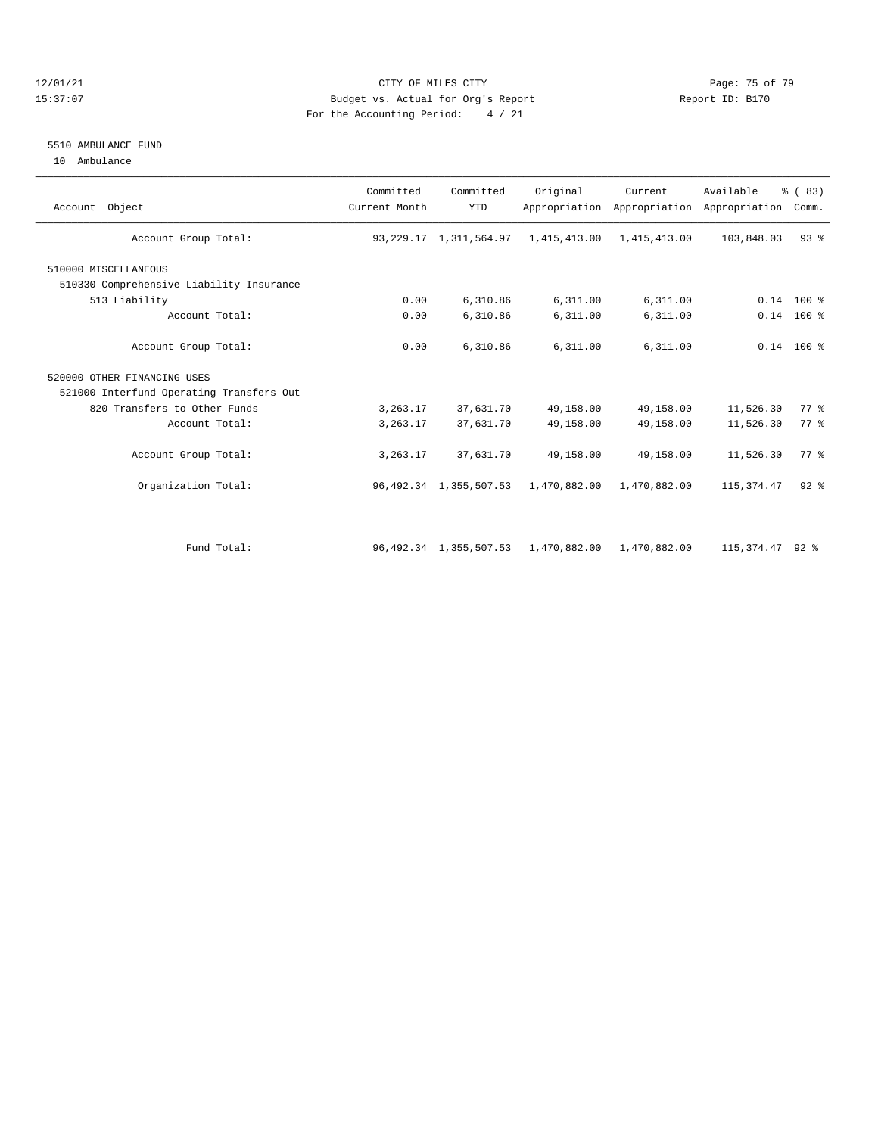### 12/01/21 Page: 75 of 79 15:37:07 Budget vs. Actual for Org's Report Report ID: B170 For the Accounting Period: 4 / 21

#### 5510 AMBULANCE FUND

10 Ambulance

| Account Object                           | Committed<br>Current Month | Committed<br><b>YTD</b>   | Original                  | Current      | Available<br>Appropriation Appropriation Appropriation | % (83)<br>Comm. |
|------------------------------------------|----------------------------|---------------------------|---------------------------|--------------|--------------------------------------------------------|-----------------|
| Account Group Total:                     |                            | 93, 229.17 1, 311, 564.97 | 1,415,413.00              | 1,415,413.00 | 103,848.03                                             | 93%             |
| 510000 MISCELLANEOUS                     |                            |                           |                           |              |                                                        |                 |
| 510330 Comprehensive Liability Insurance |                            |                           |                           |              |                                                        |                 |
| 513 Liability                            | 0.00                       | 6,310.86                  | 6,311.00                  | 6,311.00     |                                                        | $0.14$ 100 %    |
| Account Total:                           | 0.00                       | 6,310.86                  | 6,311.00                  | 6,311.00     |                                                        | $0.14$ 100 %    |
| Account Group Total:                     | 0.00                       | 6,310.86                  | 6,311.00                  | 6,311.00     |                                                        | $0.14$ 100 %    |
| 520000 OTHER FINANCING USES              |                            |                           |                           |              |                                                        |                 |
| 521000 Interfund Operating Transfers Out |                            |                           |                           |              |                                                        |                 |
| 820 Transfers to Other Funds             | 3, 263.17                  | 37,631.70                 | 49,158.00                 | 49,158.00    | 11,526.30                                              | 77.8            |
| Account Total:                           | 3, 263.17                  | 37,631.70                 | 49,158.00                 | 49,158.00    | 11,526.30                                              | 77.8            |
| Account Group Total:                     | 3,263.17                   | 37,631.70                 | 49,158.00                 | 49,158.00    | 11,526.30                                              | 77.8            |
| Organization Total:                      |                            | 96, 492.34 1, 355, 507.53 | 1,470,882.00              | 1,470,882.00 | 115, 374.47                                            | $92$ $%$        |
|                                          |                            |                           |                           |              |                                                        |                 |
| Fund Total:                              |                            | 96, 492.34 1, 355, 507.53 | 1,470,882.00 1,470,882.00 |              | 115, 374. 47 92 %                                      |                 |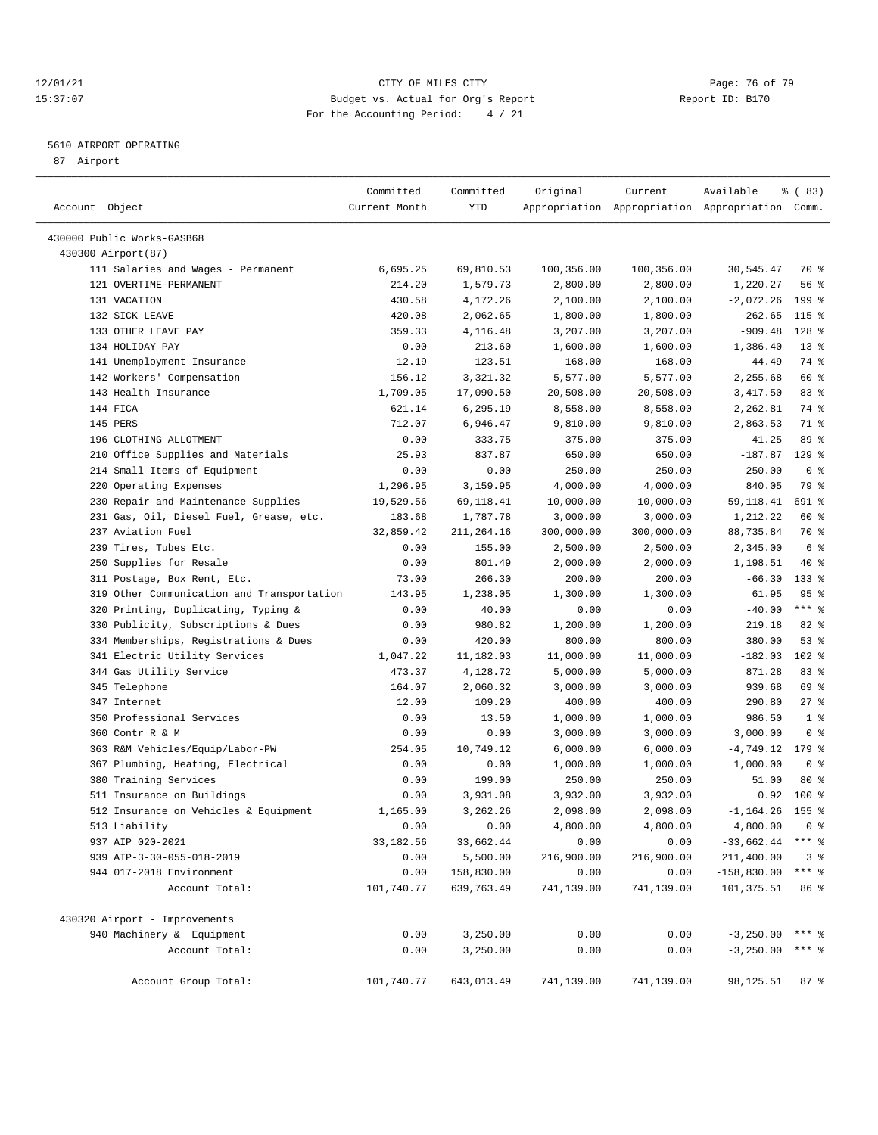### 12/01/21 Page: 76 of 79<br>15:37:07 Budget vs. Actual for Org's Report Report Report ID: B170 15:37:07 Budget vs. Actual for Org's Report For the Accounting Period: 4 / 21

————————————————————————————————————————————————————————————————————————————————————————————————————————————————————————————————————

## 5610 AIRPORT OPERATING

87 Airport

|                                            | Committed     | Committed  | Original   | Current                                         | Available           | <sub>ර</sub> ි (83) |
|--------------------------------------------|---------------|------------|------------|-------------------------------------------------|---------------------|---------------------|
| Account Object                             | Current Month | YTD        |            | Appropriation Appropriation Appropriation Comm. |                     |                     |
| 430000 Public Works-GASB68                 |               |            |            |                                                 |                     |                     |
| 430300 Airport (87)                        |               |            |            |                                                 |                     |                     |
| 111 Salaries and Wages - Permanent         | 6,695.25      | 69,810.53  | 100,356.00 | 100,356.00                                      | 30,545.47           | 70 %                |
| 121 OVERTIME-PERMANENT                     | 214.20        | 1,579.73   | 2,800.00   | 2,800.00                                        | 1,220.27            | 56%                 |
| 131 VACATION                               | 430.58        | 4,172.26   | 2,100.00   | 2,100.00                                        | $-2,072.26$         | $199$ %             |
| 132 SICK LEAVE                             | 420.08        | 2,062.65   | 1,800.00   | 1,800.00                                        | $-262.65$           | 115 %               |
| 133 OTHER LEAVE PAY                        | 359.33        | 4,116.48   | 3,207.00   | 3,207.00                                        | $-909.48$           | $128$ %             |
| 134 HOLIDAY PAY                            | 0.00          | 213.60     | 1,600.00   | 1,600.00                                        | 1,386.40            | $13*$               |
| 141 Unemployment Insurance                 | 12.19         | 123.51     | 168.00     | 168.00                                          | 44.49               | 74 %                |
| 142 Workers' Compensation                  | 156.12        | 3,321.32   | 5,577.00   | 5,577.00                                        | 2,255.68            | 60 %                |
| 143 Health Insurance                       | 1,709.05      | 17,090.50  | 20,508.00  | 20,508.00                                       | 3,417.50            | 83%                 |
| 144 FICA                                   | 621.14        | 6,295.19   | 8,558.00   | 8,558.00                                        | 2,262.81            | 74 %                |
| 145 PERS                                   | 712.07        | 6,946.47   | 9,810.00   | 9,810.00                                        | 2,863.53            | 71 %                |
| 196 CLOTHING ALLOTMENT                     | 0.00          | 333.75     | 375.00     | 375.00                                          | 41.25               | 89 %                |
| 210 Office Supplies and Materials          | 25.93         | 837.87     | 650.00     | 650.00                                          | $-187.87$           | $129$ %             |
| 214 Small Items of Equipment               | 0.00          | 0.00       | 250.00     | 250.00                                          | 250.00              | 0 <sup>8</sup>      |
| 220 Operating Expenses                     | 1,296.95      | 3,159.95   | 4,000.00   | 4,000.00                                        | 840.05              | 79 %                |
| 230 Repair and Maintenance Supplies        | 19,529.56     | 69,118.41  | 10,000.00  | 10,000.00                                       | $-59, 118.41$       | 691 %               |
| 231 Gas, Oil, Diesel Fuel, Grease, etc.    | 183.68        | 1,787.78   | 3,000.00   | 3,000.00                                        | 1,212.22            | 60 %                |
| 237 Aviation Fuel                          | 32,859.42     | 211,264.16 | 300,000.00 | 300,000.00                                      | 88,735.84           | 70 %                |
| 239 Tires, Tubes Etc.                      | 0.00          | 155.00     | 2,500.00   | 2,500.00                                        | 2,345.00            | 6 %                 |
| 250 Supplies for Resale                    | 0.00          | 801.49     | 2,000.00   | 2,000.00                                        | 1,198.51            | $40*$               |
| 311 Postage, Box Rent, Etc.                | 73.00         | 266.30     | 200.00     | 200.00                                          | $-66.30$            | $133$ %             |
| 319 Other Communication and Transportation | 143.95        | 1,238.05   | 1,300.00   | 1,300.00                                        | 61.95               | 95%                 |
| 320 Printing, Duplicating, Typing &        | 0.00          | 40.00      | 0.00       | 0.00                                            | $-40.00$            | $***$ $-$           |
| 330 Publicity, Subscriptions & Dues        | 0.00          | 980.82     | 1,200.00   | 1,200.00                                        | 219.18              | 82%                 |
| 334 Memberships, Registrations & Dues      | 0.00          | 420.00     | 800.00     | 800.00                                          | 380.00              | 53%                 |
| 341 Electric Utility Services              | 1,047.22      | 11,182.03  | 11,000.00  | 11,000.00                                       | $-182.03$           | $102$ %             |
| 344 Gas Utility Service                    | 473.37        | 4,128.72   | 5,000.00   | 5,000.00                                        | 871.28              | 83%                 |
| 345 Telephone                              | 164.07        | 2,060.32   | 3,000.00   | 3,000.00                                        | 939.68              | 69 %                |
| 347 Internet                               | 12.00         | 109.20     | 400.00     | 400.00                                          | 290.80              | $27$ %              |
| 350 Professional Services                  | 0.00          | 13.50      | 1,000.00   | 1,000.00                                        | 986.50              | 1 <sup>8</sup>      |
| 360 Contr R & M                            | 0.00          | 0.00       | 3,000.00   | 3,000.00                                        | 3,000.00            | 0 <sup>8</sup>      |
| 363 R&M Vehicles/Equip/Labor-PW            | 254.05        | 10,749.12  | 6,000.00   | 6,000.00                                        | $-4,749.12$         | 179 %               |
| 367 Plumbing, Heating, Electrical          | 0.00          | 0.00       | 1,000.00   | 1,000.00                                        | 1,000.00            | 0 <sup>8</sup>      |
| 380 Training Services                      | 0.00          | 199.00     | 250.00     | 250.00                                          | 51.00               | $80*$               |
| 511 Insurance on Buildings                 | 0.00          | 3,931.08   | 3,932.00   | 3,932.00                                        | 0.92                | $100*$              |
| 512 Insurance on Vehicles & Equipment      | 1,165.00      | 3,262.26   | 2,098.00   | 2,098.00                                        | $-1, 164.26$ 155 %  |                     |
| 513 Liability                              | 0.00          | 0.00       | 4,800.00   | 4,800.00                                        | 4,800.00            | 0 <sup>8</sup>      |
| 937 AIP 020-2021                           | 33,182.56     | 33,662.44  | 0.00       | 0.00                                            | $-33,662.44$ *** %  |                     |
| 939 AIP-3-30-055-018-2019                  | 0.00          | 5,500.00   | 216,900.00 | 216,900.00                                      | 211,400.00          | 3%                  |
| 944 017-2018 Environment                   | 0.00          | 158,830.00 | 0.00       | 0.00                                            | $-158,830.00$ *** % |                     |
| Account Total:                             | 101,740.77    | 639,763.49 | 741,139.00 | 741,139.00                                      | 101,375.51          | 86 %                |
| 430320 Airport - Improvements              |               |            |            |                                                 |                     |                     |
| 940 Machinery & Equipment                  | 0.00          | 3,250.00   | 0.00       | 0.00                                            | $-3,250.00$ *** %   |                     |
| Account Total:                             | 0.00          | 3,250.00   | 0.00       | 0.00                                            | $-3,250.00$ *** \$  |                     |
| Account Group Total:                       | 101,740.77    | 643,013.49 | 741,139.00 | 741,139.00                                      | 98,125.51           | 87 %                |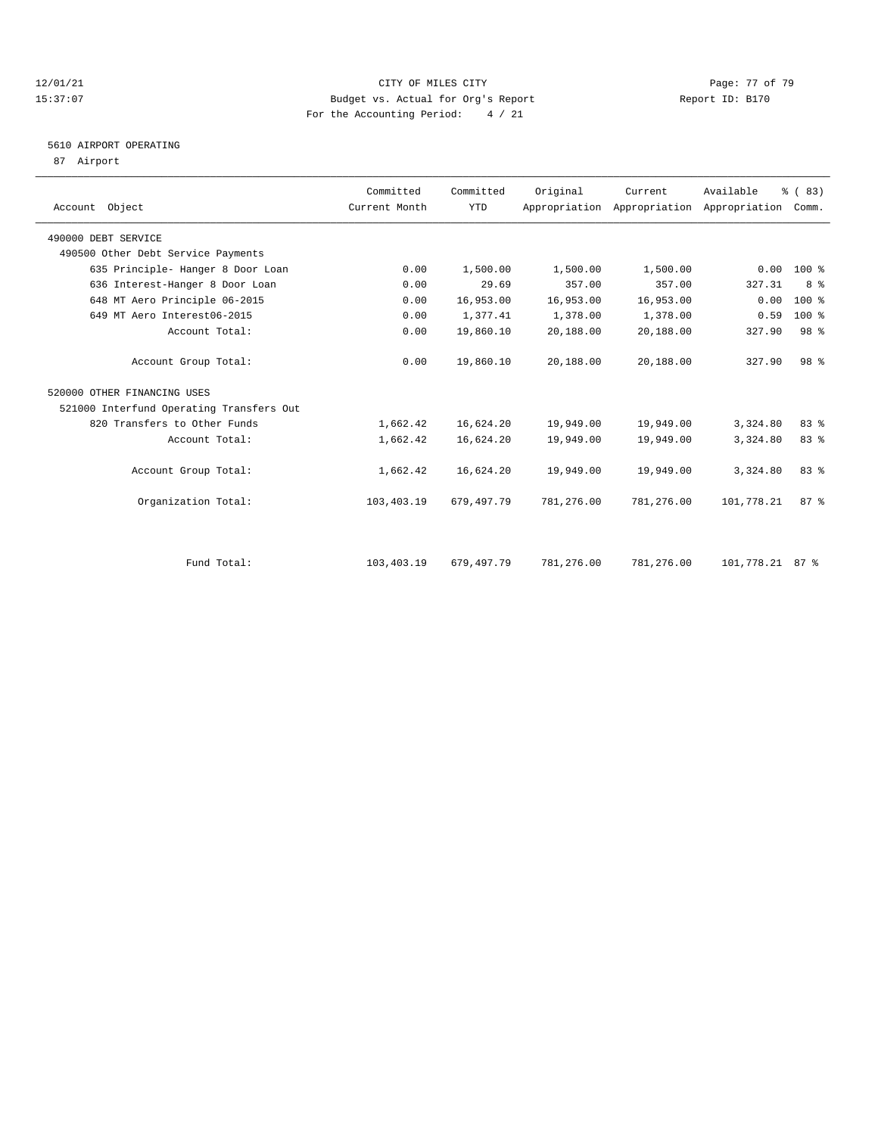### 12/01/21 Page: 77 of 79<br>
12/01/21 Page: 77 of 79 Eudget vs. Actual for Org's Report Page: 77 of 79 Page: 77 of 79 Eudget vs. Actual for Org's Report Page: 77 of 79 15:37:07 Budget vs. Actual for Org's Report For the Accounting Period: 4 / 21

# 5610 AIRPORT OPERATING

87 Airport

| Account Object                           | Committed<br>Current Month | Committed<br><b>YTD</b> | Original   | Current    | Available<br>Appropriation Appropriation Appropriation Comm. | % (83)          |  |
|------------------------------------------|----------------------------|-------------------------|------------|------------|--------------------------------------------------------------|-----------------|--|
| 490000 DEBT SERVICE                      |                            |                         |            |            |                                                              |                 |  |
| 490500 Other Debt Service Payments       |                            |                         |            |            |                                                              |                 |  |
| 635 Principle- Hanger 8 Door Loan        | 0.00                       | 1,500.00                | 1,500.00   | 1,500.00   | 0.00                                                         | 100 %           |  |
| 636 Interest-Hanger 8 Door Loan          | 0.00                       | 29.69                   | 357.00     | 357.00     | 327.31                                                       | 8 %             |  |
| 648 MT Aero Principle 06-2015            | 0.00                       | 16,953.00               | 16,953.00  | 16,953.00  | 0.00                                                         | $100*$          |  |
| 649 MT Aero Interest06-2015              | 0.00                       | 1,377.41                | 1,378.00   | 1,378.00   | 0.59                                                         | $100*$          |  |
| Account Total:                           | 0.00                       | 19,860.10               | 20,188.00  | 20,188.00  | 327.90                                                       | 98 %            |  |
| Account Group Total:                     | 0.00                       | 19,860.10               | 20,188.00  | 20,188.00  | 327.90                                                       | 98 <sup>8</sup> |  |
| 520000 OTHER FINANCING USES              |                            |                         |            |            |                                                              |                 |  |
| 521000 Interfund Operating Transfers Out |                            |                         |            |            |                                                              |                 |  |
| 820 Transfers to Other Funds             | 1,662.42                   | 16,624.20               | 19,949.00  | 19,949.00  | 3,324.80                                                     | 83%             |  |
| Account Total:                           | 1,662.42                   | 16,624.20               | 19,949.00  | 19,949.00  | 3,324.80                                                     | 83%             |  |
| Account Group Total:                     | 1,662.42                   | 16,624.20               | 19,949.00  | 19,949.00  | 3,324.80                                                     | 83%             |  |
| Organization Total:                      | 103,403.19                 | 679, 497.79             | 781,276.00 | 781,276.00 | 101,778.21                                                   | 87%             |  |
|                                          |                            |                         |            |            |                                                              |                 |  |
| Fund Total:                              | 103,403.19                 | 679, 497. 79            | 781,276.00 | 781,276.00 | 101,778.21 87 %                                              |                 |  |